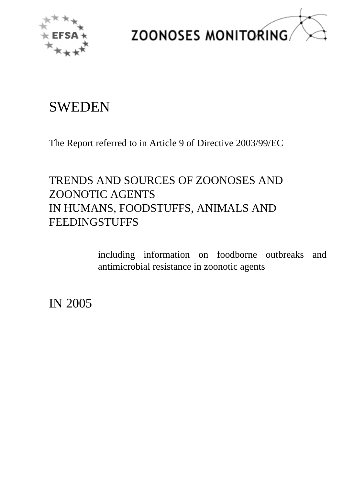



# SWEDEN

The Report referred to in Article 9 of Directive 2003/99/EC

# TRENDS AND SOURCES OF ZOONOSES AND ZOONOTIC AGENTS IN HUMANS, FOODSTUFFS, ANIMALS AND FEEDINGSTUFFS

including information on foodborne outbreaks and antimicrobial resistance in zoonotic agents

IN 2005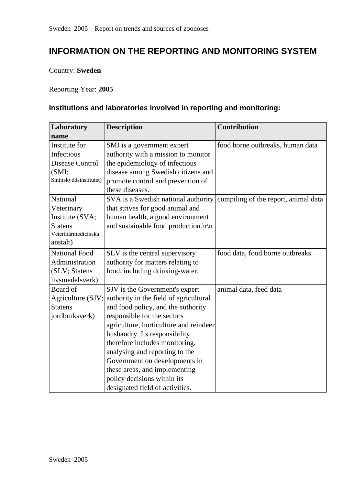# **INFORMATION ON THE REPORTING AND MONITORING SYSTEM**

Country: **Sweden**

# Reporting Year: **2005**

# **Institutions and laboratories involved in reporting and monitoring:**

| Laboratory             | <b>Description</b>                                     | <b>Contribution</b>                  |  |  |  |
|------------------------|--------------------------------------------------------|--------------------------------------|--|--|--|
| name                   |                                                        |                                      |  |  |  |
| Institute for          | SMI is a government expert                             | food borne outbreaks, human data     |  |  |  |
| Infectious             | authority with a mission to monitor                    |                                      |  |  |  |
| Disease Control        | the epidemiology of infectious                         |                                      |  |  |  |
| (SMI;                  | disease among Swedish citizens and                     |                                      |  |  |  |
| Smittskyddsinstitutet) | promote control and prevention of                      |                                      |  |  |  |
|                        | these diseases.                                        |                                      |  |  |  |
| National               | SVA is a Swedish national authority                    | compiling of the report, animal data |  |  |  |
| Veterinary             | that strives for good animal and                       |                                      |  |  |  |
| Institute (SVA;        | human health, a good environment                       |                                      |  |  |  |
| <b>Statens</b>         | and sustainable food production. $\langle r \rangle$ n |                                      |  |  |  |
| Veterinärmedicinska    |                                                        |                                      |  |  |  |
| anstalt)               |                                                        |                                      |  |  |  |
| National Food          | SLV is the central supervisory                         | food data, food borne outbreaks      |  |  |  |
| Administration         | authority for matters relating to                      |                                      |  |  |  |
| (SLV; Statens          | food, including drinking-water.                        |                                      |  |  |  |
| livsmedelsverk)        |                                                        |                                      |  |  |  |
| Board of               | SJV is the Government's expert                         | animal data, feed data               |  |  |  |
| Agriculture (SJV;      | authority in the field of agricultural                 |                                      |  |  |  |
| <b>Statens</b>         | and food policy, and the authority                     |                                      |  |  |  |
| jordbruksverk)         | responsible for the sectors                            |                                      |  |  |  |
|                        | agriculture, horticulture and reindeer                 |                                      |  |  |  |
|                        | husbandry. Its responsibility                          |                                      |  |  |  |
|                        | therefore includes monitoring,                         |                                      |  |  |  |
|                        | analysing and reporting to the                         |                                      |  |  |  |
|                        | Government on developments in                          |                                      |  |  |  |
|                        | these areas, and implementing                          |                                      |  |  |  |
|                        | policy decisions within its                            |                                      |  |  |  |
|                        | designated field of activities.                        |                                      |  |  |  |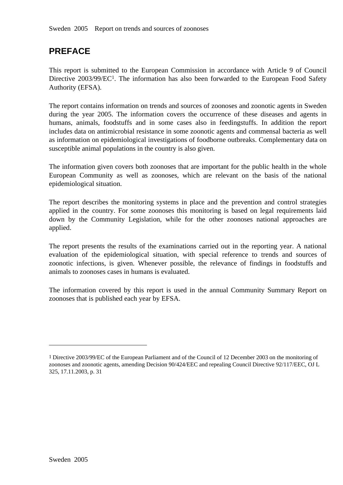# **PREFACE**

This report is submitted to the European Commission in accordance with Article 9 of Council Directive 2003/99/EC<sup>1</sup>. The information has also been forwarded to the European Food Safety Authority (EFSA).

The report contains information on trends and sources of zoonoses and zoonotic agents in Sweden during the year 2005. The information covers the occurrence of these diseases and agents in humans, animals, foodstuffs and in some cases also in feedingstuffs. In addition the report includes data on antimicrobial resistance in some zoonotic agents and commensal bacteria as well as information on epidemiological investigations of foodborne outbreaks. Complementary data on susceptible animal populations in the country is also given.

The information given covers both zoonoses that are important for the public health in the whole European Community as well as zoonoses, which are relevant on the basis of the national epidemiological situation.

The report describes the monitoring systems in place and the prevention and control strategies applied in the country. For some zoonoses this monitoring is based on legal requirements laid down by the Community Legislation, while for the other zoonoses national approaches are applied.

The report presents the results of the examinations carried out in the reporting year. A national evaluation of the epidemiological situation, with special reference to trends and sources of zoonotic infections, is given. Whenever possible, the relevance of findings in foodstuffs and animals to zoonoses cases in humans is evaluated.

The information covered by this report is used in the annual Community Summary Report on zoonoses that is published each year by EFSA.

<sup>1</sup>Directive 2003/99/EC of the European Parliament and of the Council of 12 December 2003 on the monitoring of zoonoses and zoonotic agents, amending Decision 90/424/EEC and repealing Council Directive 92/117/EEC, OJ L 325, 17.11.2003, p. 31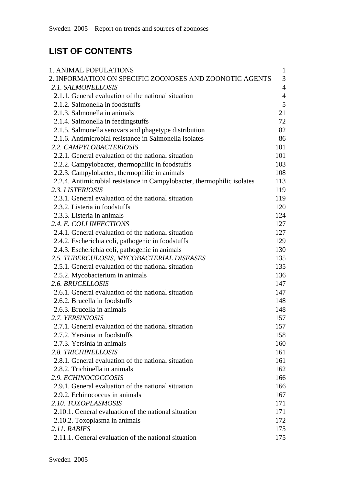# **LIST OF CONTENTS**

| <b>1. ANIMAL POPULATIONS</b>                                            | $\mathbf{1}$   |
|-------------------------------------------------------------------------|----------------|
| 2. INFORMATION ON SPECIFIC ZOONOSES AND ZOONOTIC AGENTS                 | 3              |
| 2.1. SALMONELLOSIS                                                      | $\overline{4}$ |
| 2.1.1. General evaluation of the national situation                     | $\overline{4}$ |
| 2.1.2. Salmonella in foodstuffs                                         | 5              |
| 2.1.3. Salmonella in animals                                            | 21             |
| 2.1.4. Salmonella in feedingstuffs                                      | 72             |
| 2.1.5. Salmonella serovars and phagetype distribution                   | 82             |
| 2.1.6. Antimicrobial resistance in Salmonella isolates                  | 86             |
| 2.2. CAMPYLOBACTERIOSIS                                                 | 101            |
| 2.2.1. General evaluation of the national situation                     | 101            |
| 2.2.2. Campylobacter, thermophilic in foodstuffs                        | 103            |
| 2.2.3. Campylobacter, thermophilic in animals                           | 108            |
| 2.2.4. Antimicrobial resistance in Campylobacter, thermophilic isolates | 113            |
| 2.3. LISTERIOSIS                                                        | 119            |
| 2.3.1. General evaluation of the national situation                     | 119            |
| 2.3.2. Listeria in foodstuffs                                           | 120            |
| 2.3.3. Listeria in animals                                              | 124            |
| 2.4. E. COLI INFECTIONS                                                 | 127            |
| 2.4.1. General evaluation of the national situation                     | 127            |
| 2.4.2. Escherichia coli, pathogenic in foodstuffs                       | 129            |
| 2.4.3. Escherichia coli, pathogenic in animals                          | 130            |
| 2.5. TUBERCULOSIS, MYCOBACTERIAL DISEASES                               | 135            |
| 2.5.1. General evaluation of the national situation                     | 135            |
| 2.5.2. Mycobacterium in animals                                         | 136            |
| 2.6. BRUCELLOSIS                                                        | 147            |
| 2.6.1. General evaluation of the national situation                     | 147            |
| 2.6.2. Brucella in foodstuffs                                           | 148            |
| 2.6.3. Brucella in animals                                              | 148            |
| 2.7. YERSINIOSIS                                                        | 157            |
| 2.7.1. General evaluation of the national situation                     | 157            |
| 2.7.2. Yersinia in foodstuffs                                           | 158            |
| 2.7.3. Yersinia in animals                                              | 160            |
| 2.8. TRICHINELLOSIS                                                     | 161            |
| 2.8.1. General evaluation of the national situation                     | 161            |
| 2.8.2. Trichinella in animals                                           | 162            |
| 2.9. ECHINOCOCCOSIS                                                     | 166            |
| 2.9.1. General evaluation of the national situation                     | 166            |
| 2.9.2. Echinococcus in animals                                          | 167            |
| 2.10. TOXOPLASMOSIS                                                     | 171            |
| 2.10.1. General evaluation of the national situation                    | 171            |
| 2.10.2. Toxoplasma in animals                                           | 172            |
| 2.11. RABIES                                                            | 175            |
| 2.11.1. General evaluation of the national situation                    | 175            |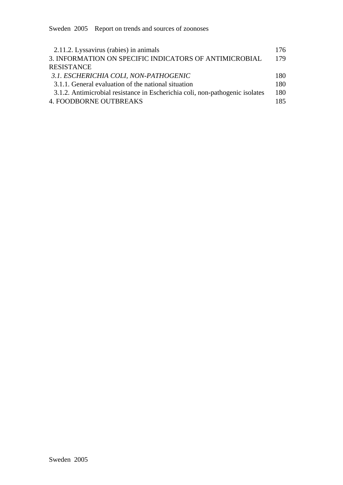| 2.11.2. Lyssavirus (rabies) in animals                                       | 176 |
|------------------------------------------------------------------------------|-----|
| 3. INFORMATION ON SPECIFIC INDICATORS OF ANTIMICROBIAL                       | 179 |
| <b>RESISTANCE</b>                                                            |     |
| 3.1. ESCHERICHIA COLI, NON-PATHOGENIC                                        | 180 |
| 3.1.1. General evaluation of the national situation                          | 180 |
| 3.1.2. Antimicrobial resistance in Escherichia coli, non-pathogenic isolates | 180 |
| <b>4. FOODBORNE OUTBREAKS</b>                                                | 185 |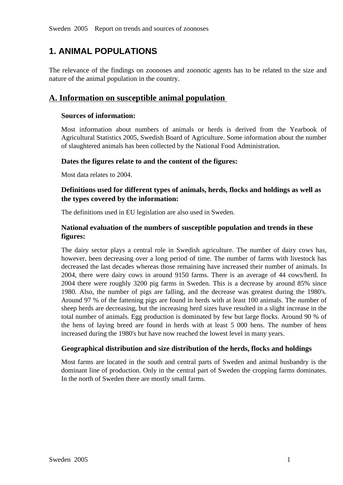# **1. ANIMAL POPULATIONS**

The relevance of the findings on zoonoses and zoonotic agents has to be related to the size and nature of the animal population in the country.

# **A. Information on susceptible animal population**

# **Sources of information:**

Most information about numbers of animals or herds is derived from the Yearbook of Agricultural Statistics 2005, Swedish Board of Agriculture. Some information about the number of slaughtered animals has been collected by the National Food Administration.

# **Dates the figures relate to and the content of the figures:**

Most data relates to 2004.

# **Definitions used for different types of animals, herds, flocks and holdings as well as the types covered by the information:**

The definitions used in EU legislation are also used in Sweden.

# **National evaluation of the numbers of susceptible population and trends in these figures:**

The dairy sector plays a central role in Swedish agriculture. The number of dairy cows has, however, been decreasing over a long period of time. The number of farms with livestock has decreased the last decades whereas those remaining have increased their number of animals. In 2004, there were dairy cows in around 9150 farms. There is an average of 44 cows/herd. In 2004 there were roughly 3200 pig farms in Sweden. This is a decrease by around 85% since 1980. Also, the number of pigs are falling, and the decrease was greatest during the 1980's. Around 97 % of the fattening pigs are found in herds with at least 100 animals. The number of sheep herds are decreasing, but the increasing herd sizes have resulted in a slight increase in the total number of animals. Egg production is dominated by few but large flocks. Around 90 % of the hens of laying breed are found in herds with at least 5 000 hens. The number of hens increased during the 1980's but have now reached the lowest level in many years.

# **Geographical distribution and size distribution of the herds, flocks and holdings**

Most farms are located in the south and central parts of Sweden and animal husbandry is the dominant line of production. Only in the central part of Sweden the cropping farms dominates. In the north of Sweden there are mostly small farms.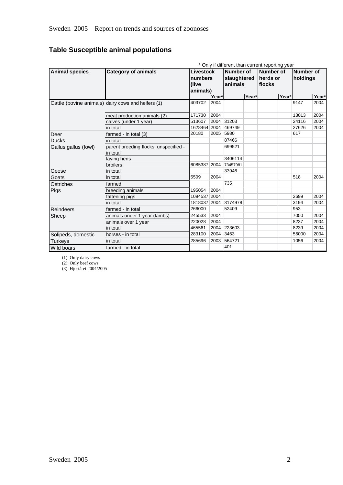# **Table Susceptible animal populations**

|                       | * Only if different than current reporting year    |                              |       |                        |       |                                    |       |           |       |
|-----------------------|----------------------------------------------------|------------------------------|-------|------------------------|-------|------------------------------------|-------|-----------|-------|
| <b>Animal species</b> | <b>Category of animals</b>                         | Livestock                    |       | Number of              |       | Number of                          |       | Number of |       |
|                       |                                                    | numbers<br>(live<br>animals) |       | slaughtered<br>animals |       | <b>Iherds</b> or<br><b>Iflocks</b> |       | holdings  |       |
|                       |                                                    |                              |       |                        |       |                                    |       |           |       |
|                       |                                                    |                              |       |                        |       |                                    |       |           |       |
|                       |                                                    |                              | Year* |                        | Year* |                                    | Year* |           | Year* |
|                       | Cattle (bovine animals) dairy cows and heifers (1) | 403702                       | 2004  |                        |       |                                    |       | 9147      | 2004  |
|                       | meat production animals (2)                        | 171730                       | 2004  |                        |       |                                    |       | 13013     | 2004  |
|                       | calves (under 1 year)                              | 513607                       |       | 2004 31203             |       |                                    |       | 24116     | 2004  |
|                       | in total                                           | 1628464 2004                 |       | 469749                 |       |                                    |       | 27626     | 2004  |
| Deer                  | farmed - in total (3)                              | 20180                        | 2005  | 5980                   |       |                                    |       | 617       |       |
| <b>Ducks</b>          | in total                                           |                              |       | 87466                  |       |                                    |       |           |       |
| Gallus gallus (fowl)  | parent breeding flocks, unspecified -              |                              |       | 699521                 |       |                                    |       |           |       |
|                       | in total                                           |                              |       |                        |       |                                    |       |           |       |
|                       | laying hens                                        |                              |       | 3406114                |       |                                    |       |           |       |
|                       | broilers                                           | 6085387 2004                 |       | 73457981               |       |                                    |       |           |       |
| Geese                 | in total                                           |                              |       | 33946                  |       |                                    |       |           |       |
| Goats                 | in total                                           | 5509                         | 2004  |                        |       |                                    |       | 518       | 2004  |
| Ostriches             | farmed                                             |                              |       | 735                    |       |                                    |       |           |       |
| Pigs                  | breeding animals                                   | 195054                       | 2004  |                        |       |                                    |       |           |       |
|                       | fattening pigs                                     | 1094537 2004                 |       |                        |       |                                    |       | 2699      | 2004  |
|                       | in total                                           | 1818037 2004                 |       | 3174978                |       |                                    |       | 3194      | 2004  |
| Reindeers             | farmed - in total                                  | 266000                       |       | 52409                  |       |                                    |       | 953       |       |
| Sheep                 | animals under 1 year (lambs)                       | 245533                       | 2004  |                        |       |                                    |       | 7050      | 2004  |
|                       | animals over 1 year                                | 220028                       | 2004  |                        |       |                                    |       | 8237      | 2004  |
|                       | in total                                           | 465561                       | 2004  | 223603                 |       |                                    |       | 8239      | 2004  |
| Solipeds, domestic    | horses - in total                                  | 283100                       | 2004  | 3463                   |       |                                    |       | 56000     | 2004  |
| <b>Turkeys</b>        | in total                                           | 285696                       | 2003  | 564721                 |       |                                    |       | 1056      | 2004  |
| Wild boars            | farmed - in total                                  |                              |       | 401                    |       |                                    |       |           |       |

(1): Only dairy cows

(2): Only beef cows

(3): Hjortåret 2004/2005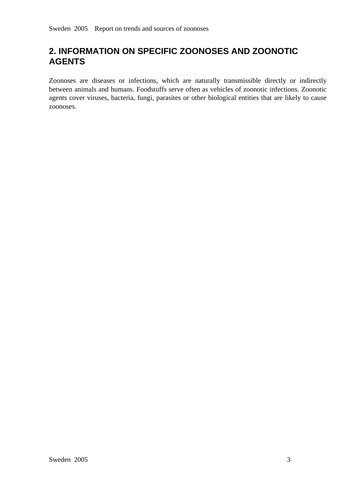# **2. INFORMATION ON SPECIFIC ZOONOSES AND ZOONOTIC AGENTS**

Zoonoses are diseases or infections, which are naturally transmissible directly or indirectly between animals and humans. Foodstuffs serve often as vehicles of zoonotic infections. Zoonotic agents cover viruses, bacteria, fungi, parasites or other biological entities that are likely to cause zoonoses.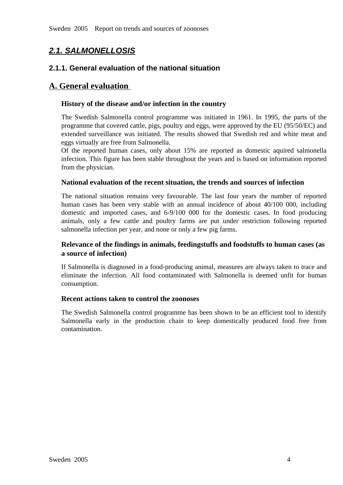# **2.1. SALMONELLOSIS**

# **2.1.1. General evaluation of the national situation**

# **A. General evaluation**

# **History of the disease and/or infection in the country**

The Swedish Salmonella control programme was initiated in 1961. In 1995, the parts of the programme that covered cattle, pigs, poultry and eggs, were approved by the EU (95/50/EC) and extended surveillance was initiated. The results showed that Swedish red and white meat and eggs virtually are free from Salmonella.

Of the reported human cases, only about 15% are reported as domestic aquired salmonella infection. This figure has been stable throughout the years and is based on information reported from the physician.

# **National evaluation of the recent situation, the trends and sources of infection**

The national situation remains very favourable. The last four years the number of reported human cases has been very stable with an annual incidence of about 40/100 000, including domestic and imported cases, and 6-9/100 000 for the domestic cases. In food producing animals, only a few cattle and poultry farms are put under restriction following reported salmonella infection per year, and none or only a few pig farms.

# **Relevance of the findings in animals, feedingstuffs and foodstuffs to human cases (as a source of infection)**

If Salmonella is diagnosed in a food-producing animal, measures are always taken to trace and eliminate the infection. All food contaminated with Salmonella is deemed unfit for human consumption.

# **Recent actions taken to control the zoonoses**

The Swedish Salmonella control programme has been shown to be an efficient tool to identify Salmonella early in the production chain to keep domestically produced food free from contamination.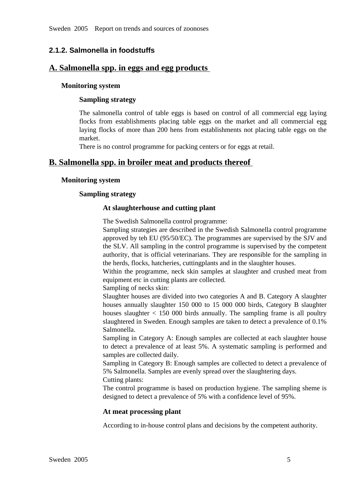# **2.1.2. Salmonella in foodstuffs**

# **A. Salmonella spp. in eggs and egg products**

#### **Monitoring system**

#### **Sampling strategy**

The salmonella control of table eggs is based on control of all commercial egg laying flocks from establishments placing table eggs on the market and all commercial egg laying flocks of more than 200 hens from establishments not placing table eggs on the market.

There is no control programme for packing centers or for eggs at retail.

# **B. Salmonella spp. in broiler meat and products thereof**

# **Monitoring system**

# **Sampling strategy**

# **At slaughterhouse and cutting plant**

The Swedish Salmonella control programme:

Sampling strategies are described in the Swedish Salmonella control programme approved by teh EU (95/50/EC). The programmes are supervised by the SJV and the SLV. All sampling in the control programme is supervised by the competent authority, that is official veterinarians. They are responsible for the sampling in the herds, flocks, hatcheries, cuttingplants and in the slaughter houses.

Within the programme, neck skin samples at slaughter and crushed meat from equipment etc in cutting plants are collected.

Sampling of necks skin:

Slaughter houses are divided into two categories A and B. Category A slaughter houses annually slaughter 150 000 to 15 000 000 birds, Category B slaughter houses slaughter  $<$  150 000 birds annually. The sampling frame is all poultry slaughtered in Sweden. Enough samples are taken to detect a prevalence of 0.1% Salmonella.

Sampling in Category A: Enough samples are collected at each slaughter house to detect a prevalence of at least 5%. A systematic sampling is performed and samples are collected daily.

Sampling in Category B: Enough samples are collected to detect a prevalence of 5% Salmonella. Samples are evenly spread over the slaughtering days. Cutting plants:

The control programme is based on production hygiene. The sampling sheme is designed to detect a prevalence of 5% with a confidence level of 95%.

# **At meat processing plant**

According to in-house control plans and decisions by the competent authority.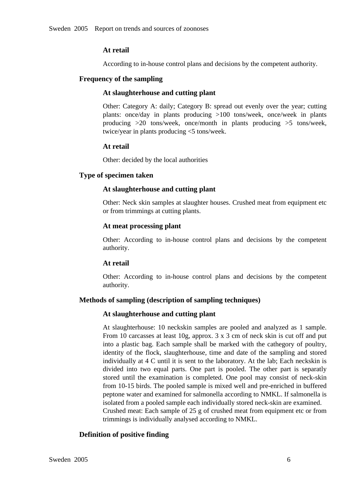# **At retail**

According to in-house control plans and decisions by the competent authority.

# **Frequency of the sampling**

# **At slaughterhouse and cutting plant**

Other: Category A: daily; Category B: spread out evenly over the year; cutting plants: once/day in plants producing >100 tons/week, once/week in plants producing >20 tons/week, once/month in plants producing >5 tons/week, twice/year in plants producing <5 tons/week.

# **At retail**

Other: decided by the local authorities

# **Type of specimen taken**

# **At slaughterhouse and cutting plant**

Other: Neck skin samples at slaughter houses. Crushed meat from equipment etc or from trimmings at cutting plants.

# **At meat processing plant**

Other: According to in-house control plans and decisions by the competent authority.

# **At retail**

Other: According to in-house control plans and decisions by the competent authority.

# **Methods of sampling (description of sampling techniques)**

#### **At slaughterhouse and cutting plant**

At slaughterhouse: 10 neckskin samples are pooled and analyzed as 1 sample. From 10 carcasses at least 10g, approx. 3 x 3 cm of neck skin is cut off and put into a plastic bag. Each sample shall be marked with the cathegory of poultry, identity of the flock, slaughterhouse, time and date of the sampling and stored individually at 4 C until it is sent to the laboratory. At the lab; Each neckskin is divided into two equal parts. One part is pooled. The other part is separatly stored until the examination is completed. One pool may consist of neck-skin from 10-15 birds. The pooled sample is mixed well and pre-enriched in buffered peptone water and examined for salmonella according to NMKL. If salmonella is isolated from a pooled sample each individually stored neck-skin are examined. Crushed meat: Each sample of 25 g of crushed meat from equipment etc or from trimmings is individually analysed according to NMKL.

# **Definition of positive finding**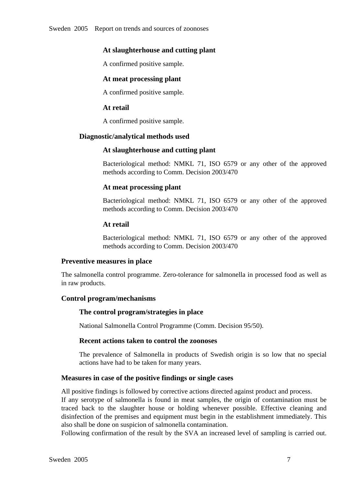#### **At slaughterhouse and cutting plant**

A confirmed positive sample.

#### **At meat processing plant**

A confirmed positive sample.

# **At retail**

A confirmed positive sample.

# **Diagnostic/analytical methods used**

#### **At slaughterhouse and cutting plant**

Bacteriological method: NMKL 71, ISO 6579 or any other of the approved methods according to Comm. Decision 2003/470

# **At meat processing plant**

Bacteriological method: NMKL 71, ISO 6579 or any other of the approved methods according to Comm. Decision 2003/470

# **At retail**

Bacteriological method: NMKL 71, ISO 6579 or any other of the approved methods according to Comm. Decision 2003/470

#### **Preventive measures in place**

The salmonella control programme. Zero-tolerance for salmonella in processed food as well as in raw products.

# **Control program/mechanisms**

#### **The control program/strategies in place**

National Salmonella Control Programme (Comm. Decision 95/50).

#### **Recent actions taken to control the zoonoses**

The prevalence of Salmonella in products of Swedish origin is so low that no special actions have had to be taken for many years.

# **Measures in case of the positive findings or single cases**

All positive findings is followed by corrective actions directed against product and process. If any serotype of salmonella is found in meat samples, the origin of contamination must be traced back to the slaughter house or holding whenever possible. Effective cleaning and disinfection of the premises and equipment must begin in the establishment immediately. This also shall be done on suspicion of salmonella contamination.

Following confirmation of the result by the SVA an increased level of sampling is carried out.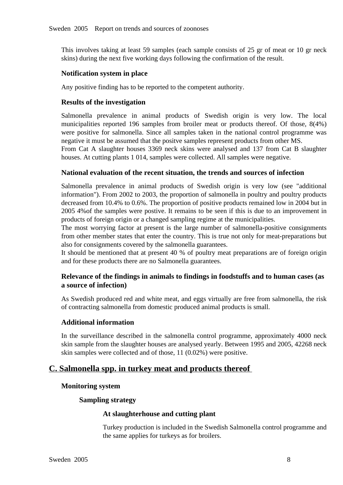This involves taking at least 59 samples (each sample consists of 25 gr of meat or 10 gr neck skins) during the next five working days following the confirmation of the result.

# **Notification system in place**

Any positive finding has to be reported to the competent authority.

# **Results of the investigation**

Salmonella prevalence in animal products of Swedish origin is very low. The local municipalities reported 196 samples from broiler meat or products thereof. Of those, 8(4%) were positive for salmonella. Since all samples taken in the national control programme was negative it must be assumed that the positve samples represent products from other MS.

From Cat A slaughter houses 3369 neck skins were analysed and 137 from Cat B slaughter houses. At cutting plants 1 014, samples were collected. All samples were negative.

# **National evaluation of the recent situation, the trends and sources of infection**

Salmonella prevalence in animal products of Swedish origin is very low (see "additional information"). From 2002 to 2003, the proportion of salmonella in poultry and poultry products decreased from 10.4% to 0.6%. The proportion of positive products remained low in 2004 but in 2005 4%of the samples were postive. It remains to be seen if this is due to an improvement in products of foreign origin or a changed sampling regime at the municipalities.

The most worrying factor at present is the large number of salmonella-positive consignments from other member states that enter the country. This is true not only for meat-preparations but also for consignments covered by the salmonella guarantees.

It should be mentioned that at present 40 % of poultry meat preparations are of foreign origin and for these products there are no Salmonella guarantees.

# **Relevance of the findings in animals to findings in foodstuffs and to human cases (as a source of infection)**

As Swedish produced red and white meat, and eggs virtually are free from salmonella, the risk of contracting salmonella from domestic produced animal products is small.

# **Additional information**

In the surveillance described in the salmonella control programme, approximately 4000 neck skin sample from the slaughter houses are analysed yearly. Between 1995 and 2005, 42268 neck skin samples were collected and of those, 11 (0.02%) were positive.

# **C. Salmonella spp. in turkey meat and products thereof**

#### **Monitoring system**

#### **Sampling strategy**

#### **At slaughterhouse and cutting plant**

Turkey production is included in the Swedish Salmonella control programme and the same applies for turkeys as for broilers.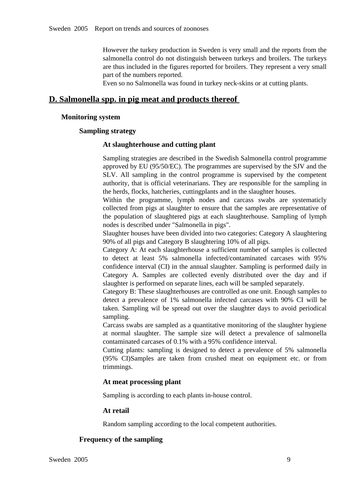However the turkey production in Sweden is very small and the reports from the salmonella control do not distinguish between turkeys and broilers. The turkeys are thus included in the figures reported for broilers. They represent a very small part of the numbers reported.

Even so no Salmonella was found in turkey neck-skins or at cutting plants.

# **D. Salmonella spp. in pig meat and products thereof**

#### **Monitoring system**

#### **Sampling strategy**

# **At slaughterhouse and cutting plant**

Sampling strategies are described in the Swedish Salmonella control programme approved by EU (95/50/EC). The programmes are supervised by the SJV and the SLV. All sampling in the control programme is supervised by the competent authority, that is official veterinarians. They are responsible for the sampling in the herds, flocks, hatcheries, cuttingplants and in the slaughter houses.

Within the programme, lymph nodes and carcass swabs are systematicly collected from pigs at slaughter to ensure that the samples are representative of the population of slaughtered pigs at each slaughterhouse. Sampling of lymph nodes is described under "Salmonella in pigs".

Slaughter houses have been divided into two categories: Category A slaughtering 90% of all pigs and Category B slaughtering 10% of all pigs.

Category A: At each slaughterhouse a sufficient number of samples is collected to detect at least 5% salmonella infected/contaminated carcases with 95% confidence interval (CI) in the annual slaughter. Sampling is performed daily in Category A. Samples are collected evenly distributed over the day and if slaughter is performed on separate lines, each will be sampled separately.

Category B: These slaughterhouses are controlled as one unit. Enough samples to detect a prevalence of 1% salmonella infected carcases with 90% CI will be taken. Sampling wil be spread out over the slaughter days to avoid periodical sampling.

Carcass swabs are sampled as a quantitative monitoring of the slaughter hygiene at normal slaughter. The sample size will detect a prevalence of salmonella contaminated carcases of 0.1% with a 95% confidence interval.

Cutting plants: sampling is designed to detect a prevalence of 5% salmonella (95% CI)Samples are taken from crushed meat on equipment etc. or from trimmings.

# **At meat processing plant**

Sampling is according to each plants in-house control.

# **At retail**

Random sampling according to the local competent authorities.

# **Frequency of the sampling**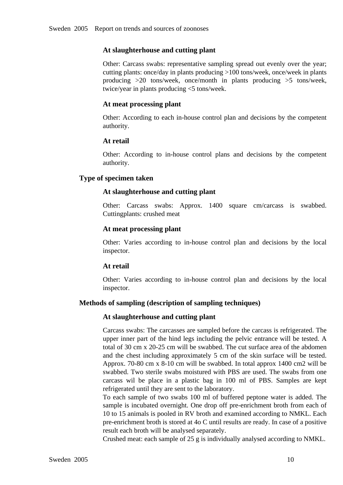#### **At slaughterhouse and cutting plant**

Other: Carcass swabs: representative sampling spread out evenly over the year; cutting plants: once/day in plants producing >100 tons/week, once/week in plants producing >20 tons/week, once/month in plants producing >5 tons/week, twice/year in plants producing <5 tons/week.

# **At meat processing plant**

Other: According to each in-house control plan and decisions by the competent authority.

#### **At retail**

Other: According to in-house control plans and decisions by the competent authority.

# **Type of specimen taken**

#### **At slaughterhouse and cutting plant**

Other: Carcass swabs: Approx. 1400 square cm/carcass is swabbed. Cuttingplants: crushed meat

#### **At meat processing plant**

Other: Varies according to in-house control plan and decisions by the local inspector.

#### **At retail**

Other: Varies according to in-house control plan and decisions by the local inspector.

# **Methods of sampling (description of sampling techniques)**

#### **At slaughterhouse and cutting plant**

Carcass swabs: The carcasses are sampled before the carcass is refrigerated. The upper inner part of the hind legs including the pelvic entrance will be tested. A total of 30 cm x 20-25 cm will be swabbed. The cut surface area of the abdomen and the chest including approximately 5 cm of the skin surface will be tested. Approx. 70-80 cm x 8-10 cm will be swabbed. In total approx 1400 cm2 will be swabbed. Two sterile swabs moistured with PBS are used. The swabs from one carcass wil be place in a plastic bag in 100 ml of PBS. Samples are kept refrigerated until they are sent to the laboratory.

To each sample of two swabs 100 ml of buffered peptone water is added. The sample is incubated overnight. One drop off pre-enrichment broth from each of 10 to 15 animals is pooled in RV broth and examined according to NMKL. Each pre-enrichment broth is stored at 4o C until results are ready. In case of a positive result each broth will be analysed separately.

Crushed meat: each sample of 25 g is individually analysed according to NMKL.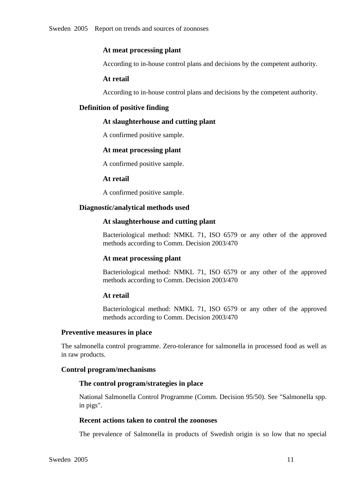#### **At meat processing plant**

According to in-house control plans and decisions by the competent authority.

#### **At retail**

According to in-house control plans and decisions by the competent authority.

#### **Definition of positive finding**

#### **At slaughterhouse and cutting plant**

A confirmed positive sample.

#### **At meat processing plant**

A confirmed positive sample.

#### **At retail**

A confirmed positive sample.

#### **Diagnostic/analytical methods used**

#### **At slaughterhouse and cutting plant**

Bacteriological method: NMKL 71, ISO 6579 or any other of the approved methods according to Comm. Decision 2003/470

#### **At meat processing plant**

Bacteriological method: NMKL 71, ISO 6579 or any other of the approved methods according to Comm. Decision 2003/470

#### **At retail**

Bacteriological method: NMKL 71, ISO 6579 or any other of the approved methods according to Comm. Decision 2003/470

#### **Preventive measures in place**

The salmonella control programme. Zero-tolerance for salmonella in processed food as well as in raw products.

#### **Control program/mechanisms**

#### **The control program/strategies in place**

National Salmonella Control Programme (Comm. Decision 95/50). See "Salmonella spp. in pigs".

#### **Recent actions taken to control the zoonoses**

The prevalence of Salmonella in products of Swedish origin is so low that no special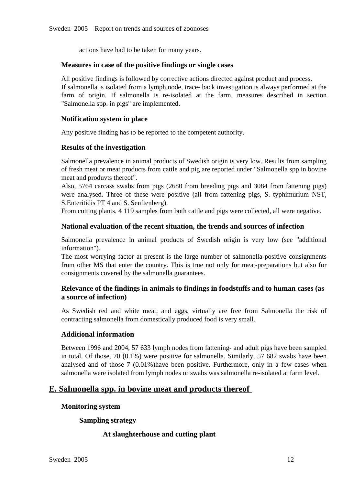actions have had to be taken for many years.

# **Measures in case of the positive findings or single cases**

All positive findings is followed by corrective actions directed against product and process. If salmonella is isolated from a lymph node, trace- back investigation is always performed at the farm of origin. If salmonella is re-isolated at the farm, measures described in section "Salmonella spp. in pigs" are implemented.

# **Notification system in place**

Any positive finding has to be reported to the competent authority.

# **Results of the investigation**

Salmonella prevalence in animal products of Swedish origin is very low. Results from sampling of fresh meat or meat products from cattle and pig are reported under "Salmonella spp in bovine meat and produvts thereof".

Also, 5764 carcass swabs from pigs (2680 from breeding pigs and 3084 from fattening pigs) were analysed. Three of these were positive (all from fattening pigs, S. typhimurium NST, S.Enteritidis PT 4 and S. Senftenberg).

From cutting plants, 4 119 samples from both cattle and pigs were collected, all were negative.

# **National evaluation of the recent situation, the trends and sources of infection**

Salmonella prevalence in animal products of Swedish origin is very low (see "additional information").

The most worrying factor at present is the large number of salmonella-positive consignments from other MS that enter the country. This is true not only for meat-preparations but also for consignments covered by the salmonella guarantees.

# **Relevance of the findings in animals to findings in foodstuffs and to human cases (as a source of infection)**

As Swedish red and white meat, and eggs, virtually are free from Salmonella the risk of contracting salmonella from domestically produced food is very small.

# **Additional information**

Between 1996 and 2004, 57 633 lymph nodes from fattening- and adult pigs have been sampled in total. Of those, 70 (0.1%) were positive for salmonella. Similarly, 57 682 swabs have been analysed and of those 7 (0.01%)have been positive. Furthermore, only in a few cases when salmonella were isolated from lymph nodes or swabs was salmonella re-isolated at farm level.

# **E. Salmonella spp. in bovine meat and products thereof**

# **Monitoring system**

**Sampling strategy**

# **At slaughterhouse and cutting plant**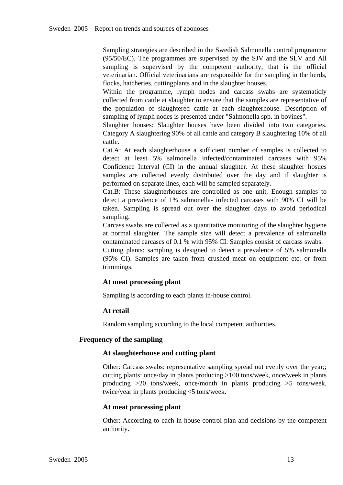Sampling strategies are described in the Swedish Salmonella control programme (95/50/EC). The programmes are supervised by the SJV and the SLV and All sampling is supervised by the competent authority, that is the official veterinarian. Official veterinarians are responsible for the sampling in the herds, flocks, hatcheries, cuttingplants and in the slaughter houses.

Within the programme, lymph nodes and carcass swabs are systematicly collected from cattle at slaughter to ensure that the samples are representative of the population of slaughtered cattle at each slaughterhouse. Description of sampling of lymph nodes is presented under "Salmonella spp. in bovines".

Slaughter houses: Slaughter houses have been divided into two categories. Category A slaughtering 90% of all cattle and category B slaughtering 10% of all cattle.

Cat.A: At each slaughterhouse a sufficient number of samples is collected to detect at least 5% salmonella infected/contaminated carcases with 95% Confidence Interval (CI) in the annual slaughter. At these slaughter hosues samples are collected evenly distributed over the day and if slaughter is performed on separate lines, each will be sampled separately.

Cat.B: These slaughterhouses are controlled as one unit. Enough samples to detect a prevalence of 1% salmonella- infected carcases with 90% CI will be taken. Sampling is spread out over the slaughter days to avoid periodical sampling.

Carcass swabs are collected as a quantitative monitoring of the slaughter hygiene at normal slaughter. The sample size will detect a prevalence of salmonella contaminated carcases of 0.1 % with 95% CI. Samples consist of carcass swabs.

Cutting plants: sampling is designed to detect a prevalence of 5% salmonella (95% CI). Samples are taken from crushed meat on equipment etc. or from trimmings.

# **At meat processing plant**

Sampling is according to each plants in-house control.

# **At retail**

Random sampling according to the local competent authorities.

# **Frequency of the sampling**

# **At slaughterhouse and cutting plant**

Other: Carcass swabs: representative sampling spread out evenly over the year;; cutting plants: once/day in plants producing >100 tons/week, once/week in plants producing >20 tons/week, once/month in plants producing >5 tons/week, twice/year in plants producing <5 tons/week.

# **At meat processing plant**

Other: According to each in-house control plan and decisions by the competent authority.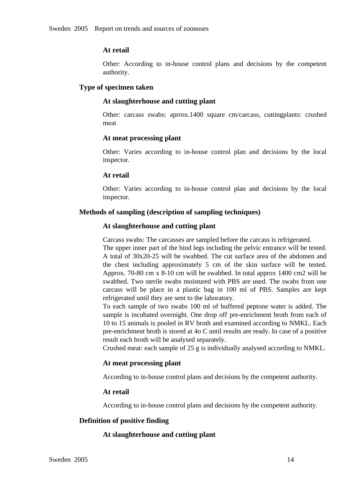# **At retail**

Other: According to in-house control plans and decisions by the competent authority.

#### **Type of specimen taken**

#### **At slaughterhouse and cutting plant**

Other: carcass swabs: aprrox.1400 square cm/carcass, cuttingplants: crushed meat

#### **At meat processing plant**

Other: Varies according to in-house control plan and decisions by the local inspector.

#### **At retail**

Other: Varies according to in-house control plan and decisions by the local inspector.

#### **Methods of sampling (description of sampling techniques)**

#### **At slaughterhouse and cutting plant**

Carcass swabs: The carcasses are sampled before the carcass is refrigerated.

The upper inner part of the hind legs including the pelvic entrance will be tested. A total of 30x20-25 will be swabbed. The cut surface area of the abdomen and the chest including approximately 5 cm of the skin surface will be tested. Approx. 70-80 cm x 8-10 cm will be swabbed. In total approx 1400 cm2 will be swabbed. Two sterile swabs moistured with PBS are used. The swabs from one carcass will be place in a plastic bag in 100 ml of PBS. Samples are kept refrigerated until they are sent to the laboratory.

To each sample of two swabs 100 ml of buffered peptone water is added. The sample is incubated overnight. One drop off pre-enrichment broth from each of 10 to 15 animals is pooled in RV broth and examined according to NMKL. Each pre-enrichment broth is stored at 4o C until results are ready. In case of a positive result each broth will be analysed separately.

Crushed meat: each sample of 25 g is individually analysed according to NMKL.

#### **At meat processing plant**

According to in-house control plans and decisions by the competent authority.

#### **At retail**

According to in-house control plans and decisions by the competent authority.

# **Definition of positive finding**

#### **At slaughterhouse and cutting plant**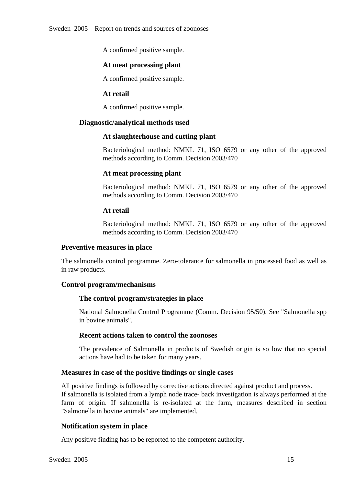A confirmed positive sample.

# **At meat processing plant**

A confirmed positive sample.

#### **At retail**

A confirmed positive sample.

# **Diagnostic/analytical methods used**

#### **At slaughterhouse and cutting plant**

Bacteriological method: NMKL 71, ISO 6579 or any other of the approved methods according to Comm. Decision 2003/470

# **At meat processing plant**

Bacteriological method: NMKL 71, ISO 6579 or any other of the approved methods according to Comm. Decision 2003/470

# **At retail**

Bacteriological method: NMKL 71, ISO 6579 or any other of the approved methods according to Comm. Decision 2003/470

#### **Preventive measures in place**

The salmonella control programme. Zero-tolerance for salmonella in processed food as well as in raw products.

#### **Control program/mechanisms**

#### **The control program/strategies in place**

National Salmonella Control Programme (Comm. Decision 95/50). See "Salmonella spp in bovine animals".

#### **Recent actions taken to control the zoonoses**

The prevalence of Salmonella in products of Swedish origin is so low that no special actions have had to be taken for many years.

#### **Measures in case of the positive findings or single cases**

All positive findings is followed by corrective actions directed against product and process. If salmonella is isolated from a lymph node trace- back investigation is always performed at the farm of origin. If salmonella is re-isolated at the farm, measures described in section "Salmonella in bovine animals" are implemented.

#### **Notification system in place**

Any positive finding has to be reported to the competent authority.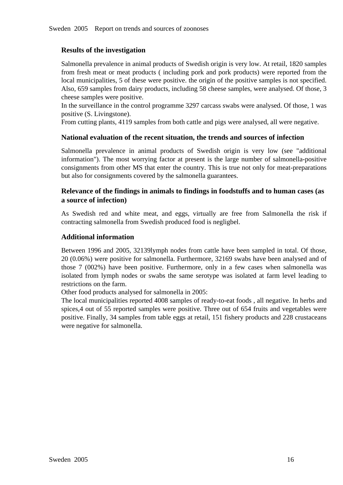# **Results of the investigation**

Salmonella prevalence in animal products of Swedish origin is very low. At retail, 1820 samples from fresh meat or meat products ( including pork and pork products) were reported from the local municipalities, 5 of these were positive. the origin of the positive samples is not specified. Also, 659 samples from dairy products, including 58 cheese samples, were analysed. Of those, 3 cheese samples were positive.

In the surveillance in the control programme 3297 carcass swabs were analysed. Of those, 1 was positive (S. Livingstone).

From cutting plants, 4119 samples from both cattle and pigs were analysed, all were negative.

# **National evaluation of the recent situation, the trends and sources of infection**

Salmonella prevalence in animal products of Swedish origin is very low (see "additional information"). The most worrying factor at present is the large number of salmonella-positive consignments from other MS that enter the country. This is true not only for meat-preparations but also for consignments covered by the salmonella guarantees.

# **Relevance of the findings in animals to findings in foodstuffs and to human cases (as a source of infection)**

As Swedish red and white meat, and eggs, virtually are free from Salmonella the risk if contracting salmonella from Swedish produced food is negligbel.

# **Additional information**

Between 1996 and 2005, 32139lymph nodes from cattle have been sampled in total. Of those, 20 (0.06%) were positive for salmonella. Furthermore, 32169 swabs have been analysed and of those 7 (002%) have been positive. Furthermore, only in a few cases when salmonella was isolated from lymph nodes or swabs the same serotype was isolated at farm level leading to restrictions on the farm.

Other food products analysed for salmonella in 2005:

The local municipalities reported 4008 samples of ready-to-eat foods , all negative. In herbs and spices,4 out of 55 reported samples were positive. Three out of 654 fruits and vegetables were positive. Finally, 34 samples from table eggs at retail, 151 fishery products and 228 crustaceans were negative for salmonella.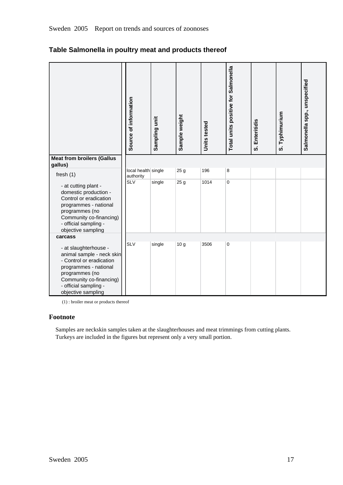|                                                                                                                                                                                                     | Source of information            | Sampling unit | Sample weight   | Units tested | Total units positive for Salmonella | S. Enteritidis | S. Typhimurium | Salmonella spp., unspecified |
|-----------------------------------------------------------------------------------------------------------------------------------------------------------------------------------------------------|----------------------------------|---------------|-----------------|--------------|-------------------------------------|----------------|----------------|------------------------------|
| <b>Meat from broilers (Gallus</b><br>gallus)                                                                                                                                                        |                                  |               |                 |              |                                     |                |                |                              |
| fresh $(1)$                                                                                                                                                                                         | local health single<br>authority |               | 25 g            | 196          | $\bf 8$                             |                |                |                              |
| - at cutting plant -<br>domestic production -<br>Control or eradication<br>programmes - national<br>programmes (no<br>Community co-financing)<br>- official sampling -<br>objective sampling        | <b>SLV</b>                       | single        | 25 g            | 1014         | $\overline{0}$                      |                |                |                              |
| carcass                                                                                                                                                                                             |                                  |               |                 |              |                                     |                |                |                              |
| - at slaughterhouse -<br>animal sample - neck skin<br>- Control or eradication<br>programmes - national<br>programmes (no<br>Community co-financing)<br>- official sampling -<br>objective sampling | <b>SLV</b>                       | single        | 10 <sub>g</sub> | 3506         | $\overline{0}$                      |                |                |                              |

# **Table Salmonella in poultry meat and products thereof**

(1) : broiler meat or products thereof

#### **Footnote**

Samples are neckskin samples taken at the slaughterhouses and meat trimmings from cutting plants. Turkeys are included in the figures but represent only a very small portion.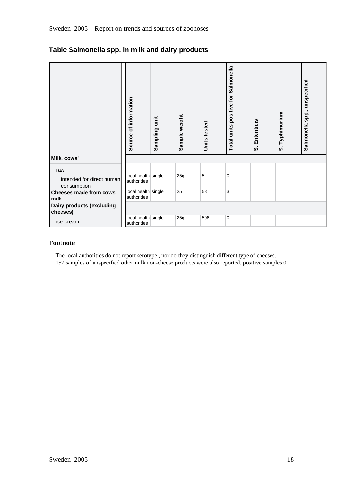|                                          | Source of information              | Sampling unit | Sample weight | Units tested | Salmonella<br>Total units positive for | <b>Enteritidis</b><br>ဖ | Typhimurium<br>ທ່ | Salmonella spp., unspecified |
|------------------------------------------|------------------------------------|---------------|---------------|--------------|----------------------------------------|-------------------------|-------------------|------------------------------|
| Milk, cows'                              |                                    |               |               |              |                                        |                         |                   |                              |
| raw                                      |                                    |               |               |              |                                        |                         |                   |                              |
| intended for direct human<br>consumption | local health single<br>authorities |               | 25g           | 5            | $\mathbf 0$                            |                         |                   |                              |
| Cheeses made from cows'<br>milk          | local health single<br>authorities |               | 25            | 58           | 3                                      |                         |                   |                              |
| Dairy products (excluding<br>cheeses)    |                                    |               |               |              |                                        |                         |                   |                              |
| ice-cream                                | local health single<br>authorities |               | 25g           | 596          | $\overline{0}$                         |                         |                   |                              |

# **Table Salmonella spp. in milk and dairy products**

#### **Footnote**

The local authorities do not report serotype , nor do they distinguish different type of cheeses.

157 samples of unspecified other milk non-cheese products were also reported, positive samples 0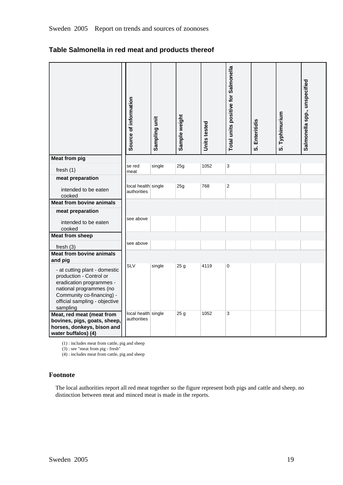# **Table Salmonella in red meat and products thereof**

|                                                                                                                                                                                           | Source of information              | Sampling unit | Sample weight   | Units tested | Total units positive for Salmonella | S. Enteritidis | S. Typhimurium | Salmonella spp., unspecified |
|-------------------------------------------------------------------------------------------------------------------------------------------------------------------------------------------|------------------------------------|---------------|-----------------|--------------|-------------------------------------|----------------|----------------|------------------------------|
| <b>Meat from pig</b>                                                                                                                                                                      |                                    |               |                 |              |                                     |                |                |                              |
| fresh $(1)$                                                                                                                                                                               | se red<br>meat                     | single        | 25g             | 1052         | $\mathbf{3}$                        |                |                |                              |
| meat preparation                                                                                                                                                                          |                                    |               |                 |              |                                     |                |                |                              |
| intended to be eaten<br>cooked                                                                                                                                                            | local health single<br>authorities |               | 25g             | 768          | 2                                   |                |                |                              |
| <b>Meat from bovine animals</b>                                                                                                                                                           |                                    |               |                 |              |                                     |                |                |                              |
| meat preparation                                                                                                                                                                          |                                    |               |                 |              |                                     |                |                |                              |
| intended to be eaten<br>cooked                                                                                                                                                            | see above                          |               |                 |              |                                     |                |                |                              |
| <b>Meat from sheep</b>                                                                                                                                                                    |                                    |               |                 |              |                                     |                |                |                              |
| fresh $(3)$                                                                                                                                                                               | see above                          |               |                 |              |                                     |                |                |                              |
| <b>Meat from bovine animals</b><br>and pig                                                                                                                                                |                                    |               |                 |              |                                     |                |                |                              |
| - at cutting plant - domestic<br>production - Control or<br>eradication programmes -<br>national programmes (no<br>Community co-financing) -<br>official sampling - objective<br>sampling | <b>SLV</b>                         | single        | 25 <sub>g</sub> | 4119         | $\mathbf 0$                         |                |                |                              |
| Meat, red meat (meat from<br>bovines, pigs, goats, sheep,<br>horses, donkeys, bison and<br>water buffalos) (4)                                                                            | local health single<br>authorities |               | 25 g            | 1052         | 3                                   |                |                |                              |

(1) : includes meat from cattle, pig and sheep

 $(3)$ : see "meat from pig - fresh"

(4) : includes meat from cattle, pig and sheep

# **Footnote**

The local authorities report all red meat together so the figure represent both pigs and cattle and sheep. no distinction between meat and minced meat is made in the reports.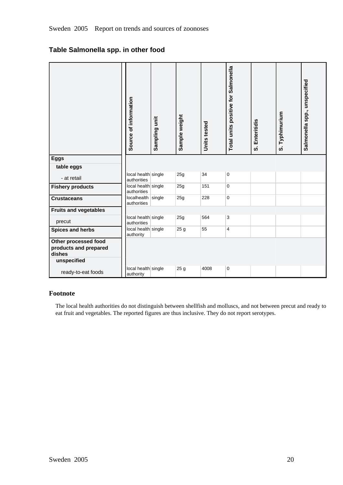# **Table Salmonella spp. in other food**

|                                                                        | Source of information              | Sampling unit | Sample weight   | Units tested | Total units positive for Salmonella | S. Enteritidis | Typhimurium<br>ທ່ | Salmonella spp., unspecified |
|------------------------------------------------------------------------|------------------------------------|---------------|-----------------|--------------|-------------------------------------|----------------|-------------------|------------------------------|
| <b>Eggs</b>                                                            |                                    |               |                 |              |                                     |                |                   |                              |
| table eggs                                                             |                                    |               |                 |              |                                     |                |                   |                              |
| - at retail                                                            | local health single<br>authorities |               | 25g             | 34           | $\mathbf 0$                         |                |                   |                              |
| <b>Fishery products</b>                                                | local health single<br>authorities |               | 25g             | 151          | 0                                   |                |                   |                              |
| <b>Crustaceans</b>                                                     | localhealth single<br>authorities  |               | 25g             | 228          | 0                                   |                |                   |                              |
| <b>Fruits and vegetables</b>                                           |                                    |               |                 |              |                                     |                |                   |                              |
| precut                                                                 | local health single<br>authorities |               | 25g             | 564          | 3                                   |                |                   |                              |
| <b>Spices and herbs</b>                                                | local health single<br>authority   |               | 25 <sub>g</sub> | 55           | $\overline{4}$                      |                |                   |                              |
| Other processed food<br>products and prepared<br>dishes<br>unspecified |                                    |               |                 |              |                                     |                |                   |                              |
| ready-to-eat foods                                                     | local health single<br>authority   |               | 25 <sub>g</sub> | 4008         | $\mathsf 0$                         |                |                   |                              |

# **Footnote**

The local health authorities do not distinguish between shellfish and molluscs, and not between precut and ready to eat fruit and vegetables. The reported figures are thus inclusive. They do not report serotypes.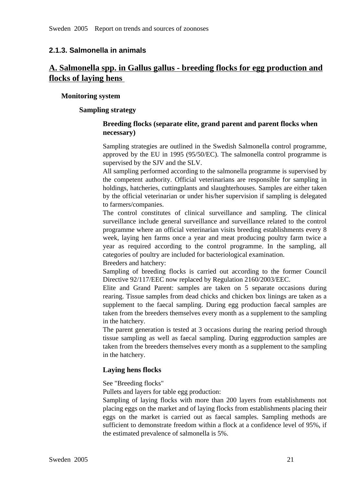# **2.1.3. Salmonella in animals**

# **A. Salmonella spp. in Gallus gallus - breeding flocks for egg production and flocks of laying hens**

# **Monitoring system**

#### **Sampling strategy**

# **Breeding flocks (separate elite, grand parent and parent flocks when necessary)**

Sampling strategies are outlined in the Swedish Salmonella control programme, approved by the EU in 1995 (95/50/EC). The salmonella control programme is supervised by the SJV and the SLV.

All sampling performed according to the salmonella programme is supervised by the competent authority. Official veterinarians are responsible for sampling in holdings, hatcheries, cuttingplants and slaughterhouses. Samples are either taken by the official veterinarian or under his/her supervision if sampling is delegated to farmers/companies.

The control constitutes of clinical surveillance and sampling. The clinical surveillance include general surveillance and surveillance related to the control programme where an official veterinarian visits breeding establishments every 8 week, laying hen farms once a year and meat producing poultry farm twice a year as required according to the control programme. In the sampling, all categories of poultry are included for bacteriological examination. Breeders and hatchery:

Sampling of breeding flocks is carried out according to the former Council

Directive 92/117/EEC now replaced by Regulation 2160/2003/EEC.

Elite and Grand Parent: samples are taken on 5 separate occasions during rearing. Tissue samples from dead chicks and chicken box linings are taken as a supplement to the faecal sampling. During egg production faecal samples are taken from the breeders themselves every month as a supplement to the sampling in the hatchery.

The parent generation is tested at 3 occasions during the rearing period through tissue sampling as well as faecal sampling. During eggproduction samples are taken from the breeders themselves every month as a supplement to the sampling in the hatchery.

# **Laying hens flocks**

# See "Breeding flocks"

Pullets and layers for table egg production:

Sampling of laying flocks with more than 200 layers from establishments not placing eggs on the market and of laying flocks from establishments placing their eggs on the market is carried out as faecal samples. Sampling methods are sufficient to demonstrate freedom within a flock at a confidence level of 95%, if the estimated prevalence of salmonella is 5%.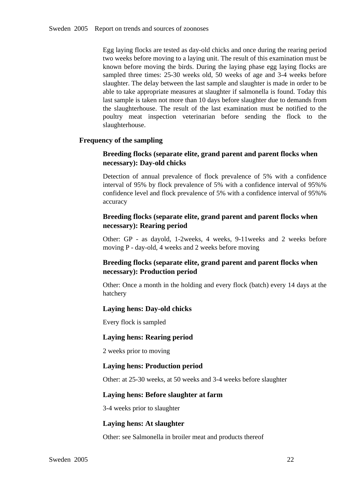Egg laying flocks are tested as day-old chicks and once during the rearing period two weeks before moving to a laying unit. The result of this examination must be known before moving the birds. During the laying phase egg laying flocks are sampled three times: 25-30 weeks old, 50 weeks of age and 3-4 weeks before slaughter. The delay between the last sample and slaughter is made in order to be able to take appropriate measures at slaughter if salmonella is found. Today this last sample is taken not more than 10 days before slaughter due to demands from the slaughterhouse. The result of the last examination must be notified to the poultry meat inspection veterinarian before sending the flock to the slaughterhouse.

#### **Frequency of the sampling**

# **Breeding flocks (separate elite, grand parent and parent flocks when necessary): Day-old chicks**

Detection of annual prevalence of flock prevalence of 5% with a confidence interval of 95% by flock prevalence of 5% with a confidence interval of 95%% confidence level and flock prevalence of 5% with a confidence interval of 95%% accuracy

# **Breeding flocks (separate elite, grand parent and parent flocks when necessary): Rearing period**

Other: GP - as dayold, 1-2weeks, 4 weeks, 9-11weeks and 2 weeks before moving P - day-old, 4 weeks and 2 weeks before moving

# **Breeding flocks (separate elite, grand parent and parent flocks when necessary): Production period**

Other: Once a month in the holding and every flock (batch) every 14 days at the hatchery

#### **Laying hens: Day-old chicks**

Every flock is sampled

#### **Laying hens: Rearing period**

2 weeks prior to moving

#### **Laying hens: Production period**

Other: at 25-30 weeks, at 50 weeks and 3-4 weeks before slaughter

#### **Laying hens: Before slaughter at farm**

3-4 weeks prior to slaughter

#### **Laying hens: At slaughter**

Other: see Salmonella in broiler meat and products thereof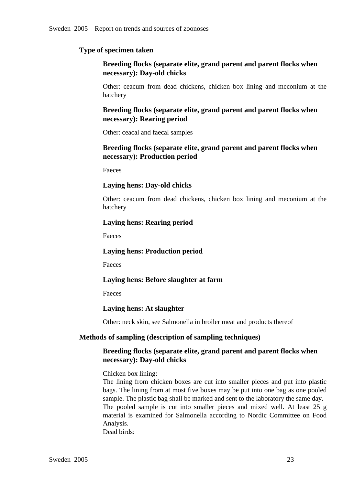# **Type of specimen taken**

# **Breeding flocks (separate elite, grand parent and parent flocks when necessary): Day-old chicks**

Other: ceacum from dead chickens, chicken box lining and meconium at the hatchery

# **Breeding flocks (separate elite, grand parent and parent flocks when necessary): Rearing period**

Other: ceacal and faecal samples

# **Breeding flocks (separate elite, grand parent and parent flocks when necessary): Production period**

Faeces

# **Laying hens: Day-old chicks**

Other: ceacum from dead chickens, chicken box lining and meconium at the hatchery

# **Laying hens: Rearing period**

Faeces

# **Laying hens: Production period**

Faeces

# **Laying hens: Before slaughter at farm**

Faeces

#### **Laying hens: At slaughter**

Other: neck skin, see Salmonella in broiler meat and products thereof

# **Methods of sampling (description of sampling techniques)**

# **Breeding flocks (separate elite, grand parent and parent flocks when necessary): Day-old chicks**

#### Chicken box lining:

The lining from chicken boxes are cut into smaller pieces and put into plastic bags. The lining from at most five boxes may be put into one bag as one pooled sample. The plastic bag shall be marked and sent to the laboratory the same day. The pooled sample is cut into smaller pieces and mixed well. At least 25 g material is examined for Salmonella according to Nordic Committee on Food Analysis. Dead birds: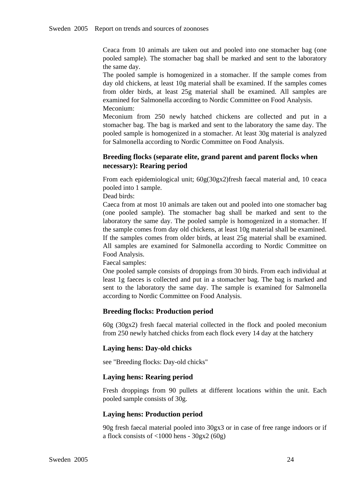Ceaca from 10 animals are taken out and pooled into one stomacher bag (one pooled sample). The stomacher bag shall be marked and sent to the laboratory the same day.

The pooled sample is homogenized in a stomacher. If the sample comes from day old chickens, at least 10g material shall be examined. If the samples comes from older birds, at least 25g material shall be examined. All samples are examined for Salmonella according to Nordic Committee on Food Analysis. Meconium:

Meconium from 250 newly hatched chickens are collected and put in a stomacher bag. The bag is marked and sent to the laboratory the same day. The pooled sample is homogenized in a stomacher. At least 30g material is analyzed for Salmonella according to Nordic Committee on Food Analysis.

# **Breeding flocks (separate elite, grand parent and parent flocks when necessary): Rearing period**

From each epidemiological unit; 60g(30gx2)fresh faecal material and, 10 ceaca pooled into 1 sample.

Dead birds:

Caeca from at most 10 animals are taken out and pooled into one stomacher bag (one pooled sample). The stomacher bag shall be marked and sent to the laboratory the same day. The pooled sample is homogenized in a stomacher. If the sample comes from day old chickens, at least 10g material shall be examined. If the samples comes from older birds, at least 25g material shall be examined. All samples are examined for Salmonella according to Nordic Committee on Food Analysis.

Faecal samples:

One pooled sample consists of droppings from 30 birds. From each individual at least 1g faeces is collected and put in a stomacher bag. The bag is marked and sent to the laboratory the same day. The sample is examined for Salmonella according to Nordic Committee on Food Analysis.

# **Breeding flocks: Production period**

60g (30gx2) fresh faecal material collected in the flock and pooled meconium from 250 newly hatched chicks from each flock every 14 day at the hatchery

# **Laying hens: Day-old chicks**

see "Breeding flocks: Day-old chicks"

# **Laying hens: Rearing period**

Fresh droppings from 90 pullets at different locations within the unit. Each pooled sample consists of 30g.

#### **Laying hens: Production period**

90g fresh faecal material pooled into 30gx3 or in case of free range indoors or if a flock consists of <1000 hens - 30gx2 (60g)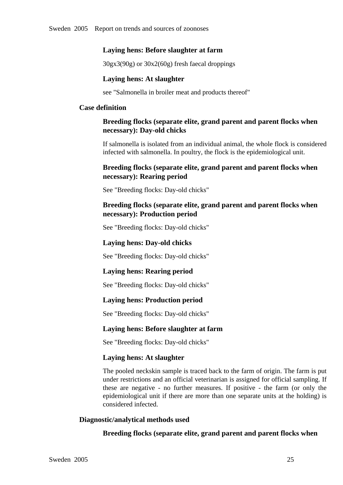# **Laying hens: Before slaughter at farm**

30gx3(90g) or 30x2(60g) fresh faecal droppings

#### **Laying hens: At slaughter**

see "Salmonella in broiler meat and products thereof"

#### **Case definition**

# **Breeding flocks (separate elite, grand parent and parent flocks when necessary): Day-old chicks**

If salmonella is isolated from an individual animal, the whole flock is considered infected with salmonella. In poultry, the flock is the epidemiological unit.

# **Breeding flocks (separate elite, grand parent and parent flocks when necessary): Rearing period**

See "Breeding flocks: Day-old chicks"

# **Breeding flocks (separate elite, grand parent and parent flocks when necessary): Production period**

See "Breeding flocks: Day-old chicks"

#### **Laying hens: Day-old chicks**

See "Breeding flocks: Day-old chicks"

#### **Laying hens: Rearing period**

See "Breeding flocks: Day-old chicks"

#### **Laying hens: Production period**

See "Breeding flocks: Day-old chicks"

#### **Laying hens: Before slaughter at farm**

See "Breeding flocks: Day-old chicks"

#### **Laying hens: At slaughter**

The pooled neckskin sample is traced back to the farm of origin. The farm is put under restrictions and an official veterinarian is assigned for official sampling. If these are negative - no further measures. If positive - the farm (or only the epidemiological unit if there are more than one separate units at the holding) is considered infected.

#### **Diagnostic/analytical methods used**

**Breeding flocks (separate elite, grand parent and parent flocks when**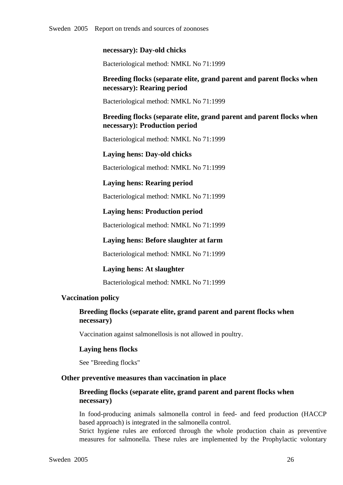#### **necessary): Day-old chicks**

Bacteriological method: NMKL No 71:1999

# **Breeding flocks (separate elite, grand parent and parent flocks when necessary): Rearing period**

Bacteriological method: NMKL No 71:1999

# **Breeding flocks (separate elite, grand parent and parent flocks when necessary): Production period**

Bacteriological method: NMKL No 71:1999

**Laying hens: Day-old chicks**

Bacteriological method: NMKL No 71:1999

#### **Laying hens: Rearing period**

Bacteriological method: NMKL No 71:1999

#### **Laying hens: Production period**

Bacteriological method: NMKL No 71:1999

#### **Laying hens: Before slaughter at farm**

Bacteriological method: NMKL No 71:1999

#### **Laying hens: At slaughter**

Bacteriological method: NMKL No 71:1999

#### **Vaccination policy**

# **Breeding flocks (separate elite, grand parent and parent flocks when necessary)**

Vaccination against salmonellosis is not allowed in poultry.

#### **Laying hens flocks**

See "Breeding flocks"

#### **Other preventive measures than vaccination in place**

#### **Breeding flocks (separate elite, grand parent and parent flocks when necessary)**

In food-producing animals salmonella control in feed- and feed production (HACCP based approach) is integrated in the salmonella control.

Strict hygiene rules are enforced through the whole production chain as preventive measures for salmonella. These rules are implemented by the Prophylactic volontary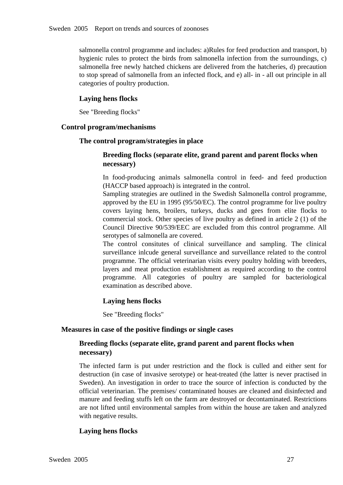salmonella control programme and includes: a)Rules for feed production and transport, b) hygienic rules to protect the birds from salmonella infection from the surroundings, c) salmonella free newly hatched chickens are delivered from the hatcheries, d) precaution to stop spread of salmonella from an infected flock, and e) all- in - all out principle in all categories of poultry production.

# **Laying hens flocks**

See "Breeding flocks"

#### **Control program/mechanisms**

#### **The control program/strategies in place**

# **Breeding flocks (separate elite, grand parent and parent flocks when necessary)**

In food-producing animals salmonella control in feed- and feed production (HACCP based approach) is integrated in the control.

Sampling strategies are outlined in the Swedish Salmonella control programme, approved by the EU in 1995 (95/50/EC). The control programme for live poultry covers laying hens, broilers, turkeys, ducks and gees from elite flocks to commercial stock. Other species of live poultry as defined in article 2 (1) of the Council Directive 90/539/EEC are excluded from this control programme. All serotypes of salmonella are covered.

The control consitutes of clinical surveillance and sampling. The clinical surveillance inlcude general surveillance and surveillance related to the control programme. The official veterinarian visits every poultry holding with breeders, layers and meat production establishment as required according to the control programme. All categories of poultry are sampled for bacteriological examination as described above.

# **Laying hens flocks**

See "Breeding flocks"

#### **Measures in case of the positive findings or single cases**

# **Breeding flocks (separate elite, grand parent and parent flocks when necessary)**

The infected farm is put under restriction and the flock is culled and either sent for destruction (in case of invasive serotype) or heat-treated (the latter is never practised in Sweden). An investigation in order to trace the source of infection is conducted by the official veterinarian. The premises/ contaminated houses are cleaned and disinfected and manure and feeding stuffs left on the farm are destroyed or decontaminated. Restrictions are not lifted until environmental samples from within the house are taken and analyzed with negative results.

# **Laying hens flocks**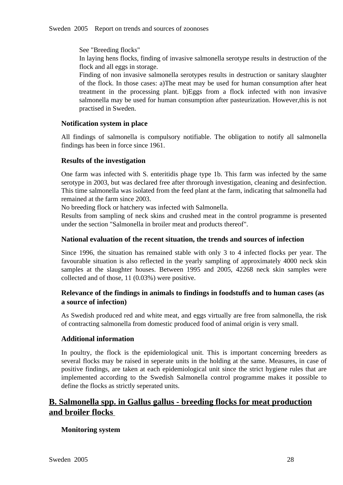See "Breeding flocks"

In laying hens flocks, finding of invasive salmonella serotype results in destruction of the flock and all eggs in storage.

Finding of non invasive salmonella serotypes results in destruction or sanitary slaughter of the flock. In those cases: a)The meat may be used for human consumption after heat treatment in the processing plant. b)Eggs from a flock infected with non invasive salmonella may be used for human consumption after pasteurization. However,this is not practised in Sweden.

# **Notification system in place**

All findings of salmonella is compulsory notifiable. The obligation to notify all salmonella findings has been in force since 1961.

# **Results of the investigation**

One farm was infected with S. enteritidis phage type 1b. This farm was infected by the same serotype in 2003, but was declared free after throrough investigation, cleaning and desinfection. This time salmonella was isolated from the feed plant at the farm, indicating that salmonella had remained at the farm since 2003.

No breeding flock or hatchery was infected with Salmonella.

Results from sampling of neck skins and crushed meat in the control programme is presented under the section "Salmonella in broiler meat and products thereof".

# **National evaluation of the recent situation, the trends and sources of infection**

Since 1996, the situation has remained stable with only 3 to 4 infected flocks per year. The favourable situation is also reflected in the yearly sampling of approximately 4000 neck skin samples at the slaughter houses. Between 1995 and 2005, 42268 neck skin samples were collected and of those, 11 (0.03%) were positive.

# **Relevance of the findings in animals to findings in foodstuffs and to human cases (as a source of infection)**

As Swedish produced red and white meat, and eggs virtually are free from salmonella, the risk of contracting salmonella from domestic produced food of animal origin is very small.

# **Additional information**

In poultry, the flock is the epidemiological unit. This is important concerning breeders as several flocks may be raised in seperate units in the holding at the same. Measures, in case of positive findings, are taken at each epidemiological unit since the strict hygiene rules that are implemented according to the Swedish Salmonella control programme makes it possible to define the flocks as strictly seperated units.

# **B. Salmonella spp. in Gallus gallus - breeding flocks for meat production and broiler flocks**

# **Monitoring system**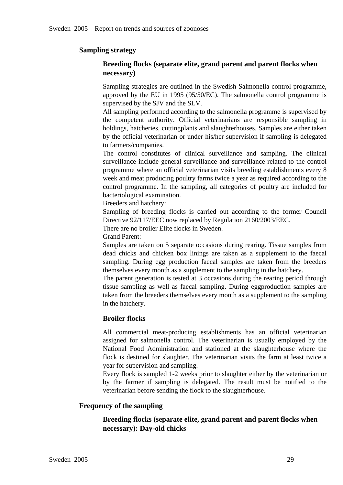# **Sampling strategy**

# **Breeding flocks (separate elite, grand parent and parent flocks when necessary)**

Sampling strategies are outlined in the Swedish Salmonella control programme, approved by the EU in 1995 (95/50/EC). The salmonella control programme is supervised by the SJV and the SLV.

All sampling performed according to the salmonella programme is supervised by the competent authority. Official veterinarians are responsible sampling in holdings, hatcheries, cuttingplants and slaughterhouses. Samples are either taken by the official veterinarian or under his/her supervision if sampling is delegated to farmers/companies.

The control constitutes of clinical surveillance and sampling. The clinical surveillance include general surveillance and surveillance related to the control programme where an official veterinarian visits breeding establishments every 8 week and meat producing poultry farms twice a year as required according to the control programme. In the sampling, all categories of poultry are included for bacteriological examination.

Breeders and hatchery:

Sampling of breeding flocks is carried out according to the former Council Directive 92/117/EEC now replaced by Regulation 2160/2003/EEC.

There are no broiler Elite flocks in Sweden.

Grand Parent:

Samples are taken on 5 separate occasions during rearing. Tissue samples from dead chicks and chicken box linings are taken as a supplement to the faecal sampling. During egg production faecal samples are taken from the breeders themselves every month as a supplement to the sampling in the hatchery.

The parent generation is tested at 3 occasions during the rearing period through tissue sampling as well as faecal sampling. During eggproduction samples are taken from the breeders themselves every month as a supplement to the sampling in the hatchery.

#### **Broiler flocks**

All commercial meat-producing establishments has an official veterinarian assigned for salmonella control. The veterinarian is usually employed by the National Food Administration and stationed at the slaughterhouse where the flock is destined for slaughter. The veterinarian visits the farm at least twice a year for supervision and sampling.

Every flock is sampled 1-2 weeks prior to slaughter either by the veterinarian or by the farmer if sampling is delegated. The result must be notified to the veterinarian before sending the flock to the slaughterhouse.

#### **Frequency of the sampling**

# **Breeding flocks (separate elite, grand parent and parent flocks when necessary): Day-old chicks**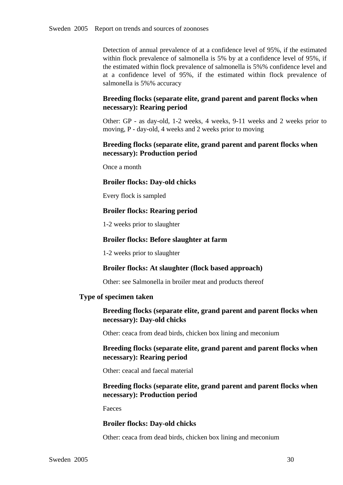Detection of annual prevalence of at a confidence level of 95%, if the estimated within flock prevalence of salmonella is 5% by at a confidence level of 95%, if the estimated within flock prevalence of salmonella is 5%% confidence level and at a confidence level of 95%, if the estimated within flock prevalence of salmonella is 5%% accuracy

# **Breeding flocks (separate elite, grand parent and parent flocks when necessary): Rearing period**

Other: GP - as day-old, 1-2 weeks, 4 weeks, 9-11 weeks and 2 weeks prior to moving, P - day-old, 4 weeks and 2 weeks prior to moving

# **Breeding flocks (separate elite, grand parent and parent flocks when necessary): Production period**

Once a month

#### **Broiler flocks: Day-old chicks**

Every flock is sampled

#### **Broiler flocks: Rearing period**

1-2 weeks prior to slaughter

#### **Broiler flocks: Before slaughter at farm**

1-2 weeks prior to slaughter

#### **Broiler flocks: At slaughter (flock based approach)**

Other: see Salmonella in broiler meat and products thereof

#### **Type of specimen taken**

# **Breeding flocks (separate elite, grand parent and parent flocks when necessary): Day-old chicks**

Other: ceaca from dead birds, chicken box lining and meconium

# **Breeding flocks (separate elite, grand parent and parent flocks when necessary): Rearing period**

Other: ceacal and faecal material

# **Breeding flocks (separate elite, grand parent and parent flocks when necessary): Production period**

Faeces

#### **Broiler flocks: Day-old chicks**

Other: ceaca from dead birds, chicken box lining and meconium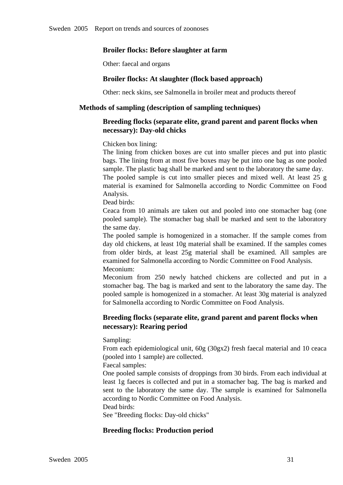# **Broiler flocks: Before slaughter at farm**

Other: faecal and organs

# **Broiler flocks: At slaughter (flock based approach)**

Other: neck skins, see Salmonella in broiler meat and products thereof

# **Methods of sampling (description of sampling techniques)**

# **Breeding flocks (separate elite, grand parent and parent flocks when necessary): Day-old chicks**

Chicken box lining:

The lining from chicken boxes are cut into smaller pieces and put into plastic bags. The lining from at most five boxes may be put into one bag as one pooled sample. The plastic bag shall be marked and sent to the laboratory the same day.

The pooled sample is cut into smaller pieces and mixed well. At least 25 g material is examined for Salmonella according to Nordic Committee on Food Analysis.

Dead birds:

Ceaca from 10 animals are taken out and pooled into one stomacher bag (one pooled sample). The stomacher bag shall be marked and sent to the laboratory the same day.

The pooled sample is homogenized in a stomacher. If the sample comes from day old chickens, at least 10g material shall be examined. If the samples comes from older birds, at least 25g material shall be examined. All samples are examined for Salmonella according to Nordic Committee on Food Analysis. Meconium:

Meconium from 250 newly hatched chickens are collected and put in a stomacher bag. The bag is marked and sent to the laboratory the same day. The pooled sample is homogenized in a stomacher. At least 30g material is analyzed for Salmonella according to Nordic Committee on Food Analysis.

# **Breeding flocks (separate elite, grand parent and parent flocks when necessary): Rearing period**

Sampling:

From each epidemiological unit, 60g (30gx2) fresh faecal material and 10 ceaca (pooled into 1 sample) are collected.

Faecal samples:

One pooled sample consists of droppings from 30 birds. From each individual at least 1g faeces is collected and put in a stomacher bag. The bag is marked and sent to the laboratory the same day. The sample is examined for Salmonella according to Nordic Committee on Food Analysis.

Dead birds:

See "Breeding flocks: Day-old chicks"

# **Breeding flocks: Production period**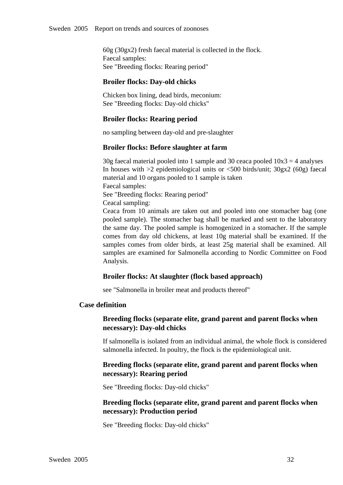60g (30gx2) fresh faecal material is collected in the flock. Faecal samples: See "Breeding flocks: Rearing period"

### **Broiler flocks: Day-old chicks**

Chicken box lining, dead birds, meconium: See "Breeding flocks: Day-old chicks"

### **Broiler flocks: Rearing period**

no sampling between day-old and pre-slaughter

### **Broiler flocks: Before slaughter at farm**

 $30g$  faecal material pooled into 1 sample and 30 ceaca pooled  $10x3 = 4$  analyses In houses with  $>2$  epidemiological units or  $\langle 500 \text{ birds/unit}; 30gx2 (60g) \text{ faecal} \rangle$ material and 10 organs pooled to 1 sample is taken Faecal samples: See "Breeding flocks: Rearing period" Ceacal sampling: Ceaca from 10 animals are taken out and pooled into one stomacher bag (one pooled sample). The stomacher bag shall be marked and sent to the laboratory the same day. The pooled sample is homogenized in a stomacher. If the sample

comes from day old chickens, at least 10g material shall be examined. If the samples comes from older birds, at least 25g material shall be examined. All samples are examined for Salmonella according to Nordic Committee on Food Analysis.

### **Broiler flocks: At slaughter (flock based approach)**

see "Salmonella in broiler meat and products thereof"

#### **Case definition**

### **Breeding flocks (separate elite, grand parent and parent flocks when necessary): Day-old chicks**

If salmonella is isolated from an individual animal, the whole flock is considered salmonella infected. In poultry, the flock is the epidemiological unit.

### **Breeding flocks (separate elite, grand parent and parent flocks when necessary): Rearing period**

See "Breeding flocks: Day-old chicks"

### **Breeding flocks (separate elite, grand parent and parent flocks when necessary): Production period**

See "Breeding flocks: Day-old chicks"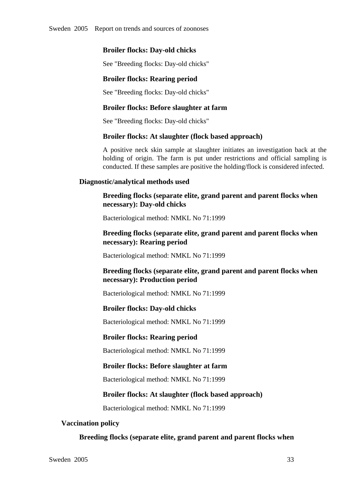### **Broiler flocks: Day-old chicks**

See "Breeding flocks: Day-old chicks"

#### **Broiler flocks: Rearing period**

See "Breeding flocks: Day-old chicks"

#### **Broiler flocks: Before slaughter at farm**

See "Breeding flocks: Day-old chicks"

### **Broiler flocks: At slaughter (flock based approach)**

A positive neck skin sample at slaughter initiates an investigation back at the holding of origin. The farm is put under restrictions and official sampling is conducted. If these samples are positive the holding/flock is considered infected.

#### **Diagnostic/analytical methods used**

### **Breeding flocks (separate elite, grand parent and parent flocks when necessary): Day-old chicks**

Bacteriological method: NMKL No 71:1999

### **Breeding flocks (separate elite, grand parent and parent flocks when necessary): Rearing period**

Bacteriological method: NMKL No 71:1999

### **Breeding flocks (separate elite, grand parent and parent flocks when necessary): Production period**

Bacteriological method: NMKL No 71:1999

#### **Broiler flocks: Day-old chicks**

Bacteriological method: NMKL No 71:1999

#### **Broiler flocks: Rearing period**

Bacteriological method: NMKL No 71:1999

#### **Broiler flocks: Before slaughter at farm**

Bacteriological method: NMKL No 71:1999

#### **Broiler flocks: At slaughter (flock based approach)**

Bacteriological method: NMKL No 71:1999

#### **Vaccination policy**

#### **Breeding flocks (separate elite, grand parent and parent flocks when**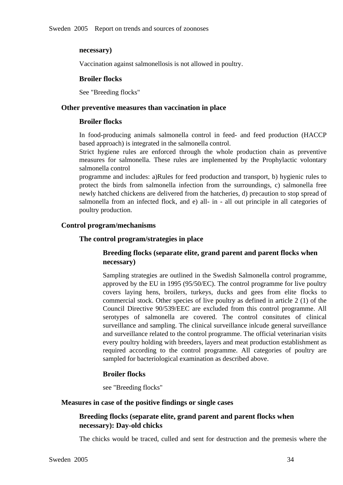### **necessary)**

Vaccination against salmonellosis is not allowed in poultry.

#### **Broiler flocks**

See "Breeding flocks"

#### **Other preventive measures than vaccination in place**

#### **Broiler flocks**

In food-producing animals salmonella control in feed- and feed production (HACCP based approach) is integrated in the salmonella control.

Strict hygiene rules are enforced through the whole production chain as preventive measures for salmonella. These rules are implemented by the Prophylactic volontary salmonella control

programme and includes: a)Rules for feed production and transport, b) hygienic rules to protect the birds from salmonella infection from the surroundings, c) salmonella free newly hatched chickens are delivered from the hatcheries, d) precaution to stop spread of salmonella from an infected flock, and e) all- in - all out principle in all categories of poultry production.

#### **Control program/mechanisms**

#### **The control program/strategies in place**

### **Breeding flocks (separate elite, grand parent and parent flocks when necessary)**

Sampling strategies are outlined in the Swedish Salmonella control programme, approved by the EU in 1995 (95/50/EC). The control programme for live poultry covers laying hens, broilers, turkeys, ducks and gees from elite flocks to commercial stock. Other species of live poultry as defined in article 2 (1) of the Council Directive 90/539/EEC are excluded from this control programme. All serotypes of salmonella are covered. The control consitutes of clinical surveillance and sampling. The clinical surveillance inlcude general surveillance and surveillance related to the control programme. The official veterinarian visits every poultry holding with breeders, layers and meat production establishment as required according to the control programme. All categories of poultry are sampled for bacteriological examination as described above.

#### **Broiler flocks**

see "Breeding flocks"

#### **Measures in case of the positive findings or single cases**

### **Breeding flocks (separate elite, grand parent and parent flocks when necessary): Day-old chicks**

The chicks would be traced, culled and sent for destruction and the premesis where the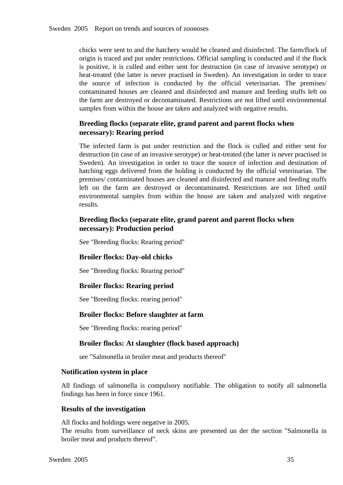chicks were sent to and the hatchery would be cleaned and disinfected. The farm/flock of origin is traced and put under restrictions. Official sampling is conducted and if the flock is positive, it is culled and either sent for destruction (in case of invasive serotype) or heat-treated (the latter is never practised in Sweden). An investigation in order to trace the source of infection is conducted by the official veterinarian. The premises/ contaminated houses are cleaned and disinfected and manure and feeding stuffs left on the farm are destroyed or decontaminated. Restrictions are not lifted until environmental samples from within the house are taken and analyzed with negative results.

### **Breeding flocks (separate elite, grand parent and parent flocks when necessary): Rearing period**

The infected farm is put under restriction and the flock is culled and either sent for destruction (in case of an invasive serotype) or heat-treated (the latter is never practised in Sweden). An investigation in order to trace the source of infection and destination of hatching eggs delivered from the holding is conducted by the official veterinarian. The premises/ contaminated houses are cleaned and disinfected and manure and feeding stuffs left on the farm are destroyed or decontaminated. Restrictions are not lifted until environmental samples from within the house are taken and analyzed with negative results.

### **Breeding flocks (separate elite, grand parent and parent flocks when necessary): Production period**

See "Breeding flocks: Rearing period"

#### **Broiler flocks: Day-old chicks**

See "Breeding flocks: Rearing period"

### **Broiler flocks: Rearing period**

See "Breeding flocks: rearing period"

#### **Broiler flocks: Before slaughter at farm**

See "Breeding flocks: rearing period"

### **Broiler flocks: At slaughter (flock based approach)**

see "Salmonella in broiler meat and products thereof"

#### **Notification system in place**

All findings of salmonella is compulsory notifiable. The obligation to notify all salmonella findings has been in force since 1961.

#### **Results of the investigation**

All flocks and holdings were negative in 2005.

The results from surveillance of neck skins are presented un der the section "Salmonella in broiler meat and products thereof".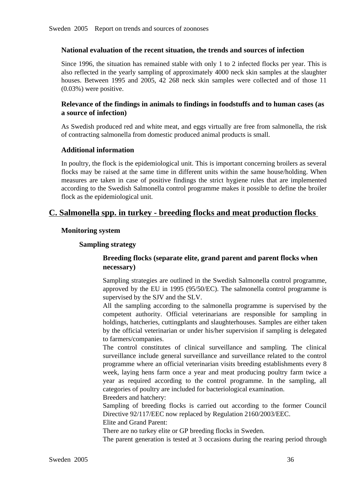#### **National evaluation of the recent situation, the trends and sources of infection**

Since 1996, the situation has remained stable with only 1 to 2 infected flocks per year. This is also reflected in the yearly sampling of approximately 4000 neck skin samples at the slaughter houses. Between 1995 and 2005, 42 268 neck skin samples were collected and of those 11 (0.03%) were positive.

### **Relevance of the findings in animals to findings in foodstuffs and to human cases (as a source of infection)**

As Swedish produced red and white meat, and eggs virtually are free from salmonella, the risk of contracting salmonella from domestic produced animal products is small.

#### **Additional information**

In poultry, the flock is the epidemiological unit. This is important concerning broilers as several flocks may be raised at the same time in different units within the same house/holding. When measures are taken in case of positive findings the strict hygiene rules that are implemented according to the Swedish Salmonella control programme makes it possible to define the broiler flock as the epidemiological unit.

### **C. Salmonella spp. in turkey - breeding flocks and meat production flocks**

#### **Monitoring system**

#### **Sampling strategy**

### **Breeding flocks (separate elite, grand parent and parent flocks when necessary)**

Sampling strategies are outlined in the Swedish Salmonella control programme, approved by the EU in 1995 (95/50/EC). The salmonella control programme is supervised by the SJV and the SLV.

All the sampling according to the salmonella programme is supervised by the competent authority. Official veterinarians are responsible for sampling in holdings, hatcheries, cuttingplants and slaughterhouses. Samples are either taken by the official veterinarian or under his/her supervision if sampling is delegated to farmers/companies.

The control constitutes of clinical surveillance and sampling. The clinical surveillance include general surveillance and surveillance related to the control programme where an official veterinarian visits breeding establishments every 8 week, laying hens farm once a year and meat producing poultry farm twice a year as required according to the control programme. In the sampling, all categories of poultry are included for bacteriological examination.

Breeders and hatchery:

Sampling of breeding flocks is carried out according to the former Council Directive 92/117/EEC now replaced by Regulation 2160/2003/EEC.

Elite and Grand Parent:

There are no turkey elite or GP breeding flocks in Sweden.

The parent generation is tested at 3 occasions during the rearing period through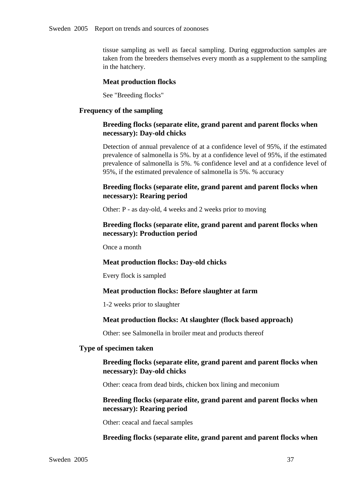tissue sampling as well as faecal sampling. During eggproduction samples are taken from the breeders themselves every month as a supplement to the sampling in the hatchery.

#### **Meat production flocks**

See "Breeding flocks"

### **Frequency of the sampling**

### **Breeding flocks (separate elite, grand parent and parent flocks when necessary): Day-old chicks**

Detection of annual prevalence of at a confidence level of 95%, if the estimated prevalence of salmonella is 5%. by at a confidence level of 95%, if the estimated prevalence of salmonella is 5%. % confidence level and at a confidence level of 95%, if the estimated prevalence of salmonella is 5%. % accuracy

### **Breeding flocks (separate elite, grand parent and parent flocks when necessary): Rearing period**

Other: P - as day-old, 4 weeks and 2 weeks prior to moving

### **Breeding flocks (separate elite, grand parent and parent flocks when necessary): Production period**

Once a month

#### **Meat production flocks: Day-old chicks**

Every flock is sampled

#### **Meat production flocks: Before slaughter at farm**

1-2 weeks prior to slaughter

#### **Meat production flocks: At slaughter (flock based approach)**

Other: see Salmonella in broiler meat and products thereof

#### **Type of specimen taken**

### **Breeding flocks (separate elite, grand parent and parent flocks when necessary): Day-old chicks**

Other: ceaca from dead birds, chicken box lining and meconium

### **Breeding flocks (separate elite, grand parent and parent flocks when necessary): Rearing period**

Other: ceacal and faecal samples

#### **Breeding flocks (separate elite, grand parent and parent flocks when**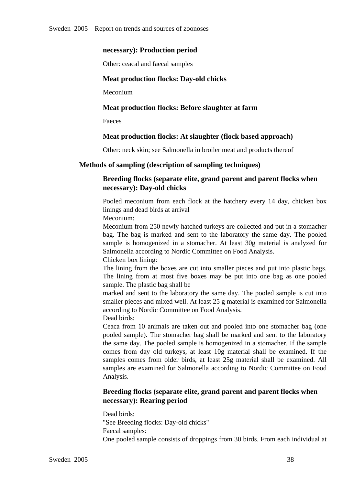#### **necessary): Production period**

Other: ceacal and faecal samples

### **Meat production flocks: Day-old chicks**

Meconium

### **Meat production flocks: Before slaughter at farm**

Faeces

#### **Meat production flocks: At slaughter (flock based approach)**

Other: neck skin; see Salmonella in broiler meat and products thereof

#### **Methods of sampling (description of sampling techniques)**

### **Breeding flocks (separate elite, grand parent and parent flocks when necessary): Day-old chicks**

Pooled meconium from each flock at the hatchery every 14 day, chicken box linings and dead birds at arrival

Meconium:

Meconium from 250 newly hatched turkeys are collected and put in a stomacher bag. The bag is marked and sent to the laboratory the same day. The pooled sample is homogenized in a stomacher. At least 30g material is analyzed for Salmonella according to Nordic Committee on Food Analysis.

Chicken box lining:

The lining from the boxes are cut into smaller pieces and put into plastic bags. The lining from at most five boxes may be put into one bag as one pooled sample. The plastic bag shall be

marked and sent to the laboratory the same day. The pooled sample is cut into smaller pieces and mixed well. At least 25 g material is examined for Salmonella according to Nordic Committee on Food Analysis.

Dead birds:

Ceaca from 10 animals are taken out and pooled into one stomacher bag (one pooled sample). The stomacher bag shall be marked and sent to the laboratory the same day. The pooled sample is homogenized in a stomacher. If the sample comes from day old turkeys, at least 10g material shall be examined. If the samples comes from older birds, at least 25g material shall be examined. All samples are examined for Salmonella according to Nordic Committee on Food Analysis.

### **Breeding flocks (separate elite, grand parent and parent flocks when necessary): Rearing period**

Dead birds: "See Breeding flocks: Day-old chicks" Faecal samples: One pooled sample consists of droppings from 30 birds. From each individual at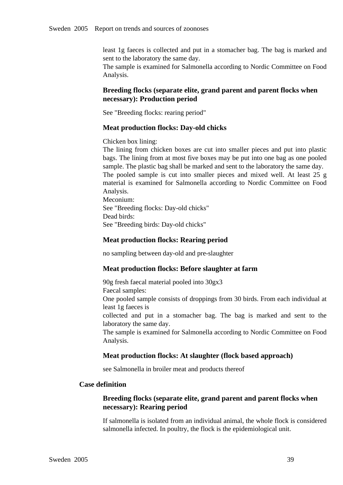least 1g faeces is collected and put in a stomacher bag. The bag is marked and sent to the laboratory the same day. The sample is examined for Salmonella according to Nordic Committee on Food Analysis.

### **Breeding flocks (separate elite, grand parent and parent flocks when necessary): Production period**

See "Breeding flocks: rearing period"

#### **Meat production flocks: Day-old chicks**

Chicken box lining:

The lining from chicken boxes are cut into smaller pieces and put into plastic bags. The lining from at most five boxes may be put into one bag as one pooled sample. The plastic bag shall be marked and sent to the laboratory the same day. The pooled sample is cut into smaller pieces and mixed well. At least 25 g

material is examined for Salmonella according to Nordic Committee on Food Analysis.

Meconium: See "Breeding flocks: Day-old chicks" Dead birds: See "Breeding birds: Day-old chicks"

### **Meat production flocks: Rearing period**

no sampling between day-old and pre-slaughter

### **Meat production flocks: Before slaughter at farm**

90g fresh faecal material pooled into 30gx3 Faecal samples: One pooled sample consists of droppings from 30 birds. From each individual at

least 1g faeces is

collected and put in a stomacher bag. The bag is marked and sent to the laboratory the same day.

The sample is examined for Salmonella according to Nordic Committee on Food Analysis.

#### **Meat production flocks: At slaughter (flock based approach)**

see Salmonella in broiler meat and products thereof

### **Case definition**

### **Breeding flocks (separate elite, grand parent and parent flocks when necessary): Rearing period**

If salmonella is isolated from an individual animal, the whole flock is considered salmonella infected. In poultry, the flock is the epidemiological unit.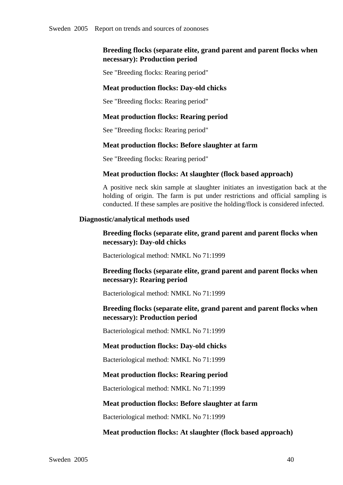### **Breeding flocks (separate elite, grand parent and parent flocks when necessary): Production period**

See "Breeding flocks: Rearing period"

### **Meat production flocks: Day-old chicks**

See "Breeding flocks: Rearing period"

### **Meat production flocks: Rearing period**

See "Breeding flocks: Rearing period"

### **Meat production flocks: Before slaughter at farm**

See "Breeding flocks: Rearing period"

### **Meat production flocks: At slaughter (flock based approach)**

A positive neck skin sample at slaughter initiates an investigation back at the holding of origin. The farm is put under restrictions and official sampling is conducted. If these samples are positive the holding/flock is considered infected.

### **Diagnostic/analytical methods used**

### **Breeding flocks (separate elite, grand parent and parent flocks when necessary): Day-old chicks**

Bacteriological method: NMKL No 71:1999

### **Breeding flocks (separate elite, grand parent and parent flocks when necessary): Rearing period**

Bacteriological method: NMKL No 71:1999

### **Breeding flocks (separate elite, grand parent and parent flocks when necessary): Production period**

Bacteriological method: NMKL No 71:1999

### **Meat production flocks: Day-old chicks**

Bacteriological method: NMKL No 71:1999

### **Meat production flocks: Rearing period**

Bacteriological method: NMKL No 71:1999

### **Meat production flocks: Before slaughter at farm**

Bacteriological method: NMKL No 71:1999

### **Meat production flocks: At slaughter (flock based approach)**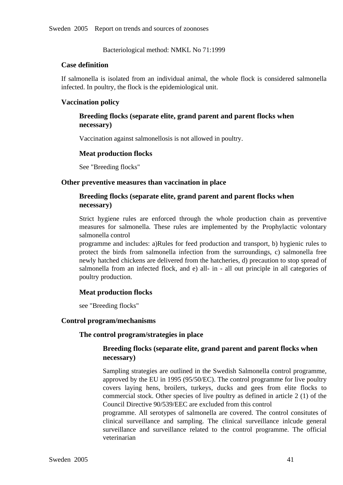#### Bacteriological method: NMKL No 71:1999

#### **Case definition**

If salmonella is isolated from an individual animal, the whole flock is considered salmonella infected. In poultry, the flock is the epidemiological unit.

#### **Vaccination policy**

### **Breeding flocks (separate elite, grand parent and parent flocks when necessary)**

Vaccination against salmonellosis is not allowed in poultry.

#### **Meat production flocks**

See "Breeding flocks"

#### **Other preventive measures than vaccination in place**

### **Breeding flocks (separate elite, grand parent and parent flocks when necessary)**

Strict hygiene rules are enforced through the whole production chain as preventive measures for salmonella. These rules are implemented by the Prophylactic volontary salmonella control

programme and includes: a)Rules for feed production and transport, b) hygienic rules to protect the birds from salmonella infection from the surroundings, c) salmonella free newly hatched chickens are delivered from the hatcheries, d) precaution to stop spread of salmonella from an infected flock, and e) all- in - all out principle in all categories of poultry production.

#### **Meat production flocks**

see "Breeding flocks"

#### **Control program/mechanisms**

#### **The control program/strategies in place**

### **Breeding flocks (separate elite, grand parent and parent flocks when necessary)**

Sampling strategies are outlined in the Swedish Salmonella control programme, approved by the EU in 1995 (95/50/EC). The control programme for live poultry covers laying hens, broilers, turkeys, ducks and gees from elite flocks to commercial stock. Other species of live poultry as defined in article 2 (1) of the Council Directive 90/539/EEC are excluded from this control

programme. All serotypes of salmonella are covered. The control consitutes of clinical surveillance and sampling. The clinical surveillance inlcude general surveillance and surveillance related to the control programme. The official veterinarian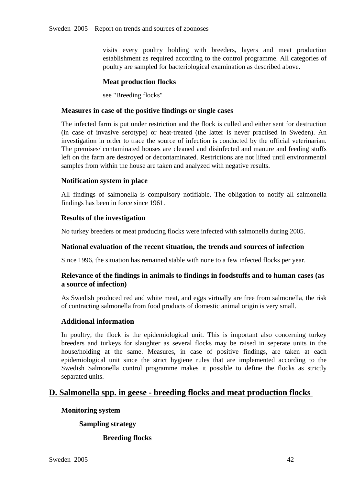visits every poultry holding with breeders, layers and meat production establishment as required according to the control programme. All categories of poultry are sampled for bacteriological examination as described above.

### **Meat production flocks**

see "Breeding flocks"

### **Measures in case of the positive findings or single cases**

The infected farm is put under restriction and the flock is culled and either sent for destruction (in case of invasive serotype) or heat-treated (the latter is never practised in Sweden). An investigation in order to trace the source of infection is conducted by the official veterinarian. The premises/ contaminated houses are cleaned and disinfected and manure and feeding stuffs left on the farm are destroyed or decontaminated. Restrictions are not lifted until environmental samples from within the house are taken and analyzed with negative results.

### **Notification system in place**

All findings of salmonella is compulsory notifiable. The obligation to notify all salmonella findings has been in force since 1961.

### **Results of the investigation**

No turkey breeders or meat producing flocks were infected with salmonella during 2005.

### **National evaluation of the recent situation, the trends and sources of infection**

Since 1996, the situation has remained stable with none to a few infected flocks per year.

### **Relevance of the findings in animals to findings in foodstuffs and to human cases (as a source of infection)**

As Swedish produced red and white meat, and eggs virtually are free from salmonella, the risk of contracting salmonella from food products of domestic animal origin is very small.

### **Additional information**

In poultry, the flock is the epidemiological unit. This is important also concerning turkey breeders and turkeys for slaughter as several flocks may be raised in seperate units in the house/holding at the same. Measures, in case of positive findings, are taken at each epidemiological unit since the strict hygiene rules that are implemented according to the Swedish Salmonella control programme makes it possible to define the flocks as strictly separated units.

# **D. Salmonella spp. in geese - breeding flocks and meat production flocks**

#### **Monitoring system**

### **Sampling strategy**

### **Breeding flocks**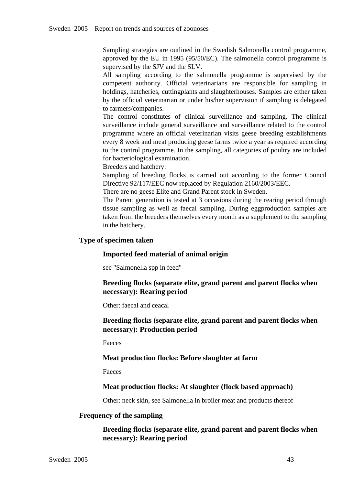Sampling strategies are outlined in the Swedish Salmonella control programme, approved by the EU in 1995 (95/50/EC). The salmonella control programme is supervised by the SJV and the SLV.

All sampling according to the salmonella programme is supervised by the competent authority. Official veterinarians are responsible for sampling in holdings, hatcheries, cuttingplants and slaughterhouses. Samples are either taken by the official veterinarian or under his/her supervision if sampling is delegated to farmers/companies.

The control constitutes of clinical surveillance and sampling. The clinical surveillance include general surveillance and surveillance related to the control programme where an official veterinarian visits geese breeding establishments every 8 week and meat producing geese farms twice a year as required according to the control programme. In the sampling, all categories of poultry are included for bacteriological examination.

Breeders and hatchery:

Sampling of breeding flocks is carried out according to the former Council Directive 92/117/EEC now replaced by Regulation 2160/2003/EEC.

There are no geese Elite and Grand Parent stock in Sweden.

The Parent generation is tested at 3 occasions during the rearing period through tissue sampling as well as faecal sampling. During eggproduction samples are taken from the breeders themselves every month as a supplement to the sampling in the hatchery.

#### **Type of specimen taken**

#### **Imported feed material of animal origin**

see "Salmonella spp in feed"

### **Breeding flocks (separate elite, grand parent and parent flocks when necessary): Rearing period**

Other: faecal and ceacal

### **Breeding flocks (separate elite, grand parent and parent flocks when necessary): Production period**

Faeces

#### **Meat production flocks: Before slaughter at farm**

Faeces

### **Meat production flocks: At slaughter (flock based approach)**

Other: neck skin, see Salmonella in broiler meat and products thereof

#### **Frequency of the sampling**

### **Breeding flocks (separate elite, grand parent and parent flocks when necessary): Rearing period**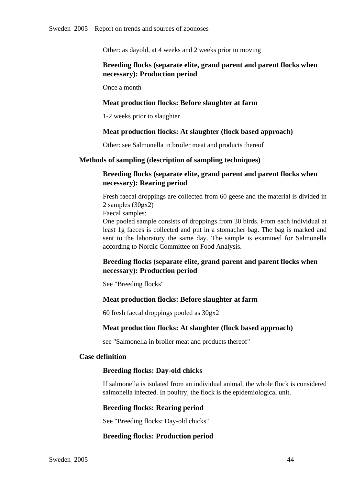Other: as dayold, at 4 weeks and 2 weeks prior to moving

### **Breeding flocks (separate elite, grand parent and parent flocks when necessary): Production period**

Once a month

### **Meat production flocks: Before slaughter at farm**

1-2 weeks prior to slaughter

### **Meat production flocks: At slaughter (flock based approach)**

Other: see Salmonella in broiler meat and products thereof

#### **Methods of sampling (description of sampling techniques)**

### **Breeding flocks (separate elite, grand parent and parent flocks when necessary): Rearing period**

Fresh faecal droppings are collected from 60 geese and the material is divided in 2 samples (30gx2)

Faecal samples:

One pooled sample consists of droppings from 30 birds. From each individual at least 1g faeces is collected and put in a stomacher bag. The bag is marked and sent to the laboratory the same day. The sample is examined for Salmonella according to Nordic Committee on Food Analysis.

### **Breeding flocks (separate elite, grand parent and parent flocks when necessary): Production period**

See "Breeding flocks"

#### **Meat production flocks: Before slaughter at farm**

60 fresh faecal droppings pooled as 30gx2

#### **Meat production flocks: At slaughter (flock based approach)**

see "Salmonella in broiler meat and products thereof"

### **Case definition**

#### **Breeding flocks: Day-old chicks**

If salmonella is isolated from an individual animal, the whole flock is considered salmonella infected. In poultry, the flock is the epidemiological unit.

#### **Breeding flocks: Rearing period**

See "Breeding flocks: Day-old chicks"

### **Breeding flocks: Production period**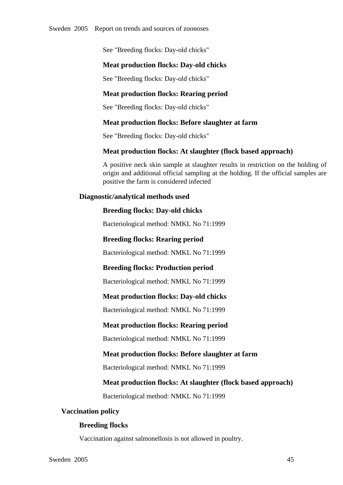See "Breeding flocks: Day-old chicks"

#### **Meat production flocks: Day-old chicks**

See "Breeding flocks: Day-old chicks"

### **Meat production flocks: Rearing period**

See "Breeding flocks: Day-old chicks"

#### **Meat production flocks: Before slaughter at farm**

See "Breeding flocks: Day-old chicks"

#### **Meat production flocks: At slaughter (flock based approach)**

A positive neck skin sample at slaughter results in restriction on the holding of origin and additional official sampling at the holding. If the official samples are positive the farm is considered infected

#### **Diagnostic/analytical methods used**

#### **Breeding flocks: Day-old chicks**

Bacteriological method: NMKL No 71:1999

#### **Breeding flocks: Rearing period**

Bacteriological method: NMKL No 71:1999

### **Breeding flocks: Production period**

Bacteriological method: NMKL No 71:1999

#### **Meat production flocks: Day-old chicks**

Bacteriological method: NMKL No 71:1999

#### **Meat production flocks: Rearing period**

Bacteriological method: NMKL No 71:1999

#### **Meat production flocks: Before slaughter at farm**

Bacteriological method: NMKL No 71:1999

#### **Meat production flocks: At slaughter (flock based approach)**

Bacteriological method: NMKL No 71:1999

#### **Vaccination policy**

#### **Breeding flocks**

Vaccination against salmonellosis is not allowed in poultry.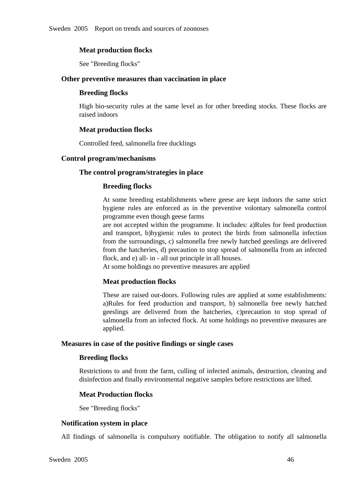### **Meat production flocks**

See "Breeding flocks"

#### **Other preventive measures than vaccination in place**

### **Breeding flocks**

High bio-security rules at the same level as for other breeding stocks. These flocks are raised indoors

### **Meat production flocks**

Controlled feed, salmonella free ducklings

#### **Control program/mechanisms**

#### **The control program/strategies in place**

#### **Breeding flocks**

At some breeding establishments where geese are kept indoors the same strict hygiene rules are enforced as in the preventive volontary salmonella control programme even though geese farms

are not accepted within the programme. It includes: a)Rules for feed production and transport, b)hygienic rules to protect the birds from salmonella infection from the surroundings, c) salmonella free newly hatched geeslings are delivered from the hatcheries, d) precaution to stop spread of salmonella from an infected flock, and e) all- in - all out principle in all houses.

At some holdings no preventive measures are applied

#### **Meat production flocks**

These are raised out-doors. Following rules are applied at some establishments: a)Rules for feed production and transport, b) salmonella free newly hatched geeslings are delivered from the hatcheries, c)precaution to stop spread of salmonella from an infected flock. At some holdings no preventive measures are applied.

#### **Measures in case of the positive findings or single cases**

#### **Breeding flocks**

Restrictions to and from the farm, culling of infected animals, destruction, cleaning and disinfection and finally environmental negative samples before restrictions are lifted.

#### **Meat Production flocks**

See "Breeding flocks"

#### **Notification system in place**

All findings of salmonella is compulsory notifiable. The obligation to notify all salmonella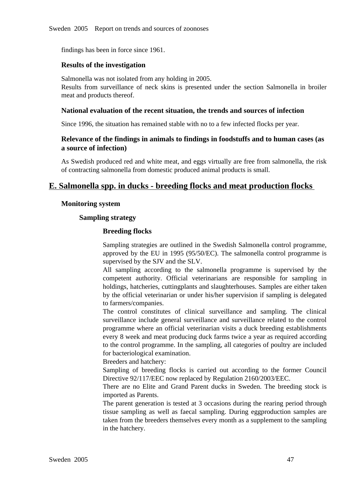findings has been in force since 1961.

### **Results of the investigation**

Salmonella was not isolated from any holding in 2005.

Results from surveillance of neck skins is presented under the section Salmonella in broiler meat and products thereof.

### **National evaluation of the recent situation, the trends and sources of infection**

Since 1996, the situation has remained stable with no to a few infected flocks per year.

### **Relevance of the findings in animals to findings in foodstuffs and to human cases (as a source of infection)**

As Swedish produced red and white meat, and eggs virtually are free from salmonella, the risk of contracting salmonella from domestic produced animal products is small.

# **E. Salmonella spp. in ducks - breeding flocks and meat production flocks**

### **Monitoring system**

### **Sampling strategy**

### **Breeding flocks**

Sampling strategies are outlined in the Swedish Salmonella control programme, approved by the EU in 1995 (95/50/EC). The salmonella control programme is supervised by the SJV and the SLV.

All sampling according to the salmonella programme is supervised by the competent authority. Official veterinarians are responsible for sampling in holdings, hatcheries, cuttingplants and slaughterhouses. Samples are either taken by the official veterinarian or under his/her supervision if sampling is delegated to farmers/companies.

The control constitutes of clinical surveillance and sampling. The clinical surveillance include general surveillance and surveillance related to the control programme where an official veterinarian visits a duck breeding establishments every 8 week and meat producing duck farms twice a year as required according to the control programme. In the sampling, all categories of poultry are included for bacteriological examination.

Breeders and hatchery:

Sampling of breeding flocks is carried out according to the former Council Directive 92/117/EEC now replaced by Regulation 2160/2003/EEC.

There are no Elite and Grand Parent ducks in Sweden. The breeding stock is imported as Parents.

The parent generation is tested at 3 occasions during the rearing period through tissue sampling as well as faecal sampling. During eggproduction samples are taken from the breeders themselves every month as a supplement to the sampling in the hatchery.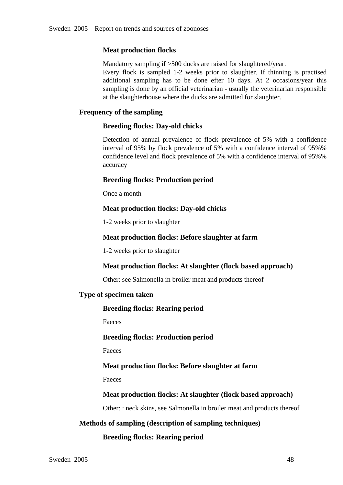### **Meat production flocks**

Mandatory sampling if >500 ducks are raised for slaughtered/year.

Every flock is sampled 1-2 weeks prior to slaughter. If thinning is practised additional sampling has to be done efter 10 days. At 2 occasions/year this sampling is done by an official veterinarian - usually the veterinarian responsible at the slaughterhouse where the ducks are admitted for slaughter.

### **Frequency of the sampling**

#### **Breeding flocks: Day-old chicks**

Detection of annual prevalence of flock prevalence of 5% with a confidence interval of 95% by flock prevalence of 5% with a confidence interval of 95%% confidence level and flock prevalence of 5% with a confidence interval of 95%% accuracy

### **Breeding flocks: Production period**

Once a month

### **Meat production flocks: Day-old chicks**

1-2 weeks prior to slaughter

### **Meat production flocks: Before slaughter at farm**

1-2 weeks prior to slaughter

#### **Meat production flocks: At slaughter (flock based approach)**

Other: see Salmonella in broiler meat and products thereof

#### **Type of specimen taken**

**Breeding flocks: Rearing period**

Faeces

#### **Breeding flocks: Production period**

Faeces

### **Meat production flocks: Before slaughter at farm**

Faeces

### **Meat production flocks: At slaughter (flock based approach)**

Other: : neck skins, see Salmonella in broiler meat and products thereof

#### **Methods of sampling (description of sampling techniques)**

### **Breeding flocks: Rearing period**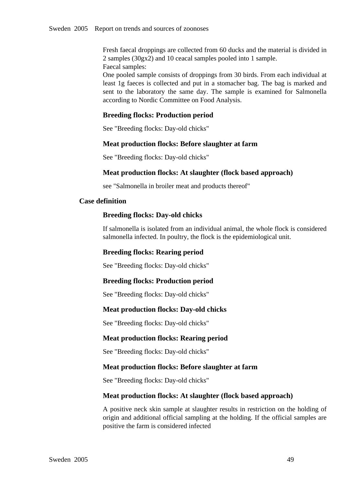Fresh faecal droppings are collected from 60 ducks and the material is divided in 2 samples (30gx2) and 10 ceacal samples pooled into 1 sample. Faecal samples:

One pooled sample consists of droppings from 30 birds. From each individual at least 1g faeces is collected and put in a stomacher bag. The bag is marked and sent to the laboratory the same day. The sample is examined for Salmonella according to Nordic Committee on Food Analysis.

### **Breeding flocks: Production period**

See "Breeding flocks: Day-old chicks"

#### **Meat production flocks: Before slaughter at farm**

See "Breeding flocks: Day-old chicks"

### **Meat production flocks: At slaughter (flock based approach)**

see "Salmonella in broiler meat and products thereof"

### **Case definition**

#### **Breeding flocks: Day-old chicks**

If salmonella is isolated from an individual animal, the whole flock is considered salmonella infected. In poultry, the flock is the epidemiological unit.

#### **Breeding flocks: Rearing period**

See "Breeding flocks: Day-old chicks"

#### **Breeding flocks: Production period**

See "Breeding flocks: Day-old chicks"

#### **Meat production flocks: Day-old chicks**

See "Breeding flocks: Day-old chicks"

#### **Meat production flocks: Rearing period**

See "Breeding flocks: Day-old chicks"

#### **Meat production flocks: Before slaughter at farm**

See "Breeding flocks: Day-old chicks"

#### **Meat production flocks: At slaughter (flock based approach)**

A positive neck skin sample at slaughter results in restriction on the holding of origin and additional official sampling at the holding. If the official samples are positive the farm is considered infected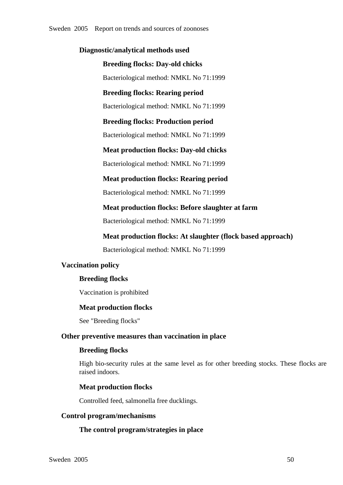#### **Diagnostic/analytical methods used**

#### **Breeding flocks: Day-old chicks**

Bacteriological method: NMKL No 71:1999

#### **Breeding flocks: Rearing period**

Bacteriological method: NMKL No 71:1999

#### **Breeding flocks: Production period**

Bacteriological method: NMKL No 71:1999

#### **Meat production flocks: Day-old chicks**

Bacteriological method: NMKL No 71:1999

#### **Meat production flocks: Rearing period**

Bacteriological method: NMKL No 71:1999

### **Meat production flocks: Before slaughter at farm**

Bacteriological method: NMKL No 71:1999

# **Meat production flocks: At slaughter (flock based approach)**

Bacteriological method: NMKL No 71:1999

#### **Vaccination policy**

#### **Breeding flocks**

Vaccination is prohibited

#### **Meat production flocks**

See "Breeding flocks"

#### **Other preventive measures than vaccination in place**

#### **Breeding flocks**

High bio-security rules at the same level as for other breeding stocks. These flocks are raised indoors.

### **Meat production flocks**

Controlled feed, salmonella free ducklings.

#### **Control program/mechanisms**

#### **The control program/strategies in place**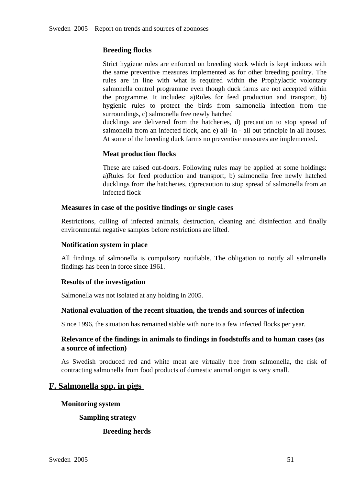### **Breeding flocks**

Strict hygiene rules are enforced on breeding stock which is kept indoors with the same preventive measures implemented as for other breeding poultry. The rules are in line with what is required within the Prophylactic volontary salmonella control programme even though duck farms are not accepted within the programme. It includes: a)Rules for feed production and transport, b) hygienic rules to protect the birds from salmonella infection from the surroundings, c) salmonella free newly hatched

ducklings are delivered from the hatcheries, d) precaution to stop spread of salmonella from an infected flock, and e) all- in - all out principle in all houses. At some of the breeding duck farms no preventive measures are implemented.

### **Meat production flocks**

These are raised out-doors. Following rules may be applied at some holdings: a)Rules for feed production and transport, b) salmonella free newly hatched ducklings from the hatcheries, c)precaution to stop spread of salmonella from an infected flock

#### **Measures in case of the positive findings or single cases**

Restrictions, culling of infected animals, destruction, cleaning and disinfection and finally environmental negative samples before restrictions are lifted.

#### **Notification system in place**

All findings of salmonella is compulsory notifiable. The obligation to notify all salmonella findings has been in force since 1961.

### **Results of the investigation**

Salmonella was not isolated at any holding in 2005.

#### **National evaluation of the recent situation, the trends and sources of infection**

Since 1996, the situation has remained stable with none to a few infected flocks per year.

### **Relevance of the findings in animals to findings in foodstuffs and to human cases (as a source of infection)**

As Swedish produced red and white meat are virtually free from salmonella, the risk of contracting salmonella from food products of domestic animal origin is very small.

### **F. Salmonella spp. in pigs**

#### **Monitoring system**

#### **Sampling strategy**

#### **Breeding herds**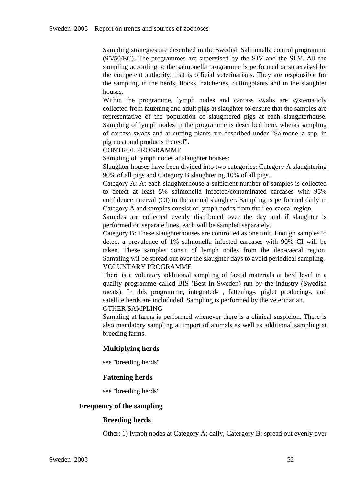Sampling strategies are described in the Swedish Salmonella control programme (95/50/EC). The programmes are supervised by the SJV and the SLV. All the sampling according to the salmonella programme is performed or supervised by the competent authority, that is official veterinarians. They are responsible for the sampling in the herds, flocks, hatcheries, cuttingplants and in the slaughter houses.

Within the programme, lymph nodes and carcass swabs are systematicly collected from fattening and adult pigs at slaughter to ensure that the samples are representative of the population of slaughtered pigs at each slaughterhouse. Sampling of lymph nodes in the programme is described here, wheras sampling of carcass swabs and at cutting plants are described under "Salmonella spp. in pig meat and products thereof".

#### CONTROL PROGRAMME

Sampling of lymph nodes at slaughter houses:

Slaughter houses have been divided into two categories: Category A slaughtering 90% of all pigs and Category B slaughtering 10% of all pigs.

Category A: At each slaughterhouse a sufficient number of samples is collected to detect at least 5% salmonella infected/contaminated carcases with 95% confidence interval (CI) in the annual slaughter. Sampling is performed daily in Category A and samples consist of lymph nodes from the ileo-caecal region.

Samples are collected evenly distributed over the day and if slaughter is performed on separate lines, each will be sampled separately.

Category B: These slaughterhouses are controlled as one unit. Enough samples to detect a prevalence of 1% salmonella infected carcases with 90% CI will be taken. These samples consit of lymph nodes from the ileo-caecal region. Sampling wil be spread out over the slaughter days to avoid periodical sampling. VOLUNTARY PROGRAMME

There is a voluntary additional sampling of faecal materials at herd level in a quality programme called BIS (Best In Sweden) run by the industry (Swedish meats). In this programme, integrated- , fattening-, piglet producing-, and satellite herds are includuded. Sampling is performed by the veterinarian.

#### OTHER SAMPLING

Sampling at farms is performed whenever there is a clinical suspicion. There is also mandatory sampling at import of animals as well as additional sampling at breeding farms.

### **Multiplying herds**

see "breeding herds"

#### **Fattening herds**

see "breeding herds"

#### **Frequency of the sampling**

#### **Breeding herds**

Other: 1) lymph nodes at Category A: daily, Catergory B: spread out evenly over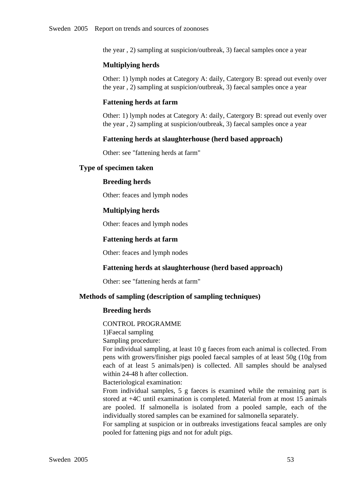the year , 2) sampling at suspicion/outbreak, 3) faecal samples once a year

### **Multiplying herds**

Other: 1) lymph nodes at Category A: daily, Catergory B: spread out evenly over the year , 2) sampling at suspicion/outbreak, 3) faecal samples once a year

#### **Fattening herds at farm**

Other: 1) lymph nodes at Category A: daily, Catergory B: spread out evenly over the year , 2) sampling at suspicion/outbreak, 3) faecal samples once a year

#### **Fattening herds at slaughterhouse (herd based approach)**

Other: see "fattening herds at farm"

#### **Type of specimen taken**

#### **Breeding herds**

Other: feaces and lymph nodes

#### **Multiplying herds**

Other: feaces and lymph nodes

#### **Fattening herds at farm**

Other: feaces and lymph nodes

#### **Fattening herds at slaughterhouse (herd based approach)**

Other: see "fattening herds at farm"

#### **Methods of sampling (description of sampling techniques)**

#### **Breeding herds**

#### CONTROL PROGRAMME

1)Faecal sampling

Sampling procedure:

For individual sampling, at least 10 g faeces from each animal is collected. From pens with growers/finisher pigs pooled faecal samples of at least 50g (10g from each of at least 5 animals/pen) is collected. All samples should be analysed within 24-48 h after collection.

Bacteriological examination:

From individual samples, 5 g faeces is examined while the remaining part is stored at +4C until examination is completed. Material from at most 15 animals are pooled. If salmonella is isolated from a pooled sample, each of the individually stored samples can be examined for salmonella separately.

For sampling at suspicion or in outbreaks investigations feacal samples are only pooled for fattening pigs and not for adult pigs.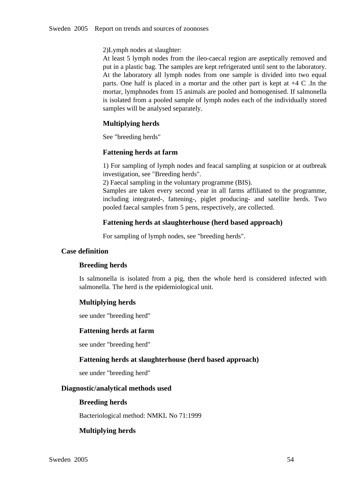2)Lymph nodes at slaughter:

At least 5 lymph nodes from the ileo-caecal region are aseptically removed and put in a plastic bag. The samples are kept refrigerated until sent to the laboratory. At the laboratory all lymph nodes from one sample is divided into two equal parts. One half is placed in a mortar and the other part is kept at +4 C .In the mortar, lymphnodes from 15 animals are pooled and homogenised. If salmonella is isolated from a pooled sample of lymph nodes each of the individually stored samples will be analysed separately.

### **Multiplying herds**

See "breeding herds"

### **Fattening herds at farm**

1) For sampling of lymph nodes and feacal sampling at suspicion or at outbreak investigation, see "Breeding herds".

2) Faecal sampling in the voluntary programme (BIS).

Samples are taken every second year in all farms affiliated to the programme, including integrated-, fattening-, piglet producing- and satellite herds. Two pooled faecal samples from 5 pens, respectively, are collected.

### **Fattening herds at slaughterhouse (herd based approach)**

For sampling of lymph nodes, see "breeding herds".

#### **Case definition**

#### **Breeding herds**

Is salmonella is isolated from a pig, then the whole herd is considered infected with salmonella. The herd is the epidemiological unit.

### **Multiplying herds**

see under "breeding herd"

#### **Fattening herds at farm**

see under "breeding herd"

#### **Fattening herds at slaughterhouse (herd based approach)**

see under "breeding herd"

### **Diagnostic/analytical methods used**

#### **Breeding herds**

Bacteriological method: NMKL No 71:1999

### **Multiplying herds**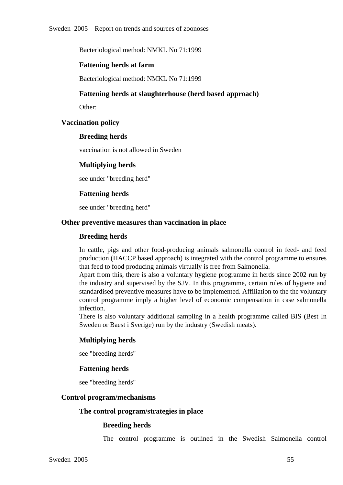Bacteriological method: NMKL No 71:1999

#### **Fattening herds at farm**

Bacteriological method: NMKL No 71:1999

#### **Fattening herds at slaughterhouse (herd based approach)**

Other:

#### **Vaccination policy**

#### **Breeding herds**

vaccination is not allowed in Sweden

#### **Multiplying herds**

see under "breeding herd"

#### **Fattening herds**

see under "breeding herd"

#### **Other preventive measures than vaccination in place**

#### **Breeding herds**

In cattle, pigs and other food-producing animals salmonella control in feed- and feed production (HACCP based approach) is integrated with the control programme to ensures that feed to food producing animals virtually is free from Salmonella.

Apart from this, there is also a voluntary hygiene programme in herds since 2002 run by the industry and supervised by the SJV. In this programme, certain rules of hygiene and standardised preventive measures have to be implemented. Affiliation to the the voluntary control programme imply a higher level of economic compensation in case salmonella infection.

There is also voluntary additional sampling in a health programme called BIS (Best In Sweden or Baest i Sverige) run by the industry (Swedish meats).

#### **Multiplying herds**

see "breeding herds"

#### **Fattening herds**

see "breeding herds"

#### **Control program/mechanisms**

#### **The control program/strategies in place**

#### **Breeding herds**

The control programme is outlined in the Swedish Salmonella control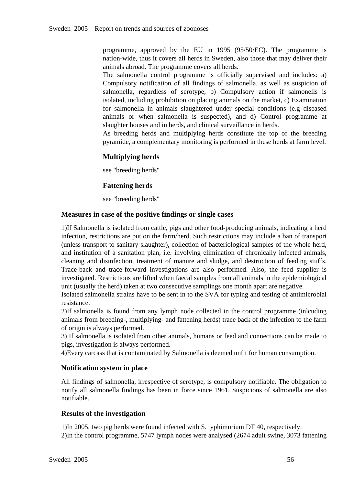programme, approved by the EU in 1995 (95/50/EC). The programme is nation-wide, thus it covers all herds in Sweden, also those that may deliver their animals abroad. The programme covers all herds.

The salmonella control programme is officially supervised and includes: a) Compulsory notification of all findings of salmonella, as well as suspicion of salmonella, regardless of serotype, b) Compulsory action if salmonells is isolated, including prohibition on placing animals on the market, c) Examination for salmonella in animals slaughtered under special conditions (e.g diseased animals or when salmonella is suspected), and d) Control programme at slaughter houses and in herds, and clinical surveillance in herds.

As breeding herds and multiplying herds constitute the top of the breeding pyramide, a complementary monitoring is performed in these herds at farm level.

### **Multiplying herds**

see "breeding herds"

### **Fattening herds**

see "breeding herds"

### **Measures in case of the positive findings or single cases**

1)If Salmonella is isolated from cattle, pigs and other food-producing animals, indicating a herd infection, restrictions are put on the farm/herd. Such restrictions may include a ban of transport (unless transport to sanitary slaughter), collection of bacteriological samples of the whole herd, and institution of a sanitation plan, i.e. involving elimination of chronically infected animals, cleaning and disinfection, treatment of manure and sludge, and destruction of feeding stuffs. Trace-back and trace-forward investigations are also performed. Also, the feed supplier is investigated. Restrictions are lifted when faecal samples from all animals in the epidemiological unit (usually the herd) taken at two consecutive samplings one month apart are negative.

Isolated salmonella strains have to be sent in to the SVA for typing and testing of antimicrobial resistance.

2)If salmonella is found from any lymph node collected in the control programme (inlcuding animals from breeding-, multiplying- and fattening herds) trace back of the infection to the farm of origin is always performed.

3) If salmonella is isolated from other animals, humans or feed and connections can be made to pigs, investigation is always performed.

4)Every carcass that is contaminated by Salmonella is deemed unfit for human consumption.

### **Notification system in place**

All findings of salmonella, irrespective of serotype, is compulsory notifiable. The obligation to notify all salmonella findings has been in force since 1961. Suspicions of salmonella are also notifiable.

### **Results of the investigation**

1)In 2005, two pig herds were found infected with S. typhimurium DT 40, respectively. 2)In the control programme, 5747 lymph nodes were analysed (2674 adult swine, 3073 fattening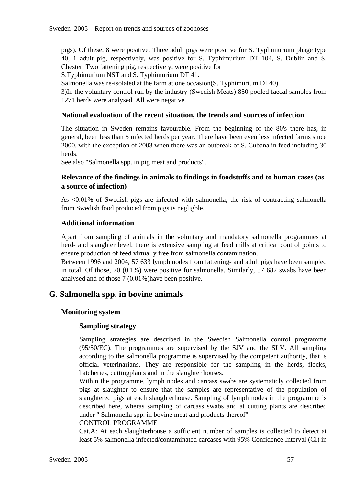pigs). Of these, 8 were positive. Three adult pigs were positive for S. Typhimurium phage type 40, 1 adult pig, respectively, was positive for S. Typhimurium DT 104, S. Dublin and S. Chester. Two fattening pig, respectively, were positive for

S.Typhimurium NST and S. Typhimurium DT 41.

Salmonella was re-isolated at the farm at one occasion(S. Typhimurium DT40).

3)In the voluntary control run by the industry (Swedish Meats) 850 pooled faecal samples from 1271 herds were analysed. All were negative.

### **National evaluation of the recent situation, the trends and sources of infection**

The situation in Sweden remains favourable. From the beginning of the 80's there has, in general, been less than 5 infected herds per year. There have been even less infected farms since 2000, with the exception of 2003 when there was an outbreak of S. Cubana in feed including 30 herds.

See also "Salmonella spp. in pig meat and products".

### **Relevance of the findings in animals to findings in foodstuffs and to human cases (as a source of infection)**

As <0.01% of Swedish pigs are infected with salmonella, the risk of contracting salmonella from Swedish food produced from pigs is negligble.

### **Additional information**

Apart from sampling of animals in the voluntary and mandatory salmonella programmes at herd- and slaughter level, there is extensive sampling at feed mills at critical control points to ensure production of feed virtually free from salmonella contamination.

Between 1996 and 2004, 57 633 lymph nodes from fattening- and adult pigs have been sampled in total. Of those, 70 (0.1%) were positive for salmonella. Similarly, 57 682 swabs have been analysed and of those 7 (0.01%)have been positive.

### **G. Salmonella spp. in bovine animals**

#### **Monitoring system**

#### **Sampling strategy**

Sampling strategies are described in the Swedish Salmonella control programme (95/50/EC). The programmes are supervised by the SJV and the SLV. All sampling according to the salmonella programme is supervised by the competent authority, that is official veterinarians. They are responsible for the sampling in the herds, flocks, hatcheries, cuttingplants and in the slaughter houses.

Within the programme, lymph nodes and carcass swabs are systematicly collected from pigs at slaughter to ensure that the samples are representative of the population of slaughtered pigs at each slaughterhouse. Sampling of lymph nodes in the programme is described here, wheras sampling of carcass swabs and at cutting plants are described under " Salmonella spp. in bovine meat and products thereof".

#### CONTROL PROGRAMME

Cat.A: At each slaughterhouse a sufficient number of samples is collected to detect at least 5% salmonella infected/contaminated carcases with 95% Confidence Interval (CI) in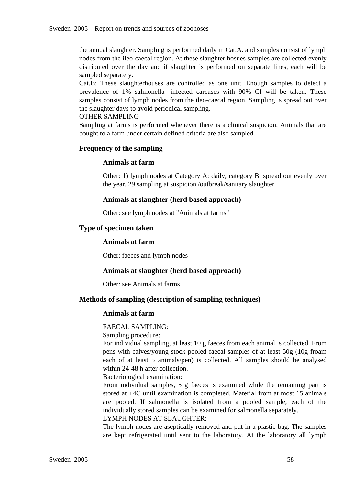the annual slaughter. Sampling is performed daily in Cat.A. and samples consist of lymph nodes from the ileo-caecal region. At these slaughter hosues samples are collected evenly distributed over the day and if slaughter is performed on separate lines, each will be sampled separately.

Cat.B: These slaughterhouses are controlled as one unit. Enough samples to detect a prevalence of 1% salmonella- infected carcases with 90% CI will be taken. These samples consist of lymph nodes from the ileo-caecal region. Sampling is spread out over the slaughter days to avoid periodical sampling.

### OTHER SAMPLING

Sampling at farms is performed whenever there is a clinical suspicion. Animals that are bought to a farm under certain defined criteria are also sampled.

### **Frequency of the sampling**

### **Animals at farm**

Other: 1) lymph nodes at Category A: daily, category B: spread out evenly over the year, 29 sampling at suspicion /outbreak/sanitary slaughter

### **Animals at slaughter (herd based approach)**

Other: see lymph nodes at "Animals at farms"

### **Type of specimen taken**

### **Animals at farm**

Other: faeces and lymph nodes

### **Animals at slaughter (herd based approach)**

Other: see Animals at farms

### **Methods of sampling (description of sampling techniques)**

### **Animals at farm**

FAECAL SAMPLING:

Sampling procedure:

For individual sampling, at least 10 g faeces from each animal is collected. From pens with calves/young stock pooled faecal samples of at least 50g (10g froam each of at least 5 animals/pen) is collected. All samples should be analysed within 24-48 h after collection.

Bacteriological examination:

From individual samples, 5 g faeces is examined while the remaining part is stored at +4C until examination is completed. Material from at most 15 animals are pooled. If salmonella is isolated from a pooled sample, each of the individually stored samples can be examined for salmonella separately.

#### LYMPH NODES AT SLAUGHTER:

The lymph nodes are aseptically removed and put in a plastic bag. The samples are kept refrigerated until sent to the laboratory. At the laboratory all lymph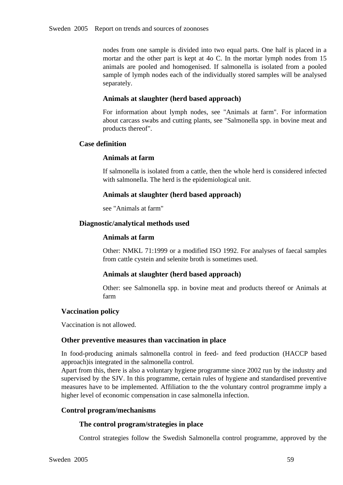nodes from one sample is divided into two equal parts. One half is placed in a mortar and the other part is kept at 4o C. In the mortar lymph nodes from 15 animals are pooled and homogenised. If salmonella is isolated from a pooled sample of lymph nodes each of the individually stored samples will be analysed separately.

### **Animals at slaughter (herd based approach)**

For information about lymph nodes, see "Animals at farm". For information about carcass swabs and cutting plants, see "Salmonella spp. in bovine meat and products thereof".

### **Case definition**

### **Animals at farm**

If salmonella is isolated from a cattle, then the whole herd is considered infected with salmonella. The herd is the epidemiological unit.

### **Animals at slaughter (herd based approach)**

see "Animals at farm"

### **Diagnostic/analytical methods used**

### **Animals at farm**

Other: NMKL 71:1999 or a modified ISO 1992. For analyses of faecal samples from cattle cystein and selenite broth is sometimes used.

### **Animals at slaughter (herd based approach)**

Other: see Salmonella spp. in bovine meat and products thereof or Animals at farm

### **Vaccination policy**

Vaccination is not allowed.

### **Other preventive measures than vaccination in place**

In food-producing animals salmonella control in feed- and feed production (HACCP based approach)is integrated in the salmonella control.

Apart from this, there is also a voluntary hygiene programme since 2002 run by the industry and supervised by the SJV. In this programme, certain rules of hygiene and standardised preventive measures have to be implemented. Affiliation to the the voluntary control programme imply a higher level of economic compensation in case salmonella infection.

### **Control program/mechanisms**

### **The control program/strategies in place**

Control strategies follow the Swedish Salmonella control programme, approved by the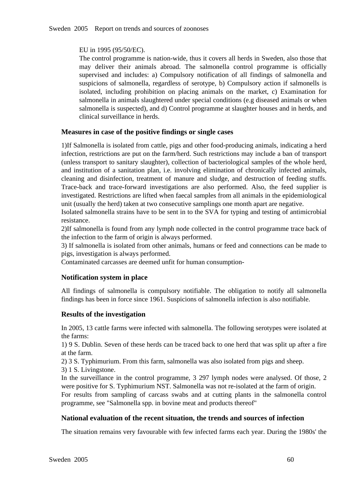### EU in 1995 (95/50/EC).

The control programme is nation-wide, thus it covers all herds in Sweden, also those that may deliver their animals abroad. The salmonella control programme is officially supervised and includes: a) Compulsory notification of all findings of salmonella and suspicions of salmonella, regardless of serotype, b) Compulsory action if salmonells is isolated, including prohibition on placing animals on the market, c) Examination for salmonella in animals slaughtered under special conditions (e.g diseased animals or when salmonella is suspected), and d) Control programme at slaughter houses and in herds, and clinical surveillance in herds.

### **Measures in case of the positive findings or single cases**

1)If Salmonella is isolated from cattle, pigs and other food-producing animals, indicating a herd infection, restrictions are put on the farm/herd. Such restrictions may include a ban of transport (unless transport to sanitary slaughter), collection of bacteriological samples of the whole herd, and institution of a sanitation plan, i.e. involving elimination of chronically infected animals, cleaning and disinfection, treatment of manure and sludge, and destruction of feeding stuffs. Trace-back and trace-forward investigations are also performed. Also, the feed supplier is investigated. Restrictions are lifted when faecal samples from all animals in the epidemiological unit (usually the herd) taken at two consecutive samplings one month apart are negative.

Isolated salmonella strains have to be sent in to the SVA for typing and testing of antimicrobial resistance.

2)If salmonella is found from any lymph node collected in the control programme trace back of the infection to the farm of origin is always performed.

3) If salmonella is isolated from other animals, humans or feed and connections can be made to pigs, investigation is always performed.

Contaminated carcasses are deemed unfit for human consumption-

### **Notification system in place**

All findings of salmonella is compulsory notifiable. The obligation to notify all salmonella findings has been in force since 1961. Suspicions of salmonella infection is also notifiable.

### **Results of the investigation**

In 2005, 13 cattle farms were infected with salmonella. The following serotypes were isolated at the farms:

1) 9 S. Dublin. Seven of these herds can be traced back to one herd that was split up after a fire at the farm.

2) 3 S. Typhimurium. From this farm, salmonella was also isolated from pigs and sheep.

3) 1 S. Livingstone.

In the surveillance in the control programme, 3 297 lymph nodes were analysed. Of those, 2 were positive for S. Typhimurium NST. Salmonella was not re-isolated at the farm of origin.

For results from sampling of carcass swabs and at cutting plants in the salmonella control programme, see "Salmonella spp. in bovine meat and products thereof"

### **National evaluation of the recent situation, the trends and sources of infection**

The situation remains very favourable with few infected farms each year. During the 1980s' the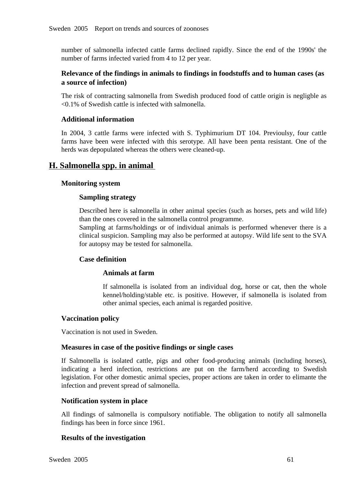number of salmonella infected cattle farms declined rapidly. Since the end of the 1990s' the number of farms infected varied from 4 to 12 per year.

### **Relevance of the findings in animals to findings in foodstuffs and to human cases (as a source of infection)**

The risk of contracting salmonella from Swedish produced food of cattle origin is negligble as <0.1% of Swedish cattle is infected with salmonella.

### **Additional information**

In 2004, 3 cattle farms were infected with S. Typhimurium DT 104. Previoulsy, four cattle farms have been were infected with this serotype. All have been penta resistant. One of the herds was depopulated whereas the others were cleaned-up.

## **H. Salmonella spp. in animal**

### **Monitoring system**

### **Sampling strategy**

Described here is salmonella in other animal species (such as horses, pets and wild life) than the ones covered in the salmonella control programme.

Sampling at farms/holdings or of individual animals is performed whenever there is a clinical suspicion. Sampling may also be performed at autopsy. Wild life sent to the SVA for autopsy may be tested for salmonella.

### **Case definition**

#### **Animals at farm**

If salmonella is isolated from an individual dog, horse or cat, then the whole kennel/holding/stable etc. is positive. However, if salmonella is isolated from other animal species, each animal is regarded positive.

### **Vaccination policy**

Vaccination is not used in Sweden.

#### **Measures in case of the positive findings or single cases**

If Salmonella is isolated cattle, pigs and other food-producing animals (including horses), indicating a herd infection, restrictions are put on the farm/herd according to Swedish legislation. For other domestic animal species, proper actions are taken in order to elimante the infection and prevent spread of salmonella.

#### **Notification system in place**

All findings of salmonella is compulsory notifiable. The obligation to notify all salmonella findings has been in force since 1961.

### **Results of the investigation**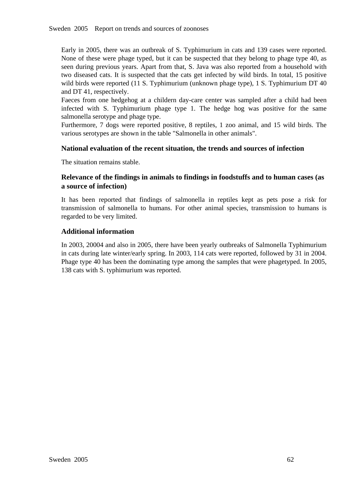Early in 2005, there was an outbreak of S. Typhimurium in cats and 139 cases were reported. None of these were phage typed, but it can be suspected that they belong to phage type 40, as seen during previous years. Apart from that, S. Java was also reported from a household with two diseased cats. It is suspected that the cats get infected by wild birds. In total, 15 positive wild birds were reported (11 S. Typhimurium (unknown phage type), 1 S. Typhimurium DT 40 and DT 41, respectively.

Faeces from one hedgehog at a childern day-care center was sampled after a child had been infected with S. Typhimurium phage type 1. The hedge hog was positive for the same salmonella serotype and phage type.

Furthermore, 7 dogs were reported positive, 8 reptiles, 1 zoo animal, and 15 wild birds. The various serotypes are shown in the table "Salmonella in other animals".

### **National evaluation of the recent situation, the trends and sources of infection**

The situation remains stable.

### **Relevance of the findings in animals to findings in foodstuffs and to human cases (as a source of infection)**

It has been reported that findings of salmonella in reptiles kept as pets pose a risk for transmission of salmonella to humans. For other animal species, transmission to humans is regarded to be very limited.

### **Additional information**

In 2003, 20004 and also in 2005, there have been yearly outbreaks of Salmonella Typhimurium in cats during late winter/early spring. In 2003, 114 cats were reported, followed by 31 in 2004. Phage type 40 has been the dominating type among the samples that were phagetyped. In 2005, 138 cats with S. typhimurium was reported.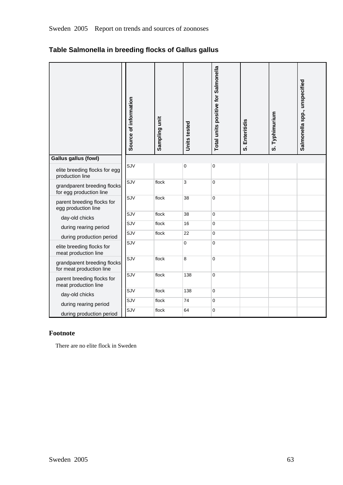| Table Salmonella in breeding flocks of Gallus gallus |  |  |
|------------------------------------------------------|--|--|
|------------------------------------------------------|--|--|

|                                                         | Source of information | Sampling unit | Units tested | Total units positive for Salmonella | S. Enteritidis | S. Typhimurium | Salmonella spp., unspecified |
|---------------------------------------------------------|-----------------------|---------------|--------------|-------------------------------------|----------------|----------------|------------------------------|
| <b>Gallus gallus (fowl)</b>                             |                       |               |              |                                     |                |                |                              |
| elite breeding flocks for egg<br>production line        | SJV                   |               | $\mathbf 0$  | 0                                   |                |                |                              |
| grandparent breeding flocks<br>for egg production line  | SJV                   | flock         | 3            | 0                                   |                |                |                              |
| parent breeding flocks for<br>egg production line       | SJV                   | flock         | 38           | 0                                   |                |                |                              |
| day-old chicks                                          | SJV                   | flock         | 38           | 0                                   |                |                |                              |
| during rearing period                                   | SJV                   | flock         | 16           | 0                                   |                |                |                              |
| during production period                                | SJV                   | flock         | 22           | 0                                   |                |                |                              |
| elite breeding flocks for<br>meat production line       | SJV                   |               | $\mathbf 0$  | 0                                   |                |                |                              |
| grandparent breeding flocks<br>for meat production line | SJV                   | flock         | 8            | 0                                   |                |                |                              |
| parent breeding flocks for<br>meat production line      | SJV                   | flock         | 138          | 0                                   |                |                |                              |
| day-old chicks                                          | SJV                   | flock         | 138          | $\mathbf{0}$                        |                |                |                              |
| during rearing period                                   | SJV                   | flock         | 74           | 0                                   |                |                |                              |
| during production period                                | SJV                   | flock         | 64           | $\mathbf{0}$                        |                |                |                              |

#### **Footnote**

There are no elite flock in Sweden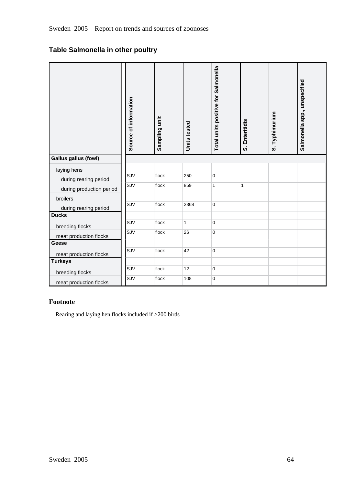# **Table Salmonella in other poultry**

|                             | Source of information | Sampling unit | Units tested | Total units positive for Salmonella | S. Enteritidis | S. Typhimurium | Salmonella spp., unspecified |
|-----------------------------|-----------------------|---------------|--------------|-------------------------------------|----------------|----------------|------------------------------|
| <b>Gallus gallus (fowl)</b> |                       |               |              |                                     |                |                |                              |
| laying hens                 |                       |               |              |                                     |                |                |                              |
| during rearing period       | SJV                   | flock         | 250          | $\mathbf 0$                         |                |                |                              |
| during production period    | SJV                   | flock         | 859          | $\mathbf{1}$                        | $\mathbf{1}$   |                |                              |
| broilers                    |                       |               |              |                                     |                |                |                              |
| during rearing period       | SJV                   | flock         | 2368         | $\overline{0}$                      |                |                |                              |
| <b>Ducks</b>                |                       |               |              |                                     |                |                |                              |
| breeding flocks             | SJV                   | flock         | $\mathbf{1}$ | $\pmb{0}$                           |                |                |                              |
| meat production flocks      | SJV                   | flock         | 26           | $\mathbf 0$                         |                |                |                              |
| Geese                       |                       |               |              |                                     |                |                |                              |
| meat production flocks      | SJV                   | flock         | 42           | 0                                   |                |                |                              |
| <b>Turkeys</b>              |                       |               |              |                                     |                |                |                              |
| breeding flocks             | SJV                   | flock         | 12           | $\mathbf 0$                         |                |                |                              |
| meat production flocks      | SJV                   | flock         | 108          | $\mathbf 0$                         |                |                |                              |

### **Footnote**

Rearing and laying hen flocks included if >200 birds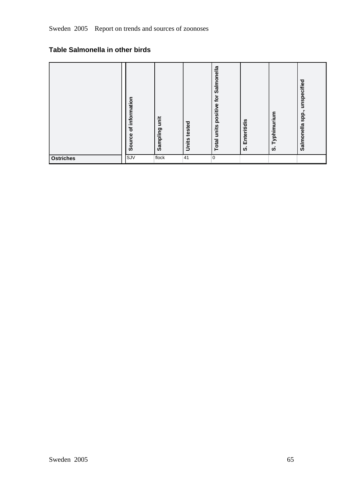# **Table Salmonella in other birds**

|                  | information<br>৳<br>Source | İ<br>Sampling | tested<br>Units | Salmonella<br><b>b</b><br>positive<br>units<br>Total | Enteritidis<br>$\blacksquare$<br>ဖာ | Typhimurium<br>ທ | unspecified<br>spp.,<br>Salmonella |
|------------------|----------------------------|---------------|-----------------|------------------------------------------------------|-------------------------------------|------------------|------------------------------------|
| <b>Ostriches</b> | SJV                        | flock         | 41              | 0                                                    |                                     |                  |                                    |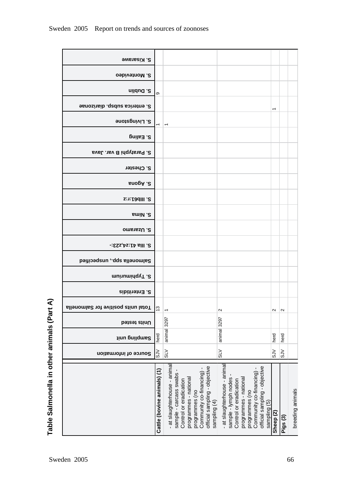| S. Kisarawe                         |                             |                                                                                                                                                                                                             |                                                                                                                                                                                                         |                          |          |                  |
|-------------------------------------|-----------------------------|-------------------------------------------------------------------------------------------------------------------------------------------------------------------------------------------------------------|---------------------------------------------------------------------------------------------------------------------------------------------------------------------------------------------------------|--------------------------|----------|------------------|
| <b>S. Montevideo</b>                |                             |                                                                                                                                                                                                             |                                                                                                                                                                                                         |                          |          |                  |
| aildud .2                           | ၜ                           |                                                                                                                                                                                                             |                                                                                                                                                                                                         |                          |          |                  |
| S. enterica subsp. diarizonae       |                             |                                                                                                                                                                                                             |                                                                                                                                                                                                         |                          |          |                  |
| S. Livingstone                      |                             |                                                                                                                                                                                                             |                                                                                                                                                                                                         | $\overline{\phantom{0}}$ |          |                  |
|                                     | $\overline{\phantom{0}}$    | $\overline{\phantom{0}}$                                                                                                                                                                                    |                                                                                                                                                                                                         |                          |          |                  |
| S. Ealing                           |                             |                                                                                                                                                                                                             |                                                                                                                                                                                                         |                          |          |                  |
| S. Paratyphi B var. Java            |                             |                                                                                                                                                                                                             |                                                                                                                                                                                                         |                          |          |                  |
| S. Chester                          |                             |                                                                                                                                                                                                             |                                                                                                                                                                                                         |                          |          |                  |
| s. Agona                            |                             |                                                                                                                                                                                                             |                                                                                                                                                                                                         |                          |          |                  |
| S. 11b61:r:z                        |                             |                                                                                                                                                                                                             |                                                                                                                                                                                                         |                          |          |                  |
| S. Nima                             |                             |                                                                                                                                                                                                             |                                                                                                                                                                                                         |                          |          |                  |
| S. Uzaramo                          |                             |                                                                                                                                                                                                             |                                                                                                                                                                                                         |                          |          |                  |
| S. Illa 41:z4,z23:-                 |                             |                                                                                                                                                                                                             |                                                                                                                                                                                                         |                          |          |                  |
| Salmonella spp., unspecified        |                             |                                                                                                                                                                                                             |                                                                                                                                                                                                         |                          |          |                  |
| S. Typhimurium                      |                             |                                                                                                                                                                                                             |                                                                                                                                                                                                         |                          |          |                  |
| S. Enteritidis                      |                             |                                                                                                                                                                                                             |                                                                                                                                                                                                         |                          |          |                  |
| Total units positive for Salmonella | $\frac{3}{2}$               | $\overline{ }$                                                                                                                                                                                              | $\mathbf{\Omega}$                                                                                                                                                                                       | $\sim$                   | $\sim$   |                  |
| <b>Dested</b> stinU                 |                             |                                                                                                                                                                                                             |                                                                                                                                                                                                         |                          |          |                  |
| <b>Jinu prilqms2</b>                | herd                        | animal 3297                                                                                                                                                                                                 | animal 3297                                                                                                                                                                                             | herd                     | herd     |                  |
| Source of information               | $\gtrsim$                   | $\geq$                                                                                                                                                                                                      | $\geq$                                                                                                                                                                                                  | $\gtrsim$                | 5N       |                  |
|                                     |                             |                                                                                                                                                                                                             |                                                                                                                                                                                                         |                          |          |                  |
|                                     | Cattle (bovine animals) (1) | - at slaughterhouse - animal<br>official sampling - objective<br>Community co-financing) -<br>sample - carcass swabs -<br>programmes - national<br>Control or eradication<br>programmes (no<br>sampling (4) | - at slaughterhouse - animal<br>official sampling - objective<br>Community co-financing) -<br>sample - lymph nodes<br>programmes - national<br>Control or eradication<br>programmes (no<br>sampling (5) |                          |          | breeding animals |
|                                     |                             |                                                                                                                                                                                                             |                                                                                                                                                                                                         | Sheep <sub>(2)</sub>     | Pigs (3) |                  |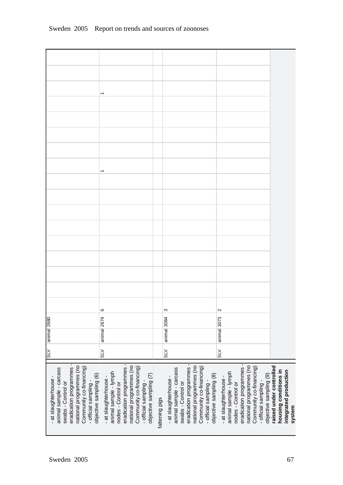|                                                                                                           | $\overline{\phantom{0}}$                                                                                                |                |                                                                                                           |                                                                                                                       |                                                                           |
|-----------------------------------------------------------------------------------------------------------|-------------------------------------------------------------------------------------------------------------------------|----------------|-----------------------------------------------------------------------------------------------------------|-----------------------------------------------------------------------------------------------------------------------|---------------------------------------------------------------------------|
|                                                                                                           |                                                                                                                         |                |                                                                                                           |                                                                                                                       |                                                                           |
|                                                                                                           |                                                                                                                         |                |                                                                                                           |                                                                                                                       |                                                                           |
|                                                                                                           |                                                                                                                         |                |                                                                                                           |                                                                                                                       |                                                                           |
|                                                                                                           |                                                                                                                         |                |                                                                                                           |                                                                                                                       |                                                                           |
|                                                                                                           |                                                                                                                         |                |                                                                                                           |                                                                                                                       |                                                                           |
|                                                                                                           |                                                                                                                         |                |                                                                                                           |                                                                                                                       |                                                                           |
|                                                                                                           |                                                                                                                         |                |                                                                                                           |                                                                                                                       |                                                                           |
|                                                                                                           |                                                                                                                         |                |                                                                                                           |                                                                                                                       |                                                                           |
|                                                                                                           |                                                                                                                         |                |                                                                                                           |                                                                                                                       |                                                                           |
|                                                                                                           |                                                                                                                         |                |                                                                                                           |                                                                                                                       |                                                                           |
|                                                                                                           | ဖ                                                                                                                       |                | S                                                                                                         | $\sim$                                                                                                                |                                                                           |
|                                                                                                           |                                                                                                                         |                |                                                                                                           |                                                                                                                       |                                                                           |
| animal 2680                                                                                               | animal 2674                                                                                                             |                | animal 3084                                                                                               | animal 3073                                                                                                           |                                                                           |
|                                                                                                           |                                                                                                                         |                |                                                                                                           |                                                                                                                       |                                                                           |
| $\overline{\text{S}}$                                                                                     | $\geq$                                                                                                                  |                | $\geq$                                                                                                    | $\frac{1}{2}$                                                                                                         |                                                                           |
|                                                                                                           |                                                                                                                         |                |                                                                                                           |                                                                                                                       |                                                                           |
| eradication programmes -<br>national programmes (no<br>Community co-financing)<br>animal sample - carcass | eradication programmes -<br>national programmes (no<br>Community co-financing)                                          |                | eradication programmes -<br>national programmes (no<br>Community co-financing)<br>animal sample - carcass | eradication programmes -<br>national programmes (no<br>Community co-financing)                                        | raised under controlled<br>housing conditions in<br>integrated production |
|                                                                                                           |                                                                                                                         |                |                                                                                                           |                                                                                                                       |                                                                           |
|                                                                                                           |                                                                                                                         |                |                                                                                                           |                                                                                                                       |                                                                           |
| objective sampling (6)<br>- at slaughterhouse -<br>- official sampling -<br>swabs - Control or            | animal sample - lymph<br>objective sampling (7)<br>- at slaughterhouse -<br>- official sampling -<br>nodes - Control or |                | objective sampling (8)<br>- at slaughterhouse -<br>- official sampling -<br>swabs - Control or            | animal sample - lymph<br>objective sampling (9)<br>- at slaughterhouse<br>- official sampling -<br>nodes - Control or | system                                                                    |
|                                                                                                           |                                                                                                                         | fattening pigs |                                                                                                           |                                                                                                                       |                                                                           |
|                                                                                                           |                                                                                                                         |                |                                                                                                           |                                                                                                                       |                                                                           |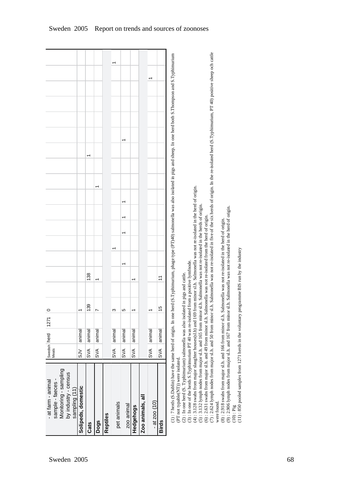| Monitoring - sampling<br>sample - faeces -<br>- at farm - animal                                                                                                                                                                         | Meats         | Swedish herd | $\circ$<br>1271 |                |                         |  |  |  |  |  |  |  |
|------------------------------------------------------------------------------------------------------------------------------------------------------------------------------------------------------------------------------------------|---------------|--------------|-----------------|----------------|-------------------------|--|--|--|--|--|--|--|
| by industry - census<br>sampling (11)                                                                                                                                                                                                    |               |              |                 |                |                         |  |  |  |  |  |  |  |
| Solipeds, domestic                                                                                                                                                                                                                       | $\frac{1}{3}$ | animal       |                 |                |                         |  |  |  |  |  |  |  |
| <b>Cats</b>                                                                                                                                                                                                                              | $rac{8}{5}$   | animal       |                 | 139            | 138                     |  |  |  |  |  |  |  |
| Dogs                                                                                                                                                                                                                                     | SVA           | animal       | r               |                |                         |  |  |  |  |  |  |  |
| Reptiles                                                                                                                                                                                                                                 |               |              |                 |                |                         |  |  |  |  |  |  |  |
| pet animals                                                                                                                                                                                                                              | SVA           | animal       | ო               |                |                         |  |  |  |  |  |  |  |
| zoo animal                                                                                                                                                                                                                               | s∨A           | animal       | 5               |                |                         |  |  |  |  |  |  |  |
| Hedgehogs                                                                                                                                                                                                                                | SVA           | animal       | $\overline{ }$  |                |                         |  |  |  |  |  |  |  |
| Zoo animals, all                                                                                                                                                                                                                         |               |              |                 |                |                         |  |  |  |  |  |  |  |
| $-$ at zoo $(10)$                                                                                                                                                                                                                        | SVA           | animal       |                 |                |                         |  |  |  |  |  |  |  |
| <b>Birds</b>                                                                                                                                                                                                                             | S∨A           | animal       |                 | $\frac{10}{2}$ | $\overline{\mathbf{r}}$ |  |  |  |  |  |  |  |
| (1):7 herds (S.Dublin) have the same herd of origin. In one herd (S.Typhimurium, phage type (PT)40) salmonella was also isolated in pigs and sheep. In one herd both S.Thompson and S.Typhimurium<br>(PT not typable(NT)) were isolated. |               |              |                 |                |                         |  |  |  |  |  |  |  |
| (2) : In one herd (S. Typhimurium) salmonella was also isolated in pigs and cattle.                                                                                                                                                      |               |              |                 |                |                         |  |  |  |  |  |  |  |
| $(4)$ · 3.128 swabs from major slaughter bouses(s) b) and 169 from minor sl b. Salmonella was not re-isolated in the herd of origin<br>(3) : In one of the herds S.Typhimurium PT 40 was re-isolated from a positive lymfnode.           |               |              |                 |                |                         |  |  |  |  |  |  |  |

(4) : 3.128 swabs from major slaughter houses(sl.h) and 169 from minor sl.h. Salmonella was not re-isolated in the herd of origin.

(5) : 3.132 lymph nodes from major sl.h. and 165 from minor sl.h. Salmonella was not re-isolated in the herds of origin.

(6) : 2.631 swabs from major sl.h. and 49 from minor sl.h. Salmonella was not re-isolated from the herd of origin.

(0) : 2.021 swaos nout major state and 50 from minor sl.h. Salmonella was not re-isolated in five of the six herds of origin. In the re-isolated herd (S.Typhimurium, PT 40) positive sheep och cattle<br>(7) : 2.624 lymph nodes were found. (4) : 3.128 swabs from magner anouses starp and 107 unum man, a summature and the state of origin.<br>
(6) : 3.128 swabs from magner anouses starp and 100 unum man and re-isolated from the herd of origin.<br>
(6) : 2.631 swabs f

(8) : 2.918 swabs from major sl.h. and 166 from minor sl.h. Salmonella was not re-isolated in the herd of origin.

(9) : 2.906 lymph nodes from major sl.h. and 167 from minor sl.h. Salmonella was not re-isolated in the herd of origin.

(11) : 850 pooled samples from 1271 herds in the voluntary programme BIS run by the industry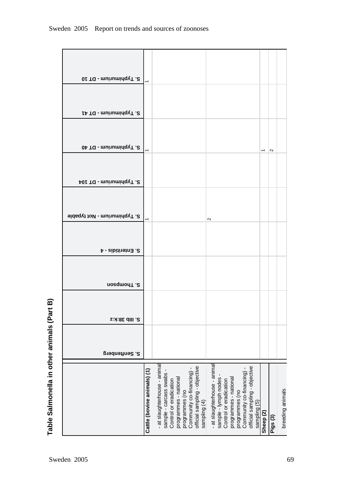| Table Salmonella in other animals (Part B                                                                                                                                                                   |                |                       |             |                    |                                |                         |                          |                        |                          |
|-------------------------------------------------------------------------------------------------------------------------------------------------------------------------------------------------------------|----------------|-----------------------|-------------|--------------------|--------------------------------|-------------------------|--------------------------|------------------------|--------------------------|
|                                                                                                                                                                                                             | S. Senftenberg | <b>S. IIIb 38:k:z</b> | S. Thosphan | S. Enteritidis - 4 | 9ldsqyt to M - muituming vT .2 | 401 TG - muinumidqyT .2 | 04 TG - muinumidqyT .2   | 14 TG - muinumidqyT .2 | 01 TG - muinumidqyT .2   |
| Cattle (bovine animals) (1)                                                                                                                                                                                 |                |                       |             |                    | $\overline{\phantom{0}}$       |                         | $\overline{\phantom{0}}$ |                        | $\overline{\phantom{0}}$ |
| - at slaughterhouse - animal<br>official sampling - objective<br>Community co-financing) -<br>sample - carcass swabs -<br>programmes - national<br>Control or eradication<br>programmes (no<br>sampling (4) |                |                       |             |                    |                                |                         |                          |                        |                          |
| - at slaughterhouse - animal<br>official sampling - objective<br>Community co-financing) -<br>sample - lymph nodes<br>programmes - national<br>Control or eradication<br>programmes (no<br>sampling (5)     |                |                       |             |                    | $\sim$                         |                         |                          |                        |                          |
| Sheep <sub>(2)</sub>                                                                                                                                                                                        |                |                       |             |                    |                                |                         | $\overline{\phantom{0}}$ |                        |                          |
| Pigs (3)                                                                                                                                                                                                    |                |                       |             |                    |                                |                         | $\boldsymbol{\sim}$      |                        |                          |
| breeding animals                                                                                                                                                                                            |                |                       |             |                    |                                |                         |                          |                        |                          |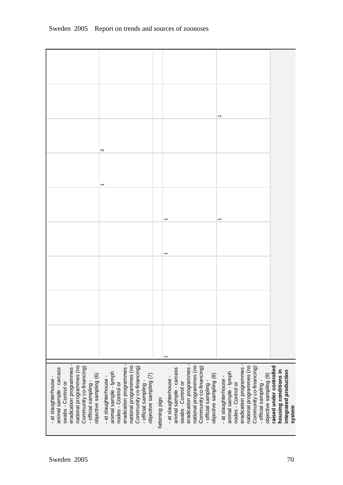|                                                                                                                                                                                                             | S                                                                                                                                                                                                         |                |                                                                                                                                                                                                             |                                                                                                                                                                                                           |                                                                                     |
|-------------------------------------------------------------------------------------------------------------------------------------------------------------------------------------------------------------|-----------------------------------------------------------------------------------------------------------------------------------------------------------------------------------------------------------|----------------|-------------------------------------------------------------------------------------------------------------------------------------------------------------------------------------------------------------|-----------------------------------------------------------------------------------------------------------------------------------------------------------------------------------------------------------|-------------------------------------------------------------------------------------|
|                                                                                                                                                                                                             |                                                                                                                                                                                                           |                |                                                                                                                                                                                                             |                                                                                                                                                                                                           |                                                                                     |
|                                                                                                                                                                                                             |                                                                                                                                                                                                           |                | $\overline{ }$                                                                                                                                                                                              |                                                                                                                                                                                                           |                                                                                     |
|                                                                                                                                                                                                             |                                                                                                                                                                                                           |                | $\overline{\phantom{0}}$                                                                                                                                                                                    |                                                                                                                                                                                                           |                                                                                     |
|                                                                                                                                                                                                             |                                                                                                                                                                                                           |                |                                                                                                                                                                                                             |                                                                                                                                                                                                           |                                                                                     |
|                                                                                                                                                                                                             |                                                                                                                                                                                                           |                |                                                                                                                                                                                                             |                                                                                                                                                                                                           |                                                                                     |
|                                                                                                                                                                                                             |                                                                                                                                                                                                           |                |                                                                                                                                                                                                             |                                                                                                                                                                                                           |                                                                                     |
| eradication programmes -<br>national programmes (no<br>Community co-financing)<br>animal sample - carcass<br>objective sampling (6)<br>- at slaughterhouse -<br>- official sampling -<br>swabs - Control or | eradication programmes -<br>national programmes (no<br>Community co-financing)<br>animal sample - lymph<br>objective sampling (7)<br>- at slaughterhouse -<br>- official sampling -<br>nodes - Control or | fattening pigs | eradication programmes -<br>national programmes (no<br>Community co-financing)<br>animal sample - carcass<br>objective sampling (8)<br>- at slaughterhouse -<br>- official sampling -<br>swabs - Control or | eradication programmes -<br>national programmes (no<br>Community co-financing)<br>animal sample - lymph<br>objective sampling (9)<br>- at slaughterhouse -<br>- official sampling -<br>nodes - Control or | raised under controlled<br>housing conditions in<br>integrated production<br>system |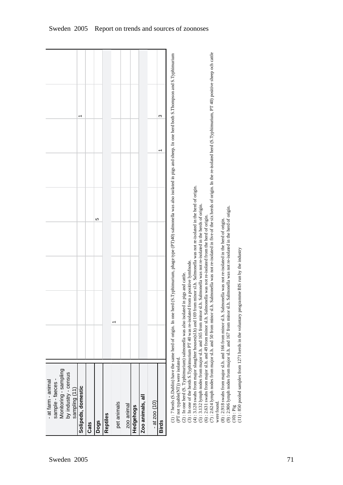| Monitoring - sampling<br>by industry - census<br>sample - faeces -<br>- at farm - animal<br>sampling (11) |                                                                                                                                                                                                                                                                                                                                                                                                                                                                                                                              |  |
|-----------------------------------------------------------------------------------------------------------|------------------------------------------------------------------------------------------------------------------------------------------------------------------------------------------------------------------------------------------------------------------------------------------------------------------------------------------------------------------------------------------------------------------------------------------------------------------------------------------------------------------------------|--|
| Solipeds, domestic                                                                                        |                                                                                                                                                                                                                                                                                                                                                                                                                                                                                                                              |  |
| Cats                                                                                                      |                                                                                                                                                                                                                                                                                                                                                                                                                                                                                                                              |  |
| <b>Dogs</b>                                                                                               | 5                                                                                                                                                                                                                                                                                                                                                                                                                                                                                                                            |  |
| Reptiles                                                                                                  |                                                                                                                                                                                                                                                                                                                                                                                                                                                                                                                              |  |
| pet animals                                                                                               |                                                                                                                                                                                                                                                                                                                                                                                                                                                                                                                              |  |
| zoo animal                                                                                                |                                                                                                                                                                                                                                                                                                                                                                                                                                                                                                                              |  |
| Hedgehogs                                                                                                 |                                                                                                                                                                                                                                                                                                                                                                                                                                                                                                                              |  |
| Zoo animals, all                                                                                          |                                                                                                                                                                                                                                                                                                                                                                                                                                                                                                                              |  |
| $-$ at zoo $(10)$                                                                                         |                                                                                                                                                                                                                                                                                                                                                                                                                                                                                                                              |  |
| <b>Birds</b>                                                                                              | ო                                                                                                                                                                                                                                                                                                                                                                                                                                                                                                                            |  |
| (PT not typable(NT)) were isolated.                                                                       | (1): 7 herds (S.Dublin) have the same herd of origin. In one herd (S.Typhimurium, phage type (PT)40) salmonella was also isolated in pigs and sheep. In one herd both S.Thompson and S.Typhimurium<br>$(4)$ : 3.128 swabs from major slaughter houses(sl.h) and 169 from minor sl.h. Salmonella was not re-isolated in the herd of origin.<br>(3) : In one of the herds S.Typhimurium PT 40 was re-isolated from a positive lymfnode.<br>(2) : In one herd (S. Typhimurium) salmonella was also isolated in pigs and cattle. |  |

(5) : 3.132 lymph nodes from major sl.h. and 165 from minor sl.h. Salmonella was not re-isolated in the herds of origin.

(6) : 2.631 swabs from major sl.h. and 49 from minor sl.h. Salmonella was not re-isolated from the herd of origin.

(0) : 2.021 swaos nout major state and 50 from minor sl.h. Salmonella was not re-isolated in five of the six herds of origin. In the re-isolated herd (S.Typhimurium, PT 40) positive sheep och cattle<br>(7) : 2.624 lymph nodes were found. (4) : 3.128 swabs uou niquy statguar novasts.in) and 107 uum van, and statemative resolute the statemative of the statemative of the statemative of the statemative of the statemative of the statemative of the statemative o

(8) : 2.918 swabs from major sl.h. and 166 from minor sl.h. Salmonella was not re-isolated in the herd of origin.

(9) : 2.906 lymph nodes from major sl.h. and 167 from minor sl.h. Salmonella was not re-isolated in the herd of origin.

(11) : 850 pooled samples from 1271 herds in the voluntary programme BIS run by the industry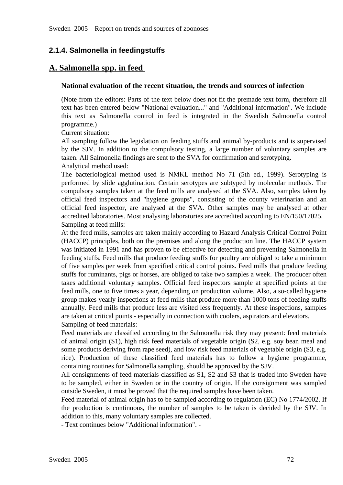# **2.1.4. Salmonella in feedingstuffs**

# **A. Salmonella spp. in feed**

#### **National evaluation of the recent situation, the trends and sources of infection**

(Note from the editors: Parts of the text below does not fit the premade text form, therefore all text has been entered below "National evaluation..." and "Additional information". We include this text as Salmonella control in feed is integrated in the Swedish Salmonella control programme.)

Current situation:

All sampling follow the legislation on feeding stuffs and animal by-products and is supervised by the SJV. In addition to the compulsory testing, a large number of voluntary samples are taken. All Salmonella findings are sent to the SVA for confirmation and serotyping.

Analytical method used:

The bacteriological method used is NMKL method No 71 (5th ed., 1999). Serotyping is performed by slide agglutination. Certain serotypes are subtyped by molecular methods. The compulsory samples taken at the feed mills are analysed at the SVA. Also, samples taken by official feed inspectors and "hygiene groups", consisting of the county veterinarian and an official feed inspector, are analysed at the SVA. Other samples may be analysed at other accredited laboratories. Most analysing laboratories are accredited according to EN/150/17025. Sampling at feed mills:

At the feed mills, samples are taken mainly according to Hazard Analysis Critical Control Point (HACCP) principles, both on the premises and along the production line. The HACCP system was initiated in 1991 and has proven to be effective for detecting and preventing Salmonella in feeding stuffs. Feed mills that produce feeding stuffs for poultry are obliged to take a minimum of five samples per week from specified critical control points. Feed mills that produce feeding stuffs for ruminants, pigs or horses, are obliged to take two samples a week. The producer often takes additional voluntary samples. Official feed inspectors sample at specified points at the feed mills, one to five times a year, depending on production volume. Also, a so-called hygiene group makes yearly inspections at feed mills that produce more than 1000 tons of feeding stuffs annually. Feed mills that produce less are visited less frequently. At these inspections, samples are taken at critical points - especially in connection with coolers, aspirators and elevators. Sampling of feed materials:

Feed materials are classified according to the Salmonella risk they may present: feed materials of animal origin (S1), high risk feed materials of vegetable origin (S2, e.g. soy bean meal and some products deriving from rape seed), and low risk feed materials of vegetable origin (S3, e.g. rice). Production of these classified feed materials has to follow a hygiene programme, containing routines for Salmonella sampling, should be approved by the SJV.

All consignments of feed materials classified as S1, S2 and S3 that is traded into Sweden have to be sampled, either in Sweden or in the country of origin. If the consignment was sampled outside Sweden, it must be proved that the required samples have been taken.

Feed material of animal origin has to be sampled according to regulation (EC) No 1774/2002. If the production is continuous, the number of samples to be taken is decided by the SJV. In addition to this, many voluntary samples are collected.

- Text continues below "Additional information". -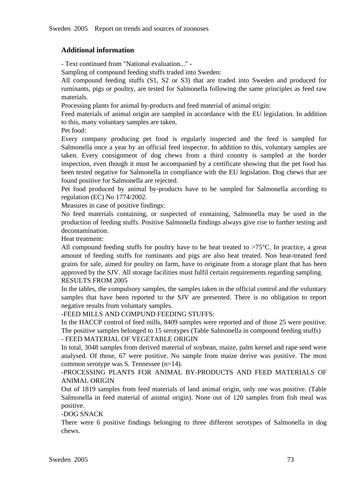### **Additional information**

- Text continued from "National evaluation..." -

Sampling of compound feeding stuffs traded into Sweden:

All compound feeding stuffs (S1, S2 or S3) that are traded into Sweden and produced for ruminants, pigs or poultry, are tested for Salmonella following the same principles as feed raw materials.

Processing plants for animal by-products and feed material of animal origin:

Feed materials of animal origin are sampled in accordance with the EU legislation. In addition to this, many voluntary samples are taken.

Pet food:

Every company producing pet food is regularly inspected and the feed is sampled for Salmonella once a year by an official feed inspector. In addition to this, voluntary samples are taken. Every consignment of dog chews from a third country is sampled at the border inspection, even though it must be accompanied by a certificate showing that the pet food has been tested negative for Salmonella in compliance with the EU legislation. Dog chews that are found positive for Salmonella are rejected.

Pet food produced by animal by-products have to be sampled for Salmonella according to regulation (EC) No 1774/2002.

Measures in case of positive findings:

No feed materials containing, or suspected of containing, Salmonella may be used in the production of feeding stuffs. Positive Salmonella findings always give rise to further testing and decontamination.

Heat treatment:

All compound feeding stuffs for poultry have to be heat treated to  $>75^{\circ}$ C. In practice, a great amount of feeding stuffs for ruminants and pigs are also heat treated. Non heat-treated feed grains for sale, aimed for poultry on farm, have to originate from a storage plant that has been approved by the SJV. All storage facilities must fulfil certain requirements regarding sampling. RESULTS FROM 2005

In the tables, the compulsory samples, the samples taken in the official control and the voluntary samples that have been reported to the SJV are presented. There is no obligation to report negative results from voluntary samples.

#### -FEED MILLS AND COMPUND FEEDING STUFFS:

In the HACCP control of feed mills, 8409 samples were reported and of those 25 were positive. The positive samples belonged to 15 serotypes (Table Salmonella in compound feeding stuffs)

#### - FEED MATERIAL OF VEGETABLE ORIGIN

In total, 3048 samples from derived material of soybean, maize, palm kernel and rape seed were analysed. Of those, 67 were positive. No sample from maize derive was positive. The most common serotype was S. Tennessee (n=14).

-PROCESSING PLANTS FOR ANIMAL BY-PRODUCTS AND FEED MATERIALS OF ANIMAL ORIGIN

Out of 1819 samples from feed materials of land animal origin, only one was positive. (Table Salmonella in feed material of animal origin). None out of 120 samples from fish meal was positive.

-DOG SNACK

There were 6 positive findings belonging to three different serotypes of Salmonella in dog chews.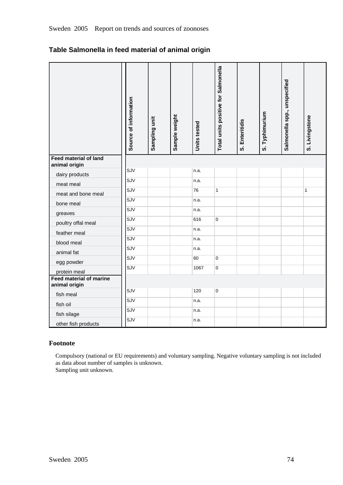| Table Salmonella in feed material of animal origin |  |  |  |  |  |  |
|----------------------------------------------------|--|--|--|--|--|--|
|----------------------------------------------------|--|--|--|--|--|--|

|                                                 | Source of information | Sampling unit | Sample weight | Units tested | Total units positive for Salmonella | S. Enteritidis | S. Typhimurium | Salmonella spp., unspecified | S. Livingstone |
|-------------------------------------------------|-----------------------|---------------|---------------|--------------|-------------------------------------|----------------|----------------|------------------------------|----------------|
| <b>Feed material of land</b><br>animal origin   |                       |               |               |              |                                     |                |                |                              |                |
| dairy products                                  | SJV                   |               |               | n.a.         |                                     |                |                |                              |                |
| meat meal                                       | SJV                   |               |               | n.a.         |                                     |                |                |                              |                |
| meat and bone meal                              | SJV                   |               |               | 76           | $\mathbf{1}$                        |                |                |                              | $\mathbf{1}$   |
| bone meal                                       | SJV                   |               |               | n.a.         |                                     |                |                |                              |                |
| greaves                                         | SJV                   |               |               | n.a.         |                                     |                |                |                              |                |
| poultry offal meal                              | SJV                   |               |               | 616          | $\overline{0}$                      |                |                |                              |                |
| feather meal                                    | SJV                   |               |               | n.a.         |                                     |                |                |                              |                |
| blood meal                                      | SJV                   |               |               | n.a.         |                                     |                |                |                              |                |
| animal fat                                      | SJV                   |               |               | n.a.         |                                     |                |                |                              |                |
| egg powder                                      | SJV                   |               |               | 60           | $\mathbf 0$                         |                |                |                              |                |
| protein meal                                    | SJV                   |               |               | 1067         | $\pmb{0}$                           |                |                |                              |                |
| <b>Feed material of marine</b><br>animal origin |                       |               |               |              |                                     |                |                |                              |                |
| fish meal                                       | SJV                   |               |               | 120          | $\overline{\mathbf{0}}$             |                |                |                              |                |
| fish oil                                        | SJV                   |               |               | n.a.         |                                     |                |                |                              |                |
| fish silage                                     | SJV                   |               |               | n.a.         |                                     |                |                |                              |                |
| other fish products                             | SJV                   |               |               | n.a.         |                                     |                |                |                              |                |

Compulsory (national or EU requirements) and voluntary sampling. Negative voluntary sampling is not included as data about number of samples is unknown.

Sampling unit unknown.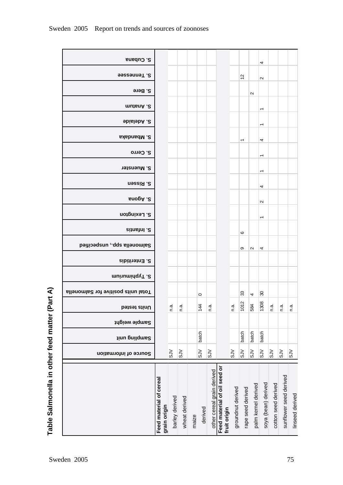|                                            | Feed material of cereal<br>grain origin | barley derived | wheat derived | maize | derived        | other cereal grain derived | Feed material of oil seed or<br>fruit origin | groundnut derived | rape seed derived          | palm kernel derived | soya (bean) derived      | cotton seed derived | sunflower seed derived | linseed derived |
|--------------------------------------------|-----------------------------------------|----------------|---------------|-------|----------------|----------------------------|----------------------------------------------|-------------------|----------------------------|---------------------|--------------------------|---------------------|------------------------|-----------------|
| Source of information                      |                                         | $\gtrsim$      | 5N            |       | 5N             | 5N                         |                                              | $\gtrsim$         | 5N                         | $\leqslant$         | 5N                       | 5N                  | 5J                     | 5 <sup>2</sup>  |
| <b>Jinu prilqms2</b>                       |                                         |                |               |       | batch          |                            |                                              |                   | batch                      | batch               | batch                    |                     |                        |                 |
| Sample weight                              |                                         |                |               |       |                |                            |                                              |                   |                            |                     |                          |                     |                        |                 |
| Units tested                               |                                         | n.a            | n.a           |       | $\frac{44}{3}$ | n.a                        |                                              | n.a               | $\sim$<br>$\overline{101}$ | 584                 | ஜ<br>130                 | n.a                 | n.a                    | n.ª             |
| sllenomis& not evitized stinu lstoT        |                                         |                |               |       | $\circ$        |                            |                                              |                   | 33                         | 4                   | 80                       |                     |                        |                 |
| munumidqyT.2                               |                                         |                |               |       |                |                            |                                              |                   |                            |                     |                          |                     |                        |                 |
| S. Enteritidis                             |                                         |                |               |       |                |                            |                                              |                   | တ                          | $\boldsymbol{\sim}$ | 4                        |                     |                        |                 |
| Sitnstnl.2<br>Salmonella spp., unspecified |                                         |                |               |       |                |                            |                                              |                   | ဖ                          |                     |                          |                     |                        |                 |
| S. Lexington                               |                                         |                |               |       |                |                            |                                              |                   |                            |                     | $\overline{\phantom{0}}$ |                     |                        |                 |
| s. Agona                                   |                                         |                |               |       |                |                            |                                              |                   |                            |                     | $\sim$                   |                     |                        |                 |
| S. Rissen                                  |                                         |                |               |       |                |                            |                                              |                   |                            |                     | 4                        |                     |                        |                 |
| <b>S. Muenster</b>                         |                                         |                |               |       |                |                            |                                              |                   |                            |                     | $\overline{\phantom{0}}$ |                     |                        |                 |
| S. Cerro                                   |                                         |                |               |       |                |                            |                                              |                   |                            |                     | $\overline{\phantom{0}}$ |                     |                        |                 |
| S. Mbandaka                                |                                         |                |               |       |                |                            |                                              |                   | $\overline{\phantom{0}}$   |                     | 4                        |                     |                        |                 |
| 9bislebA.2                                 |                                         |                |               |       |                |                            |                                              |                   |                            |                     | $\overline{\phantom{0}}$ |                     |                        |                 |
| S. Anation                                 |                                         |                |               |       |                |                            |                                              |                   |                            |                     | $\overline{\phantom{0}}$ |                     |                        |                 |
| S. Bere                                    |                                         |                |               |       |                |                            |                                              |                   |                            | $\sim$              | $\sim$                   |                     |                        |                 |
| S. Tennessee                               |                                         |                |               |       |                |                            |                                              |                   | $\frac{1}{2}$              |                     | 4                        |                     |                        |                 |
| S. Cubana                                  |                                         |                |               |       |                |                            |                                              |                   |                            |                     |                          |                     |                        |                 |

Sweden 2005 Report on trends and sources of zoonoses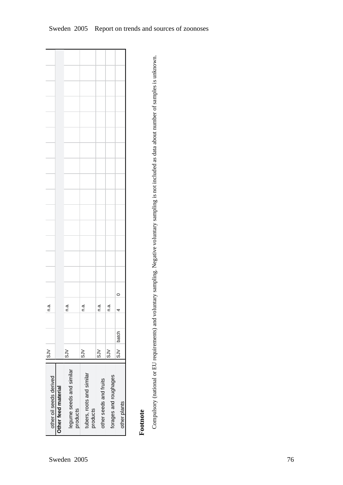Compulsory (national or EU requirements) and voluntary sampling. Negative voluntary sampling is not included as data about number of samples is unknown. Compulsory (national or EU requirements) and voluntary sampling. Negative voluntary sampling is not included as data about number of samples is unknown.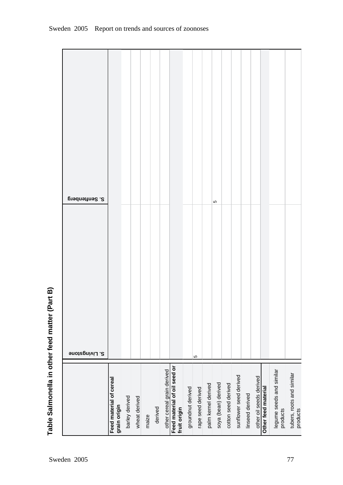| 0<br>r<br>:<br>ſ                         |
|------------------------------------------|
|                                          |
| ì<br>ĭ<br>í                              |
| $\overline{\mathbf{S}}$<br>$\frac{1}{3}$ |
| j                                        |
|                                          |

|                | Feed material of cereal<br>grain origin | barley derived | wheat derived | maize | derived | other cereal grain derived | Feed material of oil seed or<br>fruit origin | groundnut derived | rape seed derived | palm kernel derived | soya (bean) derived | cotton seed derived | sunflower seed derived | linseed derived | other oil seeds derived | Other feed material | legume seeds and similar<br>products | tubers, roots and similar<br>products |
|----------------|-----------------------------------------|----------------|---------------|-------|---------|----------------------------|----------------------------------------------|-------------------|-------------------|---------------------|---------------------|---------------------|------------------------|-----------------|-------------------------|---------------------|--------------------------------------|---------------------------------------|
| S. Livingstone |                                         |                |               |       |         |                            |                                              |                   | Ю                 |                     | Ю                   |                     |                        |                 |                         |                     |                                      |                                       |
| S. Senftenberg |                                         |                |               |       |         |                            |                                              |                   |                   |                     |                     |                     |                        |                 |                         |                     |                                      |                                       |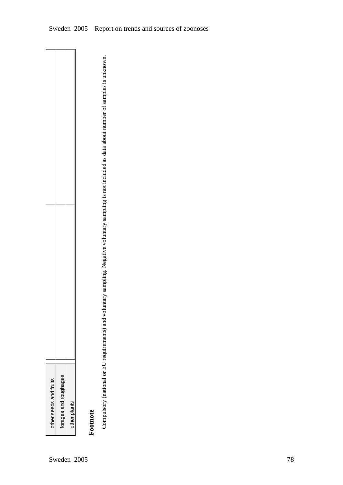| forages and roughages<br>other seeds and fruits<br>other plants |  |
|-----------------------------------------------------------------|--|
|                                                                 |  |

Compulsory (national or EU requirements) and voluntary sampling. Negative voluntary sampling is not included as data about number of samples is unknown. Compulsory (national or EU requirements) and voluntary sampling. Negative voluntary sampling is not included as data about number of samples is unknown.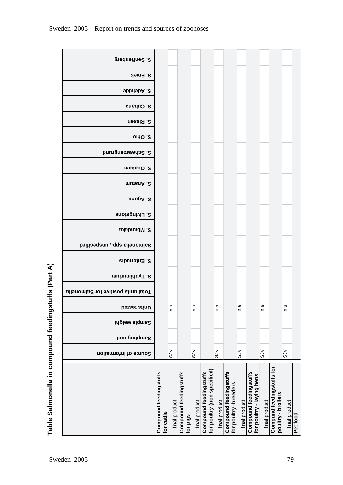|                                     | Compound feedingstuffs<br>for cattle | final product | Compound feedingstuffs<br>for pigs | final product | for poultry (non specified)<br>Compound feedingstuffs | final product | Compound feedingstuffs<br>for poultry -breeders | final product | Compound feedingstuffs<br>for poultry - laying hens | final product | Compund feedingstuffs for<br>poultry - broilers | final product | Pet food |
|-------------------------------------|--------------------------------------|---------------|------------------------------------|---------------|-------------------------------------------------------|---------------|-------------------------------------------------|---------------|-----------------------------------------------------|---------------|-------------------------------------------------|---------------|----------|
| Source of information               |                                      | 5N            |                                    | $\leqslant$   |                                                       | $\gtrsim$     |                                                 | $\leqslant$   |                                                     | $\leqslant$   |                                                 | $\gtrsim$     |          |
| <b>Jinu prilqms2</b>                |                                      |               |                                    |               |                                                       |               |                                                 |               |                                                     |               |                                                 |               |          |
| Sample weight                       |                                      |               |                                    |               |                                                       |               |                                                 |               |                                                     |               |                                                 |               |          |
| bə <del>i</del> zəi aiinU           |                                      | n.a           |                                    | n.a           |                                                       | n.a           |                                                 | n.a           |                                                     | n.a           |                                                 | n a           |          |
| sllenomis& not evitized stinu lstoT |                                      |               |                                    |               |                                                       |               |                                                 |               |                                                     |               |                                                 |               |          |
| munuminqyT.2                        |                                      |               |                                    |               |                                                       |               |                                                 |               |                                                     |               |                                                 |               |          |
| S. Enteritidis                      |                                      |               |                                    |               |                                                       |               |                                                 |               |                                                     |               |                                                 |               |          |
| Salmonella spp., unspecified        |                                      |               |                                    |               |                                                       |               |                                                 |               |                                                     |               |                                                 |               |          |
| S. Livingstone<br>S. Mbandaka       |                                      |               |                                    |               |                                                       |               |                                                 |               |                                                     |               |                                                 |               |          |
| s. Agona                            |                                      |               |                                    |               |                                                       |               |                                                 |               |                                                     |               |                                                 |               |          |
| S. Anation                          |                                      |               |                                    |               |                                                       |               |                                                 |               |                                                     |               |                                                 |               |          |
| S. Ouakam                           |                                      |               |                                    |               |                                                       |               |                                                 |               |                                                     |               |                                                 |               |          |
| S. Schwarzengrund                   |                                      |               |                                    |               |                                                       |               |                                                 |               |                                                     |               |                                                 |               |          |
| <b>S. Ohio</b>                      |                                      |               |                                    |               |                                                       |               |                                                 |               |                                                     |               |                                                 |               |          |
| S. Rissen                           |                                      |               |                                    |               |                                                       |               |                                                 |               |                                                     |               |                                                 |               |          |
| S. Cubana                           |                                      |               |                                    |               |                                                       |               |                                                 |               |                                                     |               |                                                 |               |          |
| 9bislebA .2                         |                                      |               |                                    |               |                                                       |               |                                                 |               |                                                     |               |                                                 |               |          |
| S. Emek                             |                                      |               |                                    |               |                                                       |               |                                                 |               |                                                     |               |                                                 |               |          |
| S. Senftenberg                      |                                      |               |                                    |               |                                                       |               |                                                 |               |                                                     |               |                                                 |               |          |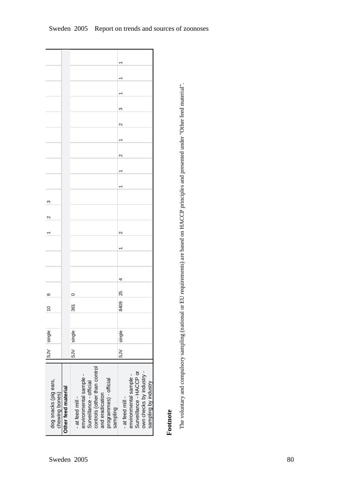| ω<br>$\sim$                                                                                                                                                                                           |
|-------------------------------------------------------------------------------------------------------------------------------------------------------------------------------------------------------|
|                                                                                                                                                                                                       |
|                                                                                                                                                                                                       |
|                                                                                                                                                                                                       |
|                                                                                                                                                                                                       |
|                                                                                                                                                                                                       |
|                                                                                                                                                                                                       |
| Ν                                                                                                                                                                                                     |
|                                                                                                                                                                                                       |
|                                                                                                                                                                                                       |
|                                                                                                                                                                                                       |
|                                                                                                                                                                                                       |
| $\mathbf{\Omega}$                                                                                                                                                                                     |
|                                                                                                                                                                                                       |
|                                                                                                                                                                                                       |
| ч                                                                                                                                                                                                     |
| 25                                                                                                                                                                                                    |
| 409                                                                                                                                                                                                   |
| $\infty$                                                                                                                                                                                              |
| single                                                                                                                                                                                                |
| $\gtrsim$                                                                                                                                                                                             |
|                                                                                                                                                                                                       |
| Surveillance - HACCP or<br>own checks by industry -<br>environmental sample -<br>sampling by industry<br>- at feed mill -                                                                             |
| ○<br>361<br>single<br>$\frac{5}{2}$<br>controls (other than control<br>environmental sample -<br>programmes) - official<br>Surveillance - official<br>and eradication<br>- at feed mill -<br>sampling |

The voluntary and compulsory sampling (national or EU requirements) are based on HACCP principles and presented under "Other feed material". The voluntary and compulsory sampling (national or EU requirements) are based on HACCP principles and presented under "Other feed material".

**Footnote**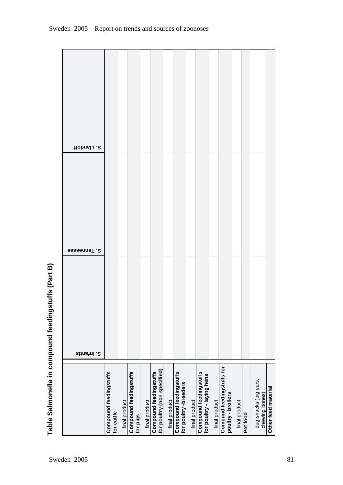dog snacks (pig ears, chewing bones)

dog snacks (pig ears,<br>chewing bones)

Other feed material

**Contract feed material and structure feed material and structure feed material and structure feed material and structure feed material and structure feed material and structure feed material and structure feed material an**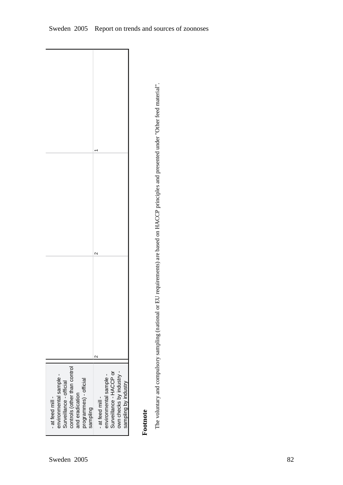

The voluntary and compulsory sampling (national or EU requirements) are based on HACCP principles and presented under "Other feed material". The voluntary and compulsory sampling (national or EU requirements) are based on HACCP principles and presented under "Other feed material".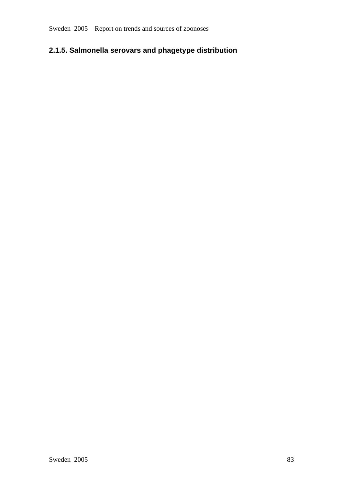# **2.1.5. Salmonella serovars and phagetype distribution**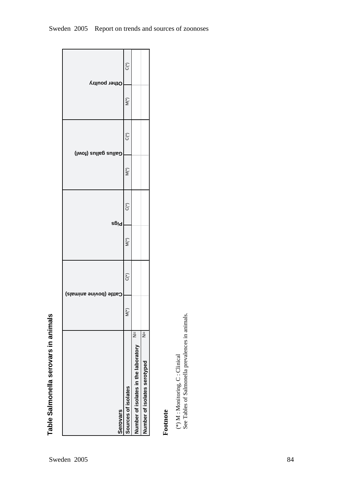| $\widetilde{C}^*$<br>Gallus gallus (fowl)<br>$M^{(*)}$<br>$C^{\ast}$<br>Pigs<br>$M^{(*)}$<br>$C^*$<br>Cattle (bovine animals)<br>$M($ *) |  |
|------------------------------------------------------------------------------------------------------------------------------------------|--|
|                                                                                                                                          |  |
| <b>Other poultry</b><br>√″)                                                                                                              |  |
| $C*$                                                                                                                                     |  |

( $*$ ) M : Monitoring, C : Clinical<br>See Tables of Salmonella prevalences in animals. See Tables of Salmonella prevalences in animals. (\*) M : Monitoring, C : Clinical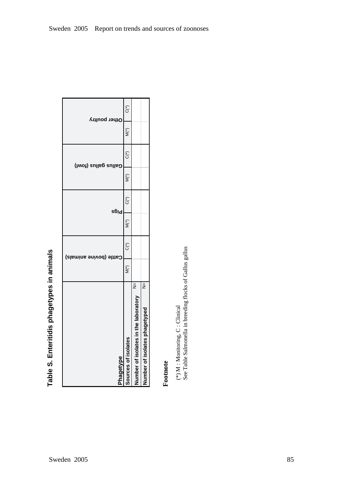| Phagetype                            |           | Cattle (bovine animals) |                                  | Pigs  |        | Gallus gallus (fowl) |        | Other poultry |
|--------------------------------------|-----------|-------------------------|----------------------------------|-------|--------|----------------------|--------|---------------|
|                                      | $M^{(*)}$ | $C^*$                   | $\mathsf{M}(\overset{*}{\circ})$ | $C^*$ | $M(*)$ | $C^*$                | $M(*)$ | $C^*$         |
| Sources of isolates                  |           |                         |                                  |       |        |                      |        |               |
| Number of isolates in the laboratory | ے<br>ح    |                         |                                  |       |        |                      |        |               |
| Number of isolates phagetyped        | ٣         |                         |                                  |       |        |                      |        |               |

(\*) M : Monitoring, C : Clinical<br>See Table Salmonella in breeding flocks of Gallus gallus See Table Salmonella in breeding flocks of Gallus gallus (\*) M : Monitoring, C : Clinical

Sweden 2005 Report on trends and sources of zoonoses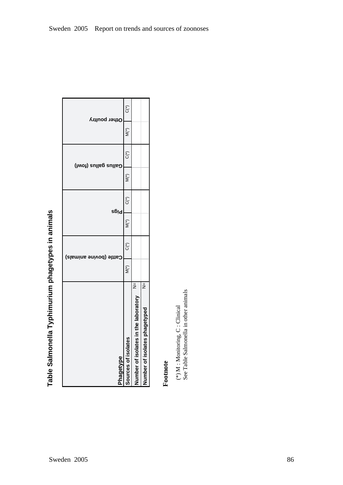$(\ast)$  M : Monitoring, C : Clinical See Table Salmonella in other animals see Table Salmonella in other animals<br>See Table Salmonella in other animals (\*) M : Monitoring, C : Clinical

Table Salmonella Typhimurium phagetypes in animals **Table Salmonella Typhimurium phagetypes in animals**

| $C^*$<br>Other poultry<br>$M(*)$<br>$C^{(*)}$<br>Gallus gallus (fowl)<br>$M(*)$<br>$C^*$<br>Pigs<br>$M^{(*)}$<br>$C*$<br>Cattle (bovine animals)<br>$M(\stackrel{*}{\circ})$<br>٣<br>٣<br>laboratory<br>vper<br>Number of isolates phaget<br>Number of isolates in the |
|------------------------------------------------------------------------------------------------------------------------------------------------------------------------------------------------------------------------------------------------------------------------|
|------------------------------------------------------------------------------------------------------------------------------------------------------------------------------------------------------------------------------------------------------------------------|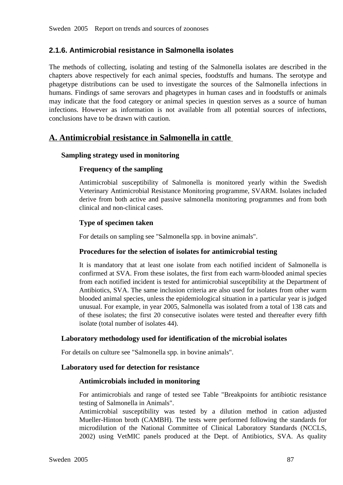#### **2.1.6. Antimicrobial resistance in Salmonella isolates**

The methods of collecting, isolating and testing of the Salmonella isolates are described in the chapters above respectively for each animal species, foodstuffs and humans. The serotype and phagetype distributions can be used to investigate the sources of the Salmonella infections in humans. Findings of same serovars and phagetypes in human cases and in foodstuffs or animals may indicate that the food category or animal species in question serves as a source of human infections. However as information is not available from all potential sources of infections, conclusions have to be drawn with caution.

### **A. Antimicrobial resistance in Salmonella in cattle**

#### **Sampling strategy used in monitoring**

#### **Frequency of the sampling**

Antimicrobial susceptibility of Salmonella is monitored yearly within the Swedish Veterinary Antimicrobial Resistance Monitoring programme, SVARM. Isolates included derive from both active and passive salmonella monitoring programmes and from both clinical and non-clinical cases.

#### **Type of specimen taken**

For details on sampling see "Salmonella spp. in bovine animals".

#### **Procedures for the selection of isolates for antimicrobial testing**

It is mandatory that at least one isolate from each notified incident of Salmonella is confirmed at SVA. From these isolates, the first from each warm-blooded animal species from each notified incident is tested for antimicrobial susceptibility at the Department of Antibiotics, SVA. The same inclusion criteria are also used for isolates from other warm blooded animal species, unless the epidemiological situation in a particular year is judged unusual. For example, in year 2005, Salmonella was isolated from a total of 138 cats and of these isolates; the first 20 consecutive isolates were tested and thereafter every fifth isolate (total number of isolates 44).

#### **Laboratory methodology used for identification of the microbial isolates**

For details on culture see "Salmonella spp. in bovine animals".

#### **Laboratory used for detection for resistance**

#### **Antimicrobials included in monitoring**

For antimicrobials and range of tested see Table "Breakpoints for antibiotic resistance testing of Salmonella in Animals".

Antimicrobial susceptibility was tested by a dilution method in cation adjusted Mueller-Hinton broth (CAMBH). The tests were performed following the standards for microdilution of the National Committee of Clinical Laboratory Standards (NCCLS, 2002) using VetMIC panels produced at the Dept. of Antibiotics, SVA. As quality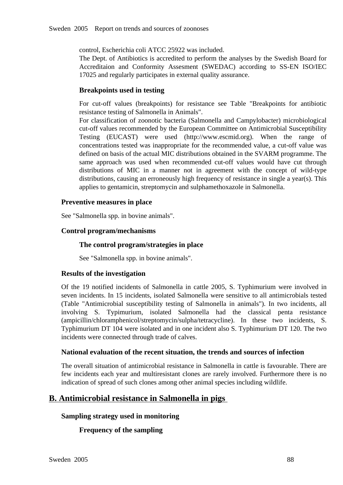control, Escherichia coli ATCC 25922 was included.

The Dept. of Antibiotics is accredited to perform the analyses by the Swedish Board for Accreditaion and Conformity Assesment (SWEDAC) according to SS-EN ISO/IEC 17025 and regularly participates in external quality assurance.

#### **Breakpoints used in testing**

For cut-off values (breakpoints) for resistance see Table "Breakpoints for antibiotic resistance testing of Salmonella in Animals".

For classification of zoonotic bacteria (Salmonella and Campylobacter) microbiological cut-off values recommended by the European Committee on Antimicrobial Susceptibility Testing (EUCAST) were used (http://www.escmid.org). When the range of concentrations tested was inappropriate for the recommended value, a cut-off value was defined on basis of the actual MIC distributions obtained in the SVARM programme. The same approach was used when recommended cut-off values would have cut through distributions of MIC in a manner not in agreement with the concept of wild-type distributions, causing an erroneously high frequency of resistance in single a year(s). This applies to gentamicin, streptomycin and sulphamethoxazole in Salmonella.

#### **Preventive measures in place**

See "Salmonella spp. in bovine animals".

#### **Control program/mechanisms**

#### **The control program/strategies in place**

See "Salmonella spp. in bovine animals".

#### **Results of the investigation**

Of the 19 notified incidents of Salmonella in cattle 2005, S. Typhimurium were involved in seven incidents. In 15 incidents, isolated Salmonella were sensitive to all antimicrobials tested (Table "Antimicrobial susceptibility testing of Salmonella in animals"). In two incidents, all involving S. Typimurium, isolated Salmonella had the classical penta resistance (ampicillin/chloramphenicol/streptomycin/sulpha/tetracycline). In these two incidents, S. Typhimurium DT 104 were isolated and in one incident also S. Typhimurium DT 120. The two incidents were connected through trade of calves.

#### **National evaluation of the recent situation, the trends and sources of infection**

The overall situation of antimicrobial resistance in Salmonella in cattle is favourable. There are few incidents each year and multiresistant clones are rarely involved. Furthermore there is no indication of spread of such clones among other animal species including wildlife.

### **B. Antimicrobial resistance in Salmonella in pigs**

#### **Sampling strategy used in monitoring**

#### **Frequency of the sampling**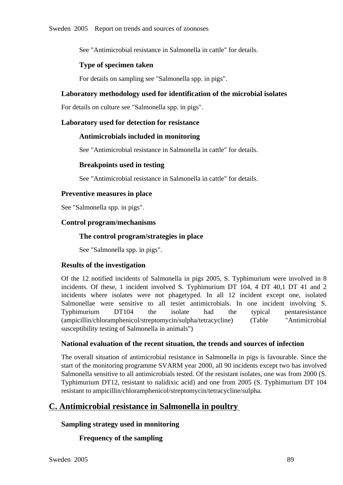See "Antimicrobial resistance in Salmonella in cattle" for details.

#### **Type of specimen taken**

For details on sampling see "Salmonella spp. in pigs".

#### **Laboratory methodology used for identification of the microbial isolates**

For details on culture see "Salmonella spp. in pigs".

#### **Laboratory used for detection for resistance**

#### **Antimicrobials included in monitoring**

See "Antimicrobial resistance in Salmonella in cattle" for details.

#### **Breakpoints used in testing**

See "Antimicrobial resistance in Salmonella in cattle" for details.

#### **Preventive measures in place**

See "Salmonella spp. in pigs".

#### **Control program/mechanisms**

#### **The control program/strategies in place**

See "Salmonella spp. in pigs".

#### **Results of the investigation**

Of the 12 notified incidents of Salmonella in pigs 2005, S. Typhimurium were involved in 8 incidents. Of these, 1 incident involved S. Typhimurium DT 104, 4 DT 40,1 DT 41 and 2 incidents where isolates were not phagetyped. In all 12 incident except one, isolated Salmonellae were sensitive to all tesiet antimicrobials. In one incident involving S. Typhimurium DT104 the isolate had the typical pentaresistance (ampicillin/chloramphenicol/streptomycin/sulpha/tetracycline) (Table "Antimicrobial susceptibility testing of Salmonella in animals")

#### **National evaluation of the recent situation, the trends and sources of infection**

The overall situation of antimicrobial resistance in Salmonella in pigs is favourable. Since the start of the monitoring programme SVARM year 2000, all 90 incidents except two has involved Salmonella sensitive to all antimicrobials tested. Of the resistant isolates, one was from 2000 (S. Typhimurium DT12, resistant to nalidixic acid) and one from 2005 (S. Typhimurium DT 104 resistant to ampicillin/chloramphenicol/streptomycin/tetracycline/sulpha.

### **C. Antimicrobial resistance in Salmonella in poultry**

#### **Sampling strategy used in monitoring**

**Frequency of the sampling**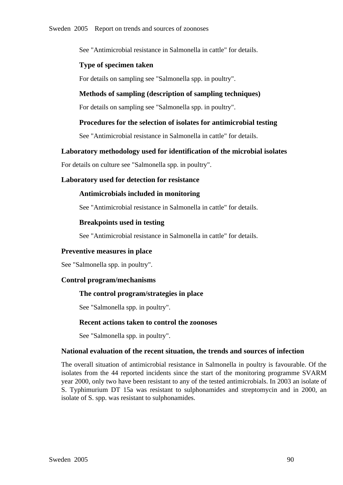See "Antimicrobial resistance in Salmonella in cattle" for details.

#### **Type of specimen taken**

For details on sampling see "Salmonella spp. in poultry".

#### **Methods of sampling (description of sampling techniques)**

For details on sampling see "Salmonella spp. in poultry".

#### **Procedures for the selection of isolates for antimicrobial testing**

See "Antimicrobial resistance in Salmonella in cattle" for details.

#### **Laboratory methodology used for identification of the microbial isolates**

For details on culture see "Salmonella spp. in poultry".

#### **Laboratory used for detection for resistance**

#### **Antimicrobials included in monitoring**

See "Antimicrobial resistance in Salmonella in cattle" for details.

#### **Breakpoints used in testing**

See "Antimicrobial resistance in Salmonella in cattle" for details.

#### **Preventive measures in place**

See "Salmonella spp. in poultry".

#### **Control program/mechanisms**

#### **The control program/strategies in place**

See "Salmonella spp. in poultry".

#### **Recent actions taken to control the zoonoses**

See "Salmonella spp. in poultry".

#### **National evaluation of the recent situation, the trends and sources of infection**

The overall situation of antimicrobial resistance in Salmonella in poultry is favourable. Of the isolates from the 44 reported incidents since the start of the monitoring programme SVARM year 2000, only two have been resistant to any of the tested antimicrobials. In 2003 an isolate of S. Typhimurium DT 15a was resistant to sulphonamides and streptomycin and in 2000, an isolate of S. spp. was resistant to sulphonamides.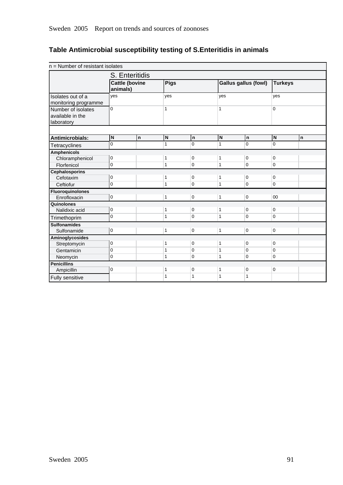| $n =$ Number of resistant isolates |                                   |              |      |              |                      |                |                |              |
|------------------------------------|-----------------------------------|--------------|------|--------------|----------------------|----------------|----------------|--------------|
|                                    | S. Enteritidis                    |              |      |              |                      |                |                |              |
|                                    | <b>Cattle (bovine</b><br>animals) |              | Pigs |              | Gallus gallus (fowl) |                | <b>Turkeys</b> |              |
| Isolates out of a                  | ves                               |              | yes  |              | yes                  |                | yes            |              |
| monitoring programme               |                                   |              |      |              |                      |                |                |              |
| Number of isolates                 | 0                                 |              | 1    |              | $\mathbf{1}$         |                | 0              |              |
| available in the                   |                                   |              |      |              |                      |                |                |              |
| laboratory                         |                                   |              |      |              |                      |                |                |              |
|                                    |                                   |              |      |              |                      |                |                |              |
| Antimicrobials:                    | N                                 | $\mathsf{n}$ | N    | $\mathsf{n}$ | N                    | In             | N              | $\mathsf{n}$ |
| Tetracyclines                      | $\overline{0}$                    |              | 1    | $\Omega$     | $\mathbf{1}$         | $\Omega$       | $\Omega$       |              |
| <b>Amphenicols</b>                 |                                   |              |      |              |                      |                |                |              |
| Chloramphenicol                    | 0                                 |              | 1    | 0            | $\mathbf{1}$         | $\mathbf 0$    | $\mathbf 0$    |              |
| Florfenicol                        | 0                                 |              | 1    | 0            | $\mathbf{1}$         | $\Omega$       | $\Omega$       |              |
| <b>Cephalosporins</b>              |                                   |              |      |              |                      |                |                |              |
| Cefotaxim                          | 0                                 |              | 1    | 0            | 1                    | $\mathbf 0$    | $\mathbf 0$    |              |
| Ceftiofur                          | $\overline{0}$                    |              | 1    | 0            | $\mathbf{1}$         | $\Omega$       | $\mathbf 0$    |              |
| <b>Fluoroquinolones</b>            |                                   |              |      |              |                      |                |                |              |
| Enrofloxacin                       | 0                                 |              | 1    | $\mathbf 0$  | $\mathbf{1}$         | $\overline{0}$ | 00             |              |
| Quinolones                         |                                   |              |      |              |                      |                |                |              |
| Nalidixic acid                     | 0                                 |              | 1    | $\mathbf 0$  | $\mathbf{1}$         | $\overline{0}$ | $\mathbf 0$    |              |
| Trimethoprim                       | 0                                 |              | 1    | $\Omega$     | $\mathbf{1}$         | $\Omega$       | $\Omega$       |              |
| <b>Sulfonamides</b>                |                                   |              |      |              |                      |                |                |              |
| Sulfonamide                        | $\pmb{0}$                         |              | 1    | $\mathbf 0$  | $\mathbf{1}$         | $\overline{0}$ | $\mathbf 0$    |              |
| Aminoglycosides                    |                                   |              |      |              |                      |                |                |              |
| Streptomycin                       | 0                                 |              | 1    | $\mathbf 0$  | 1                    | 0              | $\mathbf 0$    |              |
| Gentamicin                         | $\mathbf 0$                       |              | 1    | 0            | $\mathbf{1}$         | $\mathbf 0$    | $\mathbf 0$    |              |
| Neomycin                           | 0                                 |              | 1    | $\mathbf 0$  | $\mathbf{1}$         | $\mathbf 0$    | $\mathbf 0$    |              |
| <b>Penicillins</b>                 |                                   |              |      |              |                      |                |                |              |
| Ampicillin                         | 0                                 |              | 1    | 0            | $\mathbf{1}$         | $\mathbf 0$    | $\mathbf 0$    |              |
| <b>Fully sensitive</b>             |                                   |              | 1    | 1            | 1                    | 1              |                |              |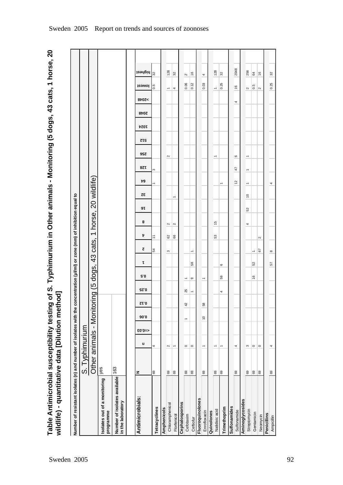Table Antimicrobial susceptibility testing of S. Typhimurium in Other animals - Monitoring (5 dogs, 43 cats, 1 horse, 20<br>wildlife) - quantitative data [Dilution method] **Table Antimicrobial susceptibility testing of S. Typhimurium in Other animals - Monitoring (5 dogs, 43 cats, 1 horse, 20 wildlife) - quantitative data [Dilution method]**

| Number of resistant isolates (n) and number of isolates with the concentration (µl/ml) or zone (mm) of inhibition equal to |                            |                          |          |                |      |                |                          |                                |                      |                          |                     |                          |                          |                          |                |            |      |      |                          |                |  |
|----------------------------------------------------------------------------------------------------------------------------|----------------------------|--------------------------|----------|----------------|------|----------------|--------------------------|--------------------------------|----------------------|--------------------------|---------------------|--------------------------|--------------------------|--------------------------|----------------|------------|------|------|--------------------------|----------------|--|
|                                                                                                                            | S. Typhimurium             |                          |          |                |      |                |                          |                                |                      |                          |                     |                          |                          |                          |                |            |      |      |                          |                |  |
|                                                                                                                            | Other animals - Monitoring |                          |          |                |      |                |                          | (5 dogs, 43 cats,              |                      | $\overline{\phantom{0}}$ | horse, 20 wildlife) |                          |                          |                          |                |            |      |      |                          |                |  |
| Isolates out of a monitoring<br>programme                                                                                  | yes                        |                          |          |                |      |                |                          |                                |                      |                          |                     |                          |                          |                          |                |            |      |      |                          |                |  |
| Number of isolates available 163<br>in the laboratory                                                                      |                            |                          |          |                |      |                |                          |                                |                      |                          |                     |                          |                          |                          |                |            |      |      |                          |                |  |
|                                                                                                                            |                            |                          |          |                |      |                |                          |                                |                      |                          |                     |                          |                          |                          |                |            |      |      |                          |                |  |
| Antimicrobials:                                                                                                            | z                          | u                        | $$0.0 =$ | 90.0           | Sr.O | 0.25           | 5.0                      | ı                              | Þ<br>ट               | 8                        | 9 L                 | 32                       | 49                       | 138                      | 9SZ            | <b>SIS</b> | 1024 | 2048 | lewest<br>>2048          | highest        |  |
| Tetracyclines                                                                                                              | 69                         | 4                        |          |                |      |                |                          |                                | $\overline{a}$<br>54 |                          |                     |                          | ÷                        | ω                        |                |            |      |      | 0.5                      | 32             |  |
| Amphenicols                                                                                                                |                            |                          |          |                |      |                |                          |                                |                      |                          |                     |                          |                          |                          |                |            |      |      |                          |                |  |
| Chloramphenicol                                                                                                            | 69                         | $\sim$                   |          |                |      |                |                          | S                              | 8                    | $\sim$                   |                     |                          |                          |                          | $\sim$         |            |      |      | $\overline{\phantom{0}}$ | 128            |  |
| Florfenicol                                                                                                                | 69                         | $\overline{\phantom{0}}$ |          |                |      |                |                          |                                | 86                   | $\sim$                   |                     | $\overline{\phantom{0}}$ |                          |                          |                |            |      |      | 4                        | 32             |  |
| Cephalosporins                                                                                                             |                            |                          |          |                |      |                |                          |                                |                      |                          |                     |                          |                          |                          |                |            |      |      |                          |                |  |
| Cefotaxim                                                                                                                  | 69                         | $\circ$                  |          | $\overline{ }$ | 42   | 25             | $\overline{ }$           |                                |                      |                          |                     |                          |                          |                          |                |            |      |      | 0.06                     | $\sim$         |  |
| Ceftiofur                                                                                                                  | 69                         | $\circ$                  |          |                |      | $\overline{ }$ | ၜ                        | $\overline{ }$<br>58           |                      |                          |                     |                          |                          |                          |                |            |      |      | 0.12                     | $\frac{6}{2}$  |  |
| Fluoroquinolones                                                                                                           |                            |                          |          |                |      |                |                          |                                |                      |                          |                     |                          |                          |                          |                |            |      |      |                          |                |  |
| Enrofloxacin                                                                                                               | 69                         | $\overline{ }$           |          | $\tilde{c}$    | 58   |                | $\overline{\phantom{0}}$ |                                |                      |                          |                     |                          |                          |                          |                |            |      |      | 0.03                     | 4              |  |
| Quinolones                                                                                                                 |                            |                          |          |                |      |                |                          |                                |                      |                          |                     |                          |                          |                          |                |            |      |      |                          |                |  |
| Nalidixic acid                                                                                                             | 69                         | $\overline{ }$           |          |                |      |                |                          |                                | S3                   | 15                       |                     |                          |                          |                          | $\overline{ }$ |            |      |      | $\overline{ }$           | 128            |  |
| Trimethoprim                                                                                                               | $\mathsf{6}9$              | $\overline{a}$           |          |                |      | 4              | 58                       | $\circ$                        |                      |                          |                     |                          | $\overline{ }$           |                          |                |            |      |      | 0.25                     | $\mathfrak{S}$ |  |
| <b>Sulfonamides</b>                                                                                                        |                            |                          |          |                |      |                |                          |                                |                      |                          |                     |                          |                          |                          |                |            |      |      |                          |                |  |
| Sulfonamide                                                                                                                | 69                         | 4                        |          |                |      |                |                          |                                |                      |                          |                     |                          | $\overline{\phantom{a}}$ | 47                       | $\circ$        |            |      | 4    | $\frac{6}{5}$            | 2048           |  |
| Aminoglycosides                                                                                                            |                            |                          |          |                |      |                |                          |                                |                      |                          |                     |                          |                          |                          |                |            |      |      |                          |                |  |
| Streptomycin                                                                                                               | 69                         | S                        |          |                |      |                |                          |                                |                      | 4                        | 52                  | $\frac{1}{2}$            | $\overline{\phantom{0}}$ | $\overline{\phantom{0}}$ | $\overline{ }$ |            |      |      | $\sim$                   | 256            |  |
| Gentamicin                                                                                                                 | 69                         | $\circ$                  |          |                |      |                | $\frac{6}{5}$            | $\overline{\phantom{0}}$<br>52 |                      |                          |                     |                          |                          |                          |                |            |      |      | 0.5                      | 64             |  |
| Neomycin                                                                                                                   | 69                         | $\circ$                  |          |                |      |                |                          |                                | $\sim$<br>5          |                          |                     |                          |                          |                          |                |            |      |      | $\sim$                   | $\frac{6}{2}$  |  |
| Penicillins                                                                                                                |                            |                          |          |                |      |                |                          |                                |                      |                          |                     |                          |                          |                          |                |            |      |      |                          |                |  |
| Ampicillin                                                                                                                 | 69                         | 4                        |          |                |      |                |                          | $\infty$<br>57                 |                      |                          |                     |                          | 4                        |                          |                |            |      |      | 0.25                     | 32             |  |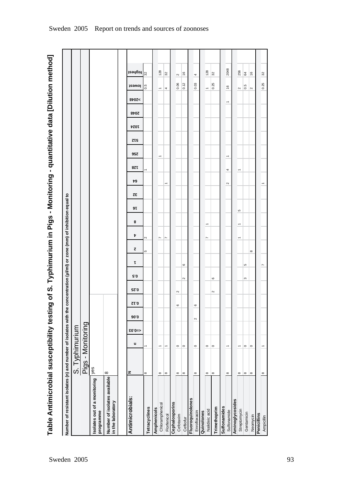Table Antimicrobial susceptibility testing of S. Typhimurium in Pigs - Monitoring - quantitative data [Dilution method] **Table Antimicrobial susceptibility testing of S. Typhimurium in Pigs - Monitoring - quantitative data [Dilution method] highest**  $\begin{array}{c|c}\n 128 \\
 \hline\n 32\n \end{array}$ urconamides under 16 14 |1 |1 |2 |4 |1 | | | | | |1 |16 |2048<br>Sulfonamide 2048  $\frac{256}{64}$  $\frac{1}{2}$ 128  $\overline{32}$  $\frac{6}{15}$  $32$  $\overline{32}$ Chloramphenicol 8 1 7 1 1 128 Nalidixic acid 11 128<br>Nalidixic acid 8 128 Streptomycin 8 1 1 1 5 1 2 256  $\sim$  $\ddot{\phantom{0}}$ **Tetracyclines 1** 32<br>**Tetracyclines 1** 8 - Plorencol Representation (1989)<br>Flortenicol 8 1 32<br>Flortenicol 4 32 Сеновхип – У У У У Сеновип – У У Сеновип – У У Сеновип – У Сеновип – У Сеновип – У Сеновип – У Сеновип – О Сен<br>Сеновит **Trimethoprim** 8 0 2 6 0.25 32 de antantique de la contamicina de la contamicina de la contamicina de la contamicina de la contamicina de la c<br>Gentamicin Neomycin 8 0 8 2 16 Ampicillin 8 1 7 1 0.25 32 ephalosporms entropy and the ceforaximation of the ceforaximation of the ceforaximation of the ceforaximation of the ceforaximation of the ceforaximation of the ceforaximation of the ceforaximation of the ceforaximation of Enrofloxacin 8 0 2 6 0.03 4  $\begin{array}{c} 0.06 \\ 0.12 \end{array}$ 0.03  $rac{1}{10}$ 0.25 **lowest**  $\frac{1}{\alpha}$   $\frac{1}{\alpha}$ £  $\frac{6}{2}$  $\overline{4}$ **>2048 2048 1024 512 256**  $\ddot{\phantom{0}}$ **128**  $\overline{a}$ **64**  $\sim$ **32** Number of resistant isolates (n) and number of isolates with the concentration (µl/ml) or zone (mm) of inhibition equal to<br>S. Typhimurium<br>Pigs - Monitoring **Number of resistant isolates (n) and number of isolates with the concentration (µl/ml) or zone (mm) of inhibition equal to 16** Ю **8**  $\overline{a}$ **4**  $\overline{a}$  $\overline{ }$ **2**  $\infty$ **1** .<br>ဖ ဖ **0.5**  $\sim$  $\circ$ ო **0.25**  $\sim$ ഻഻഻഻ **0.12**  $\circ$  $\circ$ **0.06**  $\sim$ S. Typhimurium<br>Pigs - Monitoring **<=0.03 n**  $\circ$  $\circ$  $\circ$  $\circ$  $\overline{\phantom{a}}\circ$  $\overline{\phantom{a}}$  $\overline{\phantom{a}}$  $\ddot{\phantom{0}}$ yes  $\infty$ z  $\infty$  $\infty$ **Antimicrobials: N**  $\infty$ Number of isolates available **Number of isolates available** solates out of a monitoring **Isolates out of a monitoring Antimicrobials: Fluoroquinolones Aminoglycosides** in the laboratory **in the laboratory Cephalosporins** Chloramphenicol **Sulfonamides Amphenicols** Nalidixic acid Streptomycin **Quinolones programme**  Gentamicin **Neomycin**<br>**Penicillins** Cefotaxim

 $\leftarrow$ 

 $\overline{a}$ 

 $\overline{a}$ 

Ampicillin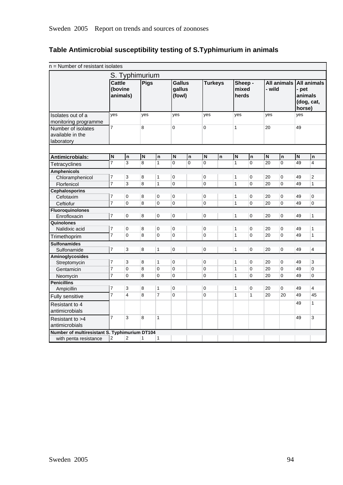| Table Antimicrobial susceptibility testing of S.Typhimurium in animals |
|------------------------------------------------------------------------|
|------------------------------------------------------------------------|

| $n =$ Number of resistant isolates                   |                          |                   |                |                             |                                   |                |                         |             |                         |                                        |                         |                    |                            |                                  |
|------------------------------------------------------|--------------------------|-------------------|----------------|-----------------------------|-----------------------------------|----------------|-------------------------|-------------|-------------------------|----------------------------------------|-------------------------|--------------------|----------------------------|----------------------------------|
|                                                      |                          | S. Typhimurium    |                |                             |                                   |                |                         |             |                         |                                        |                         |                    |                            |                                  |
|                                                      | <b>Cattle</b><br>(bovine | animals)          | Pigs           |                             | <b>Gallus</b><br>gallus<br>(fowl) |                | <b>Turkeys</b>          |             | mixed<br>herds          | Sheep -                                | - wild                  | <b>All animals</b> | - pet<br>animals<br>horse) | <b>All animals</b><br>(dog, cat, |
| Isolates out of a                                    | yes                      |                   | yes            |                             | yes                               |                | yes                     |             | yes                     |                                        | yes                     |                    | yes                        |                                  |
| monitoring programme                                 |                          |                   |                |                             |                                   |                |                         |             |                         |                                        |                         |                    |                            |                                  |
| Number of isolates<br>available in the<br>laboratory | $\overline{7}$           |                   | 8              |                             | $\Omega$                          |                | $\mathbf 0$             |             | $\mathbf{1}$            |                                        | 20                      |                    | 49                         |                                  |
|                                                      | N                        |                   | $\overline{N}$ |                             | $\overline{\mathsf{N}}$           | $\overline{ }$ | $\overline{\mathsf{N}}$ | $\mathbf n$ | $\overline{\mathsf{N}}$ |                                        | $\overline{\mathsf{N}}$ | <b>n</b>           | N                          | $\mathbf n$                      |
| Antimicrobials:                                      | $\overline{7}$           | $\mathsf{n}$<br>3 | 8              | $\mathbf n$<br>$\mathbf{1}$ | $\overline{0}$                    | $\overline{0}$ | $\Omega$                |             | $\mathbf{1}$            | $\overline{\mathsf{n}}$<br>$\mathbf 0$ | 20                      | $\Omega$           | 49                         | $\overline{\mathbf{4}}$          |
| Tetracyclines                                        |                          |                   |                |                             |                                   |                |                         |             |                         |                                        |                         |                    |                            |                                  |
| <b>Amphenicols</b>                                   | 7                        | 3                 | 8              | 1                           | 0                                 |                | $\mathbf 0$             |             | 1                       | 0                                      | 20                      | $\mathbf 0$        | 49                         | $\overline{2}$                   |
| Chloramphenicol<br>Florfenicol                       | $\overline{7}$           | 3                 | 8              | $\mathbf{1}$                | 0                                 |                | $\mathbf 0$             |             | $\mathbf 1$             | 0                                      | 20                      | $\mathbf 0$        | 49                         | $\mathbf{1}$                     |
|                                                      |                          |                   |                |                             |                                   |                |                         |             |                         |                                        |                         |                    |                            |                                  |
| <b>Cephalosporins</b><br>Cefotaxim                   | 7                        | $\mathbf 0$       | 8              | $\overline{0}$              | 0                                 |                | $\mathbf 0$             |             | 1                       | 0                                      | 20                      | $\mathbf{0}$       | 49                         | 0                                |
| Ceftiofur                                            | $\overline{7}$           | $\Omega$          | 8              | $\mathbf 0$                 | $\overline{0}$                    |                | $\mathbf 0$             |             | $\mathbf{1}$            | $\overline{0}$                         | 20                      | 0                  | 49                         | 0                                |
| Fluoroquinolones                                     |                          |                   |                |                             |                                   |                |                         |             |                         |                                        |                         |                    |                            |                                  |
| Enrofloxacin                                         | $\overline{7}$           | $\mathbf 0$       | 8              | $\overline{0}$              | 0                                 |                | $\mathbf 0$             |             | $\mathbf{1}$            | 0                                      | 20                      | 0                  | 49                         | $\mathbf{1}$                     |
| Quinolones                                           |                          |                   |                |                             |                                   |                |                         |             |                         |                                        |                         |                    |                            |                                  |
| Nalidixic acid                                       | 7                        | 0                 | 8              | $\overline{0}$              | 0                                 |                | $\mathbf 0$             |             | $\mathbf{1}$            | 0                                      | 20                      | 0                  | 49                         | $\mathbf{1}$                     |
| Trimethoprim                                         | $\overline{7}$           | $\mathbf 0$       | 8              | $\Omega$                    | 0                                 |                | $\mathbf 0$             |             | $\mathbf{1}$            | 0                                      | 20                      | 0                  | 49                         | $\mathbf{1}$                     |
| <b>Sulfonamides</b>                                  |                          |                   |                |                             |                                   |                |                         |             |                         |                                        |                         |                    |                            |                                  |
| Sulfonamide                                          | $\overline{7}$           | 3                 | 8              | $\mathbf{1}$                | 0                                 |                | $\mathbf 0$             |             | $\mathbf{1}$            | 0                                      | 20                      | 0                  | 49                         | $\overline{4}$                   |
| <b>Aminoglycosides</b>                               |                          |                   |                |                             |                                   |                |                         |             |                         |                                        |                         |                    |                            |                                  |
| Streptomycin                                         | 7                        | 3                 | 8              | $\mathbf{1}$                | $\Omega$                          |                | $\mathbf 0$             |             | $\mathbf{1}$            | $\Omega$                               | 20                      | $\Omega$           | 49                         | 3                                |
| Gentamicin                                           | $\overline{7}$           | 0                 | 8              | $\overline{0}$              | $\overline{0}$                    |                | $\pmb{0}$               |             | 1                       | 0                                      | 20                      | 0                  | 49                         | 0                                |
| Neomycin                                             | $\overline{7}$           | $\Omega$          | 8              | $\Omega$                    | $\Omega$                          |                | $\Omega$                |             | $\mathbf{1}$            | 0                                      | 20                      | $\Omega$           | 49                         | $\Omega$                         |
| <b>Penicillins</b>                                   |                          |                   |                |                             |                                   |                |                         |             |                         |                                        |                         |                    |                            |                                  |
| Ampicillin                                           | 7                        | 3                 | 8              | $\mathbf{1}$                | 0                                 |                | $\mathbf 0$             |             | $\mathbf{1}$            | 0                                      | 20                      | $\mathbf 0$        | 49                         | $\overline{4}$                   |
| Fully sensitive                                      | $\overline{7}$           | $\overline{4}$    | 8              | $\overline{7}$              | 0                                 |                | $\mathbf 0$             |             | $\mathbf{1}$            | $\mathbf{1}$                           | 20                      | 20                 | 49                         | 45                               |
| Resistant to 4<br>antimicrobials                     |                          |                   |                |                             |                                   |                |                         |             |                         |                                        |                         |                    | 49                         | $\mathbf{1}$                     |
| Resistant to >4<br>antimicrobials                    | $\overline{7}$           | 3                 | 8              | $\mathbf{1}$                |                                   |                |                         |             |                         |                                        |                         |                    | 49                         | 3                                |
| Number of multiresistant S. Typhimurium DT104        |                          |                   |                |                             |                                   |                |                         |             |                         |                                        |                         |                    |                            |                                  |
| with penta resistance                                | $\overline{c}$           | 2                 | 1              | 1                           |                                   |                |                         |             |                         |                                        |                         |                    |                            |                                  |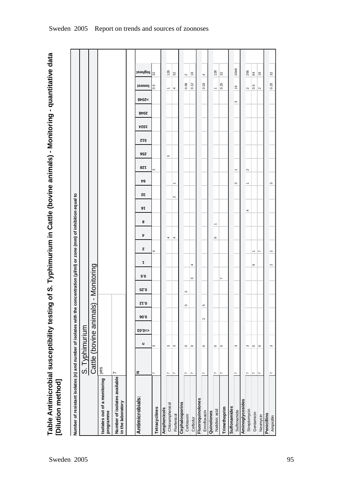Table Antimicrobial susceptibility testing of S. Typhimurium in Cattle (bovine animals) - Monitoring - quantitative data<br>[Dilution method] **Table Antimicrobial susceptibility testing of S. Typhimurium in Cattle (bovine animals) - Monitoring - quantitative data [Dilution method]**

| Number of resistant isolates (n) and number of isolates with the concentration (µl/ml) or zone (mm) of inhibition equal to |                         |         |          |        |      |              |     |         |                  |                |     |        |                |                          |                 |            |      |                          |                          |                       |         |
|----------------------------------------------------------------------------------------------------------------------------|-------------------------|---------|----------|--------|------|--------------|-----|---------|------------------|----------------|-----|--------|----------------|--------------------------|-----------------|------------|------|--------------------------|--------------------------|-----------------------|---------|
|                                                                                                                            | S. Typhimurium          |         |          |        |      |              |     |         |                  |                |     |        |                |                          |                 |            |      |                          |                          |                       |         |
|                                                                                                                            | Cattle (bovine animals) |         |          |        |      | - Monitoring |     |         |                  |                |     |        |                |                          |                 |            |      |                          |                          |                       |         |
| Isolates out of a monitoring<br>programme                                                                                  | yes                     |         |          |        |      |              |     |         |                  |                |     |        |                |                          |                 |            |      |                          |                          |                       |         |
| Number of isolates available<br>in the laboratory                                                                          | Z                       |         |          |        |      |              |     |         |                  |                |     |        |                |                          |                 |            |      |                          |                          |                       |         |
|                                                                                                                            |                         |         |          |        |      |              |     |         |                  |                |     |        |                |                          |                 |            |      |                          |                          |                       |         |
| Antimicrobials:                                                                                                            | z                       | u       | $$0.0 =$ | 90.0   | 51.0 | 0.25         | 5.0 | ŀ       | ट                | 8<br>Þ         | 9 L | 32     | 79             | 138                      | 9S <sub>7</sub> | <b>SIS</b> | 1024 | 2048                     | >2048                    | lewest                | highest |
| Tetracyclines                                                                                                              |                         | 3       |          |        |      |              |     |         | 4                |                |     |        |                | S                        |                 |            |      |                          | 0.5                      | 32                    |         |
| Amphenicols                                                                                                                |                         |         |          |        |      |              |     |         |                  |                |     |        |                |                          |                 |            |      |                          |                          |                       |         |
| Chloramphenicol                                                                                                            | N                       | S       |          |        |      |              |     |         | 4                |                |     |        |                |                          | S               |            |      |                          | $\overline{\phantom{0}}$ | 128                   |         |
| Florfenicol                                                                                                                | N                       | S       |          |        |      |              |     |         | 4                |                |     | $\sim$ | $\overline{ }$ |                          |                 |            |      |                          | 4                        | 32                    |         |
| Cephalosporins                                                                                                             |                         |         |          |        |      |              |     |         |                  |                |     |        |                |                          |                 |            |      |                          |                          |                       |         |
| Cefotaxim                                                                                                                  | N                       | $\circ$ |          |        | ю    | $\sim$       |     |         |                  |                |     |        |                |                          |                 |            |      |                          |                          | $\sim$<br>0.06        |         |
| Ceftiofur                                                                                                                  | Z                       | $\circ$ |          |        |      |              | S   | 4       |                  |                |     |        |                |                          |                 |            |      |                          |                          | $\frac{6}{5}$<br>0.12 |         |
| Fluoroquinolones                                                                                                           |                         |         |          |        |      |              |     |         |                  |                |     |        |                |                          |                 |            |      |                          |                          |                       |         |
| Enrofloxacin                                                                                                               | N                       | $\circ$ |          | $\sim$ | ю    |              |     |         |                  |                |     |        |                |                          |                 |            |      |                          |                          | 4<br>0.03             |         |
| Quinolones                                                                                                                 |                         |         |          |        |      |              |     |         |                  |                |     |        |                |                          |                 |            |      |                          |                          |                       |         |
| Nalidixic acid                                                                                                             | Z                       | $\circ$ |          |        |      |              |     |         | $\mathbf  \circ$ | $\overline{ }$ |     |        |                |                          |                 |            |      |                          | $\overline{ }$           | 128                   |         |
| Trimethoprim                                                                                                               | $\overline{ }$          | $\circ$ |          |        |      |              | N   |         |                  |                |     |        |                |                          |                 |            |      |                          |                          | 32<br>0.25            |         |
| <b>Sulfonamides</b>                                                                                                        |                         |         |          |        |      |              |     |         |                  |                |     |        |                |                          |                 |            |      |                          |                          |                       |         |
| Sulfonamide                                                                                                                | Z                       | S       |          |        |      |              |     |         |                  |                |     |        | S              | $\overline{\phantom{0}}$ |                 |            |      | $\boldsymbol{\varsigma}$ | 16                       |                       | 2048    |
| Aminoglycosides                                                                                                            |                         |         |          |        |      |              |     |         |                  |                |     |        |                |                          |                 |            |      |                          |                          |                       |         |
| Streptomycin                                                                                                               | Z                       | S       |          |        |      |              |     |         |                  |                | 4   |        |                | $\sim$                   |                 |            |      |                          | $\sim$                   | 256                   |         |
| Gentamicin                                                                                                                 | $\overline{ }$          | $\circ$ |          |        |      |              |     | $\circ$ | $\overline{ }$   |                |     |        |                |                          |                 |            |      |                          | $\frac{5}{6}$            | 64                    |         |
| Neomycin                                                                                                                   | Z                       | $\circ$ |          |        |      |              |     |         | $\overline{ }$   |                |     |        |                |                          |                 |            |      |                          | $\sim$                   | $\frac{6}{5}$         |         |
| Penicillins                                                                                                                |                         |         |          |        |      |              |     |         |                  |                |     |        |                |                          |                 |            |      |                          |                          |                       |         |
| Ampicillin                                                                                                                 |                         | S       |          |        |      |              |     | $\sim$  | $\sim$           |                |     |        | S              |                          |                 |            |      |                          |                          | 32<br>0.25            |         |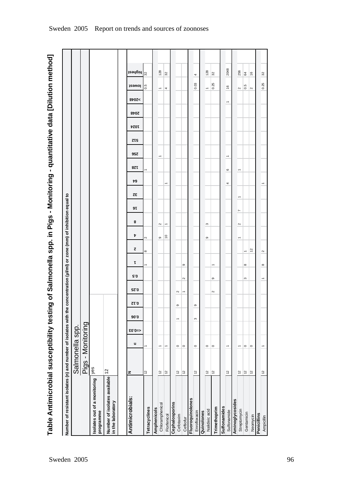Table Antimicrobial susceptibility testing of Salmonella spp. in Pigs - Monitoring - quantitative data [Dilution method] **Table Antimicrobial susceptibility testing of Salmonella spp. in Pigs - Monitoring - quantitative data [Dilution method] highest**  $\begin{array}{c|c}\n 128 \\
 \hline\n 32\n \end{array}$ urconamides under 12 12 12 14 6 14 6 14 16 17 18 18048<br>Sulfonamide 2048  $\frac{256}{64}$ 128  $\overline{32}$  $\frac{6}{15}$  $\overline{32}$ mphenicols (12 | 128 | 128 | 128 | 128 | 128 | 128 | 128 | 128 | 128 | 128 | 128 | 128 | 128 | 128 | 128 | 128 Nalidixic acid 12 12 128<br>Nalidixic acid Streptomycin 12 1 1 2 7 1 1 2 256  $\ddot{\phantom{0}}$ **Tetracyclines** 12 1 1 8 2 1 0.5 32 Florfenicol 12 1 10 1 1 4 32 **TRIMINICE ROOM**<br>**Trimethoprim** 12<br>**Trimethoprim** oneption in the contamicing of the contamination of the contamination of the contamination of the contamination of the contamination of the contamination of the contamination of the contamination of the contamination of th Neomycin 12 0 12 2 16 Licenco de la contracta de la contracta de la contracta de la contracta de la contracta de la contracta de la<br>Enrofloxacin 0.03  $rac{1}{10}$ **lowest**  $\frac{1}{\alpha}$   $\frac{1}{\alpha}$ £  $\frac{6}{2}$  $\overline{a}$ **>2048 2048 1024 512 256**  $\ddot{\phantom{0}}$ **128**  $\circ$ **64**  $\overline{4}$ **32** Number of resistant isolates (n) and number of isolates with the concentration (µl/ml) or zone (mm) of inhibition equal to **Number of resistant isolates (n) and number of isolates with the concentration (µl/ml) or zone (mm) of inhibition equal to 16**  $\overline{a}$ **8**  $\sim$  $\overline{\phantom{a}}$  $\infty$  $\sim$ **4**  $\frac{1}{2}$ ၜ **2**  $\overline{c}$  $\overline{ }$ **1** თ,  $\infty$ Сегоджип<br>Ceftiofur 12 0<br>Ceftiofur 12 9 **0.5**  $\sim$ ഻഻഻഻഻഻഻഻ ო **0.25**  $\vert$  - $\sim$ ഻഻഻഻ ephalosporins<br>Cefotaxim 12 | 12 | 1 | 9 | 2<br>Cefotaxim **0.12**  $\circ$  $\circ$ **0.06**  $\degree$ Pigs - Monitoring<br><sub>yes</sub> Salmonella spp.<br>Pigs - Monitoring Salmonella spp. Salmonella spp. **<=0.03 n**  $\circ$  $\overline{\phantom{a}}\circ$  $\circ$  $\circ \circ$  $\ddot{\phantom{0}}$  $\overline{\phantom{a}}$  $\overline{\phantom{a}}$  $\overline{2}$  $\frac{1}{2}$  $\overline{a}$  $\vert$   $\tilde{c}$  $12$  $\overline{\mathbf{S}}$  $\frac{1}{2}$   $\frac{1}{2}$  $12$  $222$  $\sim$ z **Antimicrobials: N** Number of isolates available **Number of isolates available** solates out of a monitoring **Isolates out of a monitoring Antimicrobials: Fluoroquinolones Aminoglycosides** in the laboratory **in the laboratory Cephalosporins** Chloramphenicol **Sulfonamides Amphenicols** Nalidixic acid Streptomycin **Quinolones programme**  Gentamicin **Neomycin**<br>**Penicillins** Cefotaxim

 $\sim$ 

 $\infty$ 

 $\ddot{\phantom{0}}$ 

 $\overline{a}$ 

 $\frac{1}{2}$ 

Ampicillin

 $\leftarrow$ 

 $32$ 

0.25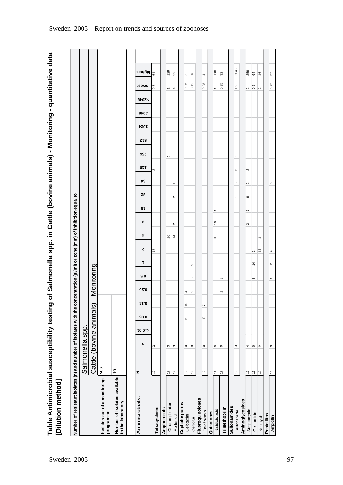Table Antimicrobial susceptibility testing of Salmonella spp. in Cattle (bovine animals) - Monitoring - quantitative data<br>[Dilution method] **Table Antimicrobial susceptibility testing of Salmonella spp. in Cattle (bovine animals) - Monitoring - quantitative data [Dilution method]**

| Number of resistant isolates (n) and number of isolates with the concentration (µl/ml) or zone (mm) of inhibition equal to |                         |         |          |                           |                |                          |              |                          |                                 |             |                |                |                |                     |                          |            |      |      |                          |                              |  |
|----------------------------------------------------------------------------------------------------------------------------|-------------------------|---------|----------|---------------------------|----------------|--------------------------|--------------|--------------------------|---------------------------------|-------------|----------------|----------------|----------------|---------------------|--------------------------|------------|------|------|--------------------------|------------------------------|--|
|                                                                                                                            | Salmonella spp.         |         |          |                           |                |                          |              |                          |                                 |             |                |                |                |                     |                          |            |      |      |                          |                              |  |
|                                                                                                                            | Cattle (bovine animals) |         |          |                           | $\mathbf{r}$   | Monitoring               |              |                          |                                 |             |                |                |                |                     |                          |            |      |      |                          |                              |  |
| Isolates out of a monitoring<br>programme                                                                                  | yes                     |         |          |                           |                |                          |              |                          |                                 |             |                |                |                |                     |                          |            |      |      |                          |                              |  |
| Number of isolates available<br>in the laboratory                                                                          | $\frac{6}{5}$           |         |          |                           |                |                          |              |                          |                                 |             |                |                |                |                     |                          |            |      |      |                          |                              |  |
|                                                                                                                            |                         |         |          |                           |                |                          |              |                          |                                 |             |                |                |                |                     |                          |            |      |      |                          |                              |  |
| Antimicrobials:                                                                                                            | z                       | u       | $$0.0 =$ | 90.0                      | S1.0           | <b>GZ.0</b>              | 90           | ı                        | ट                               | 8<br>Þ      | 9 L            | 32             | 79             | <b>821</b>          | 9S <sub>7</sub>          | <b>STS</b> | 1024 | 2048 | >2048                    | highest<br><b>J</b><br>29WOI |  |
| Tetracyclines                                                                                                              | $\frac{0}{2}$           | S       |          |                           |                |                          |              |                          | 9                               |             |                |                |                | S                   |                          |            |      |      | 0.5                      | 64                           |  |
| Amphenicols                                                                                                                |                         |         |          |                           |                |                          |              |                          |                                 |             |                |                |                |                     |                          |            |      |      |                          |                              |  |
| Chloramphenicol                                                                                                            | $\frac{0}{2}$           | S       |          |                           |                |                          |              |                          | $\frac{6}{2}$                   |             |                |                |                |                     | S                        |            |      |      | $\overline{\phantom{0}}$ | 128                          |  |
| Florfenicol                                                                                                                | $\frac{0}{2}$           | S       |          |                           |                |                          |              |                          | $\overline{4}$                  | $\sim$      |                | $\sim$         | $\overline{ }$ |                     |                          |            |      |      | 4                        | 32                           |  |
| Cephalosporins                                                                                                             |                         |         |          |                           |                |                          |              |                          |                                 |             |                |                |                |                     |                          |            |      |      |                          |                              |  |
| Cefotaxim                                                                                                                  | $\frac{0}{2}$           | $\circ$ |          | Б                         | $\tilde{=}$    | 4                        |              |                          |                                 |             |                |                |                |                     |                          |            |      |      | 0.06                     | $\sim$                       |  |
| Ceftiofur                                                                                                                  | $\frac{0}{2}$           | $\circ$ |          |                           |                | $\sim$                   | ${}^{\circ}$ | ၜ                        |                                 |             |                |                |                |                     |                          |            |      |      | 0.12                     | $\frac{6}{5}$                |  |
| Fluoroquinolones                                                                                                           |                         |         |          |                           |                |                          |              |                          |                                 |             |                |                |                |                     |                          |            |      |      |                          |                              |  |
| Enrofloxacin                                                                                                               | $\frac{6}{1}$           | $\circ$ |          | $\overline{\mathfrak{c}}$ | $\overline{ }$ |                          |              |                          |                                 |             |                |                |                |                     |                          |            |      |      | 0.03                     | 4                            |  |
| Quinolones                                                                                                                 |                         |         |          |                           |                |                          |              |                          |                                 |             |                |                |                |                     |                          |            |      |      |                          |                              |  |
| Nalidixic acid                                                                                                             | $\frac{0}{2}$           | $\circ$ |          |                           |                |                          |              |                          | ${}^{\circ}$                    | $\tilde{c}$ | $\overline{ }$ |                |                |                     |                          |            |      |      | $\overline{\phantom{0}}$ | 128                          |  |
| Trimethoprim                                                                                                               | $\frac{0}{2}$           | $\circ$ |          |                           |                | $\overline{\phantom{0}}$ | $\infty$     |                          |                                 |             |                |                |                |                     |                          |            |      |      | 0.25                     | 32                           |  |
| <b>Sulfonamides</b>                                                                                                        |                         |         |          |                           |                |                          |              |                          |                                 |             |                |                |                |                     |                          |            |      |      |                          |                              |  |
| Sulfonamide                                                                                                                | $\frac{6}{1}$           | S       |          |                           |                |                          |              |                          |                                 |             |                | $\overline{ }$ | $\infty$       | $\mathbf{\circ}$    | $\overline{\phantom{0}}$ |            |      |      | $\frac{6}{2}$            | 2048                         |  |
| Aminoglycosides                                                                                                            |                         |         |          |                           |                |                          |              |                          |                                 |             |                |                |                |                     |                          |            |      |      |                          |                              |  |
| Streptomycin                                                                                                               | $\frac{9}{2}$           | 4       |          |                           |                |                          |              |                          |                                 | $\sim$      | Ľ              | $\circ$        | $\sim$         | $\boldsymbol{\sim}$ |                          |            |      |      | $\sim$                   | 256                          |  |
| Gentamicin                                                                                                                 | $\frac{0}{1}$           | $\circ$ |          |                           |                |                          | S            | $\sim$<br>$\overline{4}$ |                                 |             |                |                |                |                     |                          |            |      |      | 0.5                      | 64                           |  |
| Neomycin                                                                                                                   | $\frac{9}{2}$           | $\circ$ |          |                           |                |                          |              |                          | $\overline{ }$<br>$\frac{8}{2}$ |             |                |                |                |                     |                          |            |      |      | $\sim$                   | $\frac{6}{2}$                |  |
| Penicillins                                                                                                                |                         |         |          |                           |                |                          |              |                          |                                 |             |                |                |                |                     |                          |            |      |      |                          |                              |  |
| Ampicillin                                                                                                                 | 19                      | S       |          |                           |                |                          |              | 4<br>Ξ                   |                                 |             |                |                | S              |                     |                          |            |      |      | 0.25                     | 32                           |  |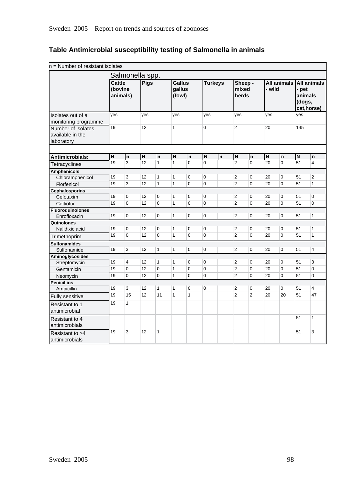| $n =$ Number of resistant isolates                                           |                          |                 |                |              |                                   |                       |           |                |                         |                         |                         |                    |                            |                            |
|------------------------------------------------------------------------------|--------------------------|-----------------|----------------|--------------|-----------------------------------|-----------------------|-----------|----------------|-------------------------|-------------------------|-------------------------|--------------------|----------------------------|----------------------------|
|                                                                              |                          | Salmonella spp. |                |              |                                   |                       |           |                |                         |                         |                         |                    |                            |                            |
|                                                                              | <b>Cattle</b><br>(bovine | animals)        | <b>Pigs</b>    |              | <b>Gallus</b><br>gallus<br>(fowl) |                       |           | <b>Turkeys</b> | mixed<br>herds          | Sheep -                 | - wild                  | <b>All animals</b> | - pet<br>animals<br>(dogs, | All animals<br>cat, horse) |
| Isolates out of a                                                            | yes                      |                 | yes            |              | yes                               |                       | yes       |                | yes                     |                         | yes                     |                    | yes                        |                            |
| monitoring programme<br>Number of isolates<br>available in the<br>laboratory | 19                       |                 | 12             |              | $\mathbf{1}$                      |                       | 0         |                | $\overline{2}$          |                         | 20                      |                    | 145                        |                            |
| Antimicrobials:                                                              | $\overline{\mathsf{N}}$  | $\mathsf{n}$    | $\overline{N}$ | $\mathsf{n}$ | N                                 | $\mathsf n$           | N         | n              | $\overline{\mathsf{N}}$ | $\overline{\mathsf{n}}$ | $\overline{\mathsf{N}}$ | n                  | $\overline{\mathsf{N}}$    | n                          |
| Tetracyclines                                                                | 19                       | 3               | 12             | $\mathbf{1}$ | $\mathbf{1}$                      | $\Omega$              | $\Omega$  |                | 2                       | $\Omega$                | 20                      | $\Omega$           | 51                         | 4                          |
| <b>Amphenicols</b>                                                           |                          |                 |                |              |                                   |                       |           |                |                         |                         |                         |                    |                            |                            |
| Chloramphenicol                                                              | 19                       | 3               | 12             | $\mathbf{1}$ | 1                                 | $\mathbf 0$           | 0         |                | $\boldsymbol{2}$        | $\mathbf 0$             | 20                      | $\mathbf 0$        | 51                         | 2                          |
| Florfenicol                                                                  | 19                       | 3               | 12             | $\mathbf{1}$ | $\mathbf{1}$                      | $\overline{\text{o}}$ | 0         |                | $\overline{c}$          | $\overline{\text{o}}$   | 20                      | $\mathbf 0$        | 51                         | $\mathbf{1}$               |
| <b>Cephalosporins</b>                                                        |                          |                 |                |              |                                   |                       |           |                |                         |                         |                         |                    |                            |                            |
| Cefotaxim                                                                    | 19                       | 0               | 12             | $\mathbf 0$  | 1                                 | $\mathbf 0$           | 0         |                | $\mathbf 2$             | $\mathbf 0$             | 20                      | 0                  | 51                         | 0                          |
| Ceftiofur                                                                    | 19                       | $\Omega$        | 12             | $\Omega$     | $\mathbf{1}$                      | $\overline{0}$        | 0         |                | $\overline{2}$          | $\mathbf 0$             | 20                      | $\overline{0}$     | 51                         | $\Omega$                   |
| Fluoroquinolones                                                             |                          |                 |                |              |                                   |                       |           |                |                         |                         |                         |                    |                            |                            |
| Enrofloxacin                                                                 | 19                       | $\mathbf 0$     | 12             | $\mathbf 0$  | 1                                 | $\mathbf 0$           | 0         |                | $\mathbf{2}$            | $\pmb{0}$               | 20                      | $\pmb{0}$          | 51                         | $\mathbf{1}$               |
| Quinolones<br>Nalidixic acid                                                 | 19                       | 0               | 12             | $\mathbf 0$  | 1                                 | $\mathbf 0$           | 0         |                | $\mathbf 2$             | $\mathbf 0$             | 20                      | $\mathbf 0$        | 51                         | 1                          |
| Trimethoprim                                                                 | 19                       | $\Omega$        | 12             | $\Omega$     | $\mathbf{1}$                      | $\mathsf 0$           | 0         |                | $\overline{c}$          | $\mathsf 0$             | 20                      | $\overline{0}$     | 51                         | $\mathbf{1}$               |
| <b>Sulfonamides</b>                                                          |                          |                 |                |              |                                   |                       |           |                |                         |                         |                         |                    |                            |                            |
| Sulfonamide                                                                  | 19                       | 3               | 12             | $\mathbf{1}$ | 1                                 | $\mathbf 0$           | $\pmb{0}$ |                | $\overline{2}$          | $\pmb{0}$               | 20                      | 0                  | 51                         | 4                          |
| Aminoglycosides                                                              |                          |                 |                |              |                                   |                       |           |                |                         |                         |                         |                    |                            |                            |
| Streptomycin                                                                 | 19                       | 4               | 12             | $\mathbf{1}$ | 1                                 | $\mathbf 0$           | 0         |                | $\overline{\mathbf{c}}$ | $\mathbf 0$             | 20                      | $\mathbf 0$        | 51                         | 3                          |
| Gentamicin                                                                   | 19                       | $\mathbf 0$     | 12             | $\mathbf 0$  | $\mathbf{1}$                      | $\overline{0}$        | 0         |                | $\overline{c}$          | $\overline{0}$          | 20                      | 0                  | 51                         | 0                          |
| Neomycin                                                                     | 19                       | $\mathbf 0$     | 12             | $\Omega$     | $\mathbf{1}$                      | 0                     | 0         |                | $\overline{c}$          | 0                       | 20                      | 0                  | 51                         | 0                          |
| <b>Penicillins</b>                                                           | 19                       | $\mathbf{3}$    | 12             | $\mathbf{1}$ | 1                                 | $\mathbf 0$           | 0         |                | $\mathbf 2$             | $\pmb{0}$               | 20                      | $\mathbf 0$        | 51                         | 4                          |
| Ampicillin                                                                   | 19                       | 15              | 12             | 11           | $\mathbf{1}$                      | $\mathbf{1}$          |           |                | $\overline{c}$          | $\overline{2}$          | 20                      | 20                 | 51                         | 47                         |
| Fully sensitive                                                              |                          |                 |                |              |                                   |                       |           |                |                         |                         |                         |                    |                            |                            |
| Resistant to 1<br>antimicrobial                                              | 19                       | $\mathbf{1}$    |                |              |                                   |                       |           |                |                         |                         |                         |                    |                            |                            |
| Resistant to 4<br>antimicrobials                                             |                          |                 |                |              |                                   |                       |           |                |                         |                         |                         |                    | 51                         | 1                          |
| Resistant to >4<br>antimicrobials                                            | 19                       | 3               | 12             | $\mathbf{1}$ |                                   |                       |           |                |                         |                         |                         |                    | 51                         | 3                          |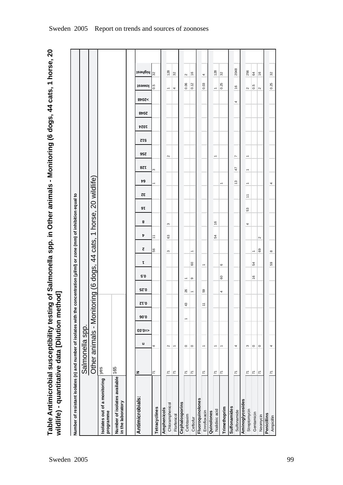Table Antimicrobial susceptibility testing of Salmonella spp. in Other animals - Monitoring (6 dogs, 44 cats, 1 horse, 20<br>wildlife) - quantitative data [Dilution method] **Table Antimicrobial susceptibility testing of Salmonella spp. in Other animals - Monitoring (6 dogs, 44 cats, 1 horse, 20 wildlife) - quantitative data [Dilution method]**

| Number of resistant isolates (n) and number of isolates with the concentration (µl/ml) or zone (mm) of inhibition equal to |                          |                |            |      |             |                          |                |                          |                   |                          |                     |           |                          |                |                 |            |      |      |                 |                          |                |  |
|----------------------------------------------------------------------------------------------------------------------------|--------------------------|----------------|------------|------|-------------|--------------------------|----------------|--------------------------|-------------------|--------------------------|---------------------|-----------|--------------------------|----------------|-----------------|------------|------|------|-----------------|--------------------------|----------------|--|
|                                                                                                                            | Salmonella spp.          |                |            |      |             |                          |                |                          |                   |                          |                     |           |                          |                |                 |            |      |      |                 |                          |                |  |
|                                                                                                                            | Other animals - Monitor  |                |            |      |             | ing                      |                |                          | (6 dogs, 44 cats, | $\overline{\phantom{0}}$ | horse, 20 wildlife) |           |                          |                |                 |            |      |      |                 |                          |                |  |
| Isolates out of a monitoring<br>programme                                                                                  | yes                      |                |            |      |             |                          |                |                          |                   |                          |                     |           |                          |                |                 |            |      |      |                 |                          |                |  |
| Number of isolates available <sup> 165</sup><br>in the laboratory                                                          |                          |                |            |      |             |                          |                |                          |                   |                          |                     |           |                          |                |                 |            |      |      |                 |                          |                |  |
|                                                                                                                            |                          |                |            |      |             |                          |                |                          |                   |                          |                     |           |                          |                |                 |            |      |      |                 |                          |                |  |
| Antimicrobials:                                                                                                            | z                        | u              | $E0.0 = >$ | 90.0 | S1.0        | 9.25                     | 90             | ı                        | ट                 | Þ                        | 8                   | 32<br>9 L | t9                       | 138            | 9S <sub>7</sub> | <b>SIS</b> | 1024 | 2048 | <b>8707&lt;</b> | <b>J</b><br>Jewol        | highest        |  |
| Tetracyclines                                                                                                              | $\overline{7}$           | 4              |            |      |             |                          |                |                          | 56                | Ξ                        |                     |           | $\overline{ }$           | S              |                 |            |      |      |                 | 0.5                      | 32             |  |
| Amphenicols                                                                                                                |                          |                |            |      |             |                          |                |                          |                   |                          |                     |           |                          |                |                 |            |      |      |                 |                          |                |  |
| Chloramphenicol                                                                                                            | $\overline{\kappa}$      | $\sim$         |            |      |             |                          |                |                          | S                 | යි                       | S                   |           |                          |                | $\sim$          |            |      |      |                 | $\overline{\phantom{0}}$ | 128            |  |
| Florfenicol                                                                                                                | $\overline{r}$           | $\overline{ }$ |            |      |             |                          |                |                          |                   |                          |                     |           |                          |                |                 |            |      |      |                 | 4                        | 32             |  |
| Cephalosporins                                                                                                             |                          |                |            |      |             |                          |                |                          |                   |                          |                     |           |                          |                |                 |            |      |      |                 |                          |                |  |
| Cefotaxim                                                                                                                  | $\overline{\mathcal{L}}$ | $\circ$        |            |      | 43          | 26                       | $\overline{ }$ |                          |                   |                          |                     |           |                          |                |                 |            |      |      |                 | 0.06                     | $\sim$         |  |
| Ceftiofur                                                                                                                  | $\overline{7}$           | $\circ$        |            |      |             | $\overline{\phantom{0}}$ | თ              | 60                       | $\overline{ }$    |                          |                     |           |                          |                |                 |            |      |      |                 | 0.12                     | $\frac{6}{5}$  |  |
| Fluoroquinolones                                                                                                           |                          |                |            |      |             |                          |                |                          |                   |                          |                     |           |                          |                |                 |            |      |      |                 |                          |                |  |
| Enrofloxacin                                                                                                               | $\overline{z}$           | $\overline{ }$ |            |      | $\tilde{r}$ | 59                       |                | $\overline{\phantom{0}}$ |                   |                          |                     |           |                          |                |                 |            |      |      |                 | 0.03                     | 4              |  |
| Quinolones                                                                                                                 |                          |                |            |      |             |                          |                |                          |                   |                          |                     |           |                          |                |                 |            |      |      |                 |                          |                |  |
| Nalidixic acid                                                                                                             | $\overline{z}$           | ۰              |            |      |             |                          |                |                          |                   | 24                       | $\frac{6}{5}$       |           |                          |                | $\overline{ }$  |            |      |      |                 | $\overline{\phantom{0}}$ | 128            |  |
| Trimethoprim                                                                                                               | $\overline{z}$           | $\overline{ }$ |            |      |             | 4                        | 60             | $\mathbf  \circ$         |                   |                          |                     |           | $\overline{\phantom{0}}$ |                |                 |            |      |      |                 | 0.25                     | $\overline{3}$ |  |
| <b>Sulfonamides</b>                                                                                                        |                          |                |            |      |             |                          |                |                          |                   |                          |                     |           |                          |                |                 |            |      |      |                 |                          |                |  |
| Sulfonamide                                                                                                                | $\overline{\mathcal{L}}$ | 4              |            |      |             |                          |                |                          |                   |                          |                     |           | $\frac{3}{2}$            | 47             | Z               |            |      |      | 4               | $\frac{6}{2}$            | 2048           |  |
| Aminoglycosides                                                                                                            |                          |                |            |      |             |                          |                |                          |                   |                          |                     |           |                          |                |                 |            |      |      |                 |                          |                |  |
| Streptomycin                                                                                                               | $\overline{r}$           | S              |            |      |             |                          |                |                          |                   |                          | S3<br>4             | Ξ         | $\overline{\phantom{0}}$ | $\overline{ }$ | ٠               |            |      |      |                 | $\sim$                   | 256            |  |
| Gentamicin                                                                                                                 | $\overline{r}$           | $\circ$        |            |      |             |                          | $\frac{6}{5}$  | 54                       | $\overline{ }$    |                          |                     |           |                          |                |                 |            |      |      |                 | $\frac{5}{6}$            | 64             |  |
| Neomycin                                                                                                                   | $\overline{r}$           | $\circ$        |            |      |             |                          |                |                          | ෂ                 | $\sim$                   |                     |           |                          |                |                 |            |      |      |                 | $\sim$                   | $\frac{6}{5}$  |  |
| Penicillins                                                                                                                |                          |                |            |      |             |                          |                |                          |                   |                          |                     |           |                          |                |                 |            |      |      |                 |                          |                |  |
| Ampicillin                                                                                                                 | $\overline{1}$           | 4              |            |      |             |                          |                | 59                       | $\infty$          |                          |                     |           | 4                        |                |                 |            |      |      |                 | 0.25                     | 32             |  |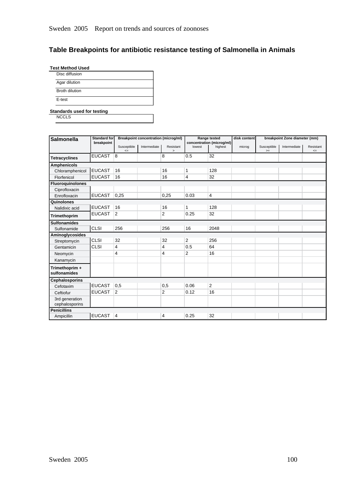# **Table Breakpoints for antibiotic resistance testing of Salmonella in Animals**

| <b>Test Method Used</b> |  |  |
|-------------------------|--|--|
| Disc diffusion          |  |  |
| Agar dilution           |  |  |
| <b>Broth dilution</b>   |  |  |
| E-test                  |  |  |

**Standards used for testing**

NCCLS

| <b>Salmonella</b>                | <b>Standard for</b> |             | <b>Breakpoint concentration (microg/ml)</b> |                |        | Range tested                         | disk content |             | breakpoint Zone diameter (mm) |           |
|----------------------------------|---------------------|-------------|---------------------------------------------|----------------|--------|--------------------------------------|--------------|-------------|-------------------------------|-----------|
|                                  | breakpoint          | Susceptible | Intermediate                                | Resistant      | lowest | concentration (microg/ml)<br>highest | microg       | Susceptible | Intermediate                  | Resistant |
|                                  |                     | $\leq$      |                                             | $\geq$         |        |                                      |              | $>=$        |                               | $\leq$    |
| <b>Tetracyclines</b>             | <b>EUCAST</b>       | 8           |                                             | 8              | 0.5    | 32                                   |              |             |                               |           |
| <b>Amphenicols</b>               |                     |             |                                             |                |        |                                      |              |             |                               |           |
| Chloramphenicol                  | <b>EUCAST</b>       | 16          |                                             | 16             | 1      | 128                                  |              |             |                               |           |
| Florfenicol                      | <b>EUCAST</b>       | 16          |                                             | 16             | 4      | 32                                   |              |             |                               |           |
| <b>Fluoroquinolones</b>          |                     |             |                                             |                |        |                                      |              |             |                               |           |
| Ciprofloxacin                    |                     |             |                                             |                |        |                                      |              |             |                               |           |
| Enrofloxacin                     | <b>EUCAST</b>       | 0,25        |                                             | 0,25           | 0.03   | $\overline{4}$                       |              |             |                               |           |
| Quinolones                       |                     |             |                                             |                |        |                                      |              |             |                               |           |
| Nalidixic acid                   | <b>EUCAST</b>       | 16          |                                             | 16             | 1      | 128                                  |              |             |                               |           |
| Trimethoprim                     | <b>EUCAST</b>       | 2           |                                             | $\overline{2}$ | 0.25   | 32                                   |              |             |                               |           |
| <b>Sulfonamides</b>              |                     |             |                                             |                |        |                                      |              |             |                               |           |
| Sulfonamide                      | <b>CLSI</b>         | 256         |                                             | 256            | 16     | 2048                                 |              |             |                               |           |
| Aminoglycosides                  |                     |             |                                             |                |        |                                      |              |             |                               |           |
| Streptomycin                     | <b>CLSI</b>         | 32          |                                             | 32             | 2      | 256                                  |              |             |                               |           |
| Gentamicin                       | <b>CLSI</b>         | 4           |                                             | 4              | 0.5    | 64                                   |              |             |                               |           |
| Neomycin                         |                     | 4           |                                             | 4              | 2      | 16                                   |              |             |                               |           |
| Kanamycin                        |                     |             |                                             |                |        |                                      |              |             |                               |           |
| Trimethoprim +<br>sulfonamides   |                     |             |                                             |                |        |                                      |              |             |                               |           |
| Cephalosporins                   |                     |             |                                             |                |        |                                      |              |             |                               |           |
| Cefotaxim                        | <b>EUCAST</b>       | 0,5         |                                             | 0,5            | 0.06   | $\overline{2}$                       |              |             |                               |           |
| Ceftiofur                        | <b>EUCAST</b>       | 2           |                                             | 2              | 0.12   | 16                                   |              |             |                               |           |
| 3rd generation<br>cephalosporins |                     |             |                                             |                |        |                                      |              |             |                               |           |
| <b>Penicillins</b>               |                     |             |                                             |                |        |                                      |              |             |                               |           |
| Ampicillin                       | <b>EUCAST</b>       | 4           |                                             | 4              | 0.25   | 32                                   |              |             |                               |           |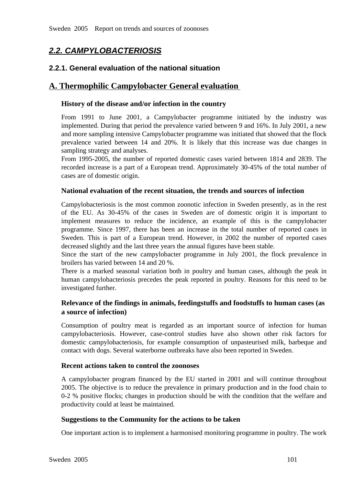# **2.2. CAMPYLOBACTERIOSIS**

## **2.2.1. General evaluation of the national situation**

# **A. Thermophilic Campylobacter General evaluation**

#### **History of the disease and/or infection in the country**

From 1991 to June 2001, a Campylobacter programme initiated by the industry was implemented. During that period the prevalence varied between 9 and 16%. In July 2001, a new and more sampling intensive Campylobacter programme was initiated that showed that the flock prevalence varied between 14 and 20%. It is likely that this increase was due changes in sampling strategy and analyses.

From 1995-2005, the number of reported domestic cases varied between 1814 and 2839. The recorded increase is a part of a European trend. Approximately 30-45% of the total number of cases are of domestic origin.

#### **National evaluation of the recent situation, the trends and sources of infection**

Campylobacteriosis is the most common zoonotic infection in Sweden presently, as in the rest of the EU. As 30-45% of the cases in Sweden are of domestic origin it is important to implement measures to reduce the incidence, an example of this is the campylobacter programme. Since 1997, there has been an increase in the total number of reported cases in Sweden. This is part of a European trend. However, in 2002 the number of reported cases decreased slightly and the last three years the annual figures have been stable.

Since the start of the new campylobacter programme in July 2001, the flock prevalence in broilers has varied between 14 and 20 %.

There is a marked seasonal variation both in poultry and human cases, although the peak in human campylobacteriosis precedes the peak reported in poultry. Reasons for this need to be investigated further.

### **Relevance of the findings in animals, feedingstuffs and foodstuffs to human cases (as a source of infection)**

Consumption of poultry meat is regarded as an important source of infection for human campylobacteriosis. However, case-control studies have also shown other risk factors for domestic campylobacteriosis, for example consumption of unpasteurised milk, barbeque and contact with dogs. Several waterborne outbreaks have also been reported in Sweden.

#### **Recent actions taken to control the zoonoses**

A campylobacter program financed by the EU started in 2001 and will continue throughout 2005. The objective is to reduce the prevalence in primary production and in the food chain to 0-2 % positive flocks; changes in production should be with the condition that the welfare and productivity could at least be maintained.

#### **Suggestions to the Community for the actions to be taken**

One important action is to implement a harmonised monitoring programme in poultry. The work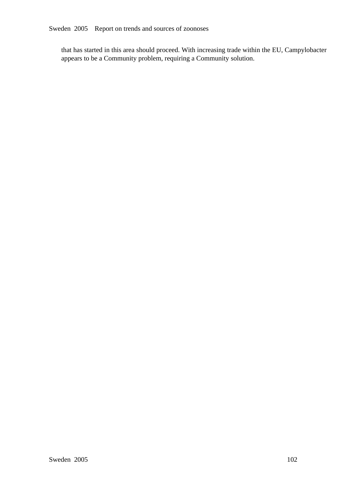that has started in this area should proceed. With increasing trade within the EU, Campylobacter appears to be a Community problem, requiring a Community solution.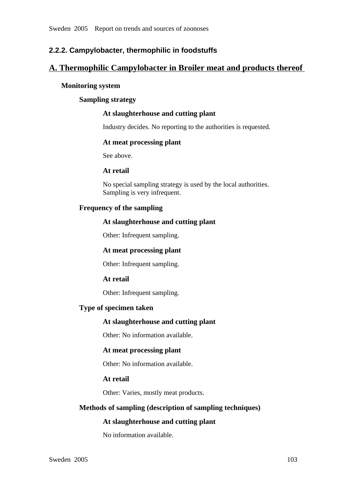#### **2.2.2. Campylobacter, thermophilic in foodstuffs**

#### **A. Thermophilic Campylobacter in Broiler meat and products thereof**

#### **Monitoring system**

#### **Sampling strategy**

#### **At slaughterhouse and cutting plant**

Industry decides. No reporting to the authorities is requested.

#### **At meat processing plant**

See above.

#### **At retail**

No special sampling strategy is used by the local authorities. Sampling is very infrequent.

#### **Frequency of the sampling**

#### **At slaughterhouse and cutting plant**

Other: Infrequent sampling.

#### **At meat processing plant**

Other: Infrequent sampling.

#### **At retail**

Other: Infrequent sampling.

#### **Type of specimen taken**

#### **At slaughterhouse and cutting plant**

Other: No information available.

#### **At meat processing plant**

Other: No information available.

#### **At retail**

Other: Varies, mostly meat products.

#### **Methods of sampling (description of sampling techniques)**

#### **At slaughterhouse and cutting plant**

No information available.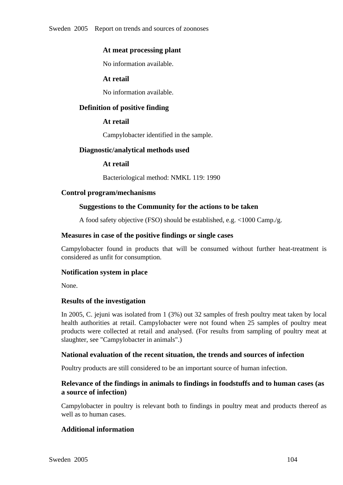## **At meat processing plant**

No information available.

## **At retail**

No information available.

## **Definition of positive finding**

## **At retail**

Campylobacter identified in the sample.

## **Diagnostic/analytical methods used**

**At retail**

Bacteriological method: NMKL 119: 1990

#### **Control program/mechanisms**

#### **Suggestions to the Community for the actions to be taken**

A food safety objective (FSO) should be established, e.g. <1000 Camp./g.

#### **Measures in case of the positive findings or single cases**

Campylobacter found in products that will be consumed without further heat-treatment is considered as unfit for consumption.

#### **Notification system in place**

None.

## **Results of the investigation**

In 2005, C. jejuni was isolated from 1 (3%) out 32 samples of fresh poultry meat taken by local health authorities at retail. Campylobacter were not found when 25 samples of poultry meat products were collected at retail and analysed. (For results from sampling of poultry meat at slaughter, see "Campylobacter in animals".)

## **National evaluation of the recent situation, the trends and sources of infection**

Poultry products are still considered to be an important source of human infection.

## **Relevance of the findings in animals to findings in foodstuffs and to human cases (as a source of infection)**

Campylobacter in poultry is relevant both to findings in poultry meat and products thereof as well as to human cases.

## **Additional information**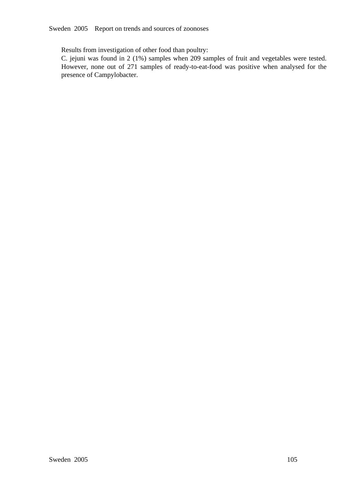Results from investigation of other food than poultry:

C. jejuni was found in 2 (1%) samples when 209 samples of fruit and vegetables were tested. However, none out of 271 samples of ready-to-eat-food was positive when analysed for the presence of Campylobacter.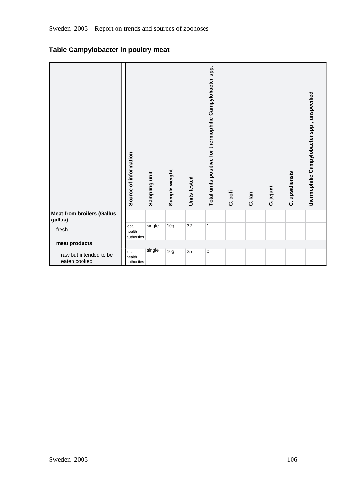# **Table Campylobacter in poultry meat**

|                                                         | Source of information          | Sampling unit | Sample weight   | Units tested | Total units positive for thermophilic Campylobacter spp. | C. coli | C. lari | C. jejuni | C. upsaliensis | thermophilic Campylobacter spp., unspecified |
|---------------------------------------------------------|--------------------------------|---------------|-----------------|--------------|----------------------------------------------------------|---------|---------|-----------|----------------|----------------------------------------------|
| <b>Meat from broilers (Gallus</b><br>gallus)            |                                |               |                 |              |                                                          |         |         |           |                |                                              |
| fresh                                                   | local<br>health<br>authorities | single        | 10 <sub>g</sub> | 32           | $\mathbf{1}$                                             |         |         |           |                |                                              |
| meat products<br>raw but intended to be<br>eaten cooked | local<br>health<br>authorities | single        | 10 <sub>g</sub> | 25           | $\pmb{0}$                                                |         |         |           |                |                                              |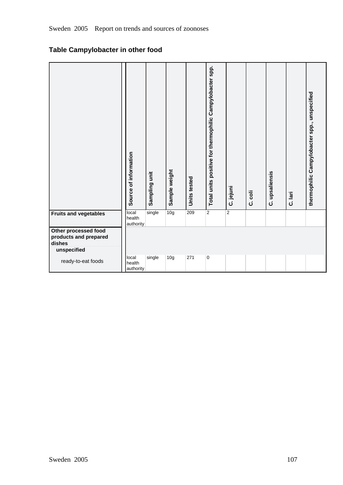# **Table Campylobacter in other food**

|                                                                        | Source of information        | Sampling unit | Sample weight   | Units tested | Total units positive for thermophilic Campylobacter spp. | C. jejuni      | C. coli | C. upsaliensis | C. lari | thermophilic Campylobacter spp., unspecified |
|------------------------------------------------------------------------|------------------------------|---------------|-----------------|--------------|----------------------------------------------------------|----------------|---------|----------------|---------|----------------------------------------------|
| <b>Fruits and vegetables</b>                                           | local<br>health<br>authority | single        | 10 <sub>g</sub> | 209          | $\overline{2}$                                           | $\overline{2}$ |         |                |         |                                              |
| Other processed food<br>products and prepared<br>dishes<br>unspecified |                              |               |                 |              |                                                          |                |         |                |         |                                              |
| ready-to-eat foods                                                     | local<br>health<br>authority | single        | 10 <sub>g</sub> | 271          | $\pmb{0}$                                                |                |         |                |         |                                              |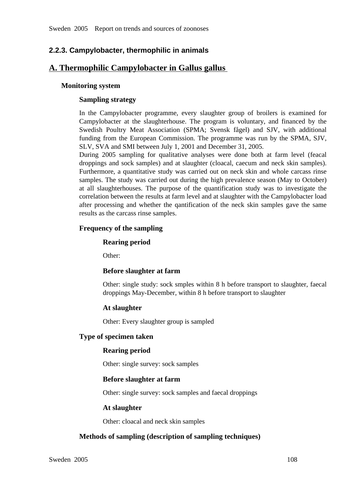## **2.2.3. Campylobacter, thermophilic in animals**

## **A. Thermophilic Campylobacter in Gallus gallus**

#### **Monitoring system**

#### **Sampling strategy**

In the Campylobacter programme, every slaughter group of broilers is examined for Campylobacter at the slaughterhouse. The program is voluntary, and financed by the Swedish Poultry Meat Association (SPMA; Svensk fågel) and SJV, with additional funding from the European Commission. The programme was run by the SPMA, SJV, SLV, SVA and SMI between July 1, 2001 and December 31, 2005.

During 2005 sampling for qualitative analyses were done both at farm level (feacal droppings and sock samples) and at slaughter (cloacal, caecum and neck skin samples). Furthermore, a quantitative study was carried out on neck skin and whole carcass rinse samples. The study was carried out during the high prevalence season (May to October) at all slaughterhouses. The purpose of the quantification study was to investigate the correlation between the results at farm level and at slaughter with the Campylobacter load after processing and whether the qantification of the neck skin samples gave the same results as the carcass rinse samples.

#### **Frequency of the sampling**

#### **Rearing period**

Other:

## **Before slaughter at farm**

Other: single study: sock smples within 8 h before transport to slaughter, faecal droppings May-December, within 8 h before transport to slaughter

## **At slaughter**

Other: Every slaughter group is sampled

## **Type of specimen taken**

#### **Rearing period**

Other: single survey: sock samples

#### **Before slaughter at farm**

Other: single survey: sock samples and faecal droppings

## **At slaughter**

Other: cloacal and neck skin samples

## **Methods of sampling (description of sampling techniques)**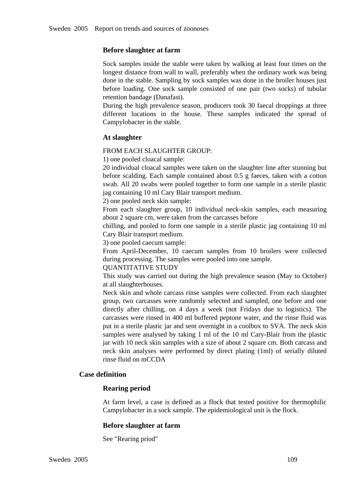#### **Before slaughter at farm**

Sock samples inside the stable were taken by walking at least four times on the longest distance from wall to wall, preferably when the ordinary work was being done in the stable. Sampling by sock samples was done in the broiler houses just before loading. One sock sample consisted of one pair (two socks) of tubular retention bandage (Danafast).

During the high prevalence season, producers took 30 faecal droppings at three different locations in the house. These samples indicated the spread of Campylobacter in the stable.

#### **At slaughter**

#### FROM EACH SLAUGHTER GROUP:

1) one pooled cloacal sample:

20 individual cloacal samples were taken on the slaughter line after stunning but before scalding. Each sample contained about 0.5 g faeces, taken with a cotton swab. All 20 swabs were pooled together to form one sample in a sterile plastic jag containing 10 ml Cary Blair transport medium.

2) one pooled neck skin sample:

From each slaughter group, 10 individual neck-skin samples, each measuring about 2 square cm, were taken from the carcasses before

chilling, and pooled to form one sample in a sterile plastic jag containing 10 ml Cary Blair transport medium.

3) one pooled caecum sample:

From April-December, 10 caecum samples from 10 broilers were collected during processing. The samples were pooled into one sample.

#### QUANTITATIVE STUDY

This study was carried out during the high prevalence season (May to October) at all slaughterhouses.

Neck skin and whole carcass rinse samples were collected. From each slaughter group, two carcasses were randomly selected and sampled, one before and one directly after chilling, on 4 days a week (not Fridays due to logistics). The carcasses were rinsed in 400 ml buffered peptone water, and the rinse fluid was put in a sterile plastic jar and sent overnight in a coolbox to SVA. The neck skin samples were analysed by taking 1 ml of the 10 ml Cary-Blair from the plastic jar with 10 neck skin samples with a size of about 2 square cm. Both carcass and neck skin analyses were performed by direct plating (1ml) of serially diluted rinse fluid on mCCDA

#### **Case definition**

#### **Rearing period**

At farm level, a case is defined as a flock that tested positive for thermophilic Campylobacter in a sock sample. The epidemiological unit is the flock.

#### **Before slaughter at farm**

See "Rearing priod"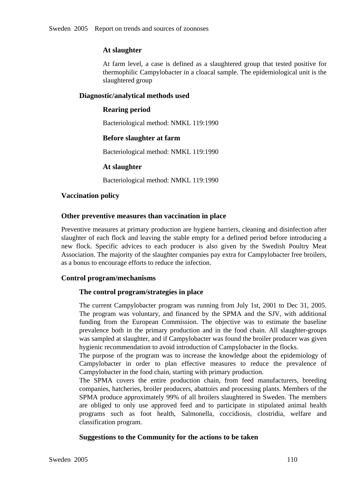## **At slaughter**

At farm level, a case is defined as a slaughtered group that tested positive for thermophilic Campylobacter in a cloacal sample. The epidemiological unit is the slaughtered group

## **Diagnostic/analytical methods used**

## **Rearing period**

Bacteriological method: NMKL 119:1990

## **Before slaughter at farm**

Bacteriological method: NMKL 119:1990

## **At slaughter**

Bacteriological method: NMKL 119:1990

#### **Vaccination policy**

## **Other preventive measures than vaccination in place**

Preventive measures at primary production are hygiene barriers, cleaning and disinfection after slaughter of each flock and leaving the stable empty for a defined period before introducing a new flock. Specific advices to each producer is also given by the Swedish Poultry Meat Association. The majority of the slaughter companies pay extra for Campylobacter free broilers, as a bonus to encourage efforts to reduce the infection.

## **Control program/mechanisms**

## **The control program/strategies in place**

The current Campylobacter program was running from July 1st, 2001 to Dec 31, 2005. The program was voluntary, and financed by the SPMA and the SJV, with additional funding from the European Commission. The objective was to estimate the baseline prevalence both in the primary production and in the food chain. All slaughter-groups was sampled at slaughter, and if Campylobacter was found the broiler producer was given hygienic recommendation to avoid introduction of Campylobacter in the flocks.

The purpose of the program was to increase the knowledge about the epidemiology of Campylobacter in order to plan effective measures to reduce the prevalence of Campylobacter in the food chain, starting with primary production.

The SPMA covers the entire production chain, from feed manufacturers, breeding companies, hatcheries, broiler producers, abattoirs and processing plants. Members of the SPMA produce approximately 99% of all broilers slaughtered in Sweden. The members are obliged to only use approved feed and to participate in stipulated animal health programs such as foot health, Salmonella, coccidiosis, clostridia, welfare and classification program.

## **Suggestions to the Community for the actions to be taken**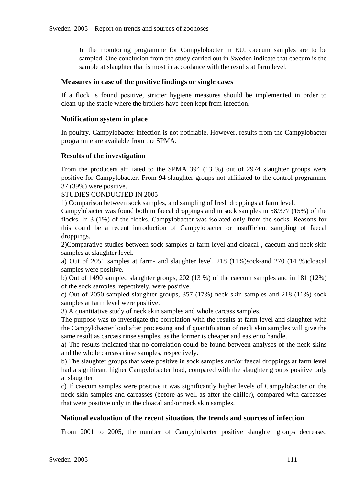In the monitoring programme for Campylobacter in EU, caecum samples are to be sampled. One conclusion from the study carried out in Sweden indicate that caecum is the sample at slaughter that is most in accordance with the results at farm level.

#### **Measures in case of the positive findings or single cases**

If a flock is found positive, stricter hygiene measures should be implemented in order to clean-up the stable where the broilers have been kept from infection.

#### **Notification system in place**

In poultry, Campylobacter infection is not notifiable. However, results from the Campylobacter programme are available from the SPMA.

#### **Results of the investigation**

From the producers affiliated to the SPMA 394 (13 %) out of 2974 slaughter groups were positive for Campylobacter. From 94 slaughter groups not affiliated to the control programme 37 (39%) were positive.

STUDIES CONDUCTED IN 2005

1) Comparison between sock samples, and sampling of fresh droppings at farm level.

Campylobacter was found both in faecal droppings and in sock samples in 58/377 (15%) of the flocks. In 3 (1%) of the flocks, Campylobacter was isolated only from the socks. Reasons for this could be a recent introduction of Campylobacter or insufficient sampling of faecal droppings.

2)Comparative studies between sock samples at farm level and cloacal-, caecum-and neck skin samples at slaughter level.

a) Out of 2051 samples at farm- and slaughter level, 218 (11%)sock-and 270 (14 %)cloacal samples were positive.

b) Out of 1490 sampled slaughter groups, 202 (13 %) of the caecum samples and in 181 (12%) of the sock samples, repectively, were positive.

c) Out of 2050 sampled slaughter groups, 357 (17%) neck skin samples and 218 (11%) sock samples at farm level were positive.

3) A quantitative study of neck skin samples and whole carcass samples.

The purpose was to investigate the correlation with the results at farm level and slaughter with the Campylobacter load after processing and if quantification of neck skin samples will give the same result as carcass rinse samples, as the former is cheaper and easier to handle.

a) The results indicated that no correlation could be found between analyses of the neck skins and the whole carcass rinse samples, respectively.

b) The slaughter groups that were positive in sock samples and/or faecal droppings at farm level had a significant higher Campylobacter load, compared with the slaughter groups positive only at slaughter.

c) If caecum samples were positive it was significantly higher levels of Campylobacter on the neck skin samples and carcasses (before as well as after the chiller), compared with carcasses that were positive only in the cloacal and/or neck skin samples.

## **National evaluation of the recent situation, the trends and sources of infection**

From 2001 to 2005, the number of Campylobacter positive slaughter groups decreased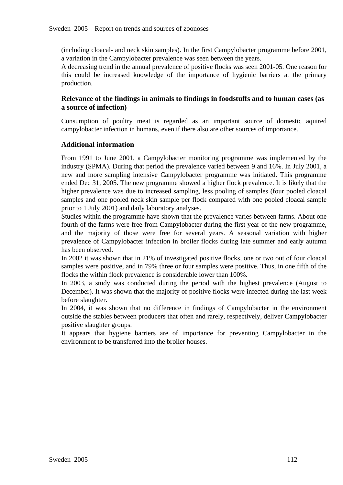(including cloacal- and neck skin samples). In the first Campylobacter programme before 2001, a variation in the Campylobacter prevalence was seen between the years.

A decreasing trend in the annual prevalence of positive flocks was seen 2001-05. One reason for this could be increased knowledge of the importance of hygienic barriers at the primary production.

## **Relevance of the findings in animals to findings in foodstuffs and to human cases (as a source of infection)**

Consumption of poultry meat is regarded as an important source of domestic aquired campylobacter infection in humans, even if there also are other sources of importance.

## **Additional information**

From 1991 to June 2001, a Campylobacter monitoring programme was implemented by the industry (SPMA). During that period the prevalence varied between 9 and 16%. In July 2001, a new and more sampling intensive Campylobacter programme was initiated. This programme ended Dec 31, 2005. The new programme showed a higher flock prevalence. It is likely that the higher prevalence was due to increased sampling, less pooling of samples (four pooled cloacal samples and one pooled neck skin sample per flock compared with one pooled cloacal sample prior to 1 July 2001) and daily laboratory analyses.

Studies within the programme have shown that the prevalence varies between farms. About one fourth of the farms were free from Campylobacter during the first year of the new programme, and the majority of those were free for several years. A seasonal variation with higher prevalence of Campylobacter infection in broiler flocks during late summer and early autumn has been observed.

In 2002 it was shown that in 21% of investigated positive flocks, one or two out of four cloacal samples were positive, and in 79% three or four samples were positive. Thus, in one fifth of the flocks the within flock prevalence is considerable lower than 100%.

In 2003, a study was conducted during the period with the highest prevalence (August to December). It was shown that the majority of positive flocks were infected during the last week before slaughter.

In 2004, it was shown that no difference in findings of Campylobacter in the environment outside the stables between producers that often and rarely, respectively, deliver Campylobacter positive slaughter groups.

It appears that hygiene barriers are of importance for preventing Campylobacter in the environment to be transferred into the broiler houses.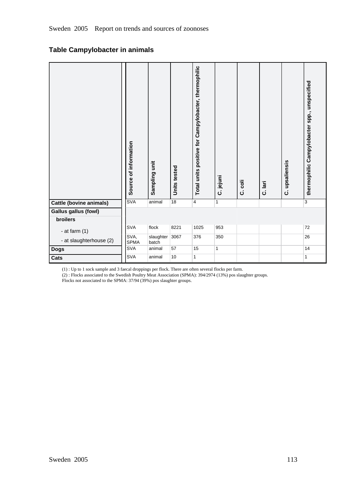# **Table Campylobacter in animals**

|                                | Source of information | Sampling unit      | Units tested | Total units positive for Campylobacter, thermophilic | C. jejuni    | C. coli | C. lari | C. upsaliensis | thermophilic Campylobacter spp., unspecified |
|--------------------------------|-----------------------|--------------------|--------------|------------------------------------------------------|--------------|---------|---------|----------------|----------------------------------------------|
| <b>Cattle (bovine animals)</b> | <b>SVA</b>            | animal             | 18           | 4                                                    | $\mathbf{1}$ |         |         |                | $\overline{3}$                               |
| <b>Gallus gallus (fowl)</b>    |                       |                    |              |                                                      |              |         |         |                |                                              |
| broilers                       |                       |                    |              |                                                      |              |         |         |                |                                              |
| - at farm $(1)$                | SVA                   | flock              | 8221         | 1025                                                 | 953          |         |         |                | 72                                           |
| - at slaughterhouse (2)        | SVA,<br><b>SPMA</b>   | slaughter<br>batch | 3067         | 376                                                  | 350          |         |         |                | 26                                           |
| <b>Dogs</b>                    | SVA                   | animal             | 57           | 15                                                   | $\mathbf{1}$ |         |         |                | 14                                           |
| Cats                           | SVA                   | animal             | 10           | 1                                                    |              |         |         |                | 1                                            |

(1) : Up to 1 sock sample and 3 faecal droppings per flock. There are often several flocks per farm.

(2) : Flocks associated to the Swedish Poultry Meat Association (SPMA): 394/2974 (13%) pos slaughter groups.

Flocks not associated to the SPMA: 37/94 (39%) pos slaughter groups.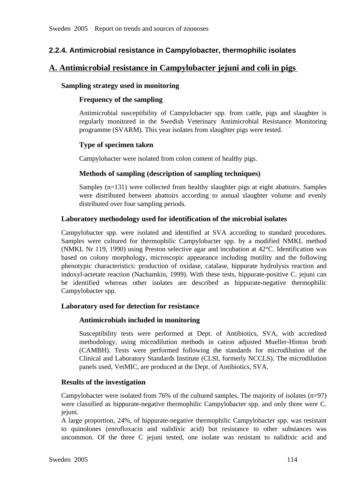# **2.2.4. Antimicrobial resistance in Campylobacter, thermophilic isolates**

# **A. Antimicrobial resistance in Campylobacter jejuni and coli in pigs**

## **Sampling strategy used in monitoring**

## **Frequency of the sampling**

Antimicrobial susceptibility of Campylobacter spp. from cattle, pigs and slaughter is regularly monitored in the Swedish Veterinary Antimicrobial Resistance Monitoring programme (SVARM). This year isolates from slaughter pigs were tested.

## **Type of specimen taken**

Campylobacter were isolated from colon content of healthy pigs.

## **Methods of sampling (description of sampling techniques)**

Samples (n=131) were collected from healthy slaughter pigs at eight abattoirs. Samples were distributed between abattoirs according to annual slaughter volume and evenly distributed over four sampling periods.

## **Laboratory methodology used for identification of the microbial isolates**

Campylobacter spp. were isolated and identified at SVA according to standard procedures. Samples were cultured for thermophilic Campylobacter spp. by a modified NMKL method (NMKL Nr 119, 1990) using Preston selective agar and incubation at 42°C. Identification was based on colony morphology, microscopic appearance including motility and the following phenotypic characteristics: production of oxidase, catalase, hippurate hydrolysis reaction and indoxyl-actetate reaction (Nachamkin, 1999). With these tests, hippurate-positive C. jejuni can be identified whereas other isolates are described as hippurate-negative thermophilic Campylobacter spp.

## **Laboratory used for detection for resistance**

## **Antimicrobials included in monitoring**

Susceptibility tests were performed at Dept. of Antibiotics, SVA, with accredited methodology, using microdilution methods in cation adjusted Mueller-Hinton broth (CAMBH). Tests were performed following the standards for microdilution of the Clinical and Laboratory Standards Institute (CLSI, formerly NCCLS). The microdilution panels used, VetMIC, are produced at the Dept. of Antibiotics, SVA.

## **Results of the investigation**

Campylobacter were isolated from 76% of the cultured samples. The majority of isolates (n=97) were classified as hippurate-negative thermophilic Campylobacter spp. and only three were C. jejuni.

A large proportion, 24%, of hippurate-negative thermophilic Campylobacter spp. was resistant to quinolones (enrofloxacin and nalidixic acid) but resistance to other substances was uncommon. Of the three C jejuni tested, one isolate was resistant to nalidixic acid and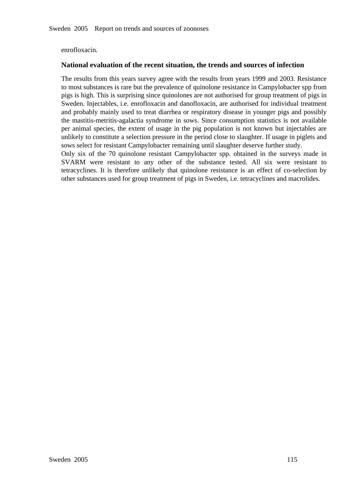enrofloxacin.

## **National evaluation of the recent situation, the trends and sources of infection**

The results from this years survey agree with the results from years 1999 and 2003. Resistance to most substances is rare but the prevalence of quinolone resistance in Campylobacter spp from pigs is high. This is surprising since quinolones are not authorised for group treatment of pigs in Sweden. Injectables, i.e. enrofloxacin and danofloxacin, are authorised for individual treatment and probably mainly used to treat diarrhea or respiratory disease in younger pigs and possibly the mastitis-metritis-agalactia syndrome in sows. Since consumption statistics is not available per animal species, the extent of usage in the pig population is not known but injectables are unlikely to constitute a selection pressure in the period close to slaughter. If usage in piglets and sows select for resistant Campylobacter remaining until slaughter deserve further study.

Only six of the 70 quinolone resistant Campylobacter spp. obtained in the surveys made in SVARM were resistant to any other of the substance tested. All six were resistant to tetracyclines. It is therefore unlikely that quinolone resistance is an effect of co-selection by other substances used for group treatment of pigs in Sweden, i.e. tetracyclines and macrolides.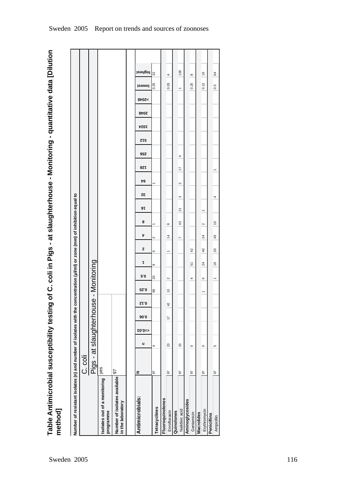**Table Antimicrobial susceptibility testing of C. coli in Pigs - at slaughterhouse - Monitoring - quantitative data [Dilution** Table Antimicrobial susceptibility testing of C. coli in Pigs - at slaughterhouse - Monitoring - quantitative data [Dilution<br>method]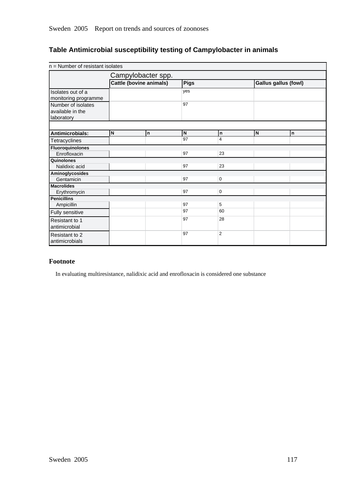# **Table Antimicrobial susceptibility testing of Campylobacter in animals**

| $n =$ Number of resistant isolates |                                |                    |             |                |                             |              |  |  |  |  |  |  |
|------------------------------------|--------------------------------|--------------------|-------------|----------------|-----------------------------|--------------|--|--|--|--|--|--|
|                                    |                                | Campylobacter spp. |             |                |                             |              |  |  |  |  |  |  |
|                                    | <b>Cattle (bovine animals)</b> |                    | <b>Pigs</b> |                | <b>Gallus gallus (fowl)</b> |              |  |  |  |  |  |  |
| Isolates out of a                  |                                |                    | yes         |                |                             |              |  |  |  |  |  |  |
| monitoring programme               |                                |                    |             |                |                             |              |  |  |  |  |  |  |
| Number of isolates                 |                                |                    | 97          |                |                             |              |  |  |  |  |  |  |
| available in the                   |                                |                    |             |                |                             |              |  |  |  |  |  |  |
| laboratory                         |                                |                    |             |                |                             |              |  |  |  |  |  |  |
|                                    |                                |                    |             |                |                             |              |  |  |  |  |  |  |
| <b>Antimicrobials:</b>             | N                              | <b>n</b>           | N           | <b>n</b>       | N                           | $\mathsf{n}$ |  |  |  |  |  |  |
| Tetracyclines                      |                                |                    | 97          | 4              |                             |              |  |  |  |  |  |  |
| Fluoroquinolones                   |                                |                    |             |                |                             |              |  |  |  |  |  |  |
| Enrofloxacin                       |                                |                    | 97          | 23             |                             |              |  |  |  |  |  |  |
| Quinolones                         |                                |                    |             |                |                             |              |  |  |  |  |  |  |
| Nalidixic acid                     |                                |                    | 97          | 23             |                             |              |  |  |  |  |  |  |
| Aminoglycosides                    |                                |                    |             |                |                             |              |  |  |  |  |  |  |
| Gentamicin                         |                                |                    | 97          | $\overline{0}$ |                             |              |  |  |  |  |  |  |
| <b>Macrolides</b>                  |                                |                    |             |                |                             |              |  |  |  |  |  |  |
| Erythromycin                       |                                |                    | 97          | $\mathbf 0$    |                             |              |  |  |  |  |  |  |
| <b>Penicillins</b>                 |                                |                    |             |                |                             |              |  |  |  |  |  |  |
| Ampicillin                         |                                |                    | 97          | 5              |                             |              |  |  |  |  |  |  |
| Fully sensitive                    |                                |                    | 97          | 60             |                             |              |  |  |  |  |  |  |
| Resistant to 1                     |                                |                    | 97          | 28             |                             |              |  |  |  |  |  |  |
| antimicrobial                      |                                |                    |             |                |                             |              |  |  |  |  |  |  |
| Resistant to 2                     |                                |                    | 97          | $\overline{2}$ |                             |              |  |  |  |  |  |  |
| antimicrobials                     |                                |                    |             |                |                             |              |  |  |  |  |  |  |

## **Footnote**

In evaluating multiresistance, nalidixic acid and enrofloxacin is considered one substance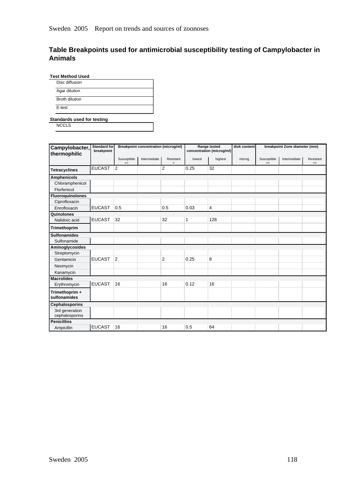## **Table Breakpoints used for antimicrobial susceptibility testing of Campylobacter in Animals**

| <b>Test Method Used</b> |
|-------------------------|
| Disc diffusion          |
| Agar dilution           |
| Broth dilution          |
| E-test                  |
|                         |

**Standards used for testing**

**NCCLS** 

| Campylobacter,<br>thermophilic   | <b>Standard for</b><br>breakpoint |                       | <b>Breakpoint concentration (microg/ml)</b> |                            |        | Range tested<br>concentration (microg/ml) | disk content |                     | breakpoint Zone diameter (mm) |                     |
|----------------------------------|-----------------------------------|-----------------------|---------------------------------------------|----------------------------|--------|-------------------------------------------|--------------|---------------------|-------------------------------|---------------------|
|                                  |                                   | Susceptible<br>$\leq$ | Intermediate                                | Resistant<br>$\rightarrow$ | lowest | highest                                   | microg       | Susceptible<br>$>=$ | Intermediate                  | Resistant<br>$\leq$ |
| <b>Tetracyclines</b>             | <b>EUCAST</b>                     | 2                     |                                             | $\overline{2}$             | 0.25   | 32                                        |              |                     |                               |                     |
| <b>Amphenicols</b>               |                                   |                       |                                             |                            |        |                                           |              |                     |                               |                     |
| Chloramphenicol                  |                                   |                       |                                             |                            |        |                                           |              |                     |                               |                     |
| Florfenicol                      |                                   |                       |                                             |                            |        |                                           |              |                     |                               |                     |
| Fluoroquinolones                 |                                   |                       |                                             |                            |        |                                           |              |                     |                               |                     |
| Ciprofloxacin                    |                                   |                       |                                             |                            |        |                                           |              |                     |                               |                     |
| Enrofloxacin                     | <b>EUCAST</b>                     | 0.5                   |                                             | 0.5                        | 0.03   | $\overline{4}$                            |              |                     |                               |                     |
| Quinolones                       |                                   |                       |                                             |                            |        |                                           |              |                     |                               |                     |
| Nalidixic acid                   | <b>EUCAST</b>                     | 32                    |                                             | 32                         | 1      | 128                                       |              |                     |                               |                     |
| <b>Trimethoprim</b>              |                                   |                       |                                             |                            |        |                                           |              |                     |                               |                     |
| <b>Sulfonamides</b>              |                                   |                       |                                             |                            |        |                                           |              |                     |                               |                     |
| Sulfonamide                      |                                   |                       |                                             |                            |        |                                           |              |                     |                               |                     |
| <b>Aminoglycosides</b>           |                                   |                       |                                             |                            |        |                                           |              |                     |                               |                     |
| Streptomycin                     |                                   |                       |                                             |                            |        |                                           |              |                     |                               |                     |
| Gentamicin                       | <b>EUCAST</b>                     | $\overline{2}$        |                                             | $\overline{2}$             | 0.25   | 8                                         |              |                     |                               |                     |
| Neomycin                         |                                   |                       |                                             |                            |        |                                           |              |                     |                               |                     |
| Kanamycin                        |                                   |                       |                                             |                            |        |                                           |              |                     |                               |                     |
| <b>Macrolides</b>                |                                   |                       |                                             |                            |        |                                           |              |                     |                               |                     |
| Erythromycin                     | <b>EUCAST</b>                     | 16                    |                                             | 16                         | 0.12   | 16                                        |              |                     |                               |                     |
| Trimethoprim +<br>sulfonamides   |                                   |                       |                                             |                            |        |                                           |              |                     |                               |                     |
| <b>Cephalosporins</b>            |                                   |                       |                                             |                            |        |                                           |              |                     |                               |                     |
| 3rd generation<br>cephalosporins |                                   |                       |                                             |                            |        |                                           |              |                     |                               |                     |
| <b>Penicillins</b>               |                                   |                       |                                             |                            |        |                                           |              |                     |                               |                     |
| Ampicillin                       | <b>EUCAST</b>                     | 16                    |                                             | 16                         | 0.5    | 64                                        |              |                     |                               |                     |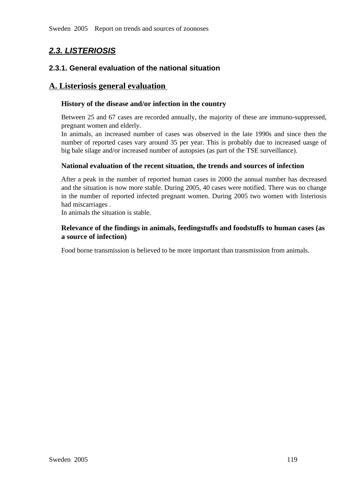# **2.3. LISTERIOSIS**

## **2.3.1. General evaluation of the national situation**

# **A. Listeriosis general evaluation**

## **History of the disease and/or infection in the country**

Between 25 and 67 cases are recorded annually, the majority of these are immuno-suppressed, pregnant women and elderly.

In animals, an increased number of cases was observed in the late 1990s and since then the number of reported cases vary around 35 per year. This is probably due to increased uasge of big bale silage and/or increased number of autopsies (as part of the TSE surveillance).

## **National evaluation of the recent situation, the trends and sources of infection**

After a peak in the number of reported human cases in 2000 the annual number has decreased and the situation is now more stable. During 2005, 40 cases were notified. There was no change in the number of reported infected pregnant women. During 2005 two women with listeriosis had miscarriages .

In animals the situation is stable.

## **Relevance of the findings in animals, feedingstuffs and foodstuffs to human cases (as a source of infection)**

Food borne transmission is believed to be more important than transmission from animals.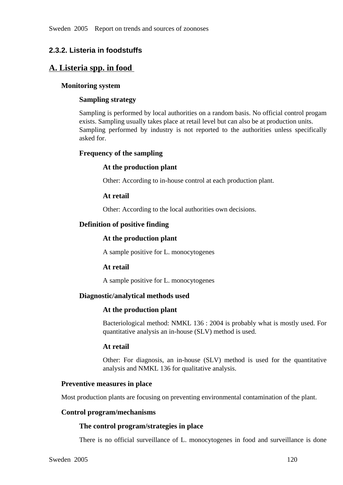## **2.3.2. Listeria in foodstuffs**

## **A. Listeria spp. in food**

#### **Monitoring system**

#### **Sampling strategy**

Sampling is performed by local authorities on a random basis. No official control progam exists. Sampling usually takes place at retail level but can also be at production units. Sampling performed by industry is not reported to the authorities unless specifically asked for.

#### **Frequency of the sampling**

#### **At the production plant**

Other: According to in-house control at each production plant.

#### **At retail**

Other: According to the local authorities own decisions.

## **Definition of positive finding**

#### **At the production plant**

A sample positive for L. monocytogenes

#### **At retail**

A sample positive for L. monocytogenes

## **Diagnostic/analytical methods used**

#### **At the production plant**

Bacteriological method: NMKL 136 : 2004 is probably what is mostly used. For quantitative analysis an in-house (SLV) method is used.

## **At retail**

Other: For diagnosis, an in-house (SLV) method is used for the quantitative analysis and NMKL 136 for qualitative analysis.

#### **Preventive measures in place**

Most production plants are focusing on preventing environmental contamination of the plant.

#### **Control program/mechanisms**

#### **The control program/strategies in place**

There is no official surveillance of L. monocytogenes in food and surveillance is done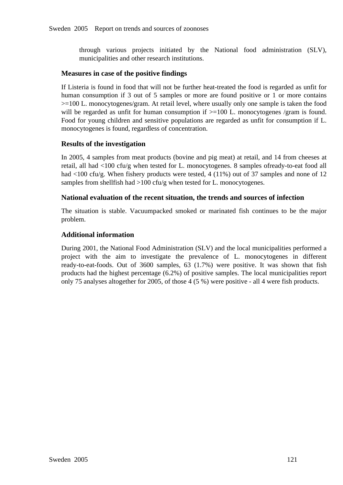through various projects initiated by the National food administration (SLV), municipalities and other research institutions.

#### **Measures in case of the positive findings**

If Listeria is found in food that will not be further heat-treated the food is regarded as unfit for human consumption if 3 out of 5 samples or more are found positive or 1 or more contains >=100 L. monocytogenes/gram. At retail level, where usually only one sample is taken the food will be regarded as unfit for human consumption if  $>=100$  L. monocytogenes /gram is found. Food for young children and sensitive populations are regarded as unfit for consumption if L. monocytogenes is found, regardless of concentration.

## **Results of the investigation**

In 2005, 4 samples from meat products (bovine and pig meat) at retail, and 14 from cheeses at retail, all had <100 cfu/g when tested for L. monocytogenes. 8 samples ofready-to-eat food all had  $\langle 100 \text{ cfu/g}$ . When fishery products were tested, 4 (11%) out of 37 samples and none of 12 samples from shellfish had  $>100$  cfu/g when tested for L. monocytogenes.

#### **National evaluation of the recent situation, the trends and sources of infection**

The situation is stable. Vacuumpacked smoked or marinated fish continues to be the major problem.

## **Additional information**

During 2001, the National Food Administration (SLV) and the local municipalities performed a project with the aim to investigate the prevalence of L. monocytogenes in different ready-to-eat-foods. Out of 3600 samples, 63 (1.7%) were positive. It was shown that fish products had the highest percentage (6.2%) of positive samples. The local municipalities report only 75 analyses altogether for 2005, of those 4 (5 %) were positive - all 4 were fish products.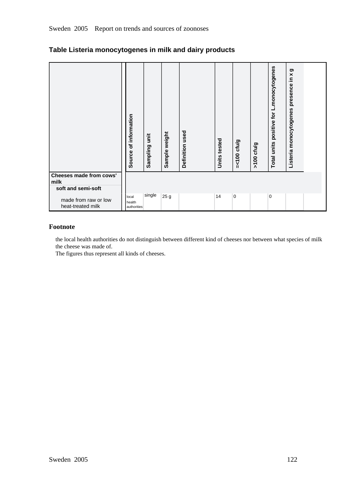|                                                       | Source of information          | Sampling unit | Sample weight   | Definition used | Units tested | $=$ <100 $ctu/g$ | >100 cfu/g | L.monocytogenes<br>Total units positive for | ō<br>presence in x<br>monocytogenes<br>Listeria |  |
|-------------------------------------------------------|--------------------------------|---------------|-----------------|-----------------|--------------|------------------|------------|---------------------------------------------|-------------------------------------------------|--|
| Cheeses made from cows'<br>milk<br>soft and semi-soft |                                |               |                 |                 |              |                  |            |                                             |                                                 |  |
| made from raw or low<br>heat-treated milk             | local<br>health<br>authorities | single        | 25 <sub>g</sub> |                 | 14           | $\mathbf 0$      |            | 0                                           |                                                 |  |

# **Table Listeria monocytogenes in milk and dairy products**

#### **Footnote**

the local health authorities do not distinguish between different kind of cheeses nor between what species of milk the cheese was made of.

The figures thus represent all kinds of cheeses.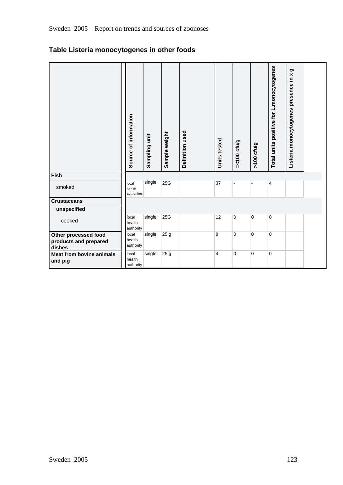# **Table Listeria monocytogenes in other foods**

|                                                         | Source of information          | Sampling unit | Sample weight   | Definition used | Units tested | $=$ <100 $ctu/g$         | >100 ctu/g     | Total units positive for L.monocytogenes | ත<br>$\pmb{\times}$<br>Listeria monocytogenes presence in |  |
|---------------------------------------------------------|--------------------------------|---------------|-----------------|-----------------|--------------|--------------------------|----------------|------------------------------------------|-----------------------------------------------------------|--|
| Fish<br>smoked                                          | local<br>health<br>authorities | single        | 25G             |                 | 37           | $\overline{\phantom{0}}$ | $\blacksquare$ | 4                                        |                                                           |  |
| <b>Crustaceans</b>                                      |                                |               |                 |                 |              |                          |                |                                          |                                                           |  |
| unspecified                                             |                                |               |                 |                 |              |                          |                |                                          |                                                           |  |
| cooked                                                  | local<br>health<br>authority   | single        | 25G             |                 | 12           | $\mathbf 0$              | $\overline{0}$ | 0                                        |                                                           |  |
| Other processed food<br>products and prepared<br>dishes | local<br>health<br>authority   | single        | 25 g            |                 | 8            | 0                        | $\overline{0}$ | 0                                        |                                                           |  |
| <b>Meat from bovine animals</b><br>and pig              | local<br>health<br>authority   | single        | 25 <sub>g</sub> |                 | 4            | 0                        | $\overline{0}$ | 0                                        |                                                           |  |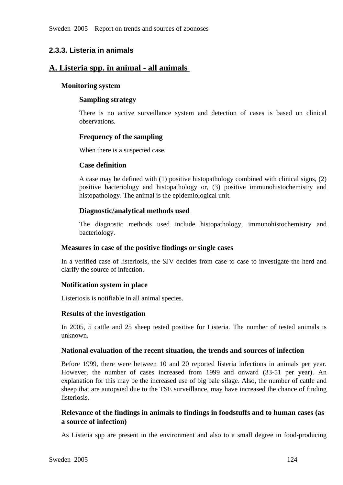## **2.3.3. Listeria in animals**

## **A. Listeria spp. in animal - all animals**

## **Monitoring system**

#### **Sampling strategy**

There is no active surveillance system and detection of cases is based on clinical observations.

## **Frequency of the sampling**

When there is a suspected case.

#### **Case definition**

A case may be defined with (1) positive histopathology combined with clinical signs, (2) positive bacteriology and histopathology or, (3) positive immunohistochemistry and histopathology. The animal is the epidemiological unit.

## **Diagnostic/analytical methods used**

The diagnostic methods used include histopathology, immunohistochemistry and bacteriology.

#### **Measures in case of the positive findings or single cases**

In a verified case of listeriosis, the SJV decides from case to case to investigate the herd and clarify the source of infection.

## **Notification system in place**

Listeriosis is notifiable in all animal species.

#### **Results of the investigation**

In 2005, 5 cattle and 25 sheep tested positive for Listeria. The number of tested animals is unknown.

#### **National evaluation of the recent situation, the trends and sources of infection**

Before 1999, there were between 10 and 20 reported listeria infections in animals per year. However, the number of cases increased from 1999 and onward (33-51 per year). An explanation for this may be the increased use of big bale silage. Also, the number of cattle and sheep that are autopsied due to the TSE surveillance, may have increased the chance of finding listeriosis.

## **Relevance of the findings in animals to findings in foodstuffs and to human cases (as a source of infection)**

As Listeria spp are present in the environment and also to a small degree in food-producing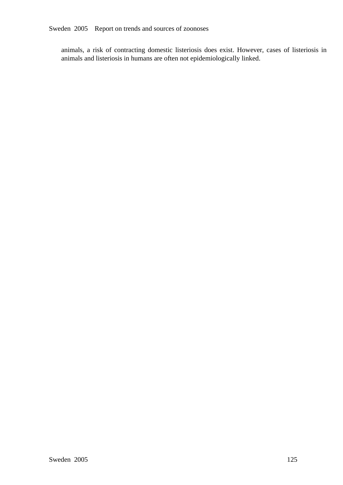animals, a risk of contracting domestic listeriosis does exist. However, cases of listeriosis in animals and listeriosis in humans are often not epidemiologically linked.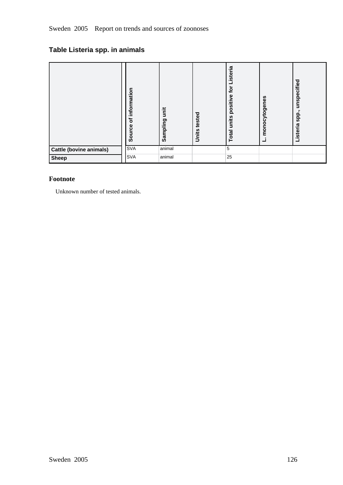# **Table Listeria spp. in animals**

|                                | information<br>৳<br>Source | unit<br>Sampling | tested<br>Units | Listeria<br>$\mathbf{\dot{e}}$<br>positive<br>units<br><b>Total</b> | monocytogenes | unspecified<br>$\blacksquare$<br>$\blacksquare$<br>spp.<br>Listeria |
|--------------------------------|----------------------------|------------------|-----------------|---------------------------------------------------------------------|---------------|---------------------------------------------------------------------|
| <b>Cattle (bovine animals)</b> | <b>SVA</b>                 | animal           |                 | 5                                                                   |               |                                                                     |
| <b>Sheep</b>                   | <b>SVA</b>                 | animal           |                 | 25                                                                  |               |                                                                     |

#### **Footnote**

Unknown number of tested animals.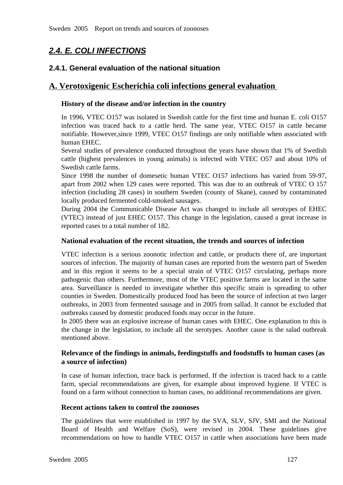# **2.4. E. COLI INFECTIONS**

## **2.4.1. General evaluation of the national situation**

# **A. Verotoxigenic Escherichia coli infections general evaluation**

## **History of the disease and/or infection in the country**

In 1996, VTEC O157 was isolated in Swedish cattle for the first time and human E. coli O157 infection was traced back to a cattle herd. The same year, VTEC O157 in cattle became notifiable. However,since 1999, VTEC O157 findings are only notifiable when associated with human EHEC.

Several studies of prevalence conducted throughout the years have shown that 1% of Swedish cattle (highest prevalences in young animals) is infected with VTEC O57 and about 10% of Swedish cattle farms.

Since 1998 the number of domesetic human VTEC O157 infections has varied from 59-97, apart from 2002 when 129 cases were reported. This was due to an outbreak of VTEC O 157 infection (including 28 cases) in southern Sweden (county of Skane), caused by contaminated locally produced fermented cold-smoked sausages.

During 2004 the Communicable Disease Act was changed to include all serotypes of EHEC (VTEC) instead of just EHEC O157. This change in the legislation, caused a great increase in reported cases to a total number of 182.

## **National evaluation of the recent situation, the trends and sources of infection**

VTEC infection is a serious zoonotic infection and cattle, or products there of, are important sources of infection. The majority of human cases are reported from the western part of Sweden and in this region it seems to be a special strain of VTEC O157 circulating, perhaps more pathogenic than others. Furthermore, most of the VTEC positive farms are located in the same area. Surveillance is needed to investigate whether this specific strain is spreading to other counties in Sweden. Domestically produced food has been the source of infection at two larger outbreaks, in 2003 from fermented sausage and in 2005 from sallad. It cannot be excluded that outbreaks caused by domestic produced foods may occur in the future.

In 2005 there was an explosive increase of human cases with EHEC. One explanation to this is the change in the legislation, to include all the serotypes. Another cause is the salad outbreak mentioned above.

## **Relevance of the findings in animals, feedingstuffs and foodstuffs to human cases (as a source of infection)**

In case of human infection, trace back is performed. If the infection is traced back to a cattle farm, special recommendations are given, for example about improved hygiene. If VTEC is found on a farm without connection to human cases, no additional recommendations are given.

## **Recent actions taken to control the zoonoses**

The guidelines that were established in 1997 by the SVA, SLV, SJV, SMI and the National Board of Health and Welfare (SoS), were revised in 2004. These guidelines give recommendations on how to handle VTEC O157 in cattle when associations have been made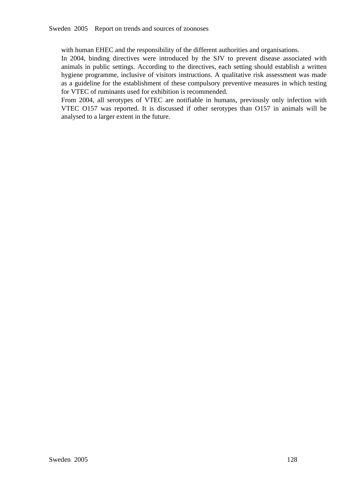with human EHEC and the responsibility of the different authorities and organisations.

In 2004, binding directives were introduced by the SJV to prevent disease associated with animals in public settings. According to the directives, each setting should establish a written hygiene programme, inclusive of visitors instructions. A qualitative risk assessment was made as a guideline for the establishment of these compulsory preventive measures in which testing for VTEC of ruminants used for exhibition is recommended.

From 2004, all serotypes of VTEC are notifiable in humans, previously only infection with VTEC O157 was reported. It is discussed if other serotypes than O157 in animals will be analysed to a larger extent in the future.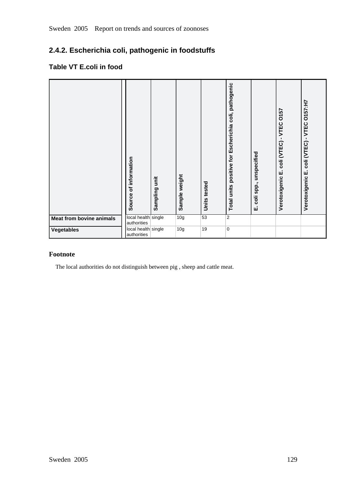# **2.4.2. Escherichia coli, pathogenic in foodstuffs**

## **Table VT E.coli in food**

|                                 | of information<br>Source           | Sampling unit | Sample weight   | Units tested | Total units positive for Escherichia coli, pathogenic | coli spp., unspecified<br>цj | O <sub>157</sub><br>COII (VTEC) - VTEC<br>шi<br>Verotoxigenic | <b>O157:H7</b><br>COII (VTEC) - VTEC<br>Verotoxigenic E. |
|---------------------------------|------------------------------------|---------------|-----------------|--------------|-------------------------------------------------------|------------------------------|---------------------------------------------------------------|----------------------------------------------------------|
| <b>Meat from bovine animals</b> | local health single<br>authorities |               | 10 <sub>g</sub> | 53           | $\overline{c}$                                        |                              |                                                               |                                                          |
| <b>Vegetables</b>               | local health single<br>authorities |               | 10 <sub>g</sub> | 19           | 0                                                     |                              |                                                               |                                                          |

#### **Footnote**

The local authorities do not distinguish between pig , sheep and cattle meat.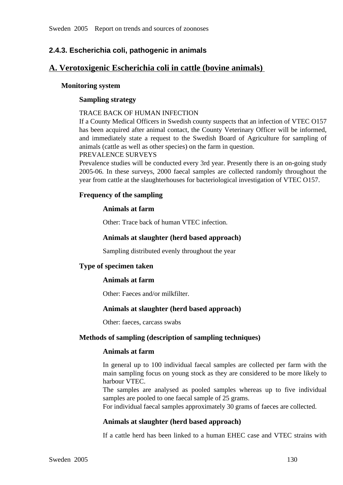## **2.4.3. Escherichia coli, pathogenic in animals**

## **A. Verotoxigenic Escherichia coli in cattle (bovine animals)**

#### **Monitoring system**

#### **Sampling strategy**

#### TRACE BACK OF HUMAN INFECTION

If a County Medical Officers in Swedish county suspects that an infection of VTEC O157 has been acquired after animal contact, the County Veterinary Officer will be informed, and immediately state a request to the Swedish Board of Agriculture for sampling of animals (cattle as well as other species) on the farm in question.

#### PREVALENCE SURVEYS

Prevalence studies will be conducted every 3rd year. Presently there is an on-going study 2005-06. In these surveys, 2000 faecal samples are collected randomly throughout the year from cattle at the slaughterhouses for bacteriological investigation of VTEC O157.

## **Frequency of the sampling**

## **Animals at farm**

Other: Trace back of human VTEC infection.

## **Animals at slaughter (herd based approach)**

Sampling distributed evenly throughout the year

## **Type of specimen taken**

## **Animals at farm**

Other: Faeces and/or milkfilter.

## **Animals at slaughter (herd based approach)**

Other: faeces, carcass swabs

## **Methods of sampling (description of sampling techniques)**

#### **Animals at farm**

In general up to 100 individual faecal samples are collected per farm with the main sampling focus on young stock as they are considered to be more likely to harbour VTEC.

The samples are analysed as pooled samples whereas up to five individual samples are pooled to one faecal sample of 25 grams.

For individual faecal samples approximately 30 grams of faeces are collected.

## **Animals at slaughter (herd based approach)**

If a cattle herd has been linked to a human EHEC case and VTEC strains with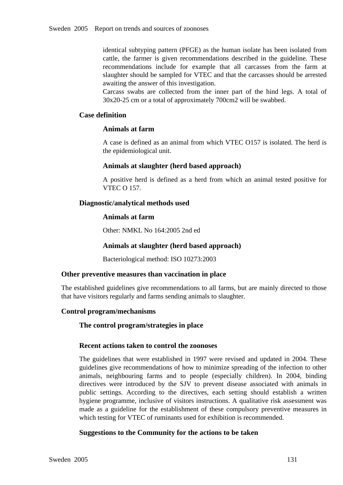identical subtyping pattern (PFGE) as the human isolate has been isolated from cattle, the farmer is given recommendations described in the guideline. These recommendations include for example that all carcasses from the farm at slaughter should be sampled for VTEC and that the carcasses should be arrested awaiting the answer of this investigation.

Carcass swabs are collected from the inner part of the hind legs. A total of 30x20-25 cm or a total of approximately 700cm2 will be swabbed.

## **Case definition**

#### **Animals at farm**

A case is defined as an animal from which VTEC O157 is isolated. The herd is the epidemiological unit.

#### **Animals at slaughter (herd based approach)**

A positive herd is defined as a herd from which an animal tested positive for VTEC O 157.

#### **Diagnostic/analytical methods used**

#### **Animals at farm**

Other: NMKL No 164:2005 2nd ed

#### **Animals at slaughter (herd based approach)**

Bacteriological method: ISO 10273:2003

#### **Other preventive measures than vaccination in place**

The established guidelines give recommendations to all farms, but are mainly directed to those that have visitors regularly and farms sending animals to slaughter.

#### **Control program/mechanisms**

#### **The control program/strategies in place**

#### **Recent actions taken to control the zoonoses**

The guidelines that were established in 1997 were revised and updated in 2004. These guidelines give recommendations of how to minimize spreading of the infection to other animals, neighbouring farms and to people (especially children). In 2004, binding directives were introduced by the SJV to prevent disease associated with animals in public settings. According to the directives, each setting should establish a written hygiene programme, inclusive of visitors instructions. A qualitative risk assessment was made as a guideline for the establishment of these compulsory preventive measures in which testing for VTEC of ruminants used for exhibition is recommended.

#### **Suggestions to the Community for the actions to be taken**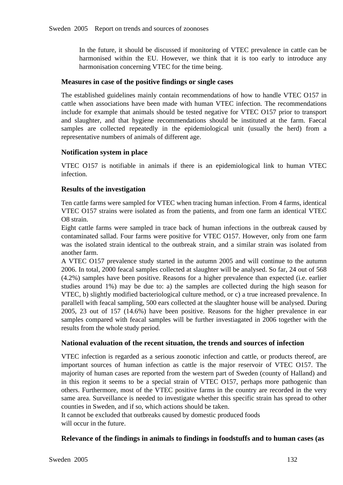In the future, it should be discussed if monitoring of VTEC prevalence in cattle can be harmonised within the EU. However, we think that it is too early to introduce any harmonisation concerning VTEC for the time being.

## **Measures in case of the positive findings or single cases**

The established guidelines mainly contain recommendations of how to handle VTEC O157 in cattle when associations have been made with human VTEC infection. The recommendations include for example that animals should be tested negative for VTEC O157 prior to transport and slaughter, and that hygiene recommendations should be instituted at the farm. Faecal samples are collected repeatedly in the epidemiological unit (usually the herd) from a representative numbers of animals of different age.

## **Notification system in place**

VTEC O157 is notifiable in animals if there is an epidemiological link to human VTEC infection.

## **Results of the investigation**

Ten cattle farms were sampled for VTEC when tracing human infection. From 4 farms, identical VTEC O157 strains were isolated as from the patients, and from one farm an identical VTEC O8 strain.

Eight cattle farms were sampled in trace back of human infections in the outbreak caused by contaminated sallad. Four farms were positive for VTEC O157. However, only from one farm was the isolated strain identical to the outbreak strain, and a similar strain was isolated from another farm.

A VTEC O157 prevalence study started in the autumn 2005 and will continue to the autumn 2006. In total, 2000 feacal samples collected at slaughter will be analysed. So far, 24 out of 568 (4.2%) samples have been positive. Reasons for a higher prevalence than expected (i.e. earlier studies around 1%) may be due to: a) the samples are collected during the high season for VTEC, b) slightly modified bacteriological culture method, or c) a true increased prevalence. In parallell with feacal sampling, 500 ears collected at the slaughter house will be analysed. During 2005, 23 out of 157 (14.6%) have been positive. Reasons for the higher prevalence in ear samples compared with feacal samples will be further investiagated in 2006 together with the results from the whole study period.

## **National evaluation of the recent situation, the trends and sources of infection**

VTEC infection is regarded as a serious zoonotic infection and cattle, or products thereof, are important sources of human infection as cattle is the major reservoir of VTEC O157. The majority of human cases are reported from the western part of Sweden (county of Halland) and in this region it seems to be a special strain of VTEC O157, perhaps more pathogenic than others. Furthermore, most of the VTEC positive farms in the country are recorded in the very same area. Surveillance is needed to investigate whether this specific strain has spread to other counties in Sweden, and if so, which actions should be taken.

It cannot be excluded that outbreaks caused by domestic produced foods will occur in the future.

## **Relevance of the findings in animals to findings in foodstuffs and to human cases (as**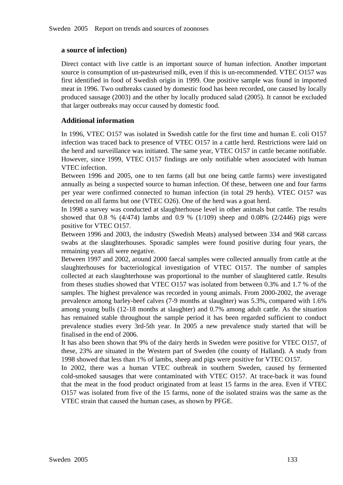#### **a source of infection)**

Direct contact with live cattle is an important source of human infection. Another important source is consumption of un-pasteurised milk, even if this is un-recommended. VTEC O157 was first identified in food of Swedish origin in 1999. One positive sample was found in imported meat in 1996. Two outbreaks caused by domestic food has been recorded, one caused by locally produced sausage (2003) and the other by locally produced salad (2005). It cannot be excluded that larger outbreaks may occur caused by domestic food.

#### **Additional information**

In 1996, VTEC O157 was isolated in Swedish cattle for the first time and human E. coli O157 infection was traced back to presence of VTEC O157 in a cattle herd. Restrictions were laid on the herd and surveillance was initiated. The same year, VTEC O157 in cattle became notifiable. However, since 1999, VTEC O157 findings are only notifiable when associated with human VTEC infection.

Between 1996 and 2005, one to ten farms (all but one being cattle farms) were investigated annually as being a suspected source to human infection. Of these, between one and four farms per year were confirmed connected to human infection (in total 29 herds). VTEC O157 was detected on all farms but one (VTEC O26). One of the herd was a goat herd.

In 1998 a survey was conducted at slaughterhouse level in other animals but cattle. The results showed that 0.8 %  $(4/474)$  lambs and 0.9 %  $(1/109)$  sheep and 0.08%  $(2/2446)$  pigs were positive for VTEC O157.

Between 1996 and 2003, the industry (Swedish Meats) analysed between 334 and 968 carcass swabs at the slaughterhouses. Sporadic samples were found positive during four years, the remaining years all were negative.

Between 1997 and 2002, around 2000 faecal samples were collected annually from cattle at the slaughterhouses for bacteriological investigation of VTEC O157. The number of samples collected at each slaughterhouse was proportional to the number of slaughtered cattle. Results from theses studies showed that VTEC O157 was isolated from between 0.3% and 1.7 % of the samples. The highest prevalence was recorded in young animals. From 2000-2002, the average prevalence among barley-beef calves (7-9 months at slaughter) was 5.3%, compared with 1.6% among young bulls (12-18 months at slaughter) and 0.7% among adult cattle. As the situation has remained stable throughout the sample period it has been regarded sufficient to conduct prevalence studies every 3rd-5th year. In 2005 a new prevalence study started that will be finalised in the end of 2006.

It has also been shown that 9% of the dairy herds in Sweden were positive for VTEC O157, of these, 23% are situated in the Western part of Sweden (the county of Halland). A study from 1998 showed that less than 1% of lambs, sheep and pigs were positive for VTEC O157.

In 2002, there was a human VTEC outbreak in southern Sweden, caused by fermented cold-smoked sausages that were contaminated with VTEC O157. At trace-back it was found that the meat in the food product originated from at least 15 farms in the area. Even if VTEC O157 was isolated from five of the 15 farms, none of the isolated strains was the same as the VTEC strain that caused the human cases, as shown by PFGE.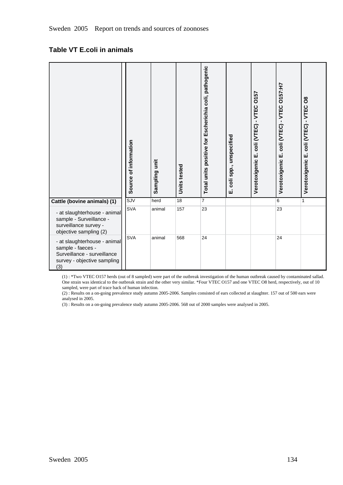## **Table VT E.coli in animals**

|                                                                                                                        | Source of information | Sampling unit | Units tested | Total units positive for Escherichia coli, pathogenic | coli spp., unspecified<br>ші | Verotoxigenic E. coli (VTEC) - VTEC 0157 | <b>CH:7510</b><br>coli (VTEC) - VTEC<br>шi<br>Verotoxigenic | $\overline{0}$<br>coli (VTEC) - VTEC<br>Verotoxigenic E. |
|------------------------------------------------------------------------------------------------------------------------|-----------------------|---------------|--------------|-------------------------------------------------------|------------------------------|------------------------------------------|-------------------------------------------------------------|----------------------------------------------------------|
| Cattle (bovine animals) (1)                                                                                            | SJV                   | herd          | 18           | $\overline{7}$                                        |                              |                                          | 6                                                           | $\mathbf{1}$                                             |
| - at slaughterhouse - animal<br>sample - Surveillance -<br>surveillance survey -<br>objective sampling (2)             | <b>SVA</b>            | animal        | 157          | 23                                                    |                              |                                          | 23                                                          |                                                          |
| - at slaughterhouse - animal<br>sample - faeces -<br>Surveillance - surveillance<br>survey - objective sampling<br>(3) | SVA                   | animal        | 568          | 24                                                    |                              |                                          | 24                                                          |                                                          |

(1) : \*Two VTEC O157 herds (out of 8 sampled) were part of the outbreak investigation of the human outbreak caused by contaminated sallad. One strain was identical to the outbreak strain and the other very similar. \*Four VTEC 0157 and one VTEC 08 herd, respectively, out of 10 sampled, were part of trace back of human infection.

(2) : Results on a on-going prevalence study autumn 2005-2006. Samples consisted of ears collected at slaughter. 157 out of 500 ears were analysed in 2005.

(3) : Results on a on-going prevalence study autumn 2005-2006. 568 out of 2000 samples were analysed in 2005.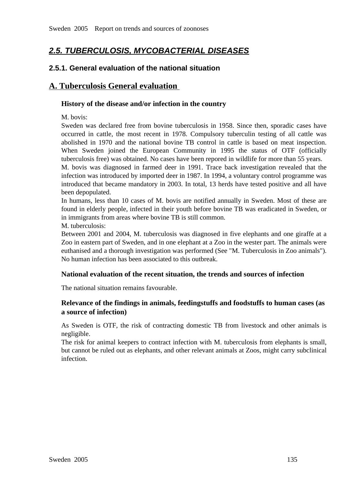# **2.5. TUBERCULOSIS, MYCOBACTERIAL DISEASES**

## **2.5.1. General evaluation of the national situation**

# **A. Tuberculosis General evaluation**

#### **History of the disease and/or infection in the country**

M. bovis:

Sweden was declared free from bovine tuberculosis in 1958. Since then, sporadic cases have occurred in cattle, the most recent in 1978. Compulsory tuberculin testing of all cattle was abolished in 1970 and the national bovine TB control in cattle is based on meat inspection. When Sweden joined the European Community in 1995 the status of OTF (officially tuberculosis free) was obtained. No cases have been repored in wildlife for more than 55 years.

M. bovis was diagnosed in farmed deer in 1991. Trace back investigation revealed that the infection was introduced by imported deer in 1987. In 1994, a voluntary control programme was introduced that became mandatory in 2003. In total, 13 herds have tested positive and all have been depopulated.

In humans, less than 10 cases of M. bovis are notified annually in Sweden. Most of these are found in elderly people, infected in their youth before bovine TB was eradicated in Sweden, or in immigrants from areas where bovine TB is still common.

M. tuberculosis:

Between 2001 and 2004, M. tuberculosis was diagnosed in five elephants and one giraffe at a Zoo in eastern part of Sweden, and in one elephant at a Zoo in the wester part. The animals were euthanised and a thorough investigation was performed (See "M. Tuberculosis in Zoo animals"). No human infection has been associated to this outbreak.

## **National evaluation of the recent situation, the trends and sources of infection**

The national situation remains favourable.

## **Relevance of the findings in animals, feedingstuffs and foodstuffs to human cases (as a source of infection)**

As Sweden is OTF, the risk of contracting domestic TB from livestock and other animals is negligible.

The risk for animal keepers to contract infection with M. tuberculosis from elephants is small, but cannot be ruled out as elephants, and other relevant animals at Zoos, might carry subclinical infection.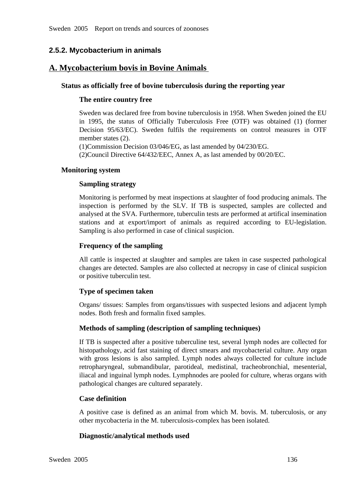## **2.5.2. Mycobacterium in animals**

## **A. Mycobacterium bovis in Bovine Animals**

#### **Status as officially free of bovine tuberculosis during the reporting year**

#### **The entire country free**

Sweden was declared free from bovine tuberculosis in 1958. When Sweden joined the EU in 1995, the status of Officially Tuberculosis Free (OTF) was obtained (1) (former Decision 95/63/EC). Sweden fulfils the requirements on control measures in OTF member states  $(2)$ .

(1)Commission Decision 03/046/EG, as last amended by 04/230/EG. (2)Council Directive 64/432/EEC, Annex A, as last amended by 00/20/EC.

#### **Monitoring system**

#### **Sampling strategy**

Monitoring is performed by meat inspections at slaughter of food producing animals. The inspection is performed by the SLV. If TB is suspected, samples are collected and analysed at the SVA. Furthermore, tuberculin tests are performed at artifical insemination stations and at export/import of animals as required according to EU-legislation. Sampling is also performed in case of clinical suspicion.

#### **Frequency of the sampling**

All cattle is inspected at slaughter and samples are taken in case suspected pathological changes are detected. Samples are also collected at necropsy in case of clinical suspicion or positive tuberculin test.

#### **Type of specimen taken**

Organs/ tissues: Samples from organs/tissues with suspected lesions and adjacent lymph nodes. Both fresh and formalin fixed samples.

#### **Methods of sampling (description of sampling techniques)**

If TB is suspected after a positive tuberculine test, several lymph nodes are collected for histopathology, acid fast staining of direct smears and mycobacterial culture. Any organ with gross lesions is also sampled. Lymph nodes always collected for culture include retropharyngeal, submandibular, parotideal, medistinal, tracheobronchial, mesenterial, iliacal and inguinal lymph nodes. Lymphnodes are pooled for culture, wheras organs with pathological changes are cultured separately.

#### **Case definition**

A positive case is defined as an animal from which M. bovis. M. tuberculosis, or any other mycobacteria in the M. tuberculosis-complex has been isolated.

#### **Diagnostic/analytical methods used**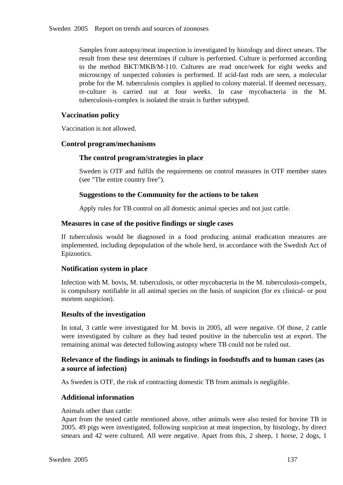Samples from autopsy/meat inspection is investigated by histology and direct smears. The result from these test determines if culture is performed. Culture is performed according to the method BKT/MKB/M-110. Cultures are read once/week for eight weeks and microscopy of suspected colonies is performed. If acid-fast rods are seen, a molecular probe for the M. tuberculosis complex is applied to colony material. If deemed necessary, re-culture is carried out at four weeks. In case mycobacteria in the M. tuberculosis-complex is isolated the strain is further subtyped.

## **Vaccination policy**

Vaccination is not allowed.

## **Control program/mechanisms**

## **The control program/strategies in place**

Sweden is OTF and fulfils the requirements on control measures in OTF member states (see "The entire country free").

## **Suggestions to the Community for the actions to be taken**

Apply rules for TB control on all domestic animal species and not just cattle.

## **Measures in case of the positive findings or single cases**

If tuberculosis would be diagnosed in a food producing animal eradication measures are implemented, including depopulation of the whole herd, in accordance with the Swedish Act of Epizootics.

## **Notification system in place**

Infection with M. bovis, M. tuberculosis, or other mycobacteria in the M. tuberculosis-compelx, is compulsory notifiable in all animal species on the basis of suspicion (for ex clinical- or post mortem suspicion).

## **Results of the investigation**

In total, 3 cattle were investigated for M. bovis in 2005, all were negative. Of those, 2 cattle were investigated by culture as they had tested positive in the tuberculin test at export. The remaining animal was detected following autopsy where TB could not be ruled out.

## **Relevance of the findings in animals to findings in foodstuffs and to human cases (as a source of infection)**

As Sweden is OTF, the risk of contracting domestic TB from animals is negligible.

## **Additional information**

Animals other than cattle:

Apart from the tested cattle mentioned above, other animals were also tested for bovine TB in 2005. 49 pigs were investigated, following suspicion at meat inspection, by histology, by direct smears and 42 were cultured. All were negative. Apart from this, 2 sheep, 1 horse, 2 dogs, 1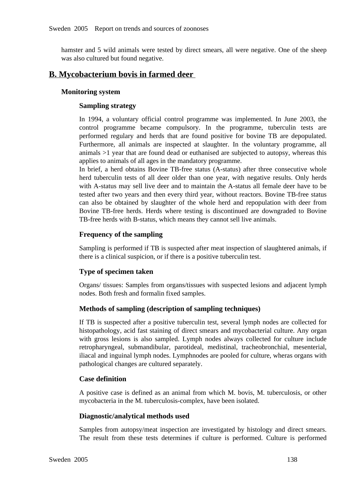hamster and 5 wild animals were tested by direct smears, all were negative. One of the sheep was also cultured but found negative.

## **B. Mycobacterium bovis in farmed deer**

#### **Monitoring system**

#### **Sampling strategy**

In 1994, a voluntary official control programme was implemented. In June 2003, the control programme became compulsory. In the programme, tuberculin tests are performed regulary and herds that are found positive for bovine TB are depopulated. Furthermore, all animals are inspected at slaughter. In the voluntary programme, all animals >1 year that are found dead or euthanised are subjected to autopsy, whereas this applies to animals of all ages in the mandatory programme.

In brief, a herd obtains Bovine TB-free status (A-status) after three consecutive whole herd tuberculin tests of all deer older than one year, with negative results. Only herds with A-status may sell live deer and to maintain the A-status all female deer have to be tested after two years and then every third year, without reactors. Bovine TB-free status can also be obtained by slaughter of the whole herd and repopulation with deer from Bovine TB-free herds. Herds where testing is discontinued are downgraded to Bovine TB-free herds with B-status, which means they cannot sell live animals.

## **Frequency of the sampling**

Sampling is performed if TB is suspected after meat inspection of slaughtered animals, if there is a clinical suspicion, or if there is a positive tuberculin test.

## **Type of specimen taken**

Organs/ tissues: Samples from organs/tissues with suspected lesions and adjacent lymph nodes. Both fresh and formalin fixed samples.

## **Methods of sampling (description of sampling techniques)**

If TB is suspected after a positive tuberculin test, several lymph nodes are collected for histopathology, acid fast staining of direct smears and mycobacterial culture. Any organ with gross lesions is also sampled. Lymph nodes always collected for culture include retropharyngeal, submandibular, parotideal, medistinal, tracheobronchial, mesenterial, iliacal and inguinal lymph nodes. Lymphnodes are pooled for culture, wheras organs with pathological changes are cultured separately.

## **Case definition**

A positive case is defined as an animal from which M. bovis, M. tuberculosis, or other mycobacteria in the M. tuberculosis-complex, have been isolated.

#### **Diagnostic/analytical methods used**

Samples from autopsy/meat inspection are investigated by histology and direct smears. The result from these tests determines if culture is performed. Culture is performed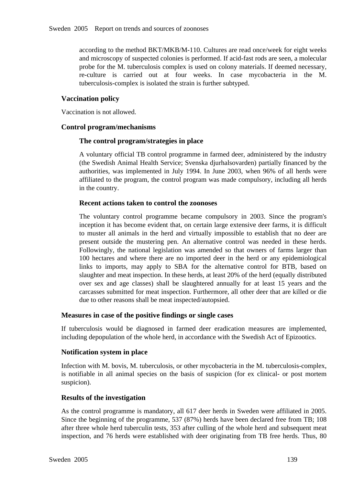according to the method BKT/MKB/M-110. Cultures are read once/week for eight weeks and microscopy of suspected colonies is performed. If acid-fast rods are seen, a molecular probe for the M. tuberculosis complex is used on colony materials. If deemed necessary, re-culture is carried out at four weeks. In case mycobacteria in the M. tuberculosis-complex is isolated the strain is further subtyped.

## **Vaccination policy**

Vaccination is not allowed.

## **Control program/mechanisms**

## **The control program/strategies in place**

A voluntary official TB control programme in farmed deer, administered by the industry (the Swedish Animal Health Service; Svenska djurhalsovarden) partially financed by the authorities, was implemented in July 1994. In June 2003, when 96% of all herds were affiliated to the program, the control program was made compulsory, including all herds in the country.

## **Recent actions taken to control the zoonoses**

The voluntary control programme became compulsory in 2003. Since the program's inception it has become evident that, on certain large extensive deer farms, it is difficult to muster all animals in the herd and virtually impossible to establish that no deer are present outside the mustering pen. An alternative control was needed in these herds. Followingly, the national legislation was amended so that owners of farms larger than 100 hectares and where there are no imported deer in the herd or any epidemiological links to imports, may apply to SBA for the alternative control for BTB, based on slaughter and meat inspection. In these herds, at least 20% of the herd (equally distributed over sex and age classes) shall be slaughtered annually for at least 15 years and the carcasses submitted for meat inspection. Furthermore, all other deer that are killed or die due to other reasons shall be meat inspected/autopsied.

## **Measures in case of the positive findings or single cases**

If tuberculosis would be diagnosed in farmed deer eradication measures are implemented, including depopulation of the whole herd, in accordance with the Swedish Act of Epizootics.

## **Notification system in place**

Infection with M. bovis, M. tuberculosis, or other mycobacteria in the M. tuberculosis-complex, is notifiable in all animal species on the basis of suspicion (for ex clinical- or post mortem suspicion).

## **Results of the investigation**

As the control programme is mandatory, all 617 deer herds in Sweden were affiliated in 2005. Since the beginning of the programme, 537 (87%) herds have been declared free from TB; 108 after three whole herd tuberculin tests, 353 after culling of the whole herd and subsequent meat inspection, and 76 herds were established with deer originating from TB free herds. Thus, 80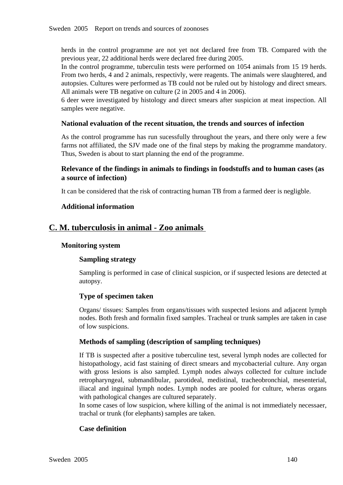herds in the control programme are not yet not declared free from TB. Compared with the previous year, 22 additional herds were declared free during 2005.

In the control programme, tuberculin tests were performed on 1054 animals from 15 19 herds. From two herds, 4 and 2 animals, respectivly, were reagents. The animals were slaughtered, and autopsies. Cultures were performed as TB could not be ruled out by histology and direct smears. All animals were TB negative on culture (2 in 2005 and 4 in 2006).

6 deer were investigated by histology and direct smears after suspicion at meat inspection. All samples were negative.

## **National evaluation of the recent situation, the trends and sources of infection**

As the control programme has run sucessfully throughout the years, and there only were a few farms not affiliated, the SJV made one of the final steps by making the programme mandatory. Thus, Sweden is about to start planning the end of the programme.

## **Relevance of the findings in animals to findings in foodstuffs and to human cases (as a source of infection)**

It can be considered that the risk of contracting human TB from a farmed deer is negligble.

#### **Additional information**

## **C. M. tuberculosis in animal - Zoo animals**

#### **Monitoring system**

#### **Sampling strategy**

Sampling is performed in case of clinical suspicion, or if suspected lesions are detected at autopsy.

## **Type of specimen taken**

Organs/ tissues: Samples from organs/tissues with suspected lesions and adjacent lymph nodes. Both fresh and formalin fixed samples. Tracheal or trunk samples are taken in case of low suspicions.

## **Methods of sampling (description of sampling techniques)**

If TB is suspected after a positive tuberculine test, several lymph nodes are collected for histopathology, acid fast staining of direct smears and mycobacterial culture. Any organ with gross lesions is also sampled. Lymph nodes always collected for culture include retropharyngeal, submandibular, parotideal, medistinal, tracheobronchial, mesenterial, iliacal and inguinal lymph nodes. Lymph nodes are pooled for culture, wheras organs with pathological changes are cultured separately.

In some cases of low suspicion, where killing of the animal is not immediately necessaer, trachal or trunk (for elephants) samples are taken.

## **Case definition**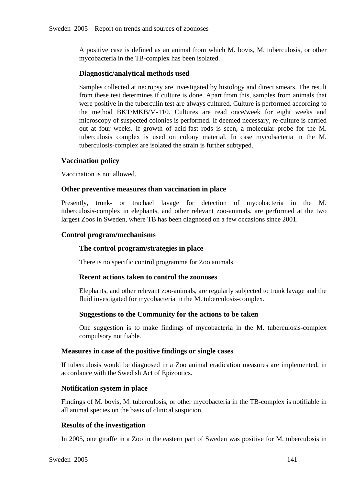A positive case is defined as an animal from which M. bovis, M. tuberculosis, or other mycobacteria in the TB-complex has been isolated.

#### **Diagnostic/analytical methods used**

Samples collected at necropsy are investigated by histology and direct smears. The result from these test determines if culture is done. Apart from this, samples from animals that were positive in the tuberculin test are always cultured. Culture is performed according to the method BKT/MKB/M-110. Cultures are read once/week for eight weeks and microscopy of suspected colonies is performed. If deemed necessary, re-culture is carried out at four weeks. If growth of acid-fast rods is seen, a molecular probe for the M. tuberculosis complex is used on colony material. In case mycobacteria in the M. tuberculosis-complex are isolated the strain is further subtyped.

## **Vaccination policy**

Vaccination is not allowed.

## **Other preventive measures than vaccination in place**

Presently, trunk- or trachael lavage for detection of mycobacteria in the M. tuberculosis-complex in elephants, and other relevant zoo-animals, are performed at the two largest Zoos in Sweden, where TB has been diagnosed on a few occasions since 2001.

## **Control program/mechanisms**

#### **The control program/strategies in place**

There is no specific control programme for Zoo animals.

#### **Recent actions taken to control the zoonoses**

Elephants, and other relevant zoo-animals, are regularly subjected to trunk lavage and the fluid investigated for mycobacteria in the M. tuberculosis-complex.

#### **Suggestions to the Community for the actions to be taken**

One suggestion is to make findings of mycobacteria in the M. tuberculosis-complex compulsory notifiable.

#### **Measures in case of the positive findings or single cases**

If tuberculosis would be diagnosed in a Zoo animal eradication measures are implemented, in accordance with the Swedish Act of Epizootics.

#### **Notification system in place**

Findings of M. bovis, M. tuberculosis, or other mycobacteria in the TB-complex is notifiable in all animal species on the basis of clinical suspicion.

#### **Results of the investigation**

In 2005, one giraffe in a Zoo in the eastern part of Sweden was positive for M. tuberculosis in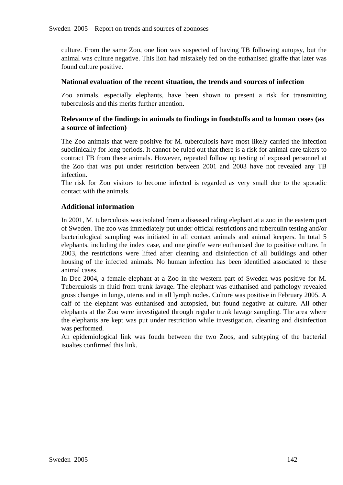culture. From the same Zoo, one lion was suspected of having TB following autopsy, but the animal was culture negative. This lion had mistakely fed on the euthanised giraffe that later was found culture positive.

#### **National evaluation of the recent situation, the trends and sources of infection**

Zoo animals, especially elephants, have been shown to present a risk for transmitting tuberculosis and this merits further attention.

## **Relevance of the findings in animals to findings in foodstuffs and to human cases (as a source of infection)**

The Zoo animals that were positive for M. tuberculosis have most likely carried the infection subclinically for long periods. It cannot be ruled out that there is a risk for animal care takers to contract TB from these animals. However, repeated follow up testing of exposed personnel at the Zoo that was put under restriction between 2001 and 2003 have not revealed any TB infection.

The risk for Zoo visitors to become infected is regarded as very small due to the sporadic contact with the animals.

## **Additional information**

In 2001, M. tuberculosis was isolated from a diseased riding elephant at a zoo in the eastern part of Sweden. The zoo was immediately put under official restrictions and tuberculin testing and/or bacteriological sampling was initiated in all contact animals and animal keepers. In total 5 elephants, including the index case, and one giraffe were euthanised due to positive culture. In 2003, the restrictions were lifted after cleaning and disinfection of all buildings and other housing of the infected animals. No human infection has been identified associated to these animal cases.

In Dec 2004, a female elephant at a Zoo in the western part of Sweden was positive for M. Tuberculosis in fluid from trunk lavage. The elephant was euthanised and pathology revealed gross changes in lungs, uterus and in all lymph nodes. Culture was positive in February 2005. A calf of the elephant was euthanised and autopsied, but found negative at culture. All other elephants at the Zoo were investigated through regular trunk lavage sampling. The area where the elephants are kept was put under restriction while investigation, cleaning and disinfection was performed.

An epidemiological link was foudn between the two Zoos, and subtyping of the bacterial isoaltes confirmed this link.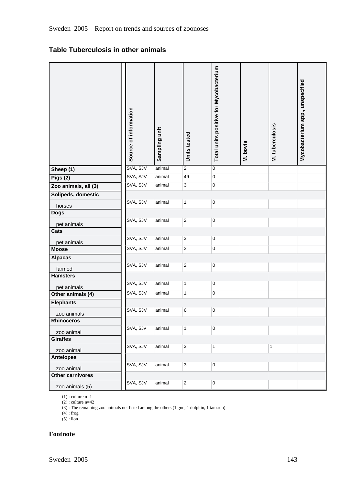## **Table Tuberculosis in other animals**

|                                       | Source of information | Sampling unit | Units tested            | Total units positive for Mycobacterium | M. bovis | M. tuberculosis | Mycobacterium spp., unspecified |
|---------------------------------------|-----------------------|---------------|-------------------------|----------------------------------------|----------|-----------------|---------------------------------|
| Sheep (1)                             | SVA, SJV              | animal        | $\overline{2}$          | 0                                      |          |                 |                                 |
| Pigs (2)                              | SVA, SJV              | animal        | 49                      | 0                                      |          |                 |                                 |
| Zoo animals, all (3)                  | SVA, SJV              | animal        | 3                       | $\pmb{0}$                              |          |                 |                                 |
| Solipeds, domestic                    |                       |               |                         |                                        |          |                 |                                 |
| horses                                | SVA, SJV              | animal        | $\mathbf{1}$            | 0                                      |          |                 |                                 |
| <b>Dogs</b>                           |                       |               |                         |                                        |          |                 |                                 |
| pet animals                           | SVA, SJV              | animal        | $\sqrt{2}$              | $\pmb{0}$                              |          |                 |                                 |
| Cats                                  |                       |               |                         |                                        |          |                 |                                 |
| pet animals                           | SVA, SJV              | animal        | 3                       | $\pmb{0}$                              |          |                 |                                 |
| <b>Moose</b>                          | SVA, SJV              | animal        | $\overline{2}$          | 0                                      |          |                 |                                 |
| <b>Alpacas</b>                        |                       |               |                         |                                        |          |                 |                                 |
| farmed                                | SVA, SJV              | animal        | $\overline{\mathbf{c}}$ | 0                                      |          |                 |                                 |
| <b>Hamsters</b>                       |                       |               |                         |                                        |          |                 |                                 |
| pet animals                           | SVA, SJV              | animal        | $\mathbf{1}$            | $\pmb{0}$                              |          |                 |                                 |
| Other animals (4)                     | SVA, SJV              | animal        | $\mathbf{1}$            | 0                                      |          |                 |                                 |
| <b>Elephants</b>                      |                       |               |                         |                                        |          |                 |                                 |
| zoo animals                           | SVA, SJV              | animal        | 6                       | 0                                      |          |                 |                                 |
| <b>Rhinoceros</b>                     |                       |               |                         |                                        |          |                 |                                 |
|                                       | SVA, SJv              | animal        | 1                       | 0                                      |          |                 |                                 |
| zoo animal<br><b>Giraffes</b>         |                       |               |                         |                                        |          |                 |                                 |
|                                       | SVA, SJV              | animal        | $\mathbf{3}$            | $\mathbf{1}$                           |          | $\mathbf{1}$    |                                 |
| zoo animal<br><b>Antelopes</b>        |                       |               |                         |                                        |          |                 |                                 |
|                                       | SVA, SJV              | animal        | $\sqrt{3}$              | 0                                      |          |                 |                                 |
| zoo animal<br><b>Other carnivores</b> |                       |               |                         |                                        |          |                 |                                 |
|                                       | SVA, SJV              | animal        | $\overline{\mathbf{c}}$ | 0                                      |          |                 |                                 |
| zoo animals (5)                       |                       |               |                         |                                        |          |                 |                                 |

 $(1)$ : culture n=1

 $(2)$ : culture n=42

(3) : The remaining zoo animals not listed among the others (1 gnu, 1 dolphin, 1 tamarin).

(4) : frog

(5) : lion

## **Footnote**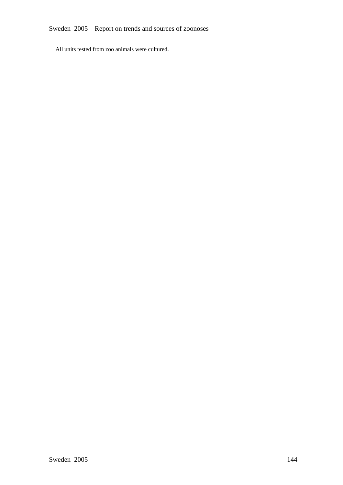All units tested from zoo animals were cultured.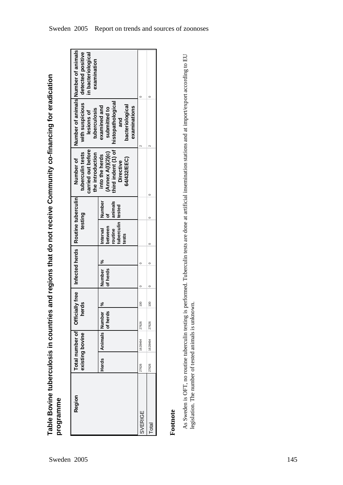| detected positive<br>in bacteriological<br>examination                               |                                                                                               |                 |                 |
|--------------------------------------------------------------------------------------|-----------------------------------------------------------------------------------------------|-----------------|-----------------|
| Number of animals Number of animals<br>with suspicious<br>tuberculosis<br>lesions of | histopathological<br>bacteriological<br>examined and<br>examinations<br>submitted to<br>and   |                 |                 |
| carried out before<br>tuberculin tests<br>the introduction<br>Number of              | third indent (1) of<br>(Annex A(I)(2)(c)<br>into the herds<br>64/432/EEC)<br><b>Directive</b> |                 |                 |
|                                                                                      | animals<br>đ                                                                                  |                 |                 |
| ly free   Infected herds   Routine tuberculin<br>testing                             | Interval Number<br>tuberculin lested<br>between<br>routine<br>tests                           |                 |                 |
|                                                                                      |                                                                                               |                 |                 |
|                                                                                      | Number  %<br>of herds                                                                         |                 |                 |
| herds                                                                                | ಸಿ                                                                                            | $\frac{8}{100}$ | $\frac{8}{100}$ |
|                                                                                      | of herds                                                                                      | 27626           | 27626           |
| Total number of Official<br>existing bovine                                          | Animals   Number                                                                              | 1628464         | 1628464         |
|                                                                                      | Herds                                                                                         | 27626           | 27626           |
| Region                                                                               |                                                                                               | <b>SVERIGE</b>  | Total           |

**Table Bovine tuberculosis in countries and regions that do not receive Community co-financing for eradication** Table Bovine tuberculosis in countries and regions that do not receive Community co-financing for eradication<br>programme

# **Footnote**

As Sweden is OFT, no routine tuberculin testing is performed. Tuberculin tests are done at artificial insemination stations and at import/export according to EU legislation. The number of tested animals is unknown. As Sweden is OFT, no routine tuberculin testing is performed. Tuberculin tests are done at artificial insemination stations and at import/export according to EU legislation. The number of tested animals is unknown.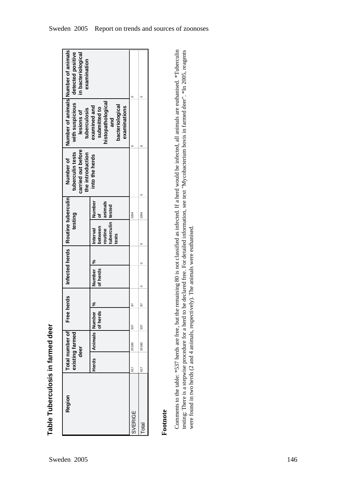| Region         |     | Herds Animals Number<br> <br>  of herds<br>Total number of<br>existing farmed<br>deer | Free h | erds<br>%<br>^ | Number  %<br>of herds | Infected herds   Routine tuberculin<br>tuberculin tested<br>testing<br>Interval<br>between<br>routine<br>tests | animals<br>Number | carried out before<br>tuberculin tests<br>the introduction<br>into the herds<br>Number of | Number of animals Number of animals<br>with suspicious<br>histopathological<br>bacteriological<br>examined and<br>submitted to<br>tuberculosis<br>lesions of<br>and | detected positive<br>in bacteriological<br>examination |
|----------------|-----|---------------------------------------------------------------------------------------|--------|----------------|-----------------------|----------------------------------------------------------------------------------------------------------------|-------------------|-------------------------------------------------------------------------------------------|---------------------------------------------------------------------------------------------------------------------------------------------------------------------|--------------------------------------------------------|
|                |     |                                                                                       |        |                |                       |                                                                                                                |                   |                                                                                           | examinations                                                                                                                                                        |                                                        |
| <b>SVERIGE</b> | 617 | 20180                                                                                 | 537    | 57             |                       |                                                                                                                | 1054              |                                                                                           | C                                                                                                                                                                   |                                                        |
| <b>Total</b>   | 617 | 20180                                                                                 | 537    | 57             | c                     |                                                                                                                | 1054              |                                                                                           | c                                                                                                                                                                   |                                                        |
|                |     |                                                                                       |        |                |                       |                                                                                                                |                   |                                                                                           |                                                                                                                                                                     |                                                        |

Table Tuberculosis in farmed deer **Table Tuberculosis in farmed deer**

# **Footnote**

Comments to the table: \*537 herds are free, but the remaining 80 is not classified as infected. If a herd would be infected, all animals are euthanised. \*Tuberculin testing: There is a stepwise procedure for a herd to be d Comments to the table: \*537 herds are free, but the remaining 80 is not classified as infected. If a herd would be infected, all animals are euthanised. \*Tuberculin testing: There is a stepwise procedure for a herd to be declared free. For detailed information, see text "Mycobacterium bovis in farmed deer". \*In 2005, reagents were found in two herds (2 and 4 animals, respectively). The animals were euthanised.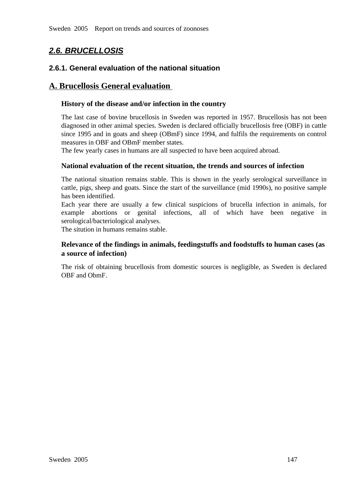# **2.6. BRUCELLOSIS**

## **2.6.1. General evaluation of the national situation**

## **A. Brucellosis General evaluation**

## **History of the disease and/or infection in the country**

The last case of bovine brucellosis in Sweden was reported in 1957. Brucellosis has not been diagnosed in other animal species. Sweden is declared officially brucellosis free (OBF) in cattle since 1995 and in goats and sheep (OBmF) since 1994, and fulfils the requirements on control measures in OBF and OBmF member states.

The few yearly cases in humans are all suspected to have been acquired abroad.

## **National evaluation of the recent situation, the trends and sources of infection**

The national situation remains stable. This is shown in the yearly serological surveillance in cattle, pigs, sheep and goats. Since the start of the surveillance (mid 1990s), no positive sample has been identified.

Each year there are usually a few clinical suspicions of brucella infection in animals, for example abortions or genital infections, all of which have been negative in serological/bacteriological analyses.

The sitution in humans remains stable.

## **Relevance of the findings in animals, feedingstuffs and foodstuffs to human cases (as a source of infection)**

The risk of obtaining brucellosis from domestic sources is negligible, as Sweden is declared OBF and ObmF.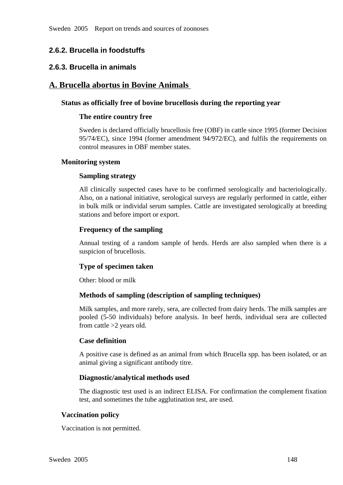## **2.6.2. Brucella in foodstuffs**

#### **2.6.3. Brucella in animals**

## **A. Brucella abortus in Bovine Animals**

#### **Status as officially free of bovine brucellosis during the reporting year**

#### **The entire country free**

Sweden is declared officially brucellosis free (OBF) in cattle since 1995 (former Decision 95/74/EC), since 1994 (former amendment 94/972/EC), and fulfils the requirements on control measures in OBF member states.

#### **Monitoring system**

#### **Sampling strategy**

All clinically suspected cases have to be confirmed serologically and bacteriologically. Also, on a national initiative, serological surveys are regularly performed in cattle, either in bulk milk or individal serum samples. Cattle are investigated serologically at breeding stations and before import or export.

#### **Frequency of the sampling**

Annual testing of a random sample of herds. Herds are also sampled when there is a suspicion of brucellosis.

#### **Type of specimen taken**

Other: blood or milk

#### **Methods of sampling (description of sampling techniques)**

Milk samples, and more rarely, sera, are collected from dairy herds. The milk samples are pooled (5-50 individuals) before analysis. In beef herds, individual sera are collected from cattle >2 years old.

#### **Case definition**

A positive case is defined as an animal from which Brucella spp. has been isolated, or an animal giving a significant antibody titre.

#### **Diagnostic/analytical methods used**

The diagnostic test used is an indirect ELISA. For confirmation the complement fixation test, and sometimes the tube agglutination test, are used.

#### **Vaccination policy**

Vaccination is not permitted.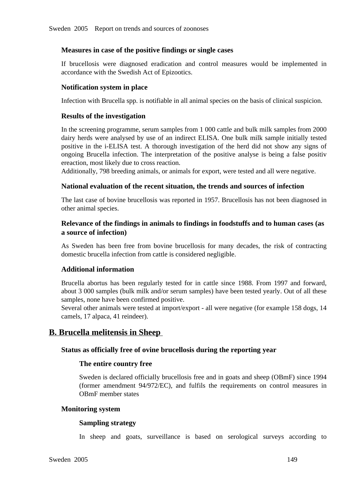## **Measures in case of the positive findings or single cases**

If brucellosis were diagnosed eradication and control measures would be implemented in accordance with the Swedish Act of Epizootics.

#### **Notification system in place**

Infection with Brucella spp. is notifiable in all animal species on the basis of clinical suspicion.

#### **Results of the investigation**

In the screening programme, serum samples from 1 000 cattle and bulk milk samples from 2000 dairy herds were analysed by use of an indirect ELISA. One bulk milk sample initially tested positive in the i-ELISA test. A thorough investigation of the herd did not show any signs of ongoing Brucella infection. The interpretation of the positive analyse is being a false positiv ereaction, most likely due to cross reaction.

Additionally, 798 breeding animals, or animals for export, were tested and all were negative.

#### **National evaluation of the recent situation, the trends and sources of infection**

The last case of bovine brucellosis was reported in 1957. Brucellosis has not been diagnosed in other animal species.

## **Relevance of the findings in animals to findings in foodstuffs and to human cases (as a source of infection)**

As Sweden has been free from bovine brucellosis for many decades, the risk of contracting domestic brucella infection from cattle is considered negligible.

#### **Additional information**

Brucella abortus has been regularly tested for in cattle since 1988. From 1997 and forward, about 3 000 samples (bulk milk and/or serum samples) have been tested yearly. Out of all these samples, none have been confirmed positive.

Several other animals were tested at import/export - all were negative (for example 158 dogs, 14 camels, 17 alpaca, 41 reindeer).

## **B. Brucella melitensis in Sheep**

#### **Status as officially free of ovine brucellosis during the reporting year**

#### **The entire country free**

Sweden is declared officially brucellosis free and in goats and sheep (OBmF) since 1994 (former amendment 94/972/EC), and fulfils the requirements on control measures in OBmF member states

#### **Monitoring system**

#### **Sampling strategy**

In sheep and goats, surveillance is based on serological surveys according to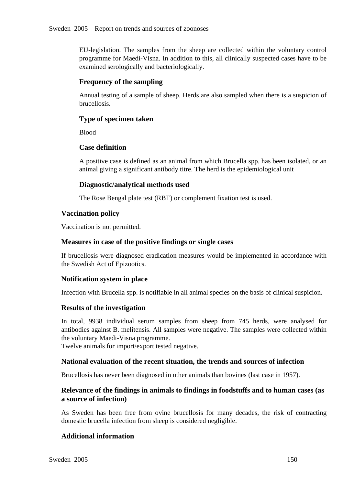EU-legislation. The samples from the sheep are collected within the voluntary control programme for Maedi-Visna. In addition to this, all clinically suspected cases have to be examined serologically and bacteriologically.

## **Frequency of the sampling**

Annual testing of a sample of sheep. Herds are also sampled when there is a suspicion of brucellosis.

## **Type of specimen taken**

Blood

## **Case definition**

A positive case is defined as an animal from which Brucella spp. has been isolated, or an animal giving a significant antibody titre. The herd is the epidemiological unit

## **Diagnostic/analytical methods used**

The Rose Bengal plate test (RBT) or complement fixation test is used.

## **Vaccination policy**

Vaccination is not permitted.

#### **Measures in case of the positive findings or single cases**

If brucellosis were diagnosed eradication measures would be implemented in accordance with the Swedish Act of Epizootics.

## **Notification system in place**

Infection with Brucella spp. is notifiable in all animal species on the basis of clinical suspicion.

## **Results of the investigation**

In total, 9938 individual serum samples from sheep from 745 herds, were analysed for antibodies against B. melitensis. All samples were negative. The samples were collected within the voluntary Maedi-Visna programme.

Twelve animals for import/export tested negative.

## **National evaluation of the recent situation, the trends and sources of infection**

Brucellosis has never been diagnosed in other animals than bovines (last case in 1957).

## **Relevance of the findings in animals to findings in foodstuffs and to human cases (as a source of infection)**

As Sweden has been free from ovine brucellosis for many decades, the risk of contracting domestic brucella infection from sheep is considered negligible.

## **Additional information**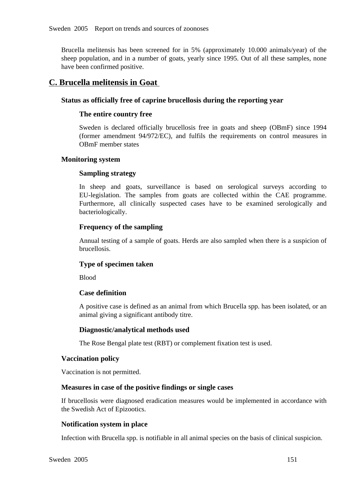Brucella melitensis has been screened for in 5% (approximately 10.000 animals/year) of the sheep population, and in a number of goats, yearly since 1995. Out of all these samples, none have been confirmed positive.

## **C. Brucella melitensis in Goat**

#### **Status as officially free of caprine brucellosis during the reporting year**

#### **The entire country free**

Sweden is declared officially brucellosis free in goats and sheep (OBmF) since 1994 (former amendment 94/972/EC), and fulfils the requirements on control measures in OBmF member states

#### **Monitoring system**

#### **Sampling strategy**

In sheep and goats, surveillance is based on serological surveys according to EU-legislation. The samples from goats are collected within the CAE programme. Furthermore, all clinically suspected cases have to be examined serologically and bacteriologically.

#### **Frequency of the sampling**

Annual testing of a sample of goats. Herds are also sampled when there is a suspicion of brucellosis.

#### **Type of specimen taken**

Blood

#### **Case definition**

A positive case is defined as an animal from which Brucella spp. has been isolated, or an animal giving a significant antibody titre.

#### **Diagnostic/analytical methods used**

The Rose Bengal plate test (RBT) or complement fixation test is used.

#### **Vaccination policy**

Vaccination is not permitted.

#### **Measures in case of the positive findings or single cases**

If brucellosis were diagnosed eradication measures would be implemented in accordance with the Swedish Act of Epizootics.

#### **Notification system in place**

Infection with Brucella spp. is notifiable in all animal species on the basis of clinical suspicion.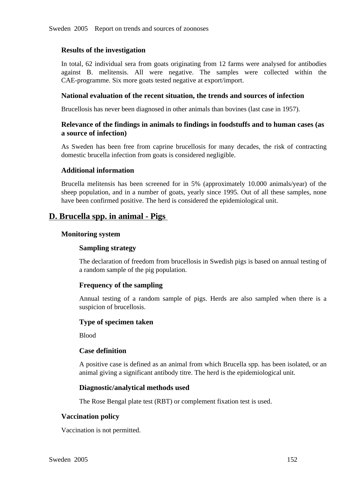## **Results of the investigation**

In total, 62 individual sera from goats originating from 12 farms were analysed for antibodies against B. melitensis. All were negative. The samples were collected within the CAE-programme. Six more goats tested negative at export/import.

#### **National evaluation of the recent situation, the trends and sources of infection**

Brucellosis has never been diagnosed in other animals than bovines (last case in 1957).

## **Relevance of the findings in animals to findings in foodstuffs and to human cases (as a source of infection)**

As Sweden has been free from caprine brucellosis for many decades, the risk of contracting domestic brucella infection from goats is considered negligible.

#### **Additional information**

Brucella melitensis has been screened for in 5% (approximately 10.000 animals/year) of the sheep population, and in a number of goats, yearly since 1995. Out of all these samples, none have been confirmed positive. The herd is considered the epidemiological unit.

## **D. Brucella spp. in animal - Pigs**

#### **Monitoring system**

#### **Sampling strategy**

The declaration of freedom from brucellosis in Swedish pigs is based on annual testing of a random sample of the pig population.

## **Frequency of the sampling**

Annual testing of a random sample of pigs. Herds are also sampled when there is a suspicion of brucellosis.

## **Type of specimen taken**

Blood

#### **Case definition**

A positive case is defined as an animal from which Brucella spp. has been isolated, or an animal giving a significant antibody titre. The herd is the epidemiological unit.

## **Diagnostic/analytical methods used**

The Rose Bengal plate test (RBT) or complement fixation test is used.

#### **Vaccination policy**

Vaccination is not permitted.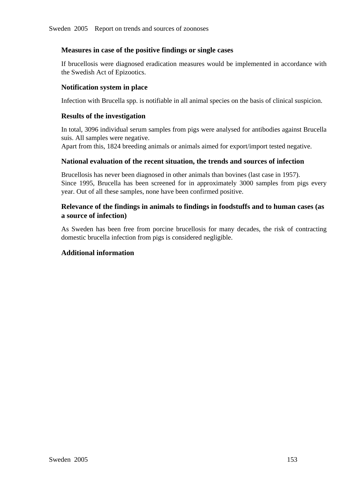## **Measures in case of the positive findings or single cases**

If brucellosis were diagnosed eradication measures would be implemented in accordance with the Swedish Act of Epizootics.

#### **Notification system in place**

Infection with Brucella spp. is notifiable in all animal species on the basis of clinical suspicion.

#### **Results of the investigation**

In total, 3096 individual serum samples from pigs were analysed for antibodies against Brucella suis. All samples were negative.

Apart from this, 1824 breeding animals or animals aimed for export/import tested negative.

#### **National evaluation of the recent situation, the trends and sources of infection**

Brucellosis has never been diagnosed in other animals than bovines (last case in 1957). Since 1995, Brucella has been screened for in approximately 3000 samples from pigs every year. Out of all these samples, none have been confirmed positive.

## **Relevance of the findings in animals to findings in foodstuffs and to human cases (as a source of infection)**

As Sweden has been free from porcine brucellosis for many decades, the risk of contracting domestic brucella infection from pigs is considered negligible.

## **Additional information**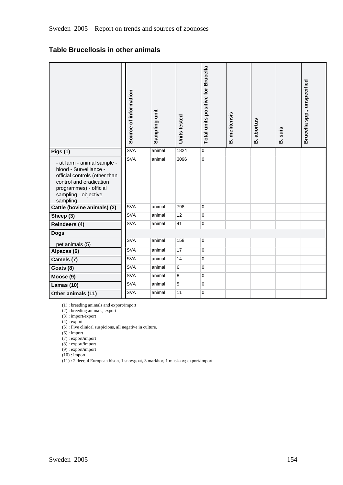## **Table Brucellosis in other animals**

|                                                                                                                                                                                 | Source of information | Sampling unit | Units tested | Total units positive for Brucella | <b>B.</b> melitensis | <b>B.</b> abortus | suis<br>മ് | Brucella spp., unspecified |
|---------------------------------------------------------------------------------------------------------------------------------------------------------------------------------|-----------------------|---------------|--------------|-----------------------------------|----------------------|-------------------|------------|----------------------------|
| Pigs $(1)$                                                                                                                                                                      | <b>SVA</b>            | animal        | 1824         | 0                                 |                      |                   |            |                            |
| - at farm - animal sample -<br>blood - Surveillance -<br>official controls (other than<br>control and eradication<br>programmes) - official<br>sampling - objective<br>sampling | <b>SVA</b>            | animal        | 3096         | 0                                 |                      |                   |            |                            |
| Cattle (bovine animals) (2)                                                                                                                                                     | <b>SVA</b>            | animal        | 798          | 0                                 |                      |                   |            |                            |
| Sheep (3)                                                                                                                                                                       | <b>SVA</b>            | animal        | 12           | 0                                 |                      |                   |            |                            |
| Reindeers (4)                                                                                                                                                                   | <b>SVA</b>            | animal        | 41           | 0                                 |                      |                   |            |                            |
| <b>Dogs</b>                                                                                                                                                                     |                       |               |              |                                   |                      |                   |            |                            |
| pet animals (5)                                                                                                                                                                 | <b>SVA</b>            | animal        | 158          | 0                                 |                      |                   |            |                            |
| Alpacas (6)                                                                                                                                                                     | <b>SVA</b>            | animal        | 17           | 0                                 |                      |                   |            |                            |
| Camels (7)                                                                                                                                                                      | <b>SVA</b>            | animal        | 14           | 0                                 |                      |                   |            |                            |
| Goats (8)                                                                                                                                                                       | <b>SVA</b>            | animal        | 6            | 0                                 |                      |                   |            |                            |
| Moose (9)                                                                                                                                                                       | <b>SVA</b>            | animal        | 8            | 0                                 |                      |                   |            |                            |
| Lamas (10)                                                                                                                                                                      | <b>SVA</b>            | animal        | $\sqrt{5}$   | 0                                 |                      |                   |            |                            |
| Other animals (11)                                                                                                                                                              | <b>SVA</b>            | animal        | 11           | 0                                 |                      |                   |            |                            |

(1) : breeding animals and export/import

(2) : breeding animals, export

(3) : import/export

(4) : export

 $(5)$ : Five clinical suspicions, all negative in culture.

 $(6)$ : import

(7) : export/import

(8) : export/import

(9) : export/import

(10) : import

(11) : 2 deer, 4 European bison, 1 snowgoat, 3 markhor, 1 musk-ox; export/import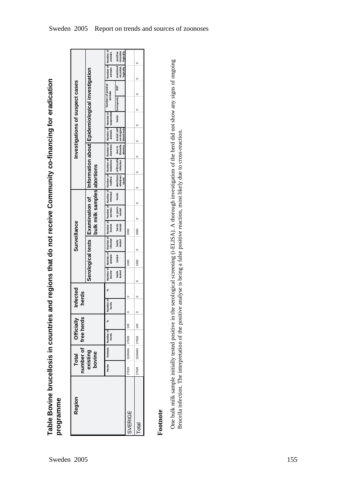**Table Bovine brucellosis in countries and regions that do not receive Community co-financing for eradication** Table Bovine brucellosis in countries and regions that do not receive Community co-financing for eradication<br>programme

| Region         |                                                                |               |                            |     | Infected           |            |                 |         | <b>Surveillance</b> |                 |                             |       |                             |                                                 |                                           |             | Investigations of suspect cases                                                                                                  |               |            |                                   |                                   |
|----------------|----------------------------------------------------------------|---------------|----------------------------|-----|--------------------|------------|-----------------|---------|---------------------|-----------------|-----------------------------|-------|-----------------------------|-------------------------------------------------|-------------------------------------------|-------------|----------------------------------------------------------------------------------------------------------------------------------|---------------|------------|-----------------------------------|-----------------------------------|
|                | Total Officially<br>number of free herds<br>existing<br>bovine |               |                            |     | herds              |            |                 |         |                     |                 | bulk milk samples abortions |       |                             |                                                 |                                           |             | Serological tests   Examination of   Information about  Epidemiological investigation                                            |               |            |                                   |                                   |
|                | Herds                                                          |               | Animals Number of<br>herds |     | Number of<br>herds | $\sqrt{6}$ | bovine          | animals | infected            | bovine          | animals Infected            |       |                             | notified isolations abortions animals suspended |                                           |             | Number of Number of Number of Number of Number of Number of Number of Number of Number of Number of Number of Number of Positive | animals       |            | Number of Number of<br>animals    | animals                           |
|                |                                                                |               |                            |     |                    |            | herds<br>tested | tested  | herds<br>tested     | herds<br>tested | or pools<br>tested          | herds | whatever infection<br>cause | abortions of Brucella                           | due to<br>Brucella serological<br>abortus | blood tests | herds                                                                                                                            | Serologically | <b>BST</b> | examined<br>microbio<br>logically | positive<br>microbio<br>logically |
| <b>SVERIGE</b> | 27626                                                          | 1628464 27626 |                            | 100 | $\circ$            |            |                 | 1000    |                     | 2000            |                             |       |                             |                                                 |                                           |             |                                                                                                                                  |               |            |                                   |                                   |
| Total          | 27626                                                          | 1628464 27626 |                            | 100 | $\mathbf{C}$       |            | c               | 1000    |                     | 2000            |                             | c     |                             | c                                               |                                           |             |                                                                                                                                  |               |            |                                   |                                   |

# **Footnote**

One bulk milk sample initially tested positive in the serological screening (i-ELISA). A thorough investigation of the herd did not show any signs of ongoing One bulk milk sample initially tested positive in the serological screening (i-ELISA). A thorough investigation of the herd did not show any signs of ongoing Brucella infection. The interpretation of the positive analyse is being a false positive reaction, most likely due to cross-reaction. Brucella infection. The interpretation of the positive analyse is being a false positive reaction, most likely due to cross-reaction.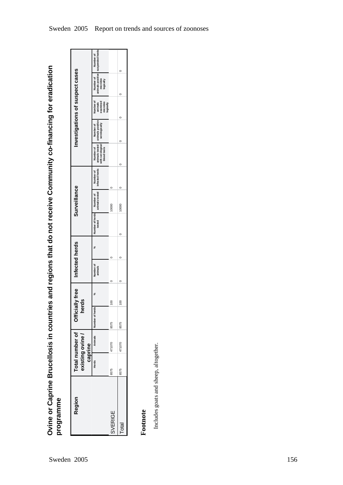| Ovine or Caprine Brucellosis in countri<br>programme |       |                                               |                          |          |                      |    |                                        |                |                             |                          |                                                                                |                                                           | ies and regions that do not receive Community co-financing for eradication   |           |
|------------------------------------------------------|-------|-----------------------------------------------|--------------------------|----------|----------------------|----|----------------------------------------|----------------|-----------------------------|--------------------------|--------------------------------------------------------------------------------|-----------------------------------------------------------|------------------------------------------------------------------------------|-----------|
| Region                                               |       | Total number of<br>existing ovine/<br>caprine | Officially free<br>herds |          | Infected herds       |    |                                        | Surveillance   |                             |                          |                                                                                |                                                           | Investigations of suspect cases                                              |           |
|                                                      | Herds | Animals                                       | Number of herd:          | ಸಿ       | Number of<br>animals | ಸಿ | Number of herds<br>Number of<br>tested | animals tested | infected herds<br>Number of | Number of<br>blood tests | animals tested animals positive<br>with serological serologically<br>Number of | Number of<br>examined<br>microbio<br>animals<br>logically | animals positive   suspended herds<br>  microbio<br>  logically<br>Number of | Number of |
| <b>SVERIGE</b>                                       | 8575  | 471070                                        | 8575                     | $^{100}$ |                      |    |                                        | 10000          | c                           |                          |                                                                                |                                                           |                                                                              |           |
| Total                                                | 8575  | 471070                                        | 8575                     | 100      |                      |    |                                        | 10000          |                             |                          |                                                                                |                                                           |                                                                              |           |

**Ovine or Caprine Brucellosis in countries and regions that do not receive Community co-financing for eradication**

**Footnote** 

Includes goats and sheep, altogether. Includes goats and sheep, altogether.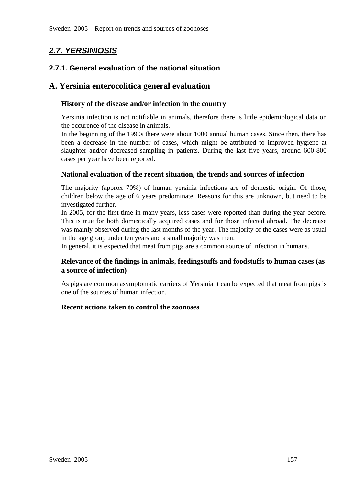# **2.7. YERSINIOSIS**

## **2.7.1. General evaluation of the national situation**

## **A. Yersinia enterocolitica general evaluation**

## **History of the disease and/or infection in the country**

Yersinia infection is not notifiable in animals, therefore there is little epidemiological data on the occurence of the disease in animals.

In the beginning of the 1990s there were about 1000 annual human cases. Since then, there has been a decrease in the number of cases, which might be attributed to improved hygiene at slaughter and/or decreased sampling in patients. During the last five years, around 600-800 cases per year have been reported.

## **National evaluation of the recent situation, the trends and sources of infection**

The majority (approx 70%) of human yersinia infections are of domestic origin. Of those, children below the age of 6 years predominate. Reasons for this are unknown, but need to be investigated further.

In 2005, for the first time in many years, less cases were reported than during the year before. This is true for both domestically acquired cases and for those infected abroad. The decrease was mainly observed during the last months of the year. The majority of the cases were as usual in the age group under ten years and a small majority was men.

In general, it is expected that meat from pigs are a common source of infection in humans.

## **Relevance of the findings in animals, feedingstuffs and foodstuffs to human cases (as a source of infection)**

As pigs are common asymptomatic carriers of Yersinia it can be expected that meat from pigs is one of the sources of human infection.

## **Recent actions taken to control the zoonoses**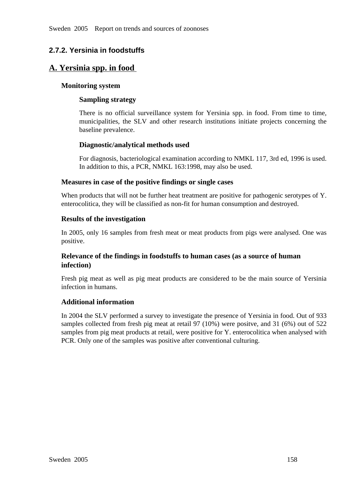## **2.7.2. Yersinia in foodstuffs**

## **A. Yersinia spp. in food**

## **Monitoring system**

## **Sampling strategy**

There is no official surveillance system for Yersinia spp. in food. From time to time, municipalities, the SLV and other research institutions initiate projects concerning the baseline prevalence.

## **Diagnostic/analytical methods used**

For diagnosis, bacteriological examination according to NMKL 117, 3rd ed, 1996 is used. In addition to this, a PCR, NMKL 163:1998, may also be used.

## **Measures in case of the positive findings or single cases**

When products that will not be further heat treatment are positive for pathogenic serotypes of Y. enterocolitica, they will be classified as non-fit for human consumption and destroyed.

## **Results of the investigation**

In 2005, only 16 samples from fresh meat or meat products from pigs were analysed. One was positive.

## **Relevance of the findings in foodstuffs to human cases (as a source of human infection)**

Fresh pig meat as well as pig meat products are considered to be the main source of Yersinia infection in humans.

## **Additional information**

In 2004 the SLV performed a survey to investigate the presence of Yersinia in food. Out of 933 samples collected from fresh pig meat at retail 97 (10%) were positve, and 31 (6%) out of 522 samples from pig meat products at retail, were positive for Y. enterocolitica when analysed with PCR. Only one of the samples was positive after conventional culturing.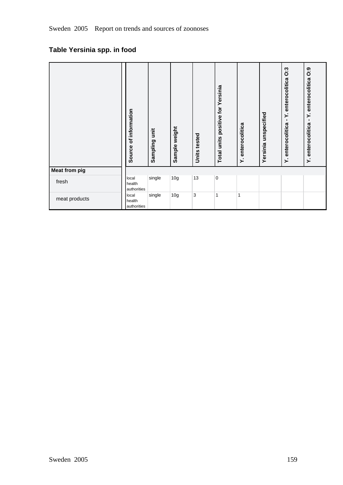# **Table Yersinia spp. in food**

|               | of information<br>Source       | unit<br>Sampling | weight<br>Sample | Units tested | positive for Yersinia<br>Total units | enterocolitica<br>×. | Yersinia unspecified | C:S<br>enterocolitica<br><sup>2</sup><br>$\blacksquare$<br>enterocolitica<br>$\ddot{ }$ | O:9<br>Y. enterocolitica<br>$\blacksquare$<br>Y. enterocolitica |
|---------------|--------------------------------|------------------|------------------|--------------|--------------------------------------|----------------------|----------------------|-----------------------------------------------------------------------------------------|-----------------------------------------------------------------|
| Meat from pig |                                |                  |                  |              |                                      |                      |                      |                                                                                         |                                                                 |
| fresh         | local<br>health<br>authorities | single           | 10 <sub>g</sub>  | 13           | $\overline{0}$                       |                      |                      |                                                                                         |                                                                 |
| meat products | local<br>health<br>authorities | single           | 10 <sub>g</sub>  | 3            | $\mathbf{1}$                         | 1                    |                      |                                                                                         |                                                                 |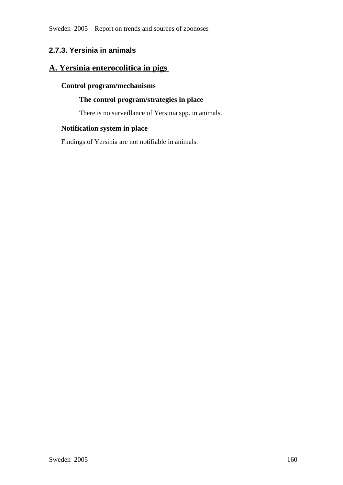## **2.7.3. Yersinia in animals**

# **A. Yersinia enterocolitica in pigs**

## **Control program/mechanisms**

## **The control program/strategies in place**

There is no surveillance of Yersinia spp. in animals.

## **Notification system in place**

Findings of Yersinia are not notifiable in animals.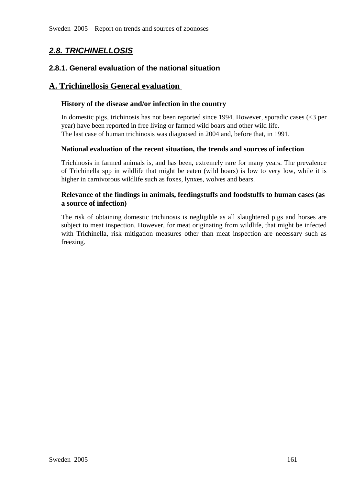# **2.8. TRICHINELLOSIS**

## **2.8.1. General evaluation of the national situation**

## **A. Trichinellosis General evaluation**

## **History of the disease and/or infection in the country**

In domestic pigs, trichinosis has not been reported since 1994. However, sporadic cases (<3 per year) have been reported in free living or farmed wild boars and other wild life. The last case of human trichinosis was diagnosed in 2004 and, before that, in 1991.

## **National evaluation of the recent situation, the trends and sources of infection**

Trichinosis in farmed animals is, and has been, extremely rare for many years. The prevalence of Trichinella spp in wildlife that might be eaten (wild boars) is low to very low, while it is higher in carnivorous wildlife such as foxes, lynxes, wolves and bears.

## **Relevance of the findings in animals, feedingstuffs and foodstuffs to human cases (as a source of infection)**

The risk of obtaining domestic trichinosis is negligible as all slaughtered pigs and horses are subject to meat inspection. However, for meat originating from wildlife, that might be infected with Trichinella, risk mitigation measures other than meat inspection are necessary such as freezing.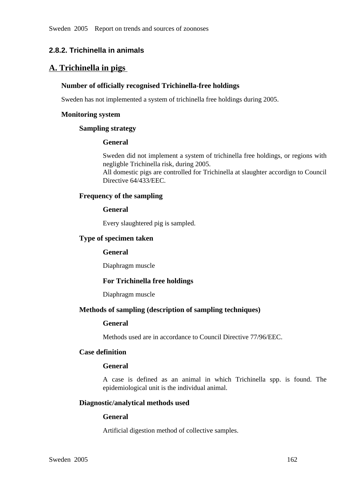## **2.8.2. Trichinella in animals**

## **A. Trichinella in pigs**

#### **Number of officially recognised Trichinella-free holdings**

Sweden has not implemented a system of trichinella free holdings during 2005.

#### **Monitoring system**

#### **Sampling strategy**

#### **General**

Sweden did not implement a system of trichinella free holdings, or regions with negligble Trichinella risk, during 2005.

All domestic pigs are controlled for Trichinella at slaughter accordign to Council Directive 64/433/EEC.

#### **Frequency of the sampling**

#### **General**

Every slaughtered pig is sampled.

#### **Type of specimen taken**

## **General**

Diaphragm muscle

#### **For Trichinella free holdings**

Diaphragm muscle

#### **Methods of sampling (description of sampling techniques)**

#### **General**

Methods used are in accordance to Council Directive 77/96/EEC.

#### **Case definition**

#### **General**

A case is defined as an animal in which Trichinella spp. is found. The epidemiological unit is the individual animal.

#### **Diagnostic/analytical methods used**

#### **General**

Artificial digestion method of collective samples.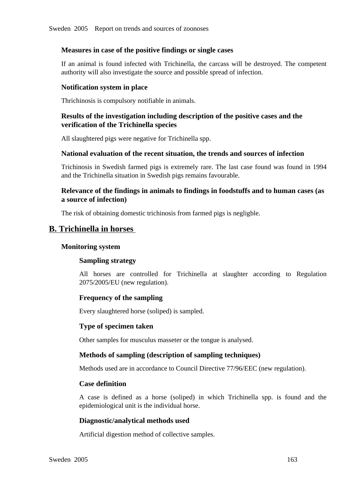## **Measures in case of the positive findings or single cases**

If an animal is found infected with Trichinella, the carcass will be destroyed. The competent authority will also investigate the source and possible spread of infection.

#### **Notification system in place**

Thrichinosis is compulsory notifiable in animals.

## **Results of the investigation including description of the positive cases and the verification of the Trichinella species**

All slaughtered pigs were negative for Trichinella spp.

#### **National evaluation of the recent situation, the trends and sources of infection**

Trichinosis in Swedish farmed pigs is extremely rare. The last case found was found in 1994 and the Trichinella situation in Swedish pigs remains favourable.

## **Relevance of the findings in animals to findings in foodstuffs and to human cases (as a source of infection)**

The risk of obtaining domestic trichinosis from farmed pigs is negligble.

## **B. Trichinella in horses**

#### **Monitoring system**

#### **Sampling strategy**

All horses are controlled for Trichinella at slaughter according to Regulation 2075/2005/EU (new regulation).

#### **Frequency of the sampling**

Every slaughtered horse (soliped) is sampled.

#### **Type of specimen taken**

Other samples for musculus masseter or the tongue is analysed.

#### **Methods of sampling (description of sampling techniques)**

Methods used are in accordance to Council Directive 77/96/EEC (new regulation).

#### **Case definition**

A case is defined as a horse (soliped) in which Trichinella spp. is found and the epidemiological unit is the individual horse.

#### **Diagnostic/analytical methods used**

Artificial digestion method of collective samples.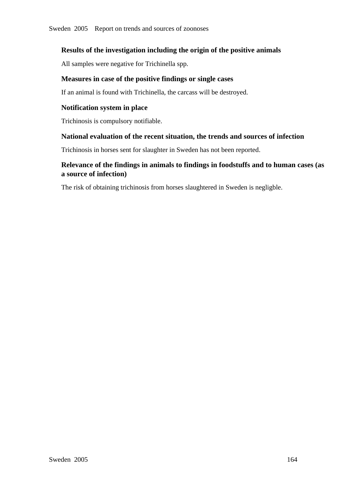## **Results of the investigation including the origin of the positive animals**

All samples were negative for Trichinella spp.

#### **Measures in case of the positive findings or single cases**

If an animal is found with Trichinella, the carcass will be destroyed.

#### **Notification system in place**

Trichinosis is compulsory notifiable.

#### **National evaluation of the recent situation, the trends and sources of infection**

Trichinosis in horses sent for slaughter in Sweden has not been reported.

## **Relevance of the findings in animals to findings in foodstuffs and to human cases (as a source of infection)**

The risk of obtaining trichinosis from horses slaughtered in Sweden is negligble.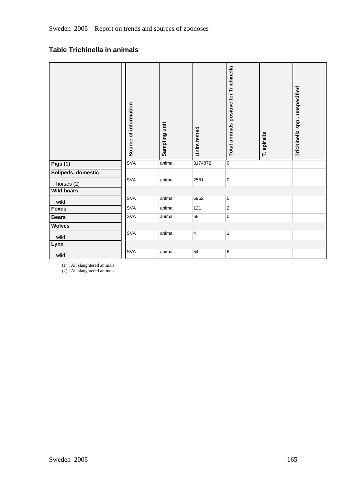## **Table Trichinella in animals**

|                    | Source of information | Sampling unit | Units tested   | Total animals positive for Trichinella | T. spiralis | Trichinella spp., unspecified |
|--------------------|-----------------------|---------------|----------------|----------------------------------------|-------------|-------------------------------|
| <b>Pigs (1)</b>    | SVA                   | animal        | 3174872        | $\overline{0}$                         |             |                               |
| Solipeds, domestic |                       |               |                |                                        |             |                               |
| horses (2)         | <b>SVA</b>            | animal        | 2581           | $\overline{0}$                         |             |                               |
| <b>Wild boars</b>  |                       |               |                |                                        |             |                               |
| wild               | <b>SVA</b>            | animal        | 6962           | $\overline{0}$                         |             |                               |
| <b>Foxes</b>       | SVA                   | animal        | 121            | $\overline{2}$                         |             |                               |
| <b>Bears</b>       | <b>SVA</b>            | animal        | 68             | $\overline{0}$                         |             |                               |
| <b>Wolves</b>      |                       |               |                |                                        |             |                               |
| wild               | SVA                   | animal        | $\overline{4}$ | $\mathbf{1}$                           |             |                               |
| Lynx               |                       |               |                |                                        |             |                               |
| wild               | SVA                   | animal        | 54             | $\,6$                                  |             |                               |

(1) : All slaughtered animals

(2) : All slaughtered animals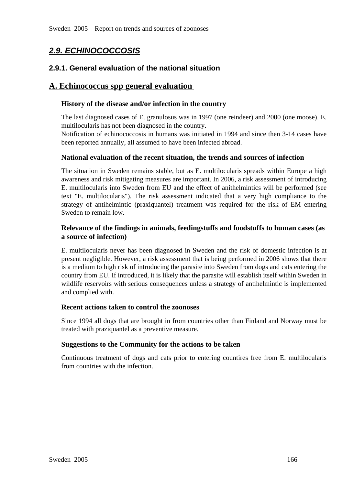# **2.9. ECHINOCOCCOSIS**

## **2.9.1. General evaluation of the national situation**

## **A. Echinococcus spp general evaluation**

## **History of the disease and/or infection in the country**

The last diagnosed cases of E. granulosus was in 1997 (one reindeer) and 2000 (one moose). E. multilocularis has not been diagnosed in the country.

Notification of echinococcosis in humans was initiated in 1994 and since then 3-14 cases have been reported annually, all assumed to have been infected abroad.

## **National evaluation of the recent situation, the trends and sources of infection**

The situation in Sweden remains stable, but as E. multilocularis spreads within Europe a high awareness and risk mitigating measures are important. In 2006, a risk assessment of introducing E. multilocularis into Sweden from EU and the effect of anithelmintics will be performed (see text "E. multilocularis"). The risk assessment indicated that a very high compliance to the strategy of antihelmintic (praxiquantel) treatment was required for the risk of EM entering Sweden to remain low.

## **Relevance of the findings in animals, feedingstuffs and foodstuffs to human cases (as a source of infection)**

E. multilocularis never has been diagnosed in Sweden and the risk of domestic infection is at present negligible. However, a risk assessment that is being performed in 2006 shows that there is a medium to high risk of introducing the parasite into Sweden from dogs and cats entering the country from EU. If introduced, it is likely that the parasite will establish itself within Sweden in wildlife reservoirs with serious consequences unless a strategy of antihelmintic is implemented and complied with.

## **Recent actions taken to control the zoonoses**

Since 1994 all dogs that are brought in from countries other than Finland and Norway must be treated with praziquantel as a preventive measure.

## **Suggestions to the Community for the actions to be taken**

Continuous treatment of dogs and cats prior to entering countires free from E. multilocularis from countries with the infection.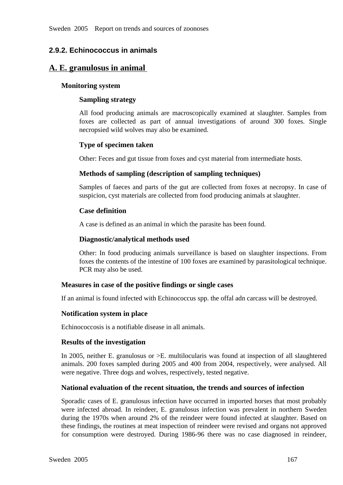## **2.9.2. Echinococcus in animals**

## **A. E. granulosus in animal**

## **Monitoring system**

## **Sampling strategy**

All food producing animals are macroscopically examined at slaughter. Samples from foxes are collected as part of annual investigations of around 300 foxes. Single necropsied wild wolves may also be examined.

## **Type of specimen taken**

Other: Feces and gut tissue from foxes and cyst material from intermediate hosts.

## **Methods of sampling (description of sampling techniques)**

Samples of faeces and parts of the gut are collected from foxes at necropsy. In case of suspicion, cyst materials are collected from food producing animals at slaughter.

## **Case definition**

A case is defined as an animal in which the parasite has been found.

## **Diagnostic/analytical methods used**

Other: In food producing animals surveillance is based on slaughter inspections. From foxes the contents of the intestine of 100 foxes are examined by parasitological technique. PCR may also be used.

## **Measures in case of the positive findings or single cases**

If an animal is found infected with Echinococcus spp. the offal adn carcass will be destroyed.

## **Notification system in place**

Echinococcosis is a notifiable disease in all animals.

## **Results of the investigation**

In 2005, neither E. granulosus or >E. multilocularis was found at inspection of all slaughtered animals. 200 foxes sampled during 2005 and 400 from 2004, respectively, were analysed. All were negative. Three dogs and wolves, respectively, tested negative.

## **National evaluation of the recent situation, the trends and sources of infection**

Sporadic cases of E. granulosus infection have occurred in imported horses that most probably were infected abroad. In reindeer, E. granulosus infection was prevalent in northern Sweden during the 1970s when around 2% of the reindeer were found infected at slaughter. Based on these findings, the routines at meat inspection of reindeer were revised and organs not approved for consumption were destroyed. During 1986-96 there was no case diagnosed in reindeer,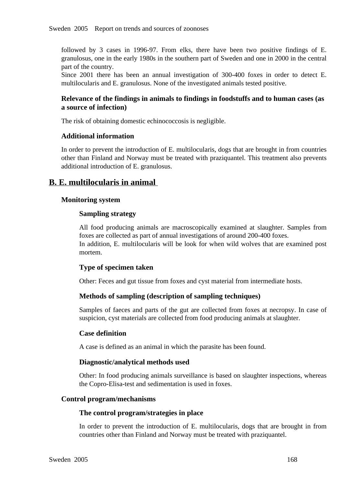followed by 3 cases in 1996-97. From elks, there have been two positive findings of E. granulosus, one in the early 1980s in the southern part of Sweden and one in 2000 in the central part of the country.

Since 2001 there has been an annual investigation of 300-400 foxes in order to detect E. multilocularis and E. granulosus. None of the investigated animals tested positive.

#### **Relevance of the findings in animals to findings in foodstuffs and to human cases (as a source of infection)**

The risk of obtaining domestic echinococcosis is negligible.

#### **Additional information**

In order to prevent the introduction of E. multilocularis, dogs that are brought in from countries other than Finland and Norway must be treated with praziquantel. This treatment also prevents additional introduction of E. granulosus.

## **B. E. multilocularis in animal**

#### **Monitoring system**

#### **Sampling strategy**

All food producing animals are macroscopically examined at slaughter. Samples from foxes are collected as part of annual investigations of around 200-400 foxes. In addition, E. multilocularis will be look for when wild wolves that are examined post mortem.

#### **Type of specimen taken**

Other: Feces and gut tissue from foxes and cyst material from intermediate hosts.

#### **Methods of sampling (description of sampling techniques)**

Samples of faeces and parts of the gut are collected from foxes at necropsy. In case of suspicion, cyst materials are collected from food producing animals at slaughter.

#### **Case definition**

A case is defined as an animal in which the parasite has been found.

#### **Diagnostic/analytical methods used**

Other: In food producing animals surveillance is based on slaughter inspections, whereas the Copro-Elisa-test and sedimentation is used in foxes.

#### **Control program/mechanisms**

#### **The control program/strategies in place**

In order to prevent the introduction of E. multilocularis, dogs that are brought in from countries other than Finland and Norway must be treated with praziquantel.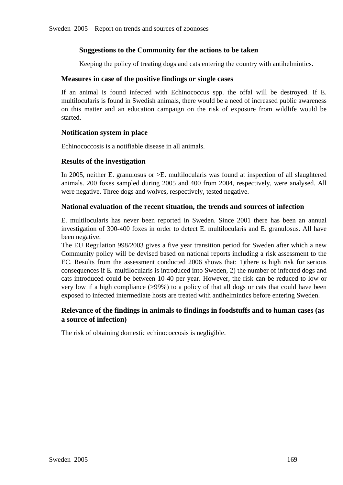## **Suggestions to the Community for the actions to be taken**

Keeping the policy of treating dogs and cats entering the country with antihelmintics.

#### **Measures in case of the positive findings or single cases**

If an animal is found infected with Echinococcus spp. the offal will be destroyed. If E. multilocularis is found in Swedish animals, there would be a need of increased public awareness on this matter and an education campaign on the risk of exposure from wildlife would be started.

#### **Notification system in place**

Echinococcosis is a notifiable disease in all animals.

#### **Results of the investigation**

In 2005, neither E. granulosus or >E. multilocularis was found at inspection of all slaughtered animals. 200 foxes sampled during 2005 and 400 from 2004, respectively, were analysed. All were negative. Three dogs and wolves, respectively, tested negative.

#### **National evaluation of the recent situation, the trends and sources of infection**

E. multilocularis has never been reported in Sweden. Since 2001 there has been an annual investigation of 300-400 foxes in order to detect E. multilocularis and E. granulosus. All have been negative.

The EU Regulation 998/2003 gives a five year transition period for Sweden after which a new Community policy will be devised based on national reports including a risk assessment to the EC. Results from the assessment conducted 2006 shows that: 1)there is high risk for serious consequences if E. multilocularis is introduced into Sweden, 2) the number of infected dogs and cats introduced could be between 10-40 per year. However, the risk can be reduced to low or very low if a high compliance (>99%) to a policy of that all dogs or cats that could have been exposed to infected intermediate hosts are treated with antihelmintics before entering Sweden.

## **Relevance of the findings in animals to findings in foodstuffs and to human cases (as a source of infection)**

The risk of obtaining domestic echinococcosis is negligible.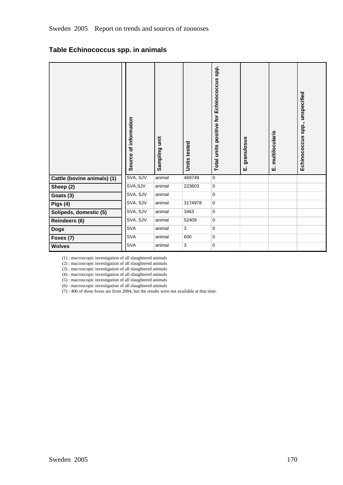## **Table Echinococcus spp. in animals**

|                             | Source of information | Sampling unit | Units tested | Total units positive for Echinococcus spp. | granulosus<br>Ш | multilocularis<br>шi | Echinococcus spp., unspecified |
|-----------------------------|-----------------------|---------------|--------------|--------------------------------------------|-----------------|----------------------|--------------------------------|
| Cattle (bovine animals) (1) | SVA, SJV              | animal        | 469749       | $\mathbf 0$                                |                 |                      |                                |
| Sheep (2)                   | SVA, SJV              | animal        | 223603       | $\pmb{0}$                                  |                 |                      |                                |
| Goats (3)                   | SVA, SJV              | animal        |              | $\mathbf 0$                                |                 |                      |                                |
| Pigs (4)                    | SVA, SJV              | animal        | 3174978      | $\mathbf 0$                                |                 |                      |                                |
| Solipeds, domestic (5)      | SVA, SJV              | animal        | 3463         | $\mathbf 0$                                |                 |                      |                                |
| Reindeers (6)               | SVA, SJV              | animal        | 52409        | $\mathbf 0$                                |                 |                      |                                |
| <b>Dogs</b>                 | <b>SVA</b>            | animal        | 3            | $\mathbf 0$                                |                 |                      |                                |
| Foxes (7)                   | <b>SVA</b>            | animal        | 600          | $\mathbf 0$                                |                 |                      |                                |
| <b>Wolves</b>               | <b>SVA</b>            | animal        | 3            | $\mathbf 0$                                |                 |                      |                                |

(1) : macroscopic investigation of all slaughtered animals

(2) : macroscopic investigation of all slaughtered animals

(3) : macroscopic investigation of all slaughtered animals

(4) : macroscopic investigation of all slaughtered animals

(5) : macroscopic investigation of all slaughtered animals (6) : macroscopic investigation of all slaughtered animals

(7) : 400 of these foxes are from 2004, but the results were not available at that time.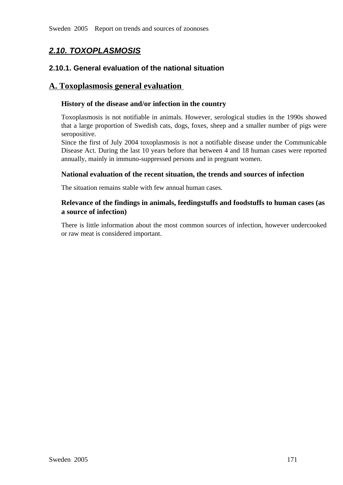# **2.10. TOXOPLASMOSIS**

## **2.10.1. General evaluation of the national situation**

## **A. Toxoplasmosis general evaluation**

## **History of the disease and/or infection in the country**

Toxoplasmosis is not notifiable in animals. However, serological studies in the 1990s showed that a large proportion of Swedish cats, dogs, foxes, sheep and a smaller number of pigs were seropositive.

Since the first of July 2004 toxoplasmosis is not a notifiable disease under the Communicable Disease Act. During the last 10 years before that between 4 and 18 human cases were reported annually, mainly in immuno-suppressed persons and in pregnant women.

## **National evaluation of the recent situation, the trends and sources of infection**

The situation remains stable with few annual human cases.

## **Relevance of the findings in animals, feedingstuffs and foodstuffs to human cases (as a source of infection)**

There is little information about the most common sources of infection, however undercooked or raw meat is considered important.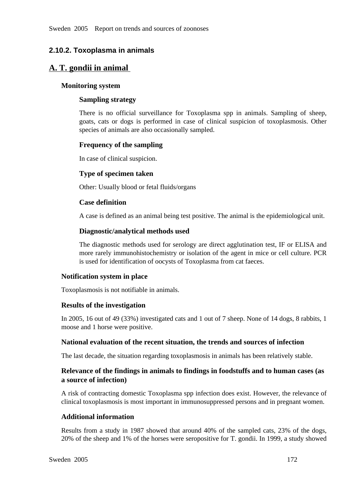## **2.10.2. Toxoplasma in animals**

## **A. T. gondii in animal**

#### **Monitoring system**

#### **Sampling strategy**

There is no official surveillance for Toxoplasma spp in animals. Sampling of sheep, goats, cats or dogs is performed in case of clinical suspicion of toxoplasmosis. Other species of animals are also occasionally sampled.

#### **Frequency of the sampling**

In case of clinical suspicion.

## **Type of specimen taken**

Other: Usually blood or fetal fluids/organs

#### **Case definition**

A case is defined as an animal being test positive. The animal is the epidemiological unit.

#### **Diagnostic/analytical methods used**

The diagnostic methods used for serology are direct agglutination test, IF or ELISA and more rarely immunohistochemistry or isolation of the agent in mice or cell culture. PCR is used for identification of oocysts of Toxoplasma from cat faeces.

#### **Notification system in place**

Toxoplasmosis is not notifiable in animals.

#### **Results of the investigation**

In 2005, 16 out of 49 (33%) investigated cats and 1 out of 7 sheep. None of 14 dogs, 8 rabbits, 1 moose and 1 horse were positive.

#### **National evaluation of the recent situation, the trends and sources of infection**

The last decade, the situation regarding toxoplasmosis in animals has been relatively stable.

## **Relevance of the findings in animals to findings in foodstuffs and to human cases (as a source of infection)**

A risk of contracting domestic Toxoplasma spp infection does exist. However, the relevance of clinical toxoplasmosis is most important in immunosuppressed persons and in pregnant women.

#### **Additional information**

Results from a study in 1987 showed that around 40% of the sampled cats, 23% of the dogs, 20% of the sheep and 1% of the horses were seropositive for T. gondii. In 1999, a study showed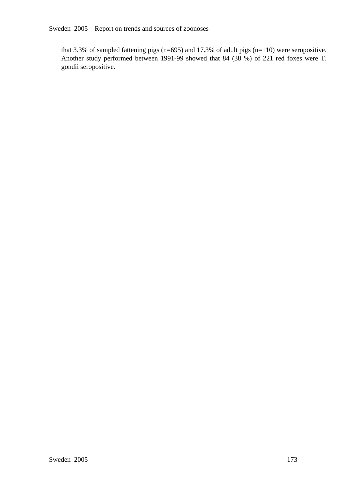that 3.3% of sampled fattening pigs (n=695) and 17.3% of adult pigs (n=110) were seropositive. Another study performed between 1991-99 showed that 84 (38 %) of 221 red foxes were T. gondii seropositive.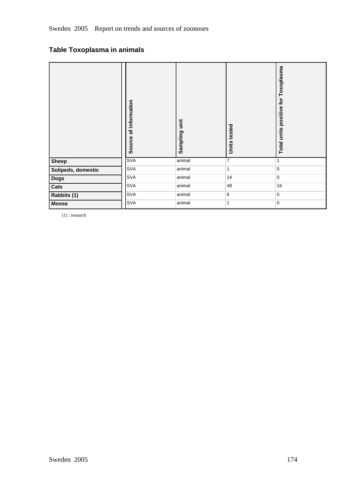# **Table Toxoplasma in animals**

|                    | of information<br>Source | Sampling unit | Units tested   | positive for Toxoplasma<br>units<br><b>Total</b> |
|--------------------|--------------------------|---------------|----------------|--------------------------------------------------|
| <b>Sheep</b>       | SVA                      | animal        | $\overline{7}$ | 1                                                |
| Solipeds, domestic | SVA                      | animal        | 1              | 0                                                |
| <b>Dogs</b>        | SVA                      | animal        | 14             | $\pmb{0}$                                        |
| Cats               | <b>SVA</b>               | animal        | 49             | 16                                               |
| Rabbits (1)        | SVA                      | animal        | 8              | 0                                                |
| <b>Moose</b>       | SVA                      | animal        | 1              | 0                                                |

(1) : research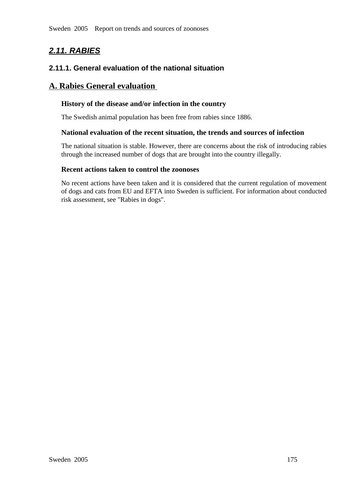# **2.11. RABIES**

## **2.11.1. General evaluation of the national situation**

## **A. Rabies General evaluation**

## **History of the disease and/or infection in the country**

The Swedish animal population has been free from rabies since 1886.

## **National evaluation of the recent situation, the trends and sources of infection**

The national situation is stable. However, there are concerns about the risk of introducing rabies through the increased number of dogs that are brought into the country illegally.

## **Recent actions taken to control the zoonoses**

No recent actions have been taken and it is considered that the current regulation of movement of dogs and cats from EU and EFTA into Sweden is sufficient. For information about conducted risk assessment, see "Rabies in dogs".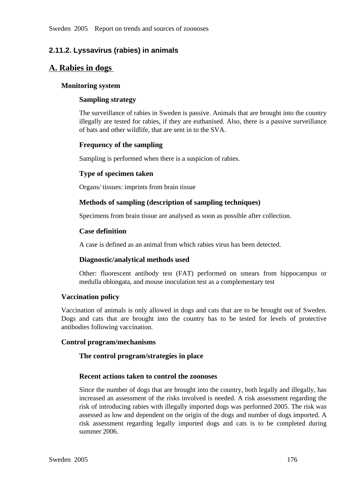# **2.11.2. Lyssavirus (rabies) in animals**

# **A. Rabies in dogs**

### **Monitoring system**

### **Sampling strategy**

The surveillance of rabies in Sweden is passive. Animals that are brought into the country illegally are tested for rabies, if they are euthanised. Also, there is a passive surveillance of bats and other wildlife, that are sent in to the SVA.

### **Frequency of the sampling**

Sampling is performed when there is a suspicion of rabies.

## **Type of specimen taken**

Organs/ tissues: imprints from brain tissue

### **Methods of sampling (description of sampling techniques)**

Specimens from brain tissue are analysed as soon as possible after collection.

### **Case definition**

A case is defined as an animal from which rabies virus has been detected.

### **Diagnostic/analytical methods used**

Other: fluorescent antibody test (FAT) performed on smears from hippocampus or medulla oblongata, and mouse inoculation test as a complementary test

### **Vaccination policy**

Vaccination of animals is only allowed in dogs and cats that are to be brought out of Sweden. Dogs and cats that are brought into the country has to be tested for levels of protective antibodies following vaccination.

### **Control program/mechanisms**

### **The control program/strategies in place**

### **Recent actions taken to control the zoonoses**

Since the number of dogs that are brought into the country, both legally and illegally, has increased an assessment of the risks involved is needed. A risk assessment regarding the risk of introducing rabies with illegally imported dogs was performed 2005. The risk was assessed as low and dependent on the origin of the dogs and number of dogs imported. A risk assessment regarding legally imported dogs and cats is to be completed during summer 2006.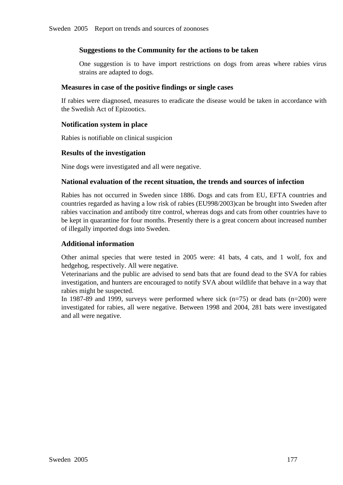### **Suggestions to the Community for the actions to be taken**

One suggestion is to have import restrictions on dogs from areas where rabies virus strains are adapted to dogs.

#### **Measures in case of the positive findings or single cases**

If rabies were diagnosed, measures to eradicate the disease would be taken in accordance with the Swedish Act of Epizootics.

### **Notification system in place**

Rabies is notifiable on clinical suspicion

#### **Results of the investigation**

Nine dogs were investigated and all were negative.

#### **National evaluation of the recent situation, the trends and sources of infection**

Rabies has not occurred in Sweden since 1886. Dogs and cats from EU, EFTA countries and countries regarded as having a low risk of rabies (EU998/2003)can be brought into Sweden after rabies vaccination and antibody titre control, whereas dogs and cats from other countries have to be kept in quarantine for four months. Presently there is a great concern about increased number of illegally imported dogs into Sweden.

### **Additional information**

Other animal species that were tested in 2005 were: 41 bats, 4 cats, and 1 wolf, fox and hedgehog, respectively. All were negative.

Veterinarians and the public are advised to send bats that are found dead to the SVA for rabies investigation, and hunters are encouraged to notify SVA about wildlife that behave in a way that rabies might be suspected.

In 1987-89 and 1999, surveys were performed where sick  $(n=75)$  or dead bats  $(n=200)$  were investigated for rabies, all were negative. Between 1998 and 2004, 281 bats were investigated and all were negative.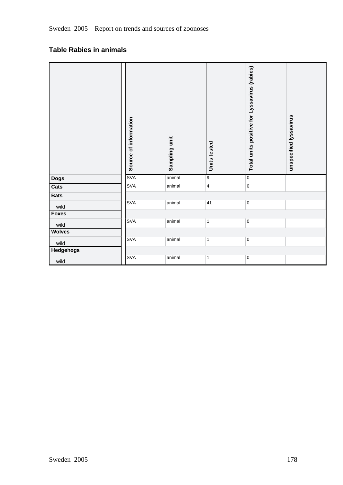# **Table Rabies in animals**

|                  | Source of information | Sampling unit | <b>Units tested</b> | Total units positive for Lyssavirus (rabies) | unspecified lyssavirus |
|------------------|-----------------------|---------------|---------------------|----------------------------------------------|------------------------|
| <b>Dogs</b>      | <b>SVA</b>            | animal        | $\overline{9}$      | $\mathsf{O}\xspace$                          |                        |
| Cats             | <b>SVA</b>            | animal        | $\overline{4}$      | $\overline{\text{o}}$                        |                        |
| <b>Bats</b>      |                       |               |                     |                                              |                        |
| wild             | <b>SVA</b>            | animal        | 41                  | $\pmb{0}$                                    |                        |
| <b>Foxes</b>     |                       |               |                     |                                              |                        |
| wild             | SVA                   | animal        | $\mathbf{1}$        | $\mathbf 0$                                  |                        |
| <b>Wolves</b>    |                       |               |                     |                                              |                        |
| wild             | SVA                   | animal        | $\mathbf{1}$        | ${\bf 0}$                                    |                        |
| <b>Hedgehogs</b> |                       |               |                     |                                              |                        |
| wild             | <b>SVA</b>            | animal        | $\mathbf{1}$        | $\pmb{0}$                                    |                        |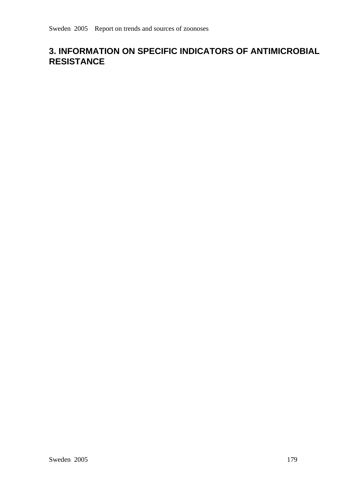# **3. INFORMATION ON SPECIFIC INDICATORS OF ANTIMICROBIAL RESISTANCE**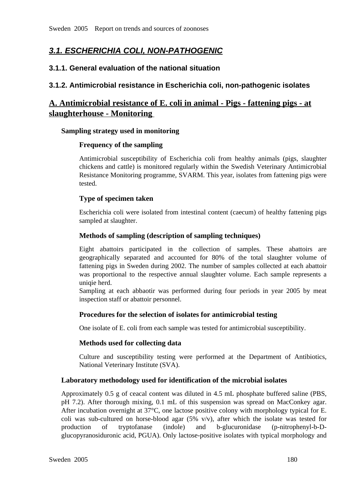# **3.1. ESCHERICHIA COLI, NON-PATHOGENIC**

# **3.1.1. General evaluation of the national situation**

# **3.1.2. Antimicrobial resistance in Escherichia coli, non-pathogenic isolates**

# **A. Antimicrobial resistance of E. coli in animal - Pigs - fattening pigs - at slaughterhouse - Monitoring**

## **Sampling strategy used in monitoring**

## **Frequency of the sampling**

Antimicrobial susceptibility of Escherichia coli from healthy animals (pigs, slaughter chickens and cattle) is monitored regularly within the Swedish Veterinary Antimicrobial Resistance Monitoring programme, SVARM. This year, isolates from fattening pigs were tested.

# **Type of specimen taken**

Escherichia coli were isolated from intestinal content (caecum) of healthy fattening pigs sampled at slaughter.

# **Methods of sampling (description of sampling techniques)**

Eight abattoirs participated in the collection of samples. These abattoirs are geographically separated and accounted for 80% of the total slaughter volume of fattening pigs in Sweden during 2002. The number of samples collected at each abattoir was proportional to the respective annual slaughter volume. Each sample represents a uniqie herd.

Sampling at each abbaotir was performed during four periods in year 2005 by meat inspection staff or abattoir personnel.

# **Procedures for the selection of isolates for antimicrobial testing**

One isolate of E. coli from each sample was tested for antimicrobial susceptibility.

## **Methods used for collecting data**

Culture and susceptibility testing were performed at the Department of Antibiotics, National Veterinary Institute (SVA).

## **Laboratory methodology used for identification of the microbial isolates**

Approximately 0.5 g of ceacal content was diluted in 4.5 mL phosphate buffered saline (PBS, pH 7.2). After thorough mixing, 0.1 mL of this suspension was spread on MacConkey agar. After incubation overnight at 37°C, one lactose positive colony with morphology typical for E. coli was sub-cultured on horse-blood agar (5% v/v), after which the isolate was tested for production of tryptofanase (indole) and b-glucuronidase (p-nitrophenyl-b-Dglucopyranosiduronic acid, PGUA). Only lactose-positive isolates with typical morphology and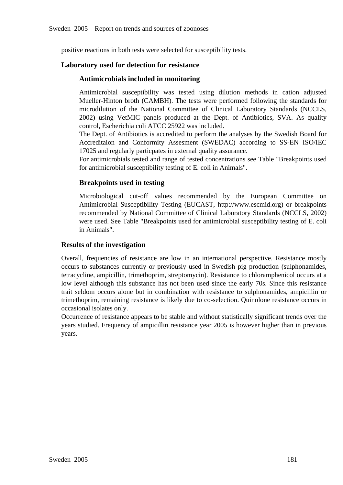positive reactions in both tests were selected for susceptibility tests.

## **Laboratory used for detection for resistance**

## **Antimicrobials included in monitoring**

Antimicrobial susceptibility was tested using dilution methods in cation adjusted Mueller-Hinton broth (CAMBH). The tests were performed following the standards for microdilution of the National Committee of Clinical Laboratory Standards (NCCLS, 2002) using VetMIC panels produced at the Dept. of Antibiotics, SVA. As quality control, Escherichia coli ATCC 25922 was included.

The Dept. of Antibiotics is accredited to perform the analyses by the Swedish Board for Accreditaion and Conformity Assesment (SWEDAC) according to SS-EN ISO/IEC 17025 and regularly particpates in external quality assurance.

For antimicrobials tested and range of tested concentrations see Table "Breakpoints used for antimicrobial susceptibility testing of E. coli in Animals".

## **Breakpoints used in testing**

Microbiological cut-off values recommended by the European Committee on Antimicrobial Susceptibility Testing (EUCAST, http://www.escmid.org) or breakpoints recommended by National Committee of Clinical Laboratory Standards (NCCLS, 2002) were used. See Table "Breakpoints used for antimicrobial susceptibility testing of E. coli in Animals".

### **Results of the investigation**

Overall, frequencies of resistance are low in an international perspective. Resistance mostly occurs to substances currently or previously used in Swedish pig production (sulphonamides, tetracycline, ampicillin, trimethoprim, streptomycin). Resistance to chloramphenicol occurs at a low level although this substance has not been used since the early 70s. Since this resistance trait seldom occurs alone but in combination with resistance to sulphonamides, ampicillin or trimethoprim, remaining resistance is likely due to co-selection. Quinolone resistance occurs in occasional isolates only.

Occurrence of resistance appears to be stable and without statistically significant trends over the years studied. Frequency of ampicillin resistance year 2005 is however higher than in previous years.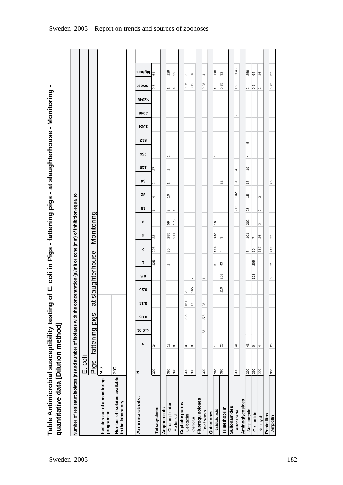Table Antimicrobial susceptibility testing of E. coli in Pigs - fattening pigs - at slaughterhouse - Monitoring -<br>quantitative data [Dilution method] **Table Antimicrobial susceptibility testing of E. coli in Pigs - fattening pigs - at slaughterhouse - Monitoring quantitative data [Dilution method]**

| Number of resistant isolates (n) and number of isolates with the concentration (µl/ml) or zone (mm) of inhibition equal to |                                                        |                |          |      |              |      |                |                |                 |                |                |             |               |                |                 |            |      |        |                |                                    |                |
|----------------------------------------------------------------------------------------------------------------------------|--------------------------------------------------------|----------------|----------|------|--------------|------|----------------|----------------|-----------------|----------------|----------------|-------------|---------------|----------------|-----------------|------------|------|--------|----------------|------------------------------------|----------------|
|                                                                                                                            | E. coli                                                |                |          |      |              |      |                |                |                 |                |                |             |               |                |                 |            |      |        |                |                                    |                |
|                                                                                                                            | Pigs - fattening pigs - at slaughterhouse - Monitoring |                |          |      |              |      |                |                |                 |                |                |             |               |                |                 |            |      |        |                |                                    |                |
| solates out of a monitoring<br>programme                                                                                   | yes                                                    |                |          |      |              |      |                |                |                 |                |                |             |               |                |                 |            |      |        |                |                                    |                |
| Number of isolates available 390<br>in the laboratory                                                                      |                                                        |                |          |      |              |      |                |                |                 |                |                |             |               |                |                 |            |      |        |                |                                    |                |
|                                                                                                                            |                                                        |                |          |      |              |      |                |                |                 |                |                |             |               |                |                 |            |      |        |                |                                    |                |
| Antimicrobials:                                                                                                            | z                                                      | u              | $$0.0 =$ | 90.0 | $\Omega$ .12 | 0.25 | 5.0            | ı              | ट               | Þ              | 9 L<br>8       | 32          | 79            | 128            | 9S <sub>7</sub> | <b>SIS</b> | 1024 | 2048   | >2048          | <b>J</b><br>Jewol                  | <b>izedgid</b> |
| Tetracyclines                                                                                                              | 390                                                    | £              |          |      |              |      |                | 125            | 208             | 23             | ÷              | 4           | $\sim$        | 27             |                 |            |      |        | 0.5            | 64                                 |                |
| Amphenicols                                                                                                                |                                                        |                |          |      |              |      |                |                |                 |                |                |             |               |                |                 |            |      |        |                |                                    |                |
| Chloramphenicol                                                                                                            | 390                                                    | $\frac{3}{2}$  |          |      |              |      |                | $\overline{ }$ | $8^{\circ}$     | 285            | $\sim$<br>59   | $\tilde{c}$ | ٠             | $\overline{ }$ | T               |            |      |        | $\overline{ }$ | 128                                |                |
| Florfenicol                                                                                                                | 390                                                    | $\circ$        |          |      |              |      |                |                |                 | 211            | 4<br>175       |             |               |                |                 |            |      |        | 4              | 32                                 |                |
| Cephalosporins                                                                                                             |                                                        |                |          |      |              |      |                |                |                 |                |                |             |               |                |                 |            |      |        |                |                                    |                |
| Cefotaxim                                                                                                                  | 390                                                    | $\circ$        |          | 236  | 151          | S    |                |                |                 |                |                |             |               |                |                 |            |      |        |                | $\sim$<br>0.06                     |                |
| Ceftiofur                                                                                                                  | 390                                                    | $\circ$        |          |      | 17           | 265  | $\sim$         |                |                 |                |                |             |               |                |                 |            |      |        |                | 16<br>0.12                         |                |
| Fluoroquinolones                                                                                                           |                                                        |                |          |      |              |      |                |                |                 |                |                |             |               |                |                 |            |      |        |                |                                    |                |
| Enrofloxacin                                                                                                               | 390                                                    | $\overline{ }$ | 83       | 278  | 28           |      | $\overline{ }$ |                |                 |                |                |             |               |                |                 |            |      |        |                | 4<br>0.03                          |                |
| Quinolones                                                                                                                 |                                                        |                |          |      |              |      |                |                |                 |                |                |             |               |                |                 |            |      |        |                |                                    |                |
| Nalidixic acid                                                                                                             | 390                                                    | $\overline{ }$ |          |      |              |      |                | S              | 129             | 240            | 15             |             |               |                |                 |            |      |        | $\overline{ }$ | 128                                |                |
| Trimethoprim                                                                                                               | 390                                                    | 25             |          |      |              | 110  | 208            | 43             | 4               | S              |                |             | 22            |                |                 |            |      |        |                | 32<br>0.25                         |                |
| <b>Sulfonamides</b>                                                                                                        |                                                        |                |          |      |              |      |                |                |                 |                |                |             |               |                |                 |            |      |        |                |                                    |                |
| Sulfonamide                                                                                                                | 390                                                    | $\frac{4}{3}$  |          |      |              |      |                |                |                 |                | 212            | 102         | 51            | 4              |                 |            |      | $\sim$ | $\frac{6}{5}$  |                                    | 2048           |
| Aminoglycosides                                                                                                            |                                                        |                |          |      |              |      |                |                |                 |                |                |             |               |                |                 |            |      |        |                |                                    |                |
| Streptomycin                                                                                                               | 390                                                    | $\ddot{4}$     |          |      |              |      |                |                | S               | $\frac{1}{2}$  | $^{28}$<br>202 | 15          | $\frac{3}{2}$ | $\frac{0}{1}$  | 4               | Ю          |      |        | $\sim$         | 256                                |                |
| Gentamicin                                                                                                                 | 390                                                    | $\circ$        |          |      |              |      | 128            | 205            | $\!mathsf{S}\!$ | $\overline{ }$ |                |             |               |                |                 |            |      |        | 0.5            | 64                                 |                |
| Neomycin                                                                                                                   | 390                                                    | 4              |          |      |              |      |                |                | 357             | $\infty$<br>26 | $\sim$         | $\sim$      |               |                |                 |            |      |        | $\sim$         | $\frac{6}{2}$                      |                |
| Penicillins                                                                                                                |                                                        |                |          |      |              |      |                |                |                 |                |                |             |               |                |                 |            |      |        |                |                                    |                |
| Ampicillin                                                                                                                 | 390                                                    | 25             |          |      |              |      | $\infty$       | $\overline{r}$ | 219             | 72             |                |             | 25            |                |                 |            |      |        |                | $\boldsymbol{\mathcal{S}}$<br>0.25 |                |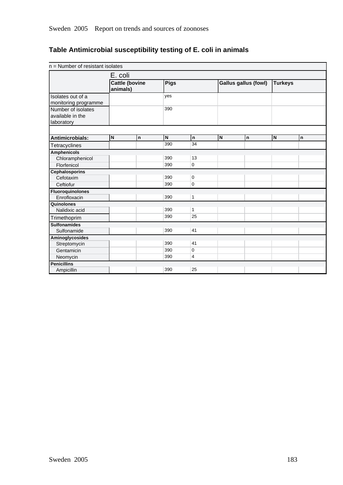# **Table Antimicrobial susceptibility testing of E. coli in animals**

| $n =$ Number of resistant isolates |          |                       |      |              |   |                             |                         |   |
|------------------------------------|----------|-----------------------|------|--------------|---|-----------------------------|-------------------------|---|
|                                    | E. coli  |                       |      |              |   |                             |                         |   |
|                                    | animals) | <b>Cattle (bovine</b> | Pigs |              |   | <b>Gallus gallus (fowl)</b> | <b>Turkeys</b>          |   |
| Isolates out of a                  |          |                       | yes  |              |   |                             |                         |   |
| monitoring programme               |          |                       |      |              |   |                             |                         |   |
| Number of isolates                 |          |                       | 390  |              |   |                             |                         |   |
| available in the                   |          |                       |      |              |   |                             |                         |   |
| laboratory                         |          |                       |      |              |   |                             |                         |   |
|                                    |          |                       |      |              |   |                             |                         |   |
| Antimicrobials:                    | N        | $\mathsf{n}$          | N    | $\mathsf{n}$ | N | <b>n</b>                    | $\overline{\mathsf{N}}$ | n |
| Tetracyclines                      |          |                       | 390  | 34           |   |                             |                         |   |
| <b>Amphenicols</b>                 |          |                       |      |              |   |                             |                         |   |
| Chloramphenicol                    |          |                       | 390  | 13           |   |                             |                         |   |
| Florfenicol                        |          |                       | 390  | $\mathbf 0$  |   |                             |                         |   |
| <b>Cephalosporins</b>              |          |                       |      |              |   |                             |                         |   |
| Cefotaxim                          |          |                       | 390  | 0            |   |                             |                         |   |
| Ceftiofur                          |          |                       | 390  | 0            |   |                             |                         |   |
| Fluoroquinolones                   |          |                       |      |              |   |                             |                         |   |
| Enrofloxacin                       |          |                       | 390  | $\mathbf{1}$ |   |                             |                         |   |
| Quinolones                         |          |                       |      |              |   |                             |                         |   |
| Nalidixic acid                     |          |                       | 390  | $\mathbf{1}$ |   |                             |                         |   |
| Trimethoprim                       |          |                       | 390  | 25           |   |                             |                         |   |
| <b>Sulfonamides</b>                |          |                       |      |              |   |                             |                         |   |
| Sulfonamide                        |          |                       | 390  | 41           |   |                             |                         |   |
| Aminoglycosides                    |          |                       |      |              |   |                             |                         |   |
| Streptomycin                       |          |                       | 390  | 41           |   |                             |                         |   |
| Gentamicin                         |          |                       | 390  | 0            |   |                             |                         |   |
| Neomycin                           |          |                       | 390  | 4            |   |                             |                         |   |
| <b>Penicillins</b>                 |          |                       |      |              |   |                             |                         |   |
| Ampicillin                         |          |                       | 390  | 25           |   |                             |                         |   |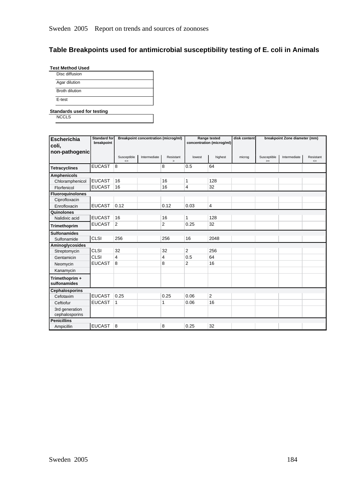# **Table Breakpoints used for antimicrobial susceptibility testing of E. coli in Animals**

| Disc diffusion        |  |
|-----------------------|--|
| Agar dilution         |  |
| <b>Broth dilution</b> |  |
| E-test                |  |

**Standards used for testing**

NCCLS

| <b>Escherichia</b><br>coli.<br>non-pathogenic | <b>Standard for</b><br>breakpoint |                       | <b>Breakpoint concentration (microg/ml)</b> |                     |              | Range tested<br>concentration (microg/ml) | disk content |                     | breakpoint Zone diameter (mm) |                     |
|-----------------------------------------------|-----------------------------------|-----------------------|---------------------------------------------|---------------------|--------------|-------------------------------------------|--------------|---------------------|-------------------------------|---------------------|
|                                               |                                   | Susceptible<br>$\leq$ | Intermediate                                | Resistant<br>$\geq$ | lowest       | highest                                   | microg       | Susceptible<br>$>=$ | Intermediate                  | Resistant<br>$\leq$ |
| <b>Tetracyclines</b>                          | <b>EUCAST</b>                     | 8                     |                                             | 8                   | 0.5          | 64                                        |              |                     |                               |                     |
| <b>Amphenicols</b>                            |                                   |                       |                                             |                     |              |                                           |              |                     |                               |                     |
| Chloramphenicol                               | <b>EUCAST</b>                     | 16                    |                                             | 16                  | 1            | 128                                       |              |                     |                               |                     |
| Florfenicol                                   | <b>EUCAST</b>                     | 16                    |                                             | 16                  | 4            | 32                                        |              |                     |                               |                     |
| Fluoroquinolones                              |                                   |                       |                                             |                     |              |                                           |              |                     |                               |                     |
| Ciprofloxacin                                 |                                   |                       |                                             |                     |              |                                           |              |                     |                               |                     |
| Enrofloxacin                                  | <b>EUCAST</b>                     | 0.12                  |                                             | 0.12                | 0.03         | 4                                         |              |                     |                               |                     |
| Quinolones                                    |                                   |                       |                                             |                     |              |                                           |              |                     |                               |                     |
| Nalidixic acid                                | <b>EUCAST</b>                     | 16                    |                                             | 16                  | $\mathbf{1}$ | 128                                       |              |                     |                               |                     |
| Trimethoprim                                  | <b>EUCAST</b>                     | $\overline{2}$        |                                             | $\overline{2}$      | 0.25         | 32                                        |              |                     |                               |                     |
| <b>Sulfonamides</b>                           |                                   |                       |                                             |                     |              |                                           |              |                     |                               |                     |
| Sulfonamide                                   | <b>CLSI</b>                       | 256                   |                                             | 256                 | 16           | 2048                                      |              |                     |                               |                     |
| Aminoglycosides                               |                                   |                       |                                             |                     |              |                                           |              |                     |                               |                     |
| Streptomycin                                  | <b>CLSI</b>                       | 32                    |                                             | 32                  | 2            | 256                                       |              |                     |                               |                     |
| Gentamicin                                    | <b>CLSI</b>                       | $\overline{4}$        |                                             | 4                   | 0.5          | 64                                        |              |                     |                               |                     |
| Neomycin                                      | <b>EUCAST</b>                     | 8                     |                                             | 8                   | 2            | 16                                        |              |                     |                               |                     |
| Kanamycin                                     |                                   |                       |                                             |                     |              |                                           |              |                     |                               |                     |
| Trimethoprim +<br>sulfonamides                |                                   |                       |                                             |                     |              |                                           |              |                     |                               |                     |
| <b>Cephalosporins</b>                         |                                   |                       |                                             |                     |              |                                           |              |                     |                               |                     |
| Cefotaxim                                     | <b>EUCAST</b>                     | 0.25                  |                                             | 0.25                | 0.06         | 2                                         |              |                     |                               |                     |
| Ceftiofur                                     | <b>EUCAST</b>                     | 1                     |                                             | 1                   | 0.06         | 16                                        |              |                     |                               |                     |
| 3rd generation<br>cephalosporins              |                                   |                       |                                             |                     |              |                                           |              |                     |                               |                     |
| <b>Penicillins</b>                            |                                   |                       |                                             |                     |              |                                           |              |                     |                               |                     |
| Ampicillin                                    | <b>EUCAST</b>                     | 8                     |                                             | 8                   | 0.25         | 32                                        |              |                     |                               |                     |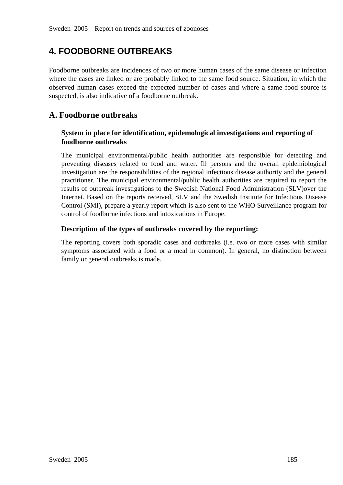# **4. FOODBORNE OUTBREAKS**

Foodborne outbreaks are incidences of two or more human cases of the same disease or infection where the cases are linked or are probably linked to the same food source. Situation, in which the observed human cases exceed the expected number of cases and where a same food source is suspected, is also indicative of a foodborne outbreak.

# **A. Foodborne outbreaks**

# **System in place for identification, epidemological investigations and reporting of foodborne outbreaks**

The municipal environmental/public health authorities are responsible for detecting and preventing diseases related to food and water. Ill persons and the overall epidemiological investigation are the responsibilities of the regional infectious disease authority and the general practitioner. The municipal environmental/public health authorities are required to report the results of outbreak investigations to the Swedish National Food Administration (SLV)over the Internet. Based on the reports received, SLV and the Swedish Institute for Infectious Disease Control (SMI), prepare a yearly report which is also sent to the WHO Surveillance program for control of foodborne infections and intoxications in Europe.

## **Description of the types of outbreaks covered by the reporting:**

The reporting covers both sporadic cases and outbreaks (i.e. two or more cases with similar symptoms associated with a food or a meal in common). In general, no distinction between family or general outbreaks is made.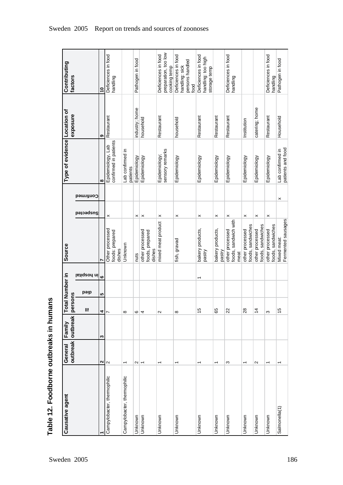|                          | General | outbreak outbreak<br>Family | <b>Total Number in</b> |      |             | Source                                          |                       |           | Type of evidence Location of               |                | Contributing                                                     |
|--------------------------|---------|-----------------------------|------------------------|------|-------------|-------------------------------------------------|-----------------------|-----------|--------------------------------------------|----------------|------------------------------------------------------------------|
|                          |         |                             | persons<br>Ш!          | pəip | istiqeon ni |                                                 | papadsng              | Ϧ϶ຓາϳϒͷϙϽ |                                            | exposure       | factors                                                          |
| 2                        |         | ო                           | 4                      | 5    | ဖ           |                                                 |                       |           | $\infty$                                   | თ              | $\ddot{ }$                                                       |
| $\mathbf{\Omega}$        |         |                             | Ľ                      |      |             | Other processed<br>foods: prepared<br>dishes    | ×                     |           | confirmed in patients<br>Epidemiology, Lab | Restaurant     | Deficiences in food<br>handling                                  |
| ᠇                        |         |                             | $\infty$               |      |             | Unknown                                         |                       |           | Lab confirmed in<br>patients               |                |                                                                  |
| $\sim$                   |         |                             | ဖ                      |      |             | nuts                                            | ×                     |           | Epidemiology                               | industry; home | Pathogen in food                                                 |
| $\overline{\phantom{0}}$ |         |                             | 4                      |      |             | other processed<br>foods, prepared<br>dishes    | $\boldsymbol{\times}$ |           | Epidemiology                               | household      |                                                                  |
|                          |         |                             | $\mathbf{\Omega}$      |      |             | mixed meat product                              | ×                     |           | sensory remarks<br>Epidemiology;           | Restaurant     | preparation, too low<br>Deficiences in food<br>cooking temp      |
|                          |         |                             | ${}^{\circ}$           |      |             | fish, gravad                                    | ×                     |           | Epidemiology                               | household      | Deficiences in food<br>persons handled<br>handling: sick<br>food |
| ᡪ                        |         |                             | 15                     |      | ٣           | bakery products,<br>pastry                      | ×                     |           | Epidemiology                               | Restaurant     | Deficiences in food<br>handling: too high<br>storage temp        |
| ᠇                        |         |                             | 65                     |      |             | bakery products,<br>pastry                      | ×                     |           | Epidemiology                               | Restaurant     |                                                                  |
| ω                        |         |                             | 22                     |      |             | foods, sandwich with<br>other processed<br>meat | $\pmb{\times}$        |           | Epidemiology                               | Restaurant     | Deficiences in food<br>handling                                  |
| ᡪ                        |         |                             | 28                     |      |             | foods, sandwiches<br>other processed            | ×                     |           | Epidemiology                               | Institution    |                                                                  |
| $\mathbf{\Omega}$        |         |                             | $\frac{4}{3}$          |      |             | foods, sandwiches<br>other processed            | ×                     |           | Epidemiology                               | catering; home |                                                                  |
| ᡪ                        |         |                             | ω                      |      |             | foods, sandwiches<br>other processed            | ×                     |           | Epidemiology                               | Restaurant     | Deficiences in food<br>handling                                  |
|                          |         |                             | $\frac{5}{3}$          |      |             | Fermented sausages<br>Mixed meat:               |                       | ×         | patients and food<br>Lab confirmed in      | Household      | Pathogen in food                                                 |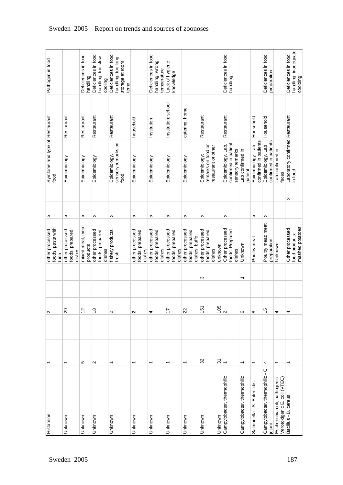| Pathogen in food                             |                                              | Deficiences in food<br>handling | Deficiences in food<br>handling; too slow<br>cooling | Deficiences in food<br>handling; too long<br>storage at room<br>temp |                                              | Deficiences in food<br>handling, wrong<br>temperature | Lack of hygiene<br>knowledge                 |                                                     |                                                            |                | Deficiences in food<br>handling                                |                             |                                            | Deficiences in food<br>preparation         |                                                                | handling, inadequate<br>Deficiences in food<br>cooloing |
|----------------------------------------------|----------------------------------------------|---------------------------------|------------------------------------------------------|----------------------------------------------------------------------|----------------------------------------------|-------------------------------------------------------|----------------------------------------------|-----------------------------------------------------|------------------------------------------------------------|----------------|----------------------------------------------------------------|-----------------------------|--------------------------------------------|--------------------------------------------|----------------------------------------------------------------|---------------------------------------------------------|
|                                              | Restaurant                                   | Restaurant                      | Restaurant                                           | Restaurant                                                           | household                                    | Institution                                           | Institution: school                          | catering; home                                      | Restaurant                                                 |                | Restaurant                                                     |                             | Household                                  | Household                                  |                                                                |                                                         |
| Symtoms and type of Restaurant<br>food       | Epidemiology                                 | Epidemiology                    | Epidemiology                                         | sensory remarks on<br>Epidemiology,<br>food                          | Epidemiology                                 | Epidemiology                                          | Epidemiology                                 | Epidemiology                                        | remarks on food or<br>restaurant or other<br>Epidemiology; |                | confirmed in patient,<br>Epidemiology, Lab.<br>sensory remarks | Lab confirmed in<br>patient | confirmed in patients<br>Epidemiology: Lab | confirmed in patients<br>Epidemiology, Lab | Lab confirmed in<br>feces                                      | Laboratory confirmed Restaurant<br>in food              |
|                                              |                                              |                                 |                                                      |                                                                      |                                              |                                                       |                                              |                                                     |                                                            |                |                                                                |                             |                                            |                                            |                                                                | ×                                                       |
| ×                                            | $\times$                                     | ×                               | $\boldsymbol{\times}$                                | ×                                                                    | ×                                            | ×                                                     | $\boldsymbol{\times}$                        | ×                                                   | $\times$                                                   |                | $\boldsymbol{\times}$                                          |                             | $\pmb{\times}$                             | $\boldsymbol{\times}$                      |                                                                |                                                         |
| foods, pasta with<br>other processed<br>tuna | other processed<br>foods, prepared<br>dishes | mixed meat, meat<br>products    | other processed<br>foods, prepared<br>dishes         | fishery products,<br>fresh                                           | other processed<br>foods, prepared<br>dishes | other processed<br>foods, prepared<br>dishes          | other processed<br>foods, prepared<br>dishes | other processed<br>foods, prepared<br>dishes: buffe | other processed<br>foods, prepared<br>dishes               | unknown        | Other processed<br>foods: Prepared<br>dishes                   | Unknown                     | Poultry meat                               | Poultry meat: meat<br>preparation          | Unknown                                                        | mashed potatoes<br>Other processed<br>food products:    |
|                                              |                                              |                                 |                                                      |                                                                      |                                              |                                                       |                                              |                                                     | ω                                                          |                |                                                                | $\overline{\phantom{0}}$    |                                            |                                            |                                                                |                                                         |
|                                              |                                              |                                 |                                                      |                                                                      |                                              |                                                       |                                              |                                                     |                                                            |                |                                                                |                             |                                            |                                            |                                                                |                                                         |
| $\sim$                                       | 29                                           | $\frac{1}{2}$                   | $\frac{8}{1}$                                        | $\mathbf{\Omega}$                                                    | Z                                            | 4                                                     | 17                                           | 22                                                  | 151                                                        | 105            | $\sim$                                                         | ဖ                           | $\infty$                                   | $\frac{5}{3}$                              | 4                                                              | 4                                                       |
|                                              | $\overline{ }$                               | Ю                               | $\mathbf{\Omega}$                                    | $\overline{ }$                                                       |                                              | $\overline{ }$                                        | ۰                                            | $\overline{ }$                                      | 32                                                         | $\overline{5}$ | $\overline{ }$                                                 | ᡪ                           | $\overline{\phantom{0}}$                   | 4                                          | ᡪ                                                              |                                                         |
| Histamine                                    | Unknown                                      | Unknown                         | Unknown                                              | Unknown                                                              | Unknown                                      | Unknown                                               | Unknown                                      | Unknown                                             | Unknown                                                    | Unknown        | Campylobacter, thermophilic                                    | Campylobacter, thermophilic | Enteritidis<br>Salmonella - S.             | Campylobacter, thermophilic - C.<br>jejuni | Escherichia coli, pathogenic -<br>Verotoxigenic E. coli (VTEC) | Bacillus - B. cereus                                    |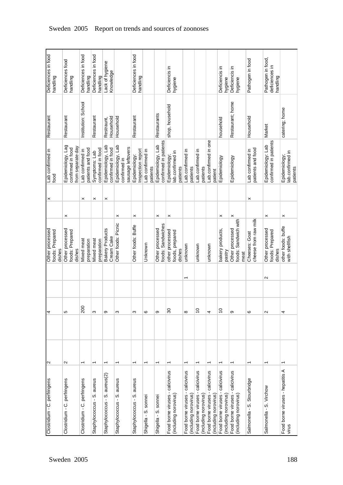| Clostridium - C. perfringens                                 | Ν                        | 4                 |                   | Other processed<br>foods: Prepared<br>dishes    |   | ×                     | Lab confirmed in<br>food                                    | Restaurant              | Deficiences in food<br>handling                 |
|--------------------------------------------------------------|--------------------------|-------------------|-------------------|-------------------------------------------------|---|-----------------------|-------------------------------------------------------------|-------------------------|-------------------------------------------------|
| Clostridium - C. perfringens                                 | $\sim$                   | 5                 |                   | Other processed<br>foods: Prepared<br>dishes    | × |                       | Epidemiology, Lag<br>from separate day<br>confirmed in food | Restaurant              | Deficiences food<br>handling                    |
| Clostridium - C. perfringens                                 | $\overline{\phantom{0}}$ | 200               |                   | Mixed meat<br>preparation                       |   | ×                     | patients and food<br>Lab confirmed in                       | Institution: School     | Deficiences in food<br>handling                 |
| aureus<br>Staphylococcus - S.                                | ᡪ                        | ω                 |                   | Mixed meat<br>preparation                       |   | ×                     | confirmed in food<br>Symptoms: Lab                          | Restaurant              | Deficiences in food<br>handling                 |
| $a$ ureus $(2)$<br>Staphylococcus - S.                       | ٣                        | တ                 |                   | <b>Bakery Products</b><br>Cream Cake            |   | $\boldsymbol{\times}$ | Epidemiology, Lab<br>confirmed in food                      | Household<br>Restraunt, | Lack of hygiene<br>Knowledge                    |
| Staphylococcus - S. aureus                                   | ↽                        | ω                 |                   | Other foods: Picnic                             | × |                       | Epidemiology, Lab<br>sausage leftovers<br>confirmed in      | Household               |                                                 |
| aureus<br>Staphylococcus - S.                                |                          | S                 |                   | Other foods: Buffe                              | × |                       | Inspection report<br>Epidemiology:                          | Restaurant              | Deficiences in food<br>handling                 |
| Shigella - S. sonnei                                         | ↽                        | ဖ                 |                   | Unknown                                         |   |                       | Lab confirmed in<br>patients                                |                         |                                                 |
| Shigella - S. sonnei                                         | ᡪ                        | ω                 |                   | foods: Sandwiches<br>Other processed            | × |                       | confirmed in patients<br>Epidemiology, Lab                  | Restaurants             |                                                 |
| calicivirus<br>Food borne viruses -<br>(including norovirus) | ↽                        | 30                |                   | other processed<br>foods, prepared<br>dishes    | × |                       | lab.confirmed in<br>Epidemiology;<br>patients               | shop, household         | Deficiencis in<br>hygiene                       |
| Food borne viruses - calicivirus<br>(including norovirus)    | $\overline{ }$           | $\infty$          | $\overline{ }$    | unknown                                         |   |                       | Lab.confirmed in<br>patients                                |                         |                                                 |
| calicivirus<br>Food borne viruses -<br>(including norovirus) | $\overline{\phantom{0}}$ | $\tilde{c}$       |                   | unknown                                         |   |                       | Lab.confirmed in<br>patients                                |                         |                                                 |
| calicivirus<br>(including norovirus)<br>Food borne viruses   | $\overline{ }$           | 4                 |                   | unknown                                         |   |                       | Lab.confirmed in one<br>patient                             |                         |                                                 |
| Food borne viruses - calicivirus<br>(including norovirus)    | $\overline{ }$           | $\overline{0}$    |                   | bakery products,<br>pastry                      | × |                       | Epidemiology                                                | household               | Deficiencis in<br>hygiene                       |
| calicivirus<br>Food borne viruses -<br>(including norovirus) |                          | ω                 |                   | foods: Sandwich with<br>Other processed<br>meat | × |                       | Epidemiology                                                | Restaurant; home        | Deficiencis in<br>hygiene                       |
| Salmonella - S. Stourbridge                                  |                          | ဖ                 |                   | cheese from raw milk<br>Cheeses: Goat           |   | ×                     | patients and food<br>Lab confirmed in                       | Household               | Pathogen in food                                |
| Salmonella - S. Virchow                                      |                          | $\mathbf{\Omega}$ | $\mathbf{\Omega}$ | Other processed<br>foods: Prepared<br>dishes    | × |                       | confirmed in patients<br>Epidemiology: Lab                  | Market                  | Pathogen in food,<br>deficiences in<br>handling |
| Food borne viruses - hepatitis A<br>virus                    |                          | 4                 |                   | other foods: buffe<br>with shellfish            | × |                       | lab.confirmed in<br>Epidemiology;<br>patients               | catering; home          |                                                 |